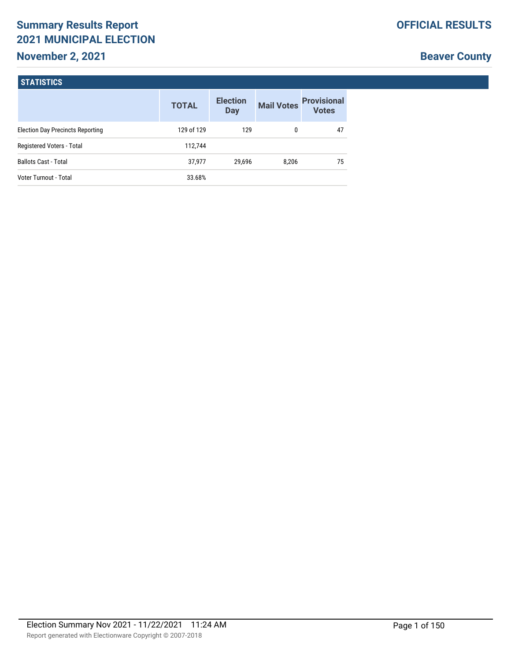# **Summary Results Report 2021 MUNICIPAL ELECTION**

## **November 2, 2021**

# **Beaver County**

| <b>STATISTICS</b>                       |              |                               |                   |                                    |
|-----------------------------------------|--------------|-------------------------------|-------------------|------------------------------------|
|                                         | <b>TOTAL</b> | <b>Election</b><br><b>Day</b> | <b>Mail Votes</b> | <b>Provisional</b><br><b>Votes</b> |
| <b>Election Day Precincts Reporting</b> | 129 of 129   | 129                           | $\mathbf{0}$      | 47                                 |
| Registered Voters - Total               | 112,744      |                               |                   |                                    |
| <b>Ballots Cast - Total</b>             | 37,977       | 29.696                        | 8,206             | 75                                 |
| Voter Turnout - Total                   | 33.68%       |                               |                   |                                    |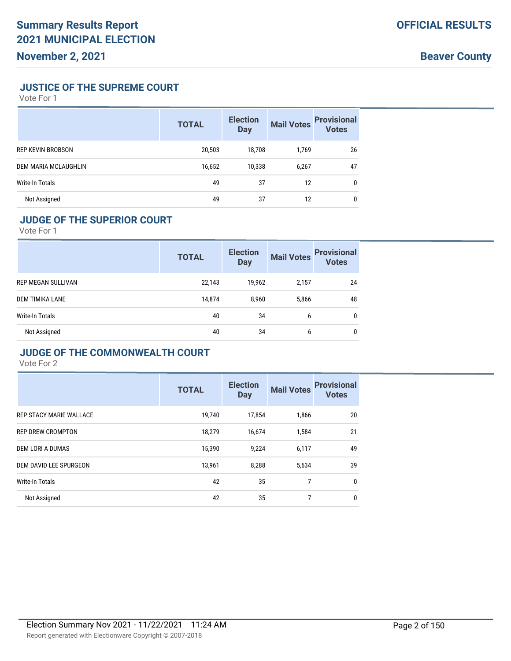#### **JUSTICE OF THE SUPREME COURT**

Vote For 1

|                          | <b>TOTAL</b> | <b>Election</b><br><b>Day</b> | <b>Mail Votes</b> | <b>Provisional</b><br><b>Votes</b> |
|--------------------------|--------------|-------------------------------|-------------------|------------------------------------|
| <b>REP KEVIN BROBSON</b> | 20,503       | 18,708                        | 1,769             | 26                                 |
| DEM MARIA MCLAUGHLIN     | 16,652       | 10,338                        | 6,267             | 47                                 |
| Write-In Totals          | 49           | 37                            | 12                | $\mathbf{0}$                       |
| Not Assigned             | 49           | 37                            | 12                | 0                                  |

#### **JUDGE OF THE SUPERIOR COURT**

Vote For 1

|                           | <b>TOTAL</b> | <b>Election</b><br><b>Day</b> | <b>Mail Votes</b> | <b>Provisional</b><br><b>Votes</b> |
|---------------------------|--------------|-------------------------------|-------------------|------------------------------------|
| <b>REP MEGAN SULLIVAN</b> | 22,143       | 19,962                        | 2,157             | 24                                 |
| DEM TIMIKA LANE           | 14,874       | 8,960                         | 5,866             | 48                                 |
| <b>Write-In Totals</b>    | 40           | 34                            | 6                 | 0                                  |
| Not Assigned              | 40           | 34                            | 6                 | 0                                  |

#### **JUDGE OF THE COMMONWEALTH COURT**

|                          | <b>TOTAL</b> | <b>Election</b><br><b>Day</b> | <b>Mail Votes</b> | <b>Provisional</b><br><b>Votes</b> |
|--------------------------|--------------|-------------------------------|-------------------|------------------------------------|
| REP STACY MARIE WALLACE  | 19.740       | 17,854                        | 1,866             | 20                                 |
| <b>REP DREW CROMPTON</b> | 18.279       | 16,674                        | 1,584             | 21                                 |
| DEM LORI A DUMAS         | 15,390       | 9.224                         | 6,117             | 49                                 |
| DEM DAVID LEE SPURGEON   | 13,961       | 8,288                         | 5,634             | 39                                 |
| <b>Write-In Totals</b>   | 42           | 35                            | 7                 | 0                                  |
| Not Assigned             | 42           | 35                            | 7                 | 0                                  |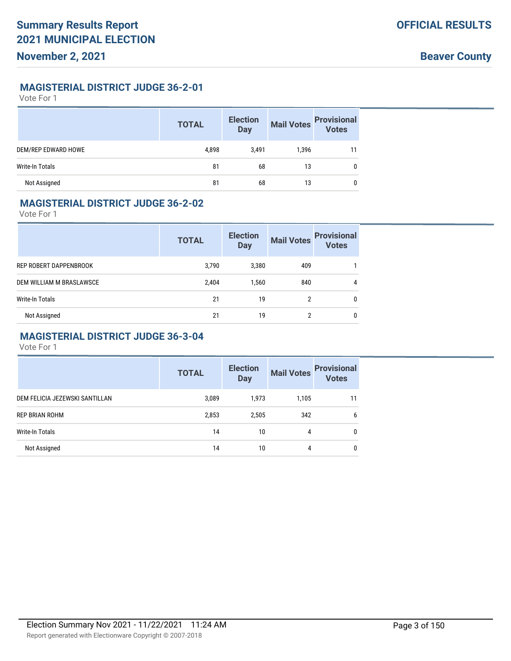#### **MAGISTERIAL DISTRICT JUDGE 36-2-01**

Vote For 1

|                     | <b>TOTAL</b> | <b>Election</b><br><b>Day</b> | <b>Mail Votes</b> | <b>Provisional</b><br>Votes |
|---------------------|--------------|-------------------------------|-------------------|-----------------------------|
| DEM/REP EDWARD HOWE | 4,898        | 3.491                         | 1,396             | 11                          |
| Write-In Totals     | 81           | 68                            | 13                | 0                           |
| Not Assigned        | 81           | 68                            | 13                | 0                           |

#### **MAGISTERIAL DISTRICT JUDGE 36-2-02**

Vote For 1

|                          | <b>TOTAL</b> | <b>Election</b><br><b>Day</b> | <b>Mail Votes</b> | <b>Provisional</b><br><b>Votes</b> |
|--------------------------|--------------|-------------------------------|-------------------|------------------------------------|
| REP ROBERT DAPPENBROOK   | 3,790        | 3,380                         | 409               |                                    |
| DEM WILLIAM M BRASLAWSCE | 2,404        | 1,560                         | 840               | 4                                  |
| Write-In Totals          | 21           | 19                            | 2                 | 0                                  |
| Not Assigned             | 21           | 19                            | 2                 | 0                                  |

#### **MAGISTERIAL DISTRICT JUDGE 36-3-04**

|                                | <b>TOTAL</b> | <b>Election</b><br><b>Day</b> | <b>Mail Votes</b> | <b>Provisional</b><br>Votes |
|--------------------------------|--------------|-------------------------------|-------------------|-----------------------------|
| DEM FELICIA JEZEWSKI SANTILLAN | 3,089        | 1,973                         | 1,105             | 11                          |
| <b>REP BRIAN ROHM</b>          | 2,853        | 2,505                         | 342               | 6                           |
| Write-In Totals                | 14           | 10                            | 4                 | $\mathbf{0}$                |
| Not Assigned                   | 14           | 10                            | 4                 | $\mathbf{0}$                |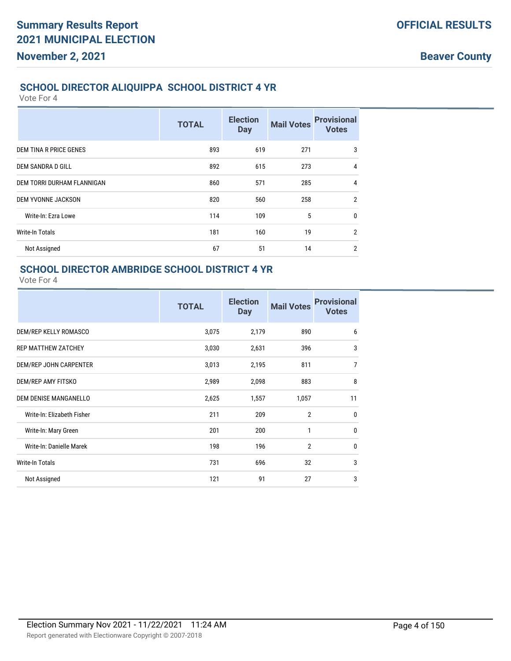#### **SCHOOL DIRECTOR ALIQUIPPA SCHOOL DISTRICT 4 YR**

Vote For 4

|                            | <b>TOTAL</b> | <b>Election</b><br><b>Day</b> | <b>Mail Votes</b> | <b>Provisional</b><br><b>Votes</b> |
|----------------------------|--------------|-------------------------------|-------------------|------------------------------------|
| DEM TINA R PRICE GENES     | 893          | 619                           | 271               | 3                                  |
| DEM SANDRA D GILL          | 892          | 615                           | 273               | $\overline{4}$                     |
| DEM TORRI DURHAM FLANNIGAN | 860          | 571                           | 285               | $\overline{4}$                     |
| <b>DEM YVONNE JACKSON</b>  | 820          | 560                           | 258               | $\overline{2}$                     |
| Write-In: Ezra Lowe        | 114          | 109                           | 5                 | 0                                  |
| <b>Write-In Totals</b>     | 181          | 160                           | 19                | $\overline{2}$                     |
| Not Assigned               | 67           | 51                            | 14                | $\overline{2}$                     |

# **SCHOOL DIRECTOR AMBRIDGE SCHOOL DISTRICT 4 YR**

|                            | <b>TOTAL</b> | <b>Election</b><br><b>Day</b> | <b>Mail Votes</b> | <b>Provisional</b><br><b>Votes</b> |
|----------------------------|--------------|-------------------------------|-------------------|------------------------------------|
| DEM/REP KELLY ROMASCO      | 3,075        | 2,179                         | 890               | 6                                  |
| <b>REP MATTHEW ZATCHEY</b> | 3,030        | 2,631                         | 396               | 3                                  |
| DEM/REP JOHN CARPENTER     | 3,013        | 2,195                         | 811               | $\overline{7}$                     |
| DEM/REP AMY FITSKO         | 2,989        | 2,098                         | 883               | 8                                  |
| DEM DENISE MANGANELLO      | 2,625        | 1,557                         | 1,057             | 11                                 |
| Write-In: Elizabeth Fisher | 211          | 209                           | $\overline{2}$    | $\mathbf{0}$                       |
| Write-In: Mary Green       | 201          | 200                           | 1                 | 0                                  |
| Write-In: Danielle Marek   | 198          | 196                           | $\overline{2}$    | $\mathbf{0}$                       |
| <b>Write-In Totals</b>     | 731          | 696                           | 32                | 3                                  |
| Not Assigned               | 121          | 91                            | 27                | 3                                  |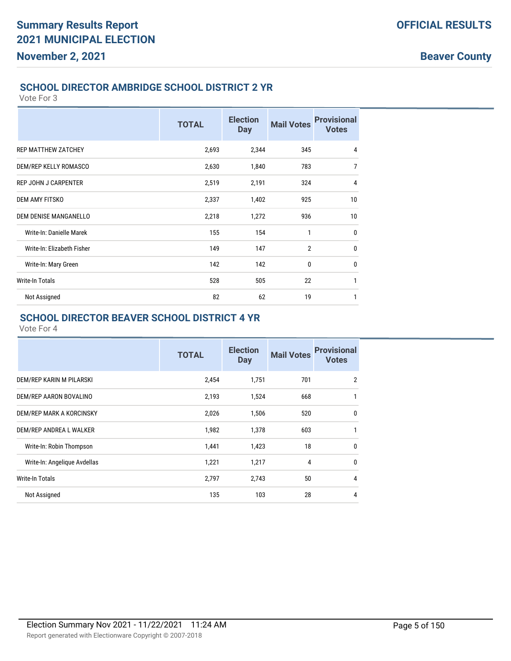#### **SCHOOL DIRECTOR AMBRIDGE SCHOOL DISTRICT 2 YR**

Vote For 3

|                             | <b>TOTAL</b> | <b>Election</b><br><b>Day</b> | <b>Mail Votes</b> | <b>Provisional</b><br><b>Votes</b> |
|-----------------------------|--------------|-------------------------------|-------------------|------------------------------------|
| <b>REP MATTHEW ZATCHEY</b>  | 2,693        | 2,344                         | 345               | $\overline{4}$                     |
| DEM/REP KELLY ROMASCO       | 2,630        | 1,840                         | 783               | $\overline{7}$                     |
| <b>REP JOHN J CARPENTER</b> | 2,519        | 2,191                         | 324               | 4                                  |
| <b>DEM AMY FITSKO</b>       | 2,337        | 1,402                         | 925               | 10                                 |
| DEM DENISE MANGANELLO       | 2,218        | 1,272                         | 936               | 10                                 |
| Write-In: Danielle Marek    | 155          | 154                           | 1                 | $\mathbf 0$                        |
| Write-In: Elizabeth Fisher  | 149          | 147                           | $\overline{2}$    | $\mathbf 0$                        |
| Write-In: Mary Green        | 142          | 142                           | 0                 | $\mathbf 0$                        |
| <b>Write-In Totals</b>      | 528          | 505                           | 22                | 1                                  |
| Not Assigned                | 82           | 62                            | 19                | 1                                  |

## **SCHOOL DIRECTOR BEAVER SCHOOL DISTRICT 4 YR**

|                              | <b>TOTAL</b> | <b>Election</b><br><b>Day</b> | <b>Mail Votes</b> | <b>Provisional</b><br><b>Votes</b> |
|------------------------------|--------------|-------------------------------|-------------------|------------------------------------|
| DEM/REP KARIN M PILARSKI     | 2,454        | 1,751                         | 701               | 2                                  |
| DEM/REP AARON BOVALINO       | 2,193        | 1,524                         | 668               | 1                                  |
| DEM/REP MARK A KORCINSKY     | 2,026        | 1,506                         | 520               | $\mathbf 0$                        |
| DEM/REP ANDREA L WALKER      | 1,982        | 1,378                         | 603               | 1                                  |
| Write-In: Robin Thompson     | 1,441        | 1,423                         | 18                | $\mathbf{0}$                       |
| Write-In: Angelique Avdellas | 1,221        | 1,217                         | 4                 | 0                                  |
| <b>Write-In Totals</b>       | 2,797        | 2,743                         | 50                | $\overline{4}$                     |
| Not Assigned                 | 135          | 103                           | 28                | 4                                  |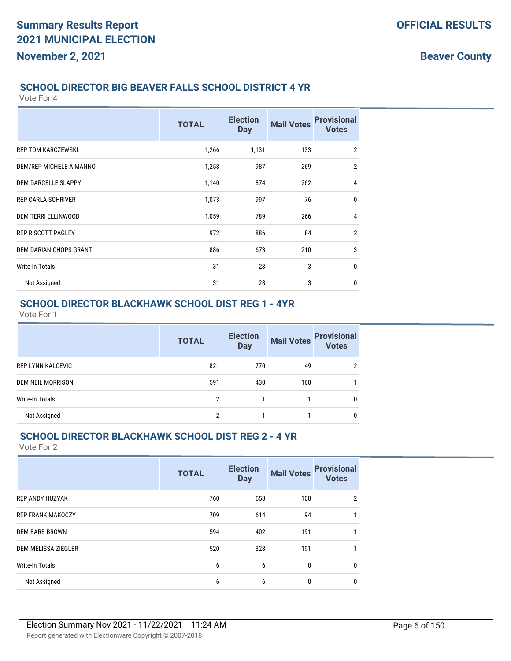#### **Beaver County**

#### **SCHOOL DIRECTOR BIG BEAVER FALLS SCHOOL DISTRICT 4 YR**

Vote For 4

|                               | <b>TOTAL</b> | <b>Election</b><br><b>Day</b> | <b>Mail Votes</b> | <b>Provisional</b><br><b>Votes</b> |
|-------------------------------|--------------|-------------------------------|-------------------|------------------------------------|
| <b>REP TOM KARCZEWSKI</b>     | 1,266        | 1,131                         | 133               | $\overline{2}$                     |
| DEM/REP MICHELE A MANNO       | 1,258        | 987                           | 269               | $\overline{2}$                     |
| DEM DARCELLE SLAPPY           | 1,140        | 874                           | 262               | $\overline{4}$                     |
| <b>REP CARLA SCHRIVER</b>     | 1,073        | 997                           | 76                | $\mathbf{0}$                       |
| <b>DEM TERRI ELLINWOOD</b>    | 1,059        | 789                           | 266               | $\overline{4}$                     |
| <b>REP R SCOTT PAGLEY</b>     | 972          | 886                           | 84                | $\overline{2}$                     |
| <b>DEM DARIAN CHOPS GRANT</b> | 886          | 673                           | 210               | 3                                  |
| <b>Write-In Totals</b>        | 31           | 28                            | 3                 | $\mathbf{0}$                       |
| Not Assigned                  | 31           | 28                            | 3                 | $\mathbf{0}$                       |

# **SCHOOL DIRECTOR BLACKHAWK SCHOOL DIST REG 1 - 4YR**

Vote For 1

|                          | <b>TOTAL</b> | <b>Election</b><br><b>Day</b> | <b>Mail Votes</b> | <b>Provisional</b><br><b>Votes</b> |
|--------------------------|--------------|-------------------------------|-------------------|------------------------------------|
| <b>REP LYNN KALCEVIC</b> | 821          | 770                           | 49                | 2                                  |
| DEM NEIL MORRISON        | 591          | 430                           | 160               |                                    |
| Write-In Totals          | 2            |                               |                   | 0                                  |
| Not Assigned             | 2            |                               |                   | 0                                  |

#### **SCHOOL DIRECTOR BLACKHAWK SCHOOL DIST REG 2 - 4 YR**

|                          | <b>TOTAL</b> | <b>Election</b><br><b>Day</b> | <b>Mail Votes</b> | <b>Provisional</b><br><b>Votes</b> |
|--------------------------|--------------|-------------------------------|-------------------|------------------------------------|
| <b>REP ANDY HUZYAK</b>   | 760          | 658                           | 100               | 2                                  |
| <b>REP FRANK MAKOCZY</b> | 709          | 614                           | 94                |                                    |
| <b>DEM BARB BROWN</b>    | 594          | 402                           | 191               |                                    |
| DEM MELISSA ZIEGLER      | 520          | 328                           | 191               |                                    |
| <b>Write-In Totals</b>   | 6            | 6                             | $\mathbf{0}$      | $\mathbf{0}$                       |
| Not Assigned             | 6            | 6                             | $\mathbf{0}$      | $\mathbf{0}$                       |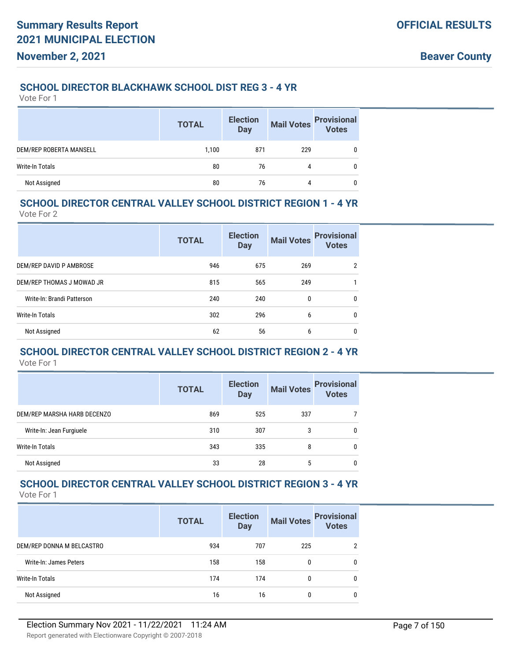#### **SCHOOL DIRECTOR BLACKHAWK SCHOOL DIST REG 3 - 4 YR**

Vote For 1

|                         | <b>TOTAL</b> | <b>Election</b><br>Day | <b>Mail Votes</b> | <b>Provisional</b><br><b>Votes</b> |
|-------------------------|--------------|------------------------|-------------------|------------------------------------|
| DEM/REP ROBERTA MANSELL | 1,100        | 871                    | 229               |                                    |
| Write-In Totals         | 80           | 76                     | 4                 |                                    |
| Not Assigned            | 80           | 76                     | 4                 |                                    |

#### **SCHOOL DIRECTOR CENTRAL VALLEY SCHOOL DISTRICT REGION 1 - 4 YR**

Vote For 2

|                            | <b>TOTAL</b> | <b>Election</b><br><b>Day</b> | <b>Mail Votes</b> | <b>Provisional</b><br><b>Votes</b> |
|----------------------------|--------------|-------------------------------|-------------------|------------------------------------|
| DEM/REP DAVID P AMBROSE    | 946          | 675                           | 269               | 2                                  |
| DEM/REP THOMAS J MOWAD JR  | 815          | 565                           | 249               |                                    |
| Write-In: Brandi Patterson | 240          | 240                           | 0                 | 0                                  |
| Write-In Totals            | 302          | 296                           | 6                 | 0                                  |
| Not Assigned               | 62           | 56                            | 6                 | 0                                  |

#### **SCHOOL DIRECTOR CENTRAL VALLEY SCHOOL DISTRICT REGION 2 - 4 YR** Vote For 1

|                             | <b>TOTAL</b> | <b>Election</b><br><b>Day</b> | <b>Mail Votes</b> | <b>Provisional</b><br><b>Votes</b> |
|-----------------------------|--------------|-------------------------------|-------------------|------------------------------------|
| DEM/REP MARSHA HARB DECENZO | 869          | 525                           | 337               |                                    |
| Write-In: Jean Furgiuele    | 310          | 307                           | 3                 | 0                                  |
| Write-In Totals             | 343          | 335                           | 8                 | 0                                  |
| Not Assigned                | 33           | 28                            | 5                 | 0                                  |

#### **SCHOOL DIRECTOR CENTRAL VALLEY SCHOOL DISTRICT REGION 3 - 4 YR** Vote For 1

|                           | <b>TOTAL</b> | <b>Election</b><br><b>Day</b> | <b>Mail Votes</b> | <b>Provisional</b><br>Votes |
|---------------------------|--------------|-------------------------------|-------------------|-----------------------------|
| DEM/REP DONNA M BELCASTRO | 934          | 707                           | 225               | $\mathcal{P}$               |
| Write-In: James Peters    | 158          | 158                           | 0                 | $\mathbf{0}$                |
| Write-In Totals           | 174          | 174                           | 0                 | $\mathbf{0}$                |
| Not Assigned              | 16           | 16                            | 0                 | 0                           |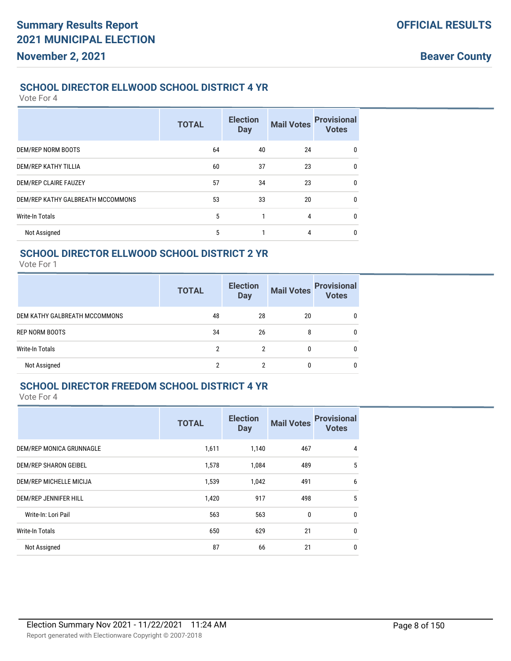#### **SCHOOL DIRECTOR ELLWOOD SCHOOL DISTRICT 4 YR**

Vote For 4

|                                   | <b>TOTAL</b> | <b>Election</b><br><b>Day</b> | <b>Mail Votes</b> | <b>Provisional</b><br><b>Votes</b> |
|-----------------------------------|--------------|-------------------------------|-------------------|------------------------------------|
| DEM/REP NORM BOOTS                | 64           | 40                            | 24                | $\mathbf{0}$                       |
| DEM/REP KATHY TILLIA              | 60           | 37                            | 23                | $\mathbf{0}$                       |
| DEM/REP CLAIRE FAUZEY             | 57           | 34                            | 23                | $\mathbf{0}$                       |
| DEM/REP KATHY GALBREATH MCCOMMONS | 53           | 33                            | 20                | $\mathbf{0}$                       |
| <b>Write-In Totals</b>            | 5            |                               | 4                 | $\mathbf{0}$                       |
| Not Assigned                      | 5            |                               | 4                 | $\mathbf{0}$                       |

### **SCHOOL DIRECTOR ELLWOOD SCHOOL DISTRICT 2 YR**

Vote For 1

|                               | <b>TOTAL</b> | <b>Election</b><br><b>Day</b> | <b>Mail Votes</b> | <b>Provisional</b><br>Votes |
|-------------------------------|--------------|-------------------------------|-------------------|-----------------------------|
| DEM KATHY GALBREATH MCCOMMONS | 48           | 28                            | 20                | 0                           |
| REP NORM BOOTS                | 34           | 26                            | 8                 | 0                           |
| Write-In Totals               | າ            | 2                             |                   |                             |
| Not Assigned                  |              | ŋ                             |                   |                             |

#### **SCHOOL DIRECTOR FREEDOM SCHOOL DISTRICT 4 YR**

|                              | <b>TOTAL</b> | <b>Election</b><br><b>Day</b> | <b>Mail Votes</b> | <b>Provisional</b><br><b>Votes</b> |
|------------------------------|--------------|-------------------------------|-------------------|------------------------------------|
| DEM/REP MONICA GRUNNAGLE     | 1,611        | 1,140                         | 467               | 4                                  |
| DEM/REP SHARON GEIBEL        | 1,578        | 1,084                         | 489               | 5                                  |
| DEM/REP MICHELLE MICIJA      | 1,539        | 1,042                         | 491               | 6                                  |
| <b>DEM/REP JENNIFER HILL</b> | 1,420        | 917                           | 498               | 5                                  |
| Write-In: Lori Pail          | 563          | 563                           | 0                 | $\mathbf{0}$                       |
| <b>Write-In Totals</b>       | 650          | 629                           | 21                | $\mathbf 0$                        |
| Not Assigned                 | 87           | 66                            | 21                | 0                                  |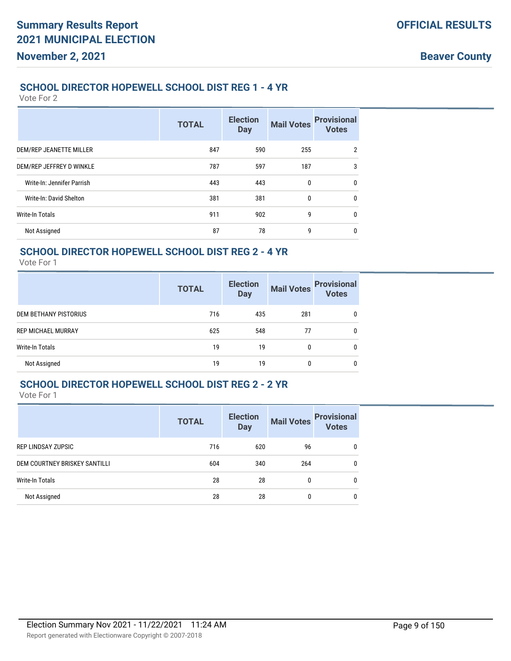#### **SCHOOL DIRECTOR HOPEWELL SCHOOL DIST REG 1 - 4 YR**

Vote For 2

|                            | <b>TOTAL</b> | <b>Election</b><br><b>Day</b> | <b>Mail Votes</b> | <b>Provisional</b><br><b>Votes</b> |
|----------------------------|--------------|-------------------------------|-------------------|------------------------------------|
| DEM/REP JEANETTE MILLER    | 847          | 590                           | 255               | $\overline{2}$                     |
| DEM/REP JEFFREY D WINKLE   | 787          | 597                           | 187               | 3                                  |
| Write-In: Jennifer Parrish | 443          | 443                           | 0                 | 0                                  |
| Write-In: David Shelton    | 381          | 381                           | 0                 | $\mathbf{0}$                       |
| <b>Write-In Totals</b>     | 911          | 902                           | 9                 | $\mathbf 0$                        |
| Not Assigned               | 87           | 78                            | 9                 | $\mathbf 0$                        |

#### **SCHOOL DIRECTOR HOPEWELL SCHOOL DIST REG 2 - 4 YR**

Vote For 1

|                           | <b>TOTAL</b> | <b>Election</b><br><b>Day</b> | <b>Mail Votes</b> | <b>Provisional</b><br>Votes |
|---------------------------|--------------|-------------------------------|-------------------|-----------------------------|
| DEM BETHANY PISTORIUS     | 716          | 435                           | 281               | 0                           |
| <b>REP MICHAEL MURRAY</b> | 625          | 548                           | 77                | 0                           |
| Write-In Totals           | 19           | 19                            |                   | 0                           |
| Not Assigned              | 19           | 19                            | 0                 | 0                           |

## **SCHOOL DIRECTOR HOPEWELL SCHOOL DIST REG 2 - 2 YR**

|                                      | <b>TOTAL</b> | <b>Election</b><br><b>Day</b> | <b>Mail Votes</b> | <b>Provisional</b><br><b>Votes</b> |
|--------------------------------------|--------------|-------------------------------|-------------------|------------------------------------|
| <b>REP LINDSAY ZUPSIC</b>            | 716          | 620                           | 96                | $\mathbf{0}$                       |
| <b>DEM COURTNEY BRISKEY SANTILLI</b> | 604          | 340                           | 264               | $\mathbf{0}$                       |
| Write-In Totals                      | 28           | 28                            | 0                 | $\mathbf{0}$                       |
| Not Assigned                         | 28           | 28                            | 0                 | 0                                  |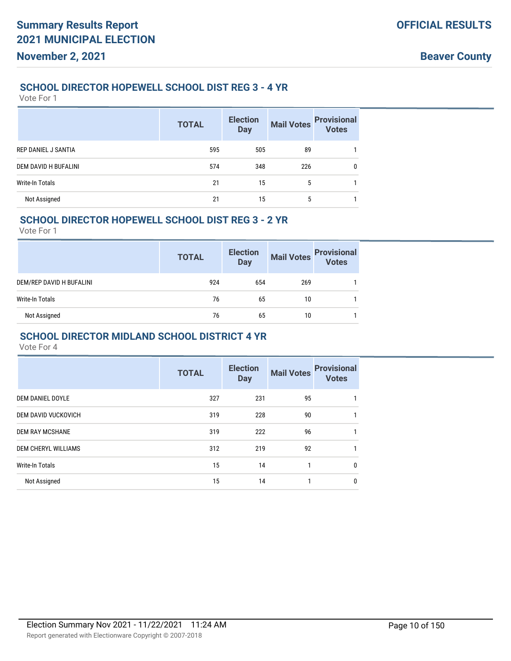#### **SCHOOL DIRECTOR HOPEWELL SCHOOL DIST REG 3 - 4 YR**

Vote For 1

|                      | <b>TOTAL</b> | <b>Election</b><br><b>Day</b> | <b>Mail Votes</b> | <b>Provisional</b><br>Votes |
|----------------------|--------------|-------------------------------|-------------------|-----------------------------|
| REP DANIEL J SANTIA  | 595          | 505                           | 89                |                             |
| DEM DAVID H BUFALINI | 574          | 348                           | 226               | 0                           |
| Write-In Totals      | 21           | 15                            | 5                 |                             |
| Not Assigned         | 21           | 15                            | 5                 |                             |

#### **SCHOOL DIRECTOR HOPEWELL SCHOOL DIST REG 3 - 2 YR**

Vote For 1

|                          | <b>TOTAL</b> | <b>Election</b><br><b>Day</b> | <b>Mail Votes</b> | <b>Provisional</b><br>Votes |
|--------------------------|--------------|-------------------------------|-------------------|-----------------------------|
| DEM/REP DAVID H BUFALINI | 924          | 654                           | 269               |                             |
| Write-In Totals          | 76           | 65                            | 10                |                             |
| Not Assigned             | 76           | 65                            | 10                |                             |

#### **SCHOOL DIRECTOR MIDLAND SCHOOL DISTRICT 4 YR**

|                            | <b>TOTAL</b> | <b>Election</b><br><b>Day</b> | <b>Mail Votes</b> | <b>Provisional</b><br><b>Votes</b> |
|----------------------------|--------------|-------------------------------|-------------------|------------------------------------|
| <b>DEM DANIEL DOYLE</b>    | 327          | 231                           | 95                | 1                                  |
| <b>DEM DAVID VUCKOVICH</b> | 319          | 228                           | 90                | $\mathbf{1}$                       |
| <b>DEM RAY MCSHANE</b>     | 319          | 222                           | 96                | 1                                  |
| <b>DEM CHERYL WILLIAMS</b> | 312          | 219                           | 92                | 1                                  |
| <b>Write-In Totals</b>     | 15           | 14                            | 1                 | $\mathbf 0$                        |
| Not Assigned               | 15           | 14                            | 1                 | 0                                  |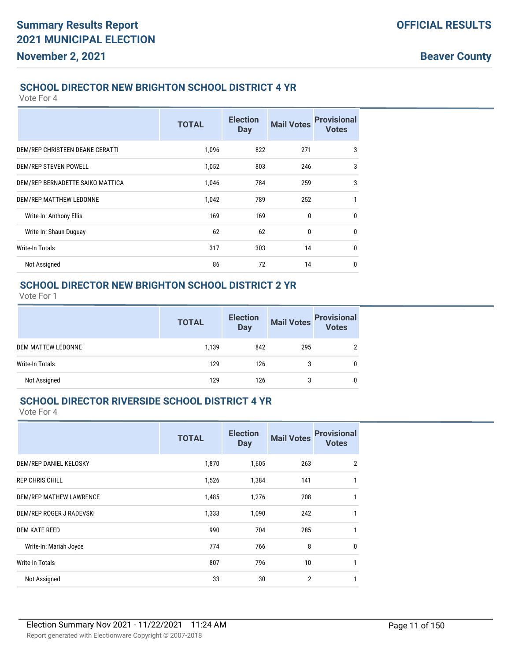#### **SCHOOL DIRECTOR NEW BRIGHTON SCHOOL DISTRICT 4 YR**

Vote For 4

|                                  | <b>TOTAL</b> | <b>Election</b><br><b>Day</b> | <b>Mail Votes</b> | <b>Provisional</b><br><b>Votes</b> |
|----------------------------------|--------------|-------------------------------|-------------------|------------------------------------|
| DEM/REP CHRISTEEN DEANE CERATTI  | 1,096        | 822                           | 271               | 3                                  |
| DEM/REP STEVEN POWELL            | 1,052        | 803                           | 246               | 3                                  |
| DEM/REP BERNADETTE SAIKO MATTICA | 1,046        | 784                           | 259               | 3                                  |
| DEM/REP MATTHEW LEDONNE          | 1,042        | 789                           | 252               | 1                                  |
| Write-In: Anthony Ellis          | 169          | 169                           | $\mathbf{0}$      | $\mathbf{0}$                       |
| Write-In: Shaun Duguay           | 62           | 62                            | 0                 | $\mathbf{0}$                       |
| <b>Write-In Totals</b>           | 317          | 303                           | 14                | 0                                  |
| Not Assigned                     | 86           | 72                            | 14                | $\mathbf 0$                        |

#### **SCHOOL DIRECTOR NEW BRIGHTON SCHOOL DISTRICT 2 YR**

Vote For 1

|                    | <b>TOTAL</b> | <b>Election</b><br>Day | Mail Votes | <b>Provisional</b> |
|--------------------|--------------|------------------------|------------|--------------------|
| DEM MATTEW LEDONNE | 1.139        | 842                    | 295        |                    |
| Write-In Totals    | 129          | 126                    | 3          | 0                  |
| Not Assigned       | 129          | 126                    |            | 0                  |

#### **SCHOOL DIRECTOR RIVERSIDE SCHOOL DISTRICT 4 YR**

|                          | <b>TOTAL</b> | <b>Election</b><br><b>Day</b> | <b>Mail Votes</b> | <b>Provisional</b><br><b>Votes</b> |
|--------------------------|--------------|-------------------------------|-------------------|------------------------------------|
| DEM/REP DANIEL KELOSKY   | 1,870        | 1,605                         | 263               | 2                                  |
| <b>REP CHRIS CHILL</b>   | 1,526        | 1,384                         | 141               | 1                                  |
| DEM/REP MATHEW LAWRENCE  | 1,485        | 1,276                         | 208               | 1                                  |
| DEM/REP ROGER J RADEVSKI | 1,333        | 1,090                         | 242               | 1                                  |
| <b>DEM KATE REED</b>     | 990          | 704                           | 285               | 1                                  |
| Write-In: Mariah Joyce   | 774          | 766                           | 8                 | $\mathbf{0}$                       |
| <b>Write-In Totals</b>   | 807          | 796                           | 10                | 1                                  |
| Not Assigned             | 33           | 30                            | $\overline{2}$    | 1                                  |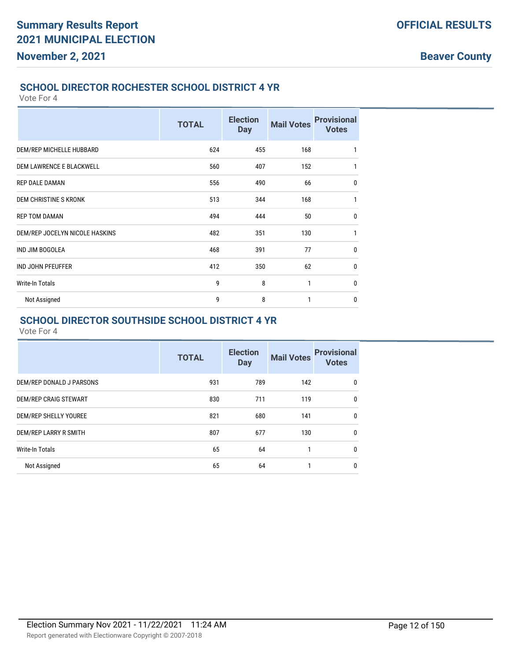#### **SCHOOL DIRECTOR ROCHESTER SCHOOL DISTRICT 4 YR**

Vote For 4

|                                 | <b>TOTAL</b> | <b>Election</b><br><b>Day</b> | <b>Mail Votes</b> | <b>Provisional</b><br><b>Votes</b> |
|---------------------------------|--------------|-------------------------------|-------------------|------------------------------------|
| DEM/REP MICHELLE HUBBARD        | 624          | 455                           | 168               | $\mathbf{1}$                       |
| <b>DEM LAWRENCE E BLACKWELL</b> | 560          | 407                           | 152               | 1                                  |
| <b>REP DALE DAMAN</b>           | 556          | 490                           | 66                | $\mathbf 0$                        |
| DEM CHRISTINE S KRONK           | 513          | 344                           | 168               | 1                                  |
| <b>REP TOM DAMAN</b>            | 494          | 444                           | 50                | $\mathbf 0$                        |
| DEM/REP JOCELYN NICOLE HASKINS  | 482          | 351                           | 130               | $\mathbf{1}$                       |
| <b>IND JIM BOGOLEA</b>          | 468          | 391                           | 77                | $\mathbf 0$                        |
| <b>IND JOHN PFEUFFER</b>        | 412          | 350                           | 62                | $\mathbf 0$                        |
| <b>Write-In Totals</b>          | 9            | 8                             | 1                 | $\mathbf 0$                        |
| Not Assigned                    | 9            | 8                             | 1                 | $\mathbf 0$                        |

#### **SCHOOL DIRECTOR SOUTHSIDE SCHOOL DISTRICT 4 YR**

|                          | <b>TOTAL</b> | <b>Election</b><br><b>Day</b> | <b>Mail Votes</b> | <b>Provisional</b><br><b>Votes</b> |
|--------------------------|--------------|-------------------------------|-------------------|------------------------------------|
| DEM/REP DONALD J PARSONS | 931          | 789                           | 142               | $\mathbf{0}$                       |
| DEM/REP CRAIG STEWART    | 830          | 711                           | 119               | 0                                  |
| DEM/REP SHELLY YOUREE    | 821          | 680                           | 141               | $\mathbf{0}$                       |
| DEM/REP LARRY R SMITH    | 807          | 677                           | 130               | 0                                  |
| <b>Write-In Totals</b>   | 65           | 64                            | 1                 | 0                                  |
| Not Assigned             | 65           | 64                            | 1                 | 0                                  |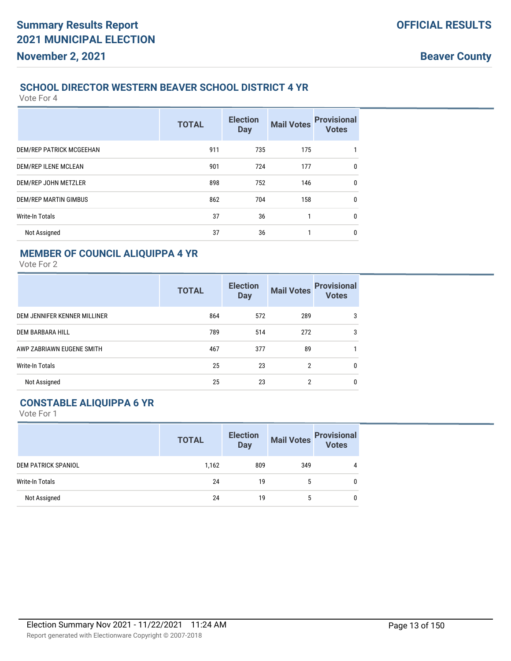#### **Beaver County**

#### **SCHOOL DIRECTOR WESTERN BEAVER SCHOOL DISTRICT 4 YR**

Vote For 4

|                          | <b>TOTAL</b> | <b>Election</b><br><b>Day</b> | <b>Mail Votes</b> | <b>Provisional</b><br><b>Votes</b> |
|--------------------------|--------------|-------------------------------|-------------------|------------------------------------|
| DEM/REP PATRICK MCGEEHAN | 911          | 735                           | 175               | 1                                  |
| DEM/REP ILENE MCLEAN     | 901          | 724                           | 177               | 0                                  |
| DEM/REP JOHN METZLER     | 898          | 752                           | 146               | $\mathbf 0$                        |
| DEM/REP MARTIN GIMBUS    | 862          | 704                           | 158               | $\mathbf 0$                        |
| <b>Write-In Totals</b>   | 37           | 36                            | 1                 | $\mathbf 0$                        |
| Not Assigned             | 37           | 36                            | 1                 | $\mathbf 0$                        |

### **MEMBER OF COUNCIL ALIQUIPPA 4 YR**

Vote For 2

|                              | <b>TOTAL</b> | <b>Election</b><br><b>Day</b> | <b>Mail Votes</b> | <b>Provisional</b><br><b>Votes</b> |
|------------------------------|--------------|-------------------------------|-------------------|------------------------------------|
| DEM JENNIFER KENNER MILLINER | 864          | 572                           | 289               | 3                                  |
| DEM BARBARA HILL             | 789          | 514                           | 272               | 3                                  |
| AWP ZABRIAWN EUGENE SMITH    | 467          | 377                           | 89                |                                    |
| <b>Write-In Totals</b>       | 25           | 23                            | 2                 | 0                                  |
| Not Assigned                 | 25           | 23                            | 2                 | 0                                  |

#### **CONSTABLE ALIQUIPPA 6 YR**

|                            | <b>TOTAL</b> | <b>Election</b><br><b>Day</b> | <b>Mail Votes</b> | <b>Provisional</b><br>Votes |
|----------------------------|--------------|-------------------------------|-------------------|-----------------------------|
| <b>DEM PATRICK SPANIOL</b> | 1,162        | 809                           | 349               | 4                           |
| Write-In Totals            | 24           | 19                            | 5                 |                             |
| Not Assigned               | 24           | 19                            | 5                 |                             |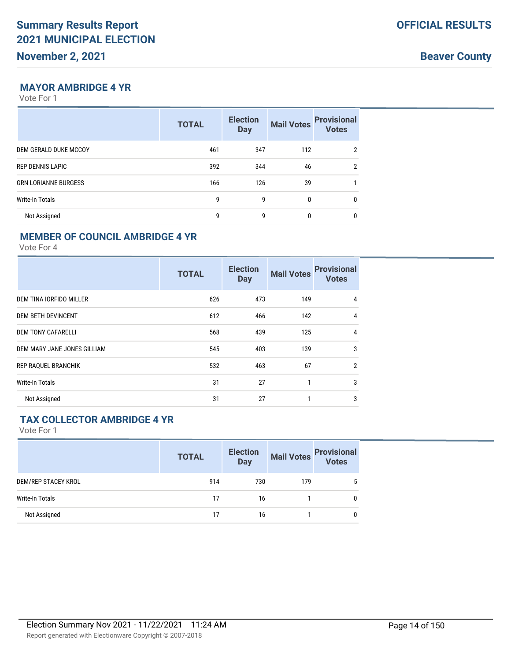**Beaver County**

#### **MAYOR AMBRIDGE 4 YR**

Vote For 1

|                             | <b>TOTAL</b> | <b>Election</b><br><b>Day</b> | <b>Mail Votes</b> | <b>Provisional</b><br><b>Votes</b> |
|-----------------------------|--------------|-------------------------------|-------------------|------------------------------------|
| DEM GERALD DUKE MCCOY       | 461          | 347                           | 112               | 2                                  |
| <b>REP DENNIS LAPIC</b>     | 392          | 344                           | 46                | $\overline{2}$                     |
| <b>GRN LORIANNE BURGESS</b> | 166          | 126                           | 39                |                                    |
| <b>Write-In Totals</b>      | 9            | 9                             | $\mathbf{0}$      | $\mathbf{0}$                       |
| Not Assigned                | 9            | 9                             | 0                 | $\mathbf 0$                        |

#### **MEMBER OF COUNCIL AMBRIDGE 4 YR**

Vote For 4

|                             | <b>TOTAL</b> | <b>Election</b><br><b>Day</b> | <b>Mail Votes</b> | <b>Provisional</b><br><b>Votes</b> |
|-----------------------------|--------------|-------------------------------|-------------------|------------------------------------|
| DEM TINA IORFIDO MILLER     | 626          | 473                           | 149               | $\overline{4}$                     |
| <b>DEM BETH DEVINCENT</b>   | 612          | 466                           | 142               | $\overline{4}$                     |
| <b>DEM TONY CAFARELLI</b>   | 568          | 439                           | 125               | $\overline{4}$                     |
| DEM MARY JANE JONES GILLIAM | 545          | 403                           | 139               | 3                                  |
| <b>REP RAQUEL BRANCHIK</b>  | 532          | 463                           | 67                | $\overline{2}$                     |
| <b>Write-In Totals</b>      | 31           | 27                            | 1                 | 3                                  |
| Not Assigned                | 31           | 27                            | 1                 | 3                                  |

#### **TAX COLLECTOR AMBRIDGE 4 YR**

|                            | <b>TOTAL</b> | <b>Election</b><br><b>Day</b> | <b>Mail Votes</b> | <b>Provisional</b><br>Votes |
|----------------------------|--------------|-------------------------------|-------------------|-----------------------------|
| <b>DEM/REP STACEY KROL</b> | 914          | 730                           | 179               |                             |
| Write-In Totals            | 17           | 16                            |                   |                             |
| Not Assigned               | 17           | 16                            |                   | 0                           |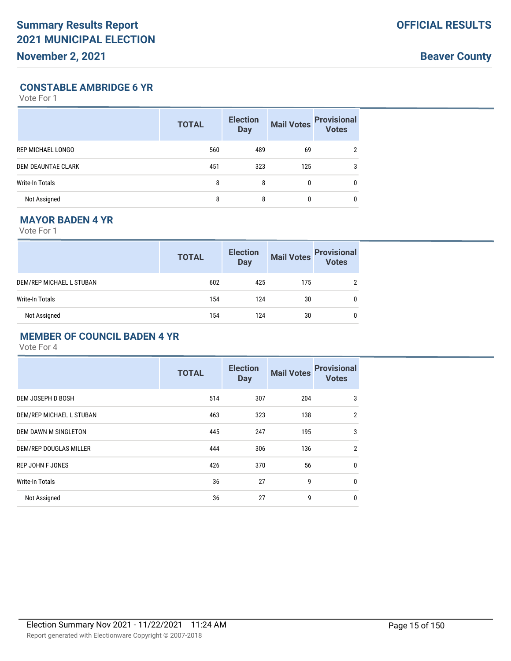**Beaver County**

#### **CONSTABLE AMBRIDGE 6 YR**

Vote For 1

|                           | <b>TOTAL</b> | <b>Election</b><br><b>Day</b> | <b>Mail Votes</b> | <b>Provisional</b><br><b>Votes</b> |
|---------------------------|--------------|-------------------------------|-------------------|------------------------------------|
| REP MICHAEL LONGO         | 560          | 489                           | 69                |                                    |
| <b>DEM DEAUNTAE CLARK</b> | 451          | 323                           | 125               | 3                                  |
| <b>Write-In Totals</b>    | 8            | 8                             | 0                 | 0                                  |
| Not Assigned              | 8            | 8                             | 0                 | 0                                  |

## **MAYOR BADEN 4 YR**

Vote For 1

|                          | <b>TOTAL</b> | <b>Election</b><br>Day | Mail Votes | <b>Provisional</b><br>Votes |
|--------------------------|--------------|------------------------|------------|-----------------------------|
| DEM/REP MICHAEL L STUBAN | 602          | 425                    | 175        |                             |
| Write-In Totals          | 154          | 124                    | 30         |                             |
| Not Assigned             | 154          | 124                    | 30         |                             |

#### **MEMBER OF COUNCIL BADEN 4 YR**

|                          | <b>TOTAL</b> | <b>Election</b><br><b>Day</b> | <b>Mail Votes</b> | <b>Provisional</b><br><b>Votes</b> |
|--------------------------|--------------|-------------------------------|-------------------|------------------------------------|
| DEM JOSEPH D BOSH        | 514          | 307                           | 204               | 3                                  |
| DEM/REP MICHAEL L STUBAN | 463          | 323                           | 138               | $\overline{2}$                     |
| DEM DAWN M SINGLETON     | 445          | 247                           | 195               | 3                                  |
| DEM/REP DOUGLAS MILLER   | 444          | 306                           | 136               | $\overline{2}$                     |
| <b>REP JOHN F JONES</b>  | 426          | 370                           | 56                | $\mathbf{0}$                       |
| <b>Write-In Totals</b>   | 36           | 27                            | 9                 | $\mathbf 0$                        |
| Not Assigned             | 36           | 27                            | 9                 | $\mathbf 0$                        |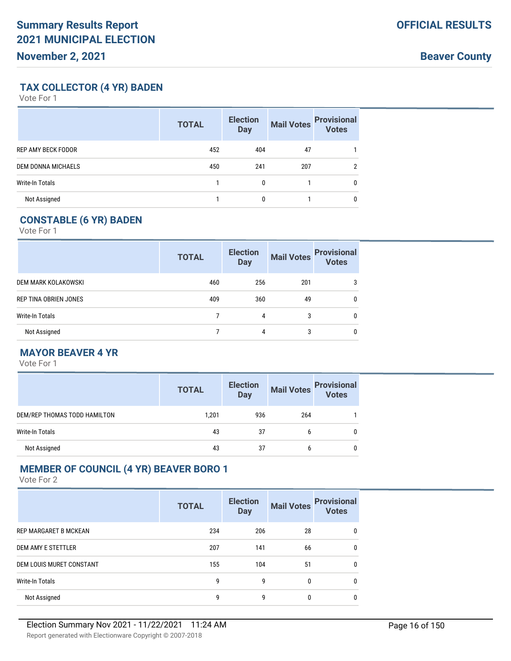**Beaver County**

### **TAX COLLECTOR (4 YR) BADEN**

Vote For 1

|                           | <b>TOTAL</b> | <b>Election</b><br><b>Day</b> | <b>Mail Votes</b> | <b>Provisional</b><br><b>Votes</b> |
|---------------------------|--------------|-------------------------------|-------------------|------------------------------------|
| <b>REP AMY BECK FODOR</b> | 452          | 404                           | 47                |                                    |
| DEM DONNA MICHAELS        | 450          | 241                           | 207               | 2                                  |
| <b>Write-In Totals</b>    |              | $\mathbf{0}$                  |                   | 0                                  |
| Not Assigned              |              | 0                             |                   | 0                                  |

## **CONSTABLE (6 YR) BADEN**

Vote For 1

|                       | <b>TOTAL</b> | <b>Election</b><br><b>Day</b> | <b>Mail Votes</b> | <b>Provisional</b><br>Votes |
|-----------------------|--------------|-------------------------------|-------------------|-----------------------------|
| DEM MARK KOLAKOWSKI   | 460          | 256                           | 201               | 3                           |
| REP TINA OBRIEN JONES | 409          | 360                           | 49                |                             |
| Write-In Totals       |              | 4                             | 3                 |                             |
| Not Assigned          |              | 4                             | 3                 |                             |

### **MAYOR BEAVER 4 YR**

Vote For 1

|                              | <b>TOTAL</b> | <b>Election</b><br>Day |     | Mail Votes Provisional |
|------------------------------|--------------|------------------------|-----|------------------------|
| DEM/REP THOMAS TODD HAMILTON | 1,201        | 936                    | 264 |                        |
| Write-In Totals              | 43           | 37                     | b   | 0                      |
| Not Assigned                 | 43           | 37                     | b   | 0                      |

### **MEMBER OF COUNCIL (4 YR) BEAVER BORO 1**

|                              | <b>TOTAL</b> | <b>Election</b><br><b>Day</b> | <b>Mail Votes</b> | <b>Provisional</b><br><b>Votes</b> |
|------------------------------|--------------|-------------------------------|-------------------|------------------------------------|
| <b>REP MARGARET B MCKEAN</b> | 234          | 206                           | 28                | $\mathbf{0}$                       |
| <b>DEM AMY E STETTLER</b>    | 207          | 141                           | 66                | $\mathbf{0}$                       |
| DEM LOUIS MURET CONSTANT     | 155          | 104                           | 51                | $\mathbf{0}$                       |
| Write-In Totals              | 9            | 9                             | $\Omega$          | $\mathbf{0}$                       |
| Not Assigned                 | 9            | 9                             | 0                 | 0                                  |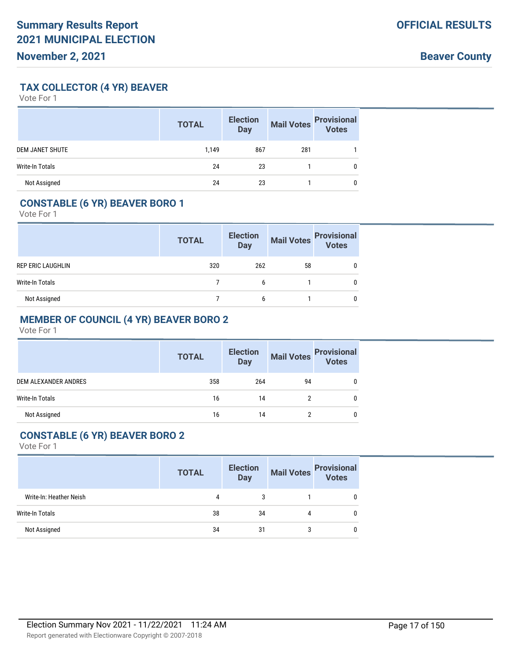### **TAX COLLECTOR (4 YR) BEAVER**

Vote For 1

|                        | <b>TOTAL</b> | <b>Election</b><br><b>Day</b> | <b>Mail Votes</b> | <b>Provisional</b><br>Votes |
|------------------------|--------------|-------------------------------|-------------------|-----------------------------|
| <b>DEM JANET SHUTE</b> | 1,149        | 867                           | 281               |                             |
| <b>Write-In Totals</b> | 24           | 23                            |                   | 0                           |
| Not Assigned           | 24           | 23                            |                   |                             |

### **CONSTABLE (6 YR) BEAVER BORO 1**

Vote For 1

|                   | <b>TOTAL</b> | <b>Election</b><br><b>Day</b> | <b>Mail Votes</b> | <b>Provisional</b><br>Votes |
|-------------------|--------------|-------------------------------|-------------------|-----------------------------|
| REP ERIC LAUGHLIN | 320          | 262                           | 58                |                             |
| Write-In Totals   |              | 6                             |                   |                             |
| Not Assigned      |              | 6                             |                   |                             |

## **MEMBER OF COUNCIL (4 YR) BEAVER BORO 2**

Vote For 1

|                        | <b>TOTAL</b> | <b>Election</b><br><b>Day</b> | <b>Mail Votes</b> | <b>Provisional</b><br><b>Votes</b> |
|------------------------|--------------|-------------------------------|-------------------|------------------------------------|
| DEM ALEXANDER ANDRES   | 358          | 264                           | 94                |                                    |
| <b>Write-In Totals</b> | 16           | 14                            |                   |                                    |
| Not Assigned           | 16           | 14                            |                   |                                    |

#### **CONSTABLE (6 YR) BEAVER BORO 2**

|                         | <b>TOTAL</b> | <b>Election</b><br><b>Day</b> |   | Mail Votes<br><b>Provisional</b><br>Votes |
|-------------------------|--------------|-------------------------------|---|-------------------------------------------|
| Write-In: Heather Neish | 4            | 3                             |   | 0                                         |
| <b>Write-In Totals</b>  | 38           | 34                            | 4 | 0                                         |
| Not Assigned            | 34           | -31                           | 3 | 0                                         |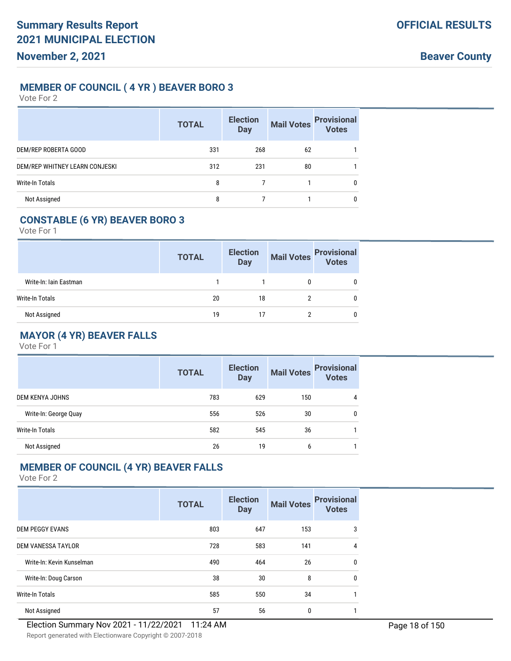#### **MEMBER OF COUNCIL ( 4 YR ) BEAVER BORO 3**

Vote For 2

|                                | <b>TOTAL</b> | <b>Election</b><br><b>Day</b> | <b>Mail Votes</b> | <b>Provisional</b><br>Votes |
|--------------------------------|--------------|-------------------------------|-------------------|-----------------------------|
| DEM/REP ROBERTA GOOD           | 331          | 268                           | 62                |                             |
| DEM/REP WHITNEY LEARN CONJESKI | 312          | 231                           | 80                |                             |
| Write-In Totals                | 8            |                               |                   | $\mathbf{0}$                |
| Not Assigned                   | 8            |                               |                   | $\mathbf{0}$                |

#### **CONSTABLE (6 YR) BEAVER BORO 3**

Vote For 1

|                        | <b>TOTAL</b> | <b>Election</b><br><b>Day</b> | <b>Mail Votes</b> | <b>Provisional</b><br>Votes |
|------------------------|--------------|-------------------------------|-------------------|-----------------------------|
| Write-In: Iain Eastman |              |                               |                   |                             |
| Write-In Totals        | 20           | 18                            |                   |                             |
| Not Assigned           | 19           |                               |                   |                             |

### **MAYOR (4 YR) BEAVER FALLS**

Vote For 1

|                       | <b>TOTAL</b> | <b>Election</b><br><b>Day</b> | <b>Mail Votes</b> | <b>Provisional</b><br><b>Votes</b> |
|-----------------------|--------------|-------------------------------|-------------------|------------------------------------|
| DEM KENYA JOHNS       | 783          | 629                           | 150               | 4                                  |
| Write-In: George Quay | 556          | 526                           | 30                | 0                                  |
| Write-In Totals       | 582          | 545                           | 36                |                                    |
| Not Assigned          | 26           | 19                            | 6                 |                                    |

### **MEMBER OF COUNCIL (4 YR) BEAVER FALLS**

|                           | <b>TOTAL</b> | <b>Election</b><br><b>Day</b> | <b>Mail Votes</b> | <b>Provisional</b><br><b>Votes</b> |
|---------------------------|--------------|-------------------------------|-------------------|------------------------------------|
| <b>DEM PEGGY EVANS</b>    | 803          | 647                           | 153               | 3                                  |
| <b>DEM VANESSA TAYLOR</b> | 728          | 583                           | 141               | $\overline{4}$                     |
| Write-In: Kevin Kunselman | 490          | 464                           | 26                | 0                                  |
| Write-In: Doug Carson     | 38           | 30                            | 8                 | $\mathbf{0}$                       |
| <b>Write-In Totals</b>    | 585          | 550                           | 34                | 1                                  |
| Not Assigned              | 57           | 56                            | 0                 |                                    |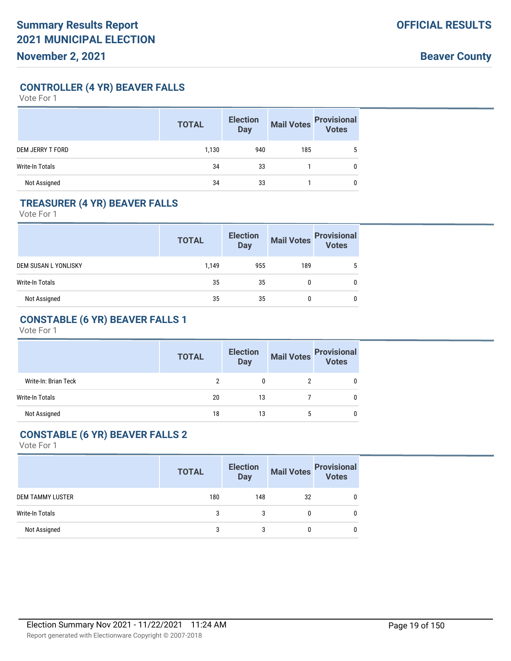**CONTROLLER (4 YR) BEAVER FALLS**

Vote For 1

|                         | <b>TOTAL</b> | <b>Election</b><br><b>Day</b> | <b>Mail Votes</b> | <b>Provisional</b><br>Votes |
|-------------------------|--------------|-------------------------------|-------------------|-----------------------------|
| <b>DEM JERRY T FORD</b> | 1,130        | 940                           | 185               | 5                           |
| <b>Write-In Totals</b>  | 34           | 33                            |                   | 0                           |
| Not Assigned            | 34           | 33                            |                   | 0                           |

### **TREASURER (4 YR) BEAVER FALLS**

Vote For 1

|                      | <b>TOTAL</b> | <b>Election</b><br><b>Day</b> | <b>Mail Votes</b> | <b>Provisional</b><br>Votes |
|----------------------|--------------|-------------------------------|-------------------|-----------------------------|
| DEM SUSAN L YONLISKY | 1,149        | 955                           | 189               |                             |
| Write-In Totals      | 35           | 35                            |                   |                             |
| Not Assigned         | 35           | 35                            |                   | 0                           |

## **CONSTABLE (6 YR) BEAVER FALLS 1**

Vote For 1

|                      | <b>TOTAL</b> | <b>Election</b><br><b>Day</b> | <b>Mail Votes</b> | <b>Provisional</b><br>Votes |
|----------------------|--------------|-------------------------------|-------------------|-----------------------------|
| Write-In: Brian Teck |              | 0                             |                   |                             |
| Write-In Totals      | 20           | 13                            |                   |                             |
| Not Assigned         | 18           | 13                            |                   |                             |

#### **CONSTABLE (6 YR) BEAVER FALLS 2**

|                  | <b>TOTAL</b> | <b>Election</b><br><b>Day</b> |              | Mail Votes Provisional<br>Votes |
|------------------|--------------|-------------------------------|--------------|---------------------------------|
| DEM TAMMY LUSTER | 180          | 148                           | 32           | 0                               |
| Write-In Totals  | 3            |                               | 0            |                                 |
| Not Assigned     | 3            | 3                             | $\mathbf{0}$ |                                 |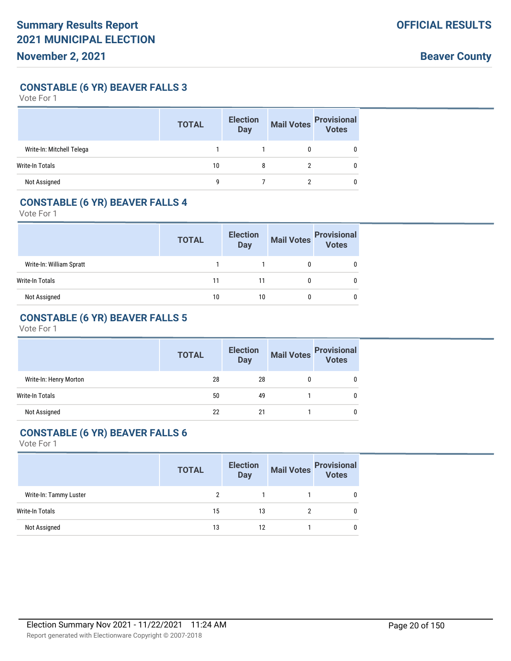**CONSTABLE (6 YR) BEAVER FALLS 3**

Vote For 1

|                           | <b>TOTAL</b> | <b>Election</b><br><b>Day</b> | <b>Mail Votes</b> | <b>Provisional</b><br>Votes |
|---------------------------|--------------|-------------------------------|-------------------|-----------------------------|
| Write-In: Mitchell Telega |              |                               |                   |                             |
| Write-In Totals           | 10           | 8                             |                   |                             |
| Not Assigned              | q            |                               |                   |                             |

### **CONSTABLE (6 YR) BEAVER FALLS 4**

Vote For 1

|                          | <b>Election</b><br><b>TOTAL</b><br><b>Day</b> |    | Mail Votes | <b>Provisional</b><br>Votes |
|--------------------------|-----------------------------------------------|----|------------|-----------------------------|
| Write-In: William Spratt |                                               |    |            |                             |
| Write-In Totals          | 11                                            |    |            |                             |
| Not Assigned             | 10                                            | 10 |            |                             |

## **CONSTABLE (6 YR) BEAVER FALLS 5**

Vote For 1

|                        | <b>TOTAL</b> | <b>Election</b><br><b>Day</b> |   | Mail Votes<br>Votes |
|------------------------|--------------|-------------------------------|---|---------------------|
| Write-In: Henry Morton | 28           | 28                            | 0 |                     |
| Write-In Totals        | 50           | 49                            |   |                     |
| Not Assigned           | 22           | 21                            |   |                     |

### **CONSTABLE (6 YR) BEAVER FALLS 6**

|                        | <b>TOTAL</b> | <b>Election</b><br><b>Day</b> | <b>Mail Votes</b> | <b>Provisional</b><br>Votes |
|------------------------|--------------|-------------------------------|-------------------|-----------------------------|
| Write-In: Tammy Luster | 2            |                               |                   | 0                           |
| Write-In Totals        | 15           | 13                            |                   | 0                           |
| Not Assigned           | 13           | 12                            |                   | 0                           |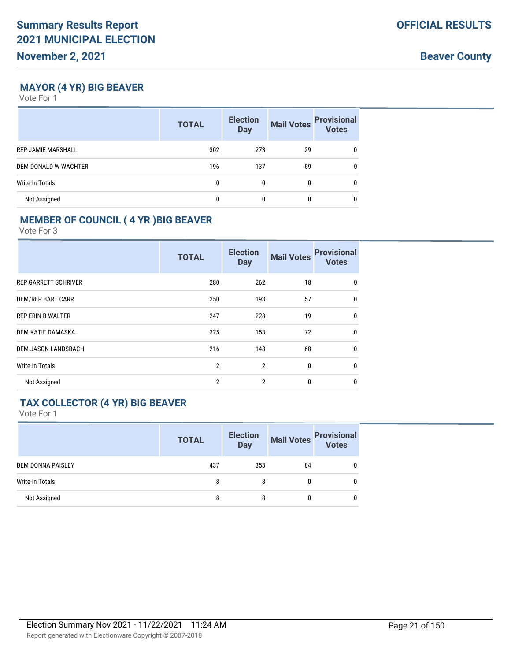**Beaver County**

## **MAYOR (4 YR) BIG BEAVER**

Vote For 1

|                           | <b>TOTAL</b> | <b>Election</b><br><b>Day</b> | <b>Mail Votes</b> | <b>Provisional</b><br><b>Votes</b> |
|---------------------------|--------------|-------------------------------|-------------------|------------------------------------|
| <b>REP JAMIE MARSHALL</b> | 302          | 273                           | 29                | 0                                  |
| DEM DONALD W WACHTER      | 196          | 137                           | 59                | 0                                  |
| Write-In Totals           | 0            | 0                             | 0                 | 0                                  |
| Not Assigned              |              |                               |                   | 0                                  |

## **MEMBER OF COUNCIL ( 4 YR )BIG BEAVER**

Vote For 3

|                             | <b>TOTAL</b>   | <b>Election</b><br><b>Day</b> | <b>Mail Votes</b> | <b>Provisional</b><br><b>Votes</b> |
|-----------------------------|----------------|-------------------------------|-------------------|------------------------------------|
| <b>REP GARRETT SCHRIVER</b> | 280            | 262                           | 18                | $\mathbf{0}$                       |
| <b>DEM/REP BART CARR</b>    | 250            | 193                           | 57                | $\mathbf{0}$                       |
| <b>REP ERIN B WALTER</b>    | 247            | 228                           | 19                | $\mathbf{0}$                       |
| DEM KATIE DAMASKA           | 225            | 153                           | 72                | $\mathbf{0}$                       |
| <b>DEM JASON LANDSBACH</b>  | 216            | 148                           | 68                | $\mathbf{0}$                       |
| <b>Write-In Totals</b>      | $\overline{2}$ | $\overline{2}$                | 0                 | $\mathbf{0}$                       |
| Not Assigned                | $\overline{2}$ | $\overline{2}$                | 0                 | $\mathbf{0}$                       |

#### **TAX COLLECTOR (4 YR) BIG BEAVER**

|                        | <b>TOTAL</b> | <b>Election</b><br><b>Day</b> | <b>Mail Votes</b> | <b>Provisional</b><br>Votes |
|------------------------|--------------|-------------------------------|-------------------|-----------------------------|
| DEM DONNA PAISLEY      | 437          | 353                           | 84                | 0                           |
| <b>Write-In Totals</b> | 8            | 8                             | 0                 | 0                           |
| Not Assigned           | 8            | 8                             | 0                 | 0                           |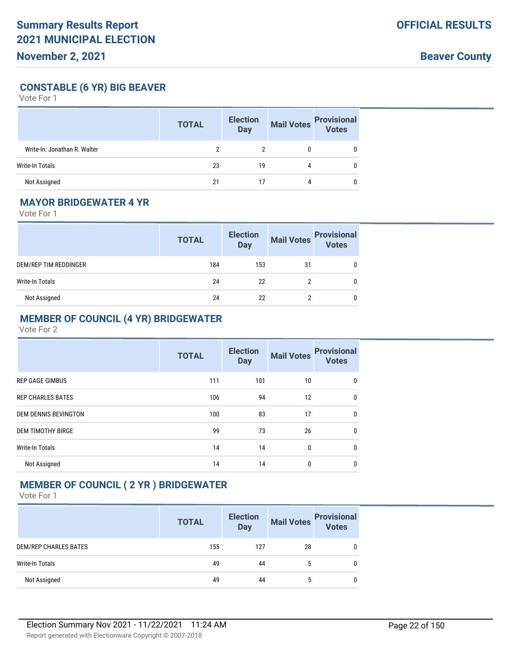**Beaver County**

**CONSTABLE (6 YR) BIG BEAVER**

Vote For 1

|                              | <b>TOTAL</b> | <b>Election</b><br><b>Day</b> | <b>Mail Votes</b> | <b>Provisional</b><br>Votes |
|------------------------------|--------------|-------------------------------|-------------------|-----------------------------|
| Write-In: Jonathan R. Walter |              |                               |                   |                             |
| Write-In Totals              | 23           | 19                            | 4                 | 0                           |
| Not Assigned                 | 21           |                               | 4                 |                             |

#### **MAYOR BRIDGEWATER 4 YR**

Vote For 1

|                       | <b>TOTAL</b> | <b>Election</b><br><b>Day</b> | <b>Mail Votes</b> | <b>Provisional</b><br>Votes |
|-----------------------|--------------|-------------------------------|-------------------|-----------------------------|
| DEM/REP TIM REDDINGER | 184          | 153                           | 31                |                             |
| Write-In Totals       | 24           | 22                            |                   | 0                           |
| Not Assigned          | 24           | 22                            |                   | 0                           |

### **MEMBER OF COUNCIL (4 YR) BRIDGEWATER**

Vote For 2

|                             | <b>TOTAL</b> | <b>Election</b><br><b>Day</b> | <b>Mail Votes</b> | <b>Provisional</b><br><b>Votes</b> |
|-----------------------------|--------------|-------------------------------|-------------------|------------------------------------|
| <b>REP GAGE GIMBUS</b>      | 111          | 101                           | 10                | $\Omega$                           |
| <b>REP CHARLES BATES</b>    | 106          | 94                            | 12                | 0                                  |
| <b>DEM DENNIS BEVINGTON</b> | 100          | 83                            | 17                | $\Omega$                           |
| <b>DEM TIMOTHY BIRGE</b>    | 99           | 73                            | 26                | $\Omega$                           |
| <b>Write-In Totals</b>      | 14           | 14                            | $\mathbf{0}$      | $\Omega$                           |
| Not Assigned                | 14           | 14                            | $\mathbf{0}$      | $\Omega$                           |

#### **MEMBER OF COUNCIL ( 2 YR ) BRIDGEWATER**

|                              | <b>TOTAL</b> | <b>Election</b><br><b>Day</b> | <b>Mail Votes</b> | <b>Provisional</b><br>Votes |
|------------------------------|--------------|-------------------------------|-------------------|-----------------------------|
| <b>DEM/REP CHARLES BATES</b> | 155          | 127                           | 28                | 0                           |
| Write-In Totals              | 49           | 44                            | 5                 | $\mathbf{0}$                |
| Not Assigned                 | 49           | 44                            | 5                 | 0                           |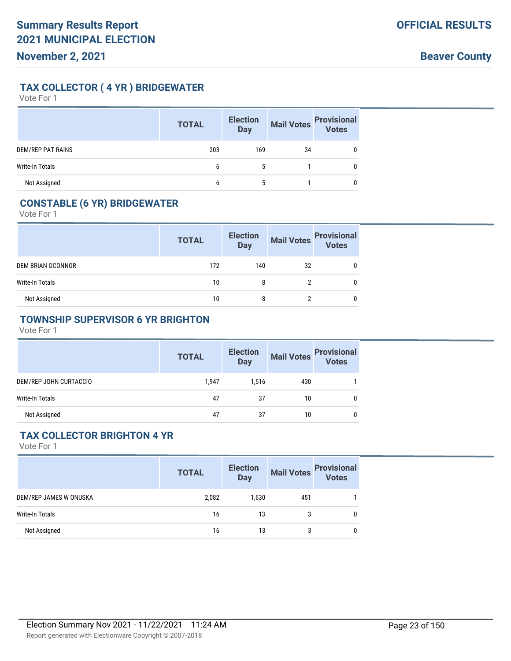### **TAX COLLECTOR ( 4 YR ) BRIDGEWATER**

Vote For 1

|                          | <b>TOTAL</b> | <b>Election</b><br><b>Day</b> | <b>Mail Votes</b> | <b>Provisional</b><br>Votes |
|--------------------------|--------------|-------------------------------|-------------------|-----------------------------|
| <b>DEM/REP PAT RAINS</b> | 203          | 169                           | 34                |                             |
| <b>Write-In Totals</b>   | b            | 5                             |                   |                             |
| Not Assigned             | 6            | 5                             |                   |                             |

### **CONSTABLE (6 YR) BRIDGEWATER**

Vote For 1

|                   | <b>TOTAL</b> | <b>Election</b><br>Day | Mail Votes | <b>Provisional</b><br>Votes |
|-------------------|--------------|------------------------|------------|-----------------------------|
| DEM BRIAN OCONNOR | 172          | 140                    | 32         |                             |
| Write-In Totals   | 10           | 8                      |            |                             |
| Not Assigned      | 10           | 8                      |            |                             |

#### **TOWNSHIP SUPERVISOR 6 YR BRIGHTON**

Vote For 1

|                        | <b>TOTAL</b> | <b>Election</b><br><b>Day</b> | <b>Mail Votes</b> | <b>Provisional</b><br><b>Votes</b> |
|------------------------|--------------|-------------------------------|-------------------|------------------------------------|
| DEM/REP JOHN CURTACCIO | 1.947        | 1,516                         | 430               |                                    |
| Write-In Totals        | 47           | 37                            | 10                |                                    |
| Not Assigned           | 47           | 37                            | 10                |                                    |

#### **TAX COLLECTOR BRIGHTON 4 YR**

|                        | <b>TOTAL</b> | <b>Election</b><br><b>Day</b> |     | Mail Votes<br>Votes |
|------------------------|--------------|-------------------------------|-----|---------------------|
| DEM/REP JAMES W ONUSKA | 2,082        | 1,630                         | 451 |                     |
| Write-In Totals        | 16           | 13                            | 3   | 0                   |
| Not Assigned           | 16           | 13                            | 3   | 0                   |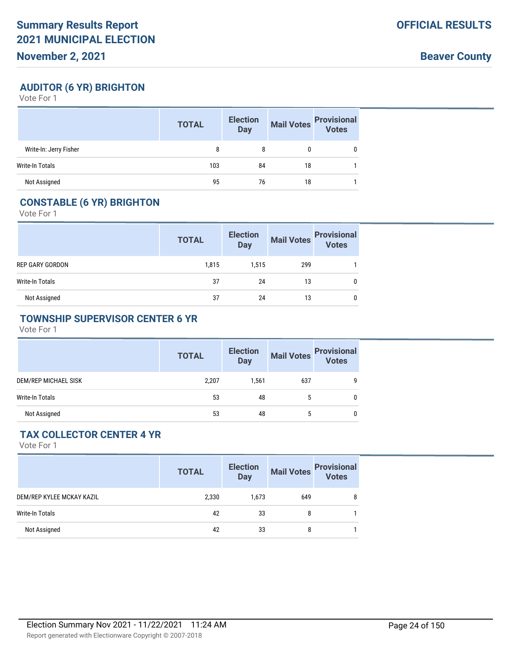**Beaver County**

### **AUDITOR (6 YR) BRIGHTON**

Vote For 1

|                        | <b>TOTAL</b> | <b>Election</b><br><b>Day</b> | <b>Mail Votes</b> | <b>Provisional</b><br><b>Votes</b> |
|------------------------|--------------|-------------------------------|-------------------|------------------------------------|
| Write-In: Jerry Fisher | 8            | 8                             |                   | 0                                  |
| Write-In Totals        | 103          | 84                            | 18                |                                    |
| Not Assigned           | 95           | 76                            | 18                |                                    |

#### **CONSTABLE (6 YR) BRIGHTON**

Vote For 1

|                 | <b>TOTAL</b> | <b>Election</b><br><b>Day</b> | <b>Mail Votes</b> | <b>Provisional</b><br>Votes |
|-----------------|--------------|-------------------------------|-------------------|-----------------------------|
| REP GARY GORDON | 1,815        | 1,515                         | 299               |                             |
| Write-In Totals | 37           | 24                            | 13                |                             |
| Not Assigned    | 37           | 24                            | 13                | 0                           |

#### **TOWNSHIP SUPERVISOR CENTER 6 YR**

Vote For 1

|                      | <b>TOTAL</b> | <b>Election</b><br><b>Day</b> |     | Mail Votes<br>Votes |
|----------------------|--------------|-------------------------------|-----|---------------------|
| DEM/REP MICHAEL SISK | 2.207        | 1.561                         | 637 | 9                   |
| Write-In Totals      | 53           | 48                            | 5   | 0                   |
| Not Assigned         | 53           | 48                            | 5   | 0                   |

#### **TAX COLLECTOR CENTER 4 YR**

|                           | <b>TOTAL</b> | <b>Election</b><br><b>Day</b> | <b>Mail Votes</b> | <b>Provisional</b><br>Votes |
|---------------------------|--------------|-------------------------------|-------------------|-----------------------------|
| DEM/REP KYLEE MCKAY KAZIL | 2,330        | 1,673                         | 649               | 8                           |
| Write-In Totals           | 42           | 33                            | 8                 |                             |
| Not Assigned              | 42           | 33                            | 8                 |                             |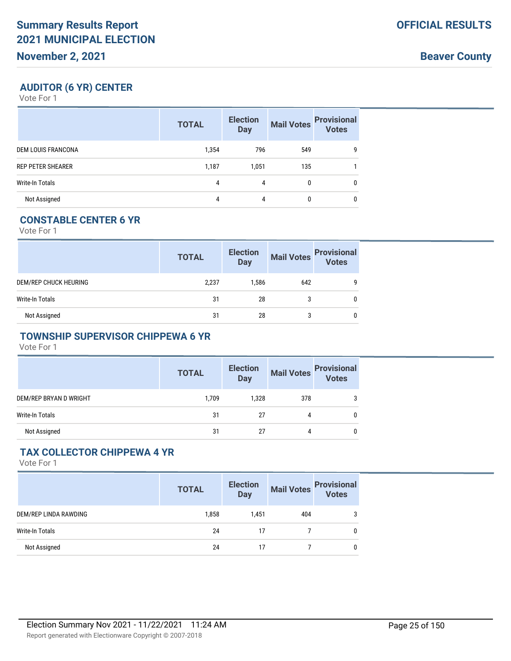**Beaver County**

### **AUDITOR (6 YR) CENTER**

Vote For 1

|                           | <b>TOTAL</b> | <b>Election</b><br><b>Day</b> | <b>Mail Votes</b> | <b>Provisional</b><br><b>Votes</b> |
|---------------------------|--------------|-------------------------------|-------------------|------------------------------------|
| <b>DEM LOUIS FRANCONA</b> | 1,354        | 796                           | 549               | 9                                  |
| <b>REP PETER SHEARER</b>  | 1,187        | 1,051                         | 135               |                                    |
| Write-In Totals           | 4            | 4                             | 0                 | 0                                  |
| Not Assigned              | 4            | 4                             | 0                 | 0                                  |

## **CONSTABLE CENTER 6 YR**

Vote For 1

|                       | <b>TOTAL</b> | <b>Election</b><br><b>Day</b> | <b>Mail Votes</b> | <b>Provisional</b><br><b>Votes</b> |
|-----------------------|--------------|-------------------------------|-------------------|------------------------------------|
| DEM/REP CHUCK HEURING | 2,237        | 1.586                         | 642               | ۵                                  |
| Write-In Totals       | 31           | 28                            |                   |                                    |
| Not Assigned          | 31           | 28                            |                   |                                    |

#### **TOWNSHIP SUPERVISOR CHIPPEWA 6 YR**

Vote For 1

|                        | <b>TOTAL</b> | <b>Election</b><br><b>Day</b> | <b>Mail Votes</b> | <b>Provisional</b><br>Votes |
|------------------------|--------------|-------------------------------|-------------------|-----------------------------|
| DEM/REP BRYAN D WRIGHT | 1.709        | 1.328                         | 378               |                             |
| Write-In Totals        | 31           | 27                            |                   | 0                           |
| Not Assigned           | 31           | 27                            | 4                 | 0                           |

### **TAX COLLECTOR CHIPPEWA 4 YR**

|                       | <b>TOTAL</b> | <b>Election</b><br><b>Day</b> | <b>Mail Votes</b> | <b>Provisional</b><br><b>Votes</b> |
|-----------------------|--------------|-------------------------------|-------------------|------------------------------------|
| DEM/REP LINDA RAWDING | 1,858        | 1,451                         | 404               | 3                                  |
| Write-In Totals       | 24           | 17                            |                   | 0                                  |
| Not Assigned          | 24           |                               |                   | 0                                  |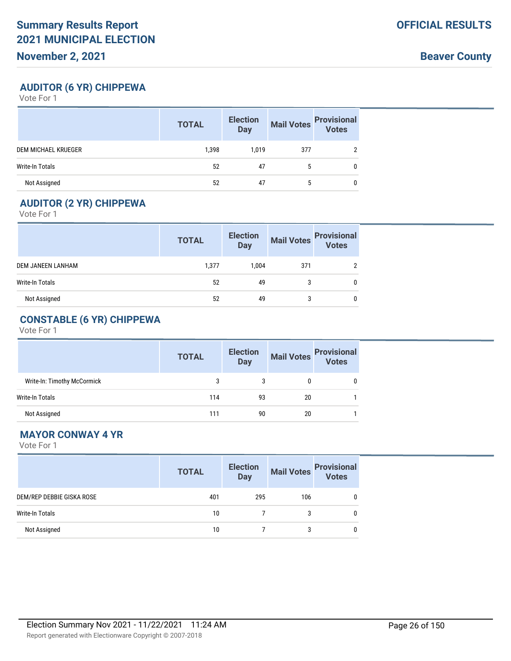**Beaver County**

### **AUDITOR (6 YR) CHIPPEWA**

Vote For 1

|                        | <b>TOTAL</b> | <b>Election</b><br><b>Day</b> | <b>Mail Votes</b> | <b>Provisional</b><br>Votes |
|------------------------|--------------|-------------------------------|-------------------|-----------------------------|
| DEM MICHAEL KRUEGER    | 1,398        | 1,019                         | 377               | c                           |
| <b>Write-In Totals</b> | 52           | 47                            | 5                 |                             |
| Not Assigned           | 52           | 47                            | 5                 |                             |

## **AUDITOR (2 YR) CHIPPEWA**

Vote For 1

|                   | <b>TOTAL</b> | <b>Election</b><br><b>Day</b> | <b>Mail Votes</b> | <b>Provisional</b><br>Votes |
|-------------------|--------------|-------------------------------|-------------------|-----------------------------|
| DEM JANEEN LANHAM | 1,377        | 1,004                         | 371               |                             |
| Write-In Totals   | 52           | 49                            | 3                 | 0                           |
| Not Assigned      | 52           | 49                            | 3                 | 0                           |

## **CONSTABLE (6 YR) CHIPPEWA**

Vote For 1

|                             | <b>TOTAL</b> | <b>Election</b><br><b>Day</b> | <b>Mail Votes</b> | <b>Provisional</b><br><b>Votes</b> |
|-----------------------------|--------------|-------------------------------|-------------------|------------------------------------|
| Write-In: Timothy McCormick |              |                               |                   |                                    |
| Write-In Totals             | 114          | 93                            | 20                |                                    |
| Not Assigned                | 111          | 90                            | 20                |                                    |

### **MAYOR CONWAY 4 YR**

|                           | <b>TOTAL</b> | <b>Election</b><br><b>Day</b> |     | Mail Votes<br>Votes |
|---------------------------|--------------|-------------------------------|-----|---------------------|
| DEM/REP DEBBIE GISKA ROSE | 401          | 295                           | 106 | 0                   |
| <b>Write-In Totals</b>    | 10           |                               | 3   |                     |
| Not Assigned              | 10           |                               | 3   | U                   |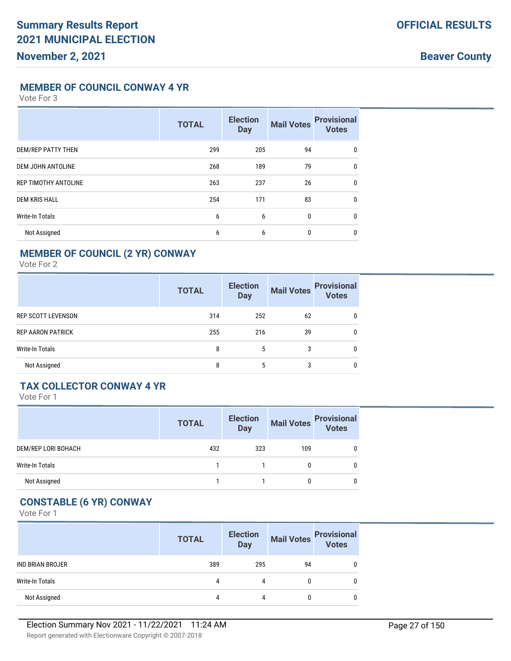**Beaver County**

#### **MEMBER OF COUNCIL CONWAY 4 YR**

Vote For 3

|                             | <b>TOTAL</b> | <b>Election</b><br><b>Day</b> | <b>Mail Votes</b> | <b>Provisional</b><br><b>Votes</b> |
|-----------------------------|--------------|-------------------------------|-------------------|------------------------------------|
| DEM/REP PATTY THEN          | 299          | 205                           | 94                | 0                                  |
| <b>DEM JOHN ANTOLINE</b>    | 268          | 189                           | 79                | $\mathbf{0}$                       |
| <b>REP TIMOTHY ANTOLINE</b> | 263          | 237                           | 26                | $\mathbf{0}$                       |
| <b>DEM KRIS HALL</b>        | 254          | 171                           | 83                | $\mathbf{0}$                       |
| <b>Write-In Totals</b>      | 6            | 6                             | $\mathbf{0}$      | $\mathbf{0}$                       |
| Not Assigned                | 6            | 6                             | $\mathbf{0}$      | $\mathbf 0$                        |

### **MEMBER OF COUNCIL (2 YR) CONWAY**

Vote For 2

|                           | <b>TOTAL</b> | <b>Election</b><br><b>Day</b> | <b>Mail Votes</b> | <b>Provisional</b><br>Votes |
|---------------------------|--------------|-------------------------------|-------------------|-----------------------------|
| <b>REP SCOTT LEVENSON</b> | 314          | 252                           | 62                | 0                           |
| <b>REP AARON PATRICK</b>  | 255          | 216                           | 39                | 0                           |
| <b>Write-In Totals</b>    | 8            | 5                             | 3                 | 0                           |
| Not Assigned              | 8            | 5                             | 3                 | 0                           |

#### **TAX COLLECTOR CONWAY 4 YR**

Vote For 1

|                     | <b>TOTAL</b> | <b>Election</b><br><b>Day</b> | <b>Mail Votes</b> | <b>Provisional</b><br>Votes |
|---------------------|--------------|-------------------------------|-------------------|-----------------------------|
| DEM/REP LORI BOHACH | 432          | 323                           | 109               |                             |
| Write-In Totals     |              |                               |                   |                             |
| Not Assigned        |              |                               |                   |                             |

## **CONSTABLE (6 YR) CONWAY**

|                         | <b>TOTAL</b> | <b>Election</b><br><b>Day</b> | <b>Mail Votes</b> | <b>Provisional</b><br>Votes |
|-------------------------|--------------|-------------------------------|-------------------|-----------------------------|
| <b>IND BRIAN BROJER</b> | 389          | 295                           | 94                |                             |
| Write-In Totals         | 4            | 4                             |                   |                             |
| Not Assigned            | 4            | 4                             |                   |                             |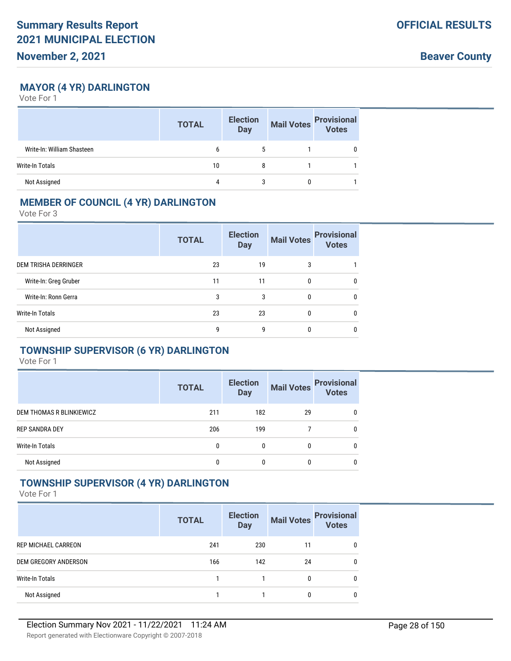**Beaver County**

### **MAYOR (4 YR) DARLINGTON**

Vote For 1

|                            | <b>TOTAL</b> | <b>Election</b><br><b>Day</b> | <b>Mail Votes</b> | <b>Provisional</b><br>Votes |
|----------------------------|--------------|-------------------------------|-------------------|-----------------------------|
| Write-In: William Shasteen | b            |                               |                   | 0                           |
| Write-In Totals            | 10           | 8                             |                   |                             |
| Not Assigned               | 4            |                               |                   |                             |

#### **MEMBER OF COUNCIL (4 YR) DARLINGTON**

Vote For 3

|                             | <b>TOTAL</b> | <b>Election</b><br><b>Day</b> | <b>Mail Votes</b> | <b>Provisional</b><br><b>Votes</b> |
|-----------------------------|--------------|-------------------------------|-------------------|------------------------------------|
| <b>DEM TRISHA DERRINGER</b> | 23           | 19                            | 3                 |                                    |
| Write-In: Greg Gruber       | 11           | 11                            | 0                 | 0                                  |
| Write-In: Ronn Gerra        | 3            | 3                             | 0                 | 0                                  |
| <b>Write-In Totals</b>      | 23           | 23                            | 0                 | $\mathbf{0}$                       |
| Not Assigned                | g            | 9                             | 0                 | 0                                  |

## **TOWNSHIP SUPERVISOR (6 YR) DARLINGTON**

Vote For 1

|                          | <b>TOTAL</b> | <b>Election</b><br><b>Day</b> | <b>Mail Votes</b> | <b>Provisional</b><br><b>Votes</b> |
|--------------------------|--------------|-------------------------------|-------------------|------------------------------------|
| DEM THOMAS R BLINKIEWICZ | 211          | 182                           | 29                | 0                                  |
| <b>REP SANDRA DEY</b>    | 206          | 199                           |                   | $\mathbf{0}$                       |
| <b>Write-In Totals</b>   | 0            | 0                             | 0                 | 0                                  |
| Not Assigned             | 0            | 0                             | 0                 | 0                                  |

#### **TOWNSHIP SUPERVISOR (4 YR) DARLINGTON**

|                            | <b>TOTAL</b> | <b>Election</b><br><b>Day</b> | <b>Mail Votes</b> | <b>Provisional</b><br>Votes |
|----------------------------|--------------|-------------------------------|-------------------|-----------------------------|
| <b>REP MICHAEL CARREON</b> | 241          | 230                           | 11                | 0                           |
| DEM GREGORY ANDERSON       | 166          | 142                           | 24                | 0                           |
| Write-In Totals            |              |                               | 0                 | 0                           |
| Not Assigned               |              |                               | 0                 | 0                           |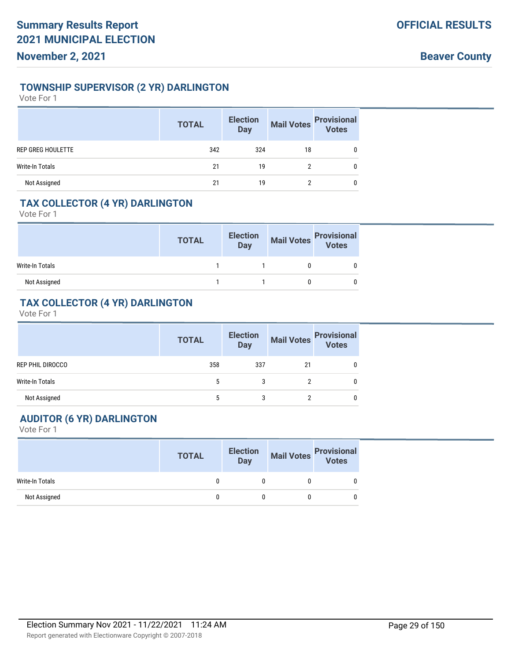#### **TOWNSHIP SUPERVISOR (2 YR) DARLINGTON**

Vote For 1

|                   | <b>TOTAL</b> | <b>Election</b><br><b>Day</b> | <b>Mail Votes</b> | <b>Provisional</b><br>Votes |
|-------------------|--------------|-------------------------------|-------------------|-----------------------------|
| REP GREG HOULETTE | 342          | 324                           | 18                |                             |
| Write-In Totals   | 21           | 19                            |                   | 0                           |
| Not Assigned      | 21           | 19                            | ŋ                 |                             |

### **TAX COLLECTOR (4 YR) DARLINGTON**

Vote For 1

|                 | <b>TOTAL</b> | <b>Election</b><br>Day | Mail Votes Provisional<br>Votes |  |
|-----------------|--------------|------------------------|---------------------------------|--|
| Write-In Totals |              |                        |                                 |  |
| Not Assigned    |              |                        |                                 |  |

#### **TAX COLLECTOR (4 YR) DARLINGTON**

Vote For 1

|                        | <b>TOTAL</b> | <b>Election</b><br>Day | <b>Mail Votes</b> | <b>Provisional</b><br>Votes |
|------------------------|--------------|------------------------|-------------------|-----------------------------|
| REP PHIL DIROCCO       | 358          | 337                    | 21                |                             |
| <b>Write-In Totals</b> | 5            | 3                      |                   |                             |
| Not Assigned           |              | 3                      | ∩                 |                             |

## **AUDITOR (6 YR) DARLINGTON**

|                        | <b>TOTAL</b> | <b>Election</b><br><b>Day</b> | <b>Mail Votes</b> | <b>Provisional</b><br>Votes |
|------------------------|--------------|-------------------------------|-------------------|-----------------------------|
| <b>Write-In Totals</b> |              |                               |                   |                             |
| Not Assigned           |              |                               |                   |                             |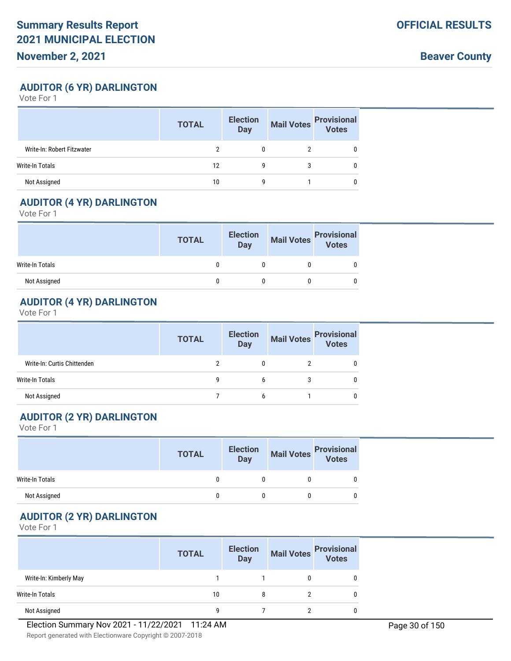**Beaver County**

### **AUDITOR (6 YR) DARLINGTON**

Vote For 1

|                            | <b>TOTAL</b> | <b>Election</b><br><b>Day</b> | <b>Mail Votes</b> | <b>Provisional</b><br>Votes |
|----------------------------|--------------|-------------------------------|-------------------|-----------------------------|
| Write-In: Robert Fitzwater |              |                               |                   |                             |
| Write-In Totals            | 12           | g                             |                   |                             |
| Not Assigned               | 10           | g                             |                   |                             |

#### **AUDITOR (4 YR) DARLINGTON**

Vote For 1

|                 | <b>TOTAL</b> | <b>Election</b><br>Day | Mail Votes Provisional |  |
|-----------------|--------------|------------------------|------------------------|--|
| Write-In Totals |              |                        |                        |  |
| Not Assigned    |              |                        |                        |  |

### **AUDITOR (4 YR) DARLINGTON**

Vote For 1

|                             | <b>TOTAL</b> | <b>Election</b><br>Day | <b>Mail Votes</b> | <b>Provisional</b><br>Votes |
|-----------------------------|--------------|------------------------|-------------------|-----------------------------|
| Write-In: Curtis Chittenden |              |                        |                   |                             |
| Write-In Totals             | 9            | b                      |                   |                             |
| Not Assigned                |              | h                      |                   |                             |

#### **AUDITOR (2 YR) DARLINGTON**

Vote For 1

|                 | <b>TOTAL</b> | <b>Election</b><br>Day | <b>Mail Votes</b> | <b>Provisional</b><br><b>Votes</b> |
|-----------------|--------------|------------------------|-------------------|------------------------------------|
| Write-In Totals |              |                        |                   |                                    |
| Not Assigned    |              |                        |                   |                                    |

## **AUDITOR (2 YR) DARLINGTON**

|                        | <b>TOTAL</b> | <b>Election</b><br><b>Day</b> | <b>Mail Votes</b> | <b>Provisional</b><br><b>Votes</b> |
|------------------------|--------------|-------------------------------|-------------------|------------------------------------|
| Write-In: Kimberly May |              |                               |                   |                                    |
| Write-In Totals        | 10           |                               |                   |                                    |
| Not Assigned           | g            |                               |                   |                                    |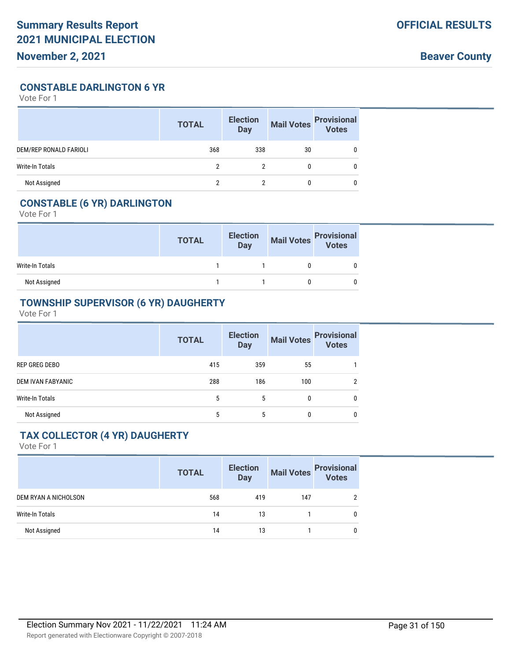**Beaver County**

**CONSTABLE DARLINGTON 6 YR**

Vote For 1

|                               | <b>TOTAL</b> | <b>Election</b><br><b>Day</b> | <b>Mail Votes</b> | <b>Provisional</b><br>Votes |
|-------------------------------|--------------|-------------------------------|-------------------|-----------------------------|
| <b>DEM/REP RONALD FARIOLI</b> | 368          | 338                           | 30                |                             |
| Write-In Totals               | າ            | າ                             |                   |                             |
| Not Assigned                  |              |                               |                   |                             |

## **CONSTABLE (6 YR) DARLINGTON**

Vote For 1

|                 | <b>TOTAL</b> | <b>Election</b><br><b>Day</b> | Mail Votes<br>Votes<br>Votes |  |
|-----------------|--------------|-------------------------------|------------------------------|--|
| Write-In Totals |              |                               |                              |  |
| Not Assigned    |              |                               |                              |  |

#### **TOWNSHIP SUPERVISOR (6 YR) DAUGHERTY**

Vote For 1

|                        | <b>TOTAL</b> | <b>Election</b><br><b>Day</b> | <b>Mail Votes</b> | <b>Provisional</b><br>Votes |
|------------------------|--------------|-------------------------------|-------------------|-----------------------------|
| REP GREG DEBO          | 415          | 359                           | 55                |                             |
| DEM IVAN FABYANIC      | 288          | 186                           | 100               | 2                           |
| <b>Write-In Totals</b> | 5            | 5                             | 0                 | 0                           |
| Not Assigned           | 5            | 5                             | 0                 | 0                           |

#### **TAX COLLECTOR (4 YR) DAUGHERTY**

|                      | <b>TOTAL</b> | <b>Election</b><br>Day | <b>Mail Votes</b> | <b>Provisional</b><br>Votes |
|----------------------|--------------|------------------------|-------------------|-----------------------------|
| DEM RYAN A NICHOLSON | 568          | 419                    | 147               |                             |
| Write-In Totals      | 14           | 13                     |                   | 0                           |
| Not Assigned         | 14           | 13                     |                   | 0                           |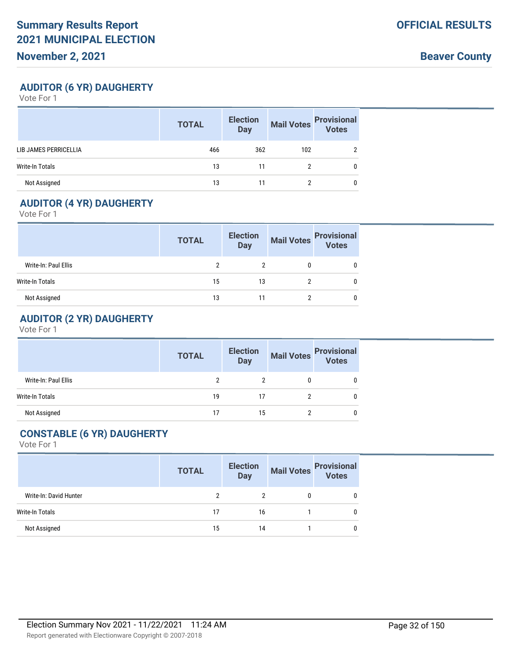**Beaver County**

### **AUDITOR (6 YR) DAUGHERTY**

Vote For 1

|                        | <b>TOTAL</b> | <b>Election</b><br><b>Day</b> | <b>Mail Votes</b> | <b>Provisional</b><br><b>Votes</b> |
|------------------------|--------------|-------------------------------|-------------------|------------------------------------|
| LIB JAMES PERRICELLIA  | 466          | 362                           | 102               |                                    |
| <b>Write-In Totals</b> | 13           | 11                            |                   |                                    |
| Not Assigned           | 13           |                               | າ                 |                                    |

## **AUDITOR (4 YR) DAUGHERTY**

Vote For 1

|                      | <b>TOTAL</b> | <b>Election</b><br><b>Day</b> | <b>Mail Votes</b> | <b>Provisional</b><br>Votes |
|----------------------|--------------|-------------------------------|-------------------|-----------------------------|
| Write-In: Paul Ellis |              |                               |                   |                             |
| Write-In Totals      | 15           | 13                            |                   |                             |
| Not Assigned         | 13           |                               |                   |                             |

## **AUDITOR (2 YR) DAUGHERTY**

Vote For 1

|                      | <b>TOTAL</b> | <b>Election</b><br><b>Day</b> | Mail Votes Provisional<br>Votes |
|----------------------|--------------|-------------------------------|---------------------------------|
| Write-In: Paul Ellis |              |                               |                                 |
| Write-In Totals      | 19           | 17                            |                                 |
| Not Assigned         | 17           | 15                            |                                 |

## **CONSTABLE (6 YR) DAUGHERTY**

|                        | <b>TOTAL</b> | <b>Election</b><br>Day |   | Mail Votes<br>Votes |
|------------------------|--------------|------------------------|---|---------------------|
| Write-In: David Hunter | ົ            | 2                      | 0 | U                   |
| <b>Write-In Totals</b> | 17           | 16                     |   | 0                   |
| Not Assigned           | 15           | 14                     |   | 0                   |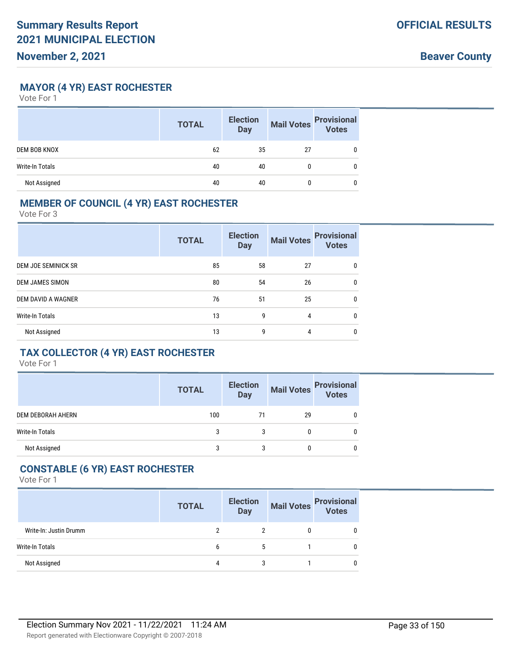**MAYOR (4 YR) EAST ROCHESTER**

Vote For 1

|                        | <b>TOTAL</b> | <b>Election</b><br><b>Day</b> | <b>Mail Votes</b> | <b>Provisional</b><br>Votes |
|------------------------|--------------|-------------------------------|-------------------|-----------------------------|
| <b>DEM BOB KNOX</b>    | 62           | 35                            | 27                |                             |
| <b>Write-In Totals</b> | 40           | 40                            |                   |                             |
| Not Assigned           | 40           | 40                            |                   |                             |

### **MEMBER OF COUNCIL (4 YR) EAST ROCHESTER**

Vote For 3

|                           | <b>TOTAL</b> | <b>Election</b><br><b>Day</b> | <b>Mail Votes</b> | <b>Provisional</b><br><b>Votes</b> |
|---------------------------|--------------|-------------------------------|-------------------|------------------------------------|
| DEM JOE SEMINICK SR       | 85           | 58                            | 27                | $\mathbf{0}$                       |
| <b>DEM JAMES SIMON</b>    | 80           | 54                            | 26                | 0                                  |
| <b>DEM DAVID A WAGNER</b> | 76           | 51                            | 25                | 0                                  |
| <b>Write-In Totals</b>    | 13           | 9                             | 4                 | $\mathbf{0}$                       |
| Not Assigned              | 13           | g                             | 4                 | 0                                  |

### **TAX COLLECTOR (4 YR) EAST ROCHESTER**

Vote For 1

|                   | <b>TOTAL</b> | <b>Election</b><br><b>Day</b> |    | Mail Votes<br>Votes |
|-------------------|--------------|-------------------------------|----|---------------------|
| DEM DEBORAH AHERN | 100          | 71                            | 29 |                     |
| Write-In Totals   | 3            | 3                             | 0  |                     |
| Not Assigned      | 3            | 3                             | 0  |                     |

## **CONSTABLE (6 YR) EAST ROCHESTER**

|                        | <b>TOTAL</b> | <b>Election</b><br><b>Day</b> | Mail Votes Provisional<br>Votes |
|------------------------|--------------|-------------------------------|---------------------------------|
| Write-In: Justin Drumm |              |                               | 0                               |
| Write-In Totals        |              |                               | 0                               |
| Not Assigned           | 4            | 3                             | 0                               |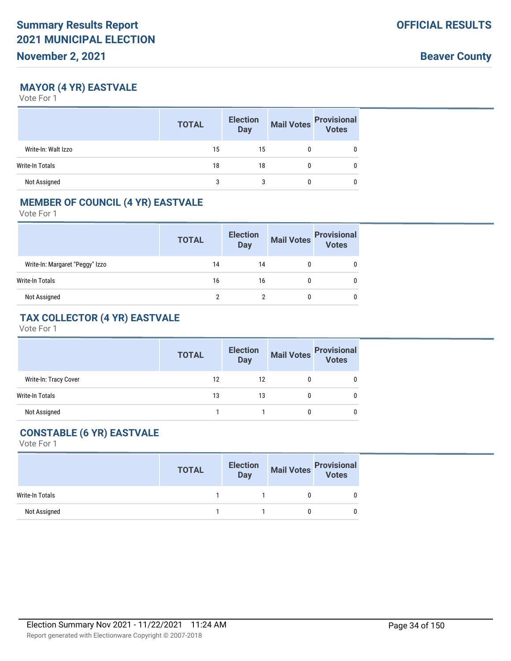**Beaver County**

### **MAYOR (4 YR) EASTVALE**

Vote For 1

|                     | <b>TOTAL</b> | <b>Election</b><br><b>Day</b> | <b>Mail Votes</b> | <b>Provisional</b><br>Votes |
|---------------------|--------------|-------------------------------|-------------------|-----------------------------|
| Write-In: Walt Izzo | 15           | 15                            |                   |                             |
| Write-In Totals     | 18           | 18                            | 0                 | 0                           |
| Not Assigned        | 3            | 3                             |                   |                             |

#### **MEMBER OF COUNCIL (4 YR) EASTVALE**

Vote For 1

|                                 | <b>TOTAL</b> | <b>Election</b><br><b>Day</b> | <b>Mail Votes</b> | <b>Provisional</b><br>Votes |
|---------------------------------|--------------|-------------------------------|-------------------|-----------------------------|
| Write-In: Margaret "Peggy" Izzo | 14           | 14                            |                   |                             |
| Write-In Totals                 | 16           | 16                            |                   |                             |
| Not Assigned                    | າ            |                               |                   | 0                           |

## **TAX COLLECTOR (4 YR) EASTVALE**

Vote For 1

|                       | <b>TOTAL</b> | <b>Election</b><br><b>Day</b> | <b>Mail Votes</b> | <b>Provisional</b> |
|-----------------------|--------------|-------------------------------|-------------------|--------------------|
| Write-In: Tracy Cover | 12           | 12                            |                   |                    |
| Write-In Totals       | 13           | 13                            | 0                 |                    |
| Not Assigned          |              |                               | 0                 |                    |

## **CONSTABLE (6 YR) EASTVALE**

|                 | <b>TOTAL</b> | <b>Election</b><br>Day | Mail Votes<br>Votes<br>Votes |  |
|-----------------|--------------|------------------------|------------------------------|--|
| Write-In Totals |              |                        |                              |  |
| Not Assigned    |              |                        |                              |  |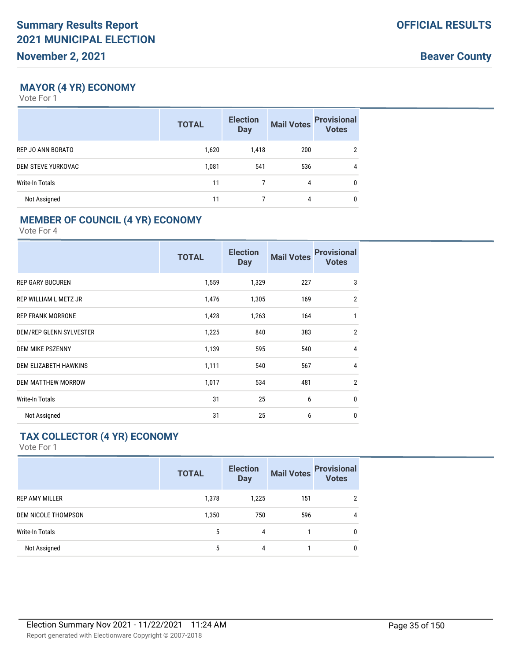**Beaver County**

#### **MAYOR (4 YR) ECONOMY**

Vote For 1

|                    | <b>TOTAL</b> | <b>Election</b><br><b>Day</b> | <b>Mail Votes</b> | <b>Provisional</b><br><b>Votes</b> |
|--------------------|--------------|-------------------------------|-------------------|------------------------------------|
| REP JO ANN BORATO  | 1,620        | 1,418                         | 200               | $\overline{2}$                     |
| DEM STEVE YURKOVAC | 1,081        | 541                           | 536               | 4                                  |
| Write-In Totals    | 11           |                               | 4                 | $\mathbf{0}$                       |
| Not Assigned       | 11           |                               | 4                 | $\mathbf{0}$                       |

## **MEMBER OF COUNCIL (4 YR) ECONOMY**

Vote For 4

|                              | <b>TOTAL</b> | <b>Election</b><br><b>Day</b> | <b>Mail Votes</b> | <b>Provisional</b><br><b>Votes</b> |
|------------------------------|--------------|-------------------------------|-------------------|------------------------------------|
| <b>REP GARY BUCUREN</b>      | 1,559        | 1,329                         | 227               | 3                                  |
| REP WILLIAM L METZ JR        | 1,476        | 1,305                         | 169               | $\overline{2}$                     |
| <b>REP FRANK MORRONE</b>     | 1,428        | 1,263                         | 164               | 1                                  |
| DEM/REP GLENN SYLVESTER      | 1,225        | 840                           | 383               | $\overline{2}$                     |
| <b>DEM MIKE PSZENNY</b>      | 1,139        | 595                           | 540               | $\overline{4}$                     |
| <b>DEM ELIZABETH HAWKINS</b> | 1,111        | 540                           | 567               | 4                                  |
| <b>DEM MATTHEW MORROW</b>    | 1,017        | 534                           | 481               | $\overline{2}$                     |
| <b>Write-In Totals</b>       | 31           | 25                            | 6                 | $\mathbf{0}$                       |
| Not Assigned                 | 31           | 25                            | 6                 | 0                                  |

## **TAX COLLECTOR (4 YR) ECONOMY**

|                        | <b>TOTAL</b> | <b>Election</b><br><b>Day</b> | <b>Mail Votes</b> | <b>Provisional</b><br>Votes |
|------------------------|--------------|-------------------------------|-------------------|-----------------------------|
| <b>REP AMY MILLER</b>  | 1,378        | 1,225                         | 151               | $\overline{2}$              |
| DEM NICOLE THOMPSON    | 1,350        | 750                           | 596               | 4                           |
| <b>Write-In Totals</b> | 5            | 4                             |                   | $\mathbf{0}$                |
| Not Assigned           | 5            | 4                             |                   | $\mathbf{0}$                |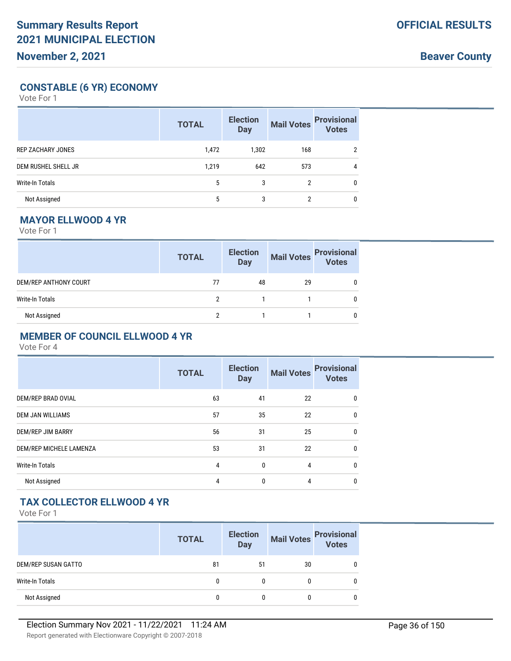**Beaver County**

### **CONSTABLE (6 YR) ECONOMY**

Vote For 1

|                          | <b>TOTAL</b> | <b>Election</b><br><b>Day</b> | <b>Mail Votes</b> | <b>Provisional</b><br>Votes |
|--------------------------|--------------|-------------------------------|-------------------|-----------------------------|
| <b>REP ZACHARY JONES</b> | 1,472        | 1,302                         | 168               | $\overline{2}$              |
| DEM RUSHEL SHELL JR      | 1,219        | 642                           | 573               | 4                           |
| <b>Write-In Totals</b>   | 5            | 3                             | 2                 | 0                           |
| Not Assigned             | 5            | 3                             | 2                 | 0                           |

## **MAYOR ELLWOOD 4 YR**

Vote For 1

|                       | <b>TOTAL</b> | <b>Election</b><br><b>Day</b> | <b>Mail Votes</b> | <b>Provisional</b><br>Votes |
|-----------------------|--------------|-------------------------------|-------------------|-----------------------------|
| DEM/REP ANTHONY COURT | 77           | 48                            | 29                |                             |
| Write-In Totals       |              |                               |                   |                             |
| Not Assigned          |              |                               |                   |                             |

#### **MEMBER OF COUNCIL ELLWOOD 4 YR**

Vote For 4

|                         | <b>TOTAL</b> | <b>Election</b><br><b>Day</b> | <b>Mail Votes</b> | <b>Provisional</b><br><b>Votes</b> |
|-------------------------|--------------|-------------------------------|-------------------|------------------------------------|
| DEM/REP BRAD OVIAL      | 63           | 41                            | 22                | 0                                  |
| <b>DEM JAN WILLIAMS</b> | 57           | 35                            | 22                | 0                                  |
| DEM/REP JIM BARRY       | 56           | 31                            | 25                | 0                                  |
| DEM/REP MICHELE LAMENZA | 53           | 31                            | 22                | 0                                  |
| <b>Write-In Totals</b>  | 4            | $\Omega$                      | 4                 | $\Omega$                           |
| Not Assigned            | 4            | $\mathbf{0}$                  | 4                 | 0                                  |

## **TAX COLLECTOR ELLWOOD 4 YR**

|                     | <b>TOTAL</b> | <b>Election</b><br><b>Day</b> | <b>Mail Votes</b> | <b>Provisional</b><br>Votes |
|---------------------|--------------|-------------------------------|-------------------|-----------------------------|
| DEM/REP SUSAN GATTO | 81           | 51                            | 30                |                             |
| Write-In Totals     | 0            | 0                             |                   |                             |
| Not Assigned        |              |                               |                   |                             |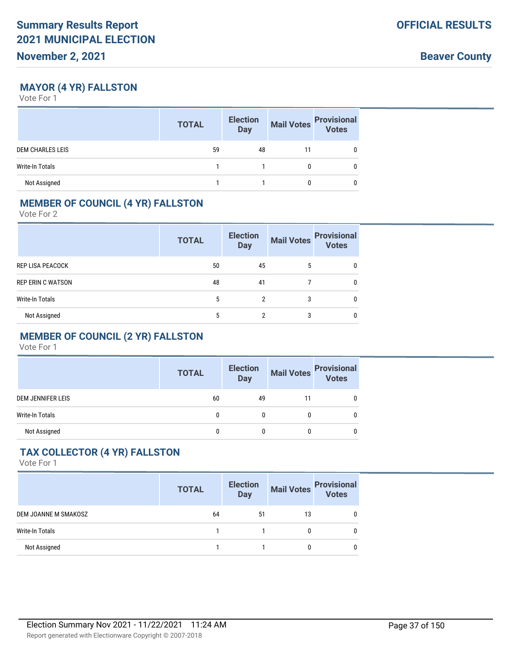**Beaver County**

### **MAYOR (4 YR) FALLSTON**

Vote For 1

|                         | <b>TOTAL</b> | <b>Election</b><br><b>Day</b> | <b>Mail Votes</b> | <b>Provisional</b><br>Votes |
|-------------------------|--------------|-------------------------------|-------------------|-----------------------------|
| <b>DEM CHARLES LEIS</b> | 59           | 48                            | 11                |                             |
| <b>Write-In Totals</b>  |              |                               |                   |                             |
| Not Assigned            |              |                               |                   |                             |

## **MEMBER OF COUNCIL (4 YR) FALLSTON**

Vote For 2

|                          | <b>TOTAL</b> | <b>Election</b><br><b>Day</b> | <b>Mail Votes</b> | <b>Provisional</b><br><b>Votes</b> |
|--------------------------|--------------|-------------------------------|-------------------|------------------------------------|
| REP LISA PEACOCK         | 50           | 45                            | 5                 | 0                                  |
| <b>REP ERIN C WATSON</b> | 48           | 41                            |                   | 0                                  |
| <b>Write-In Totals</b>   | 5            | 2                             | 3                 | 0                                  |
| Not Assigned             | 5            | 2                             | 3                 | 0                                  |

# **MEMBER OF COUNCIL (2 YR) FALLSTON**

Vote For 1

|                          | <b>TOTAL</b> | <b>Election</b><br><b>Day</b> | <b>Mail Votes</b> | <b>Provisional</b><br>Votes |
|--------------------------|--------------|-------------------------------|-------------------|-----------------------------|
| <b>DEM JENNIFER LEIS</b> | 60           | 49                            | 11                |                             |
| Write-In Totals          | 0            |                               |                   |                             |
| Not Assigned             |              |                               |                   |                             |

# **TAX COLLECTOR (4 YR) FALLSTON**

|                        | <b>TOTAL</b> | <b>Election</b><br><b>Day</b> | <b>Mail Votes</b> | <b>Provisional</b><br><b>Votes</b> |
|------------------------|--------------|-------------------------------|-------------------|------------------------------------|
| DEM JOANNE M SMAKOSZ   | 64           | 51                            | 13                |                                    |
| <b>Write-In Totals</b> |              |                               |                   |                                    |
| Not Assigned           |              |                               |                   |                                    |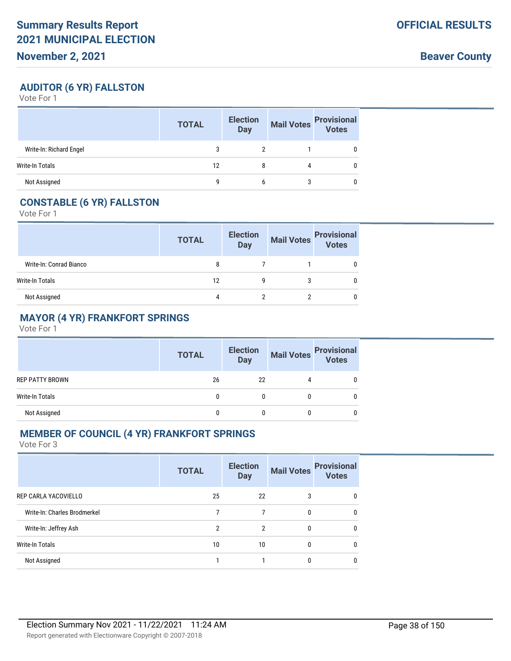**Beaver County**

## **AUDITOR (6 YR) FALLSTON**

Vote For 1

|                         | <b>TOTAL</b> | <b>Election</b><br><b>Day</b> | <b>Mail Votes</b> | <b>Provisional</b><br>Votes |
|-------------------------|--------------|-------------------------------|-------------------|-----------------------------|
| Write-In: Richard Engel | 3            |                               |                   |                             |
| Write-In Totals         | 12           | 8                             | 4                 |                             |
| Not Assigned            | g            | b                             | 3                 |                             |

### **CONSTABLE (6 YR) FALLSTON**

Vote For 1

|                         | <b>TOTAL</b> | <b>Election</b><br><b>Day</b> | Mail Votes | <b>Provisional</b><br>Votes |
|-------------------------|--------------|-------------------------------|------------|-----------------------------|
| Write-In: Conrad Bianco | 8            |                               |            |                             |
| Write-In Totals         | 12           |                               | 3          |                             |
| Not Assigned            | 4            |                               |            |                             |

## **MAYOR (4 YR) FRANKFORT SPRINGS**

Vote For 1

|                        | <b>TOTAL</b> | <b>Election</b><br>Day | Mail Votes | <b>Provisional</b><br>Votes |
|------------------------|--------------|------------------------|------------|-----------------------------|
| <b>REP PATTY BROWN</b> | 26           | 22                     |            |                             |
| Write-In Totals        | 0            |                        |            |                             |
| Not Assigned           |              |                        |            |                             |

# **MEMBER OF COUNCIL (4 YR) FRANKFORT SPRINGS**

|                              | <b>TOTAL</b> | <b>Election</b><br><b>Day</b> | <b>Mail Votes</b> | <b>Provisional</b><br><b>Votes</b> |
|------------------------------|--------------|-------------------------------|-------------------|------------------------------------|
| REP CARLA YACOVIELLO         | 25           | 22                            | 3                 | 0                                  |
| Write-In: Charles Brodmerkel |              | 7                             | 0                 | 0                                  |
| Write-In: Jeffrey Ash        | 2            | 2                             | 0                 | 0                                  |
| Write-In Totals              | 10           | 10                            | 0                 | 0                                  |
| Not Assigned                 |              |                               | 0                 |                                    |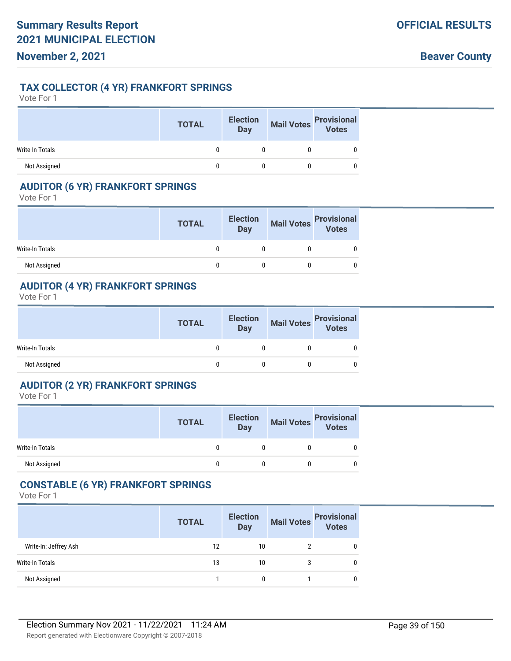**Beaver County**

### **TAX COLLECTOR (4 YR) FRANKFORT SPRINGS**

Vote For 1

|                 | <b>TOTAL</b> | <b>Election</b><br><b>Day</b> | <b>Mail Votes</b> | <b>Provisional</b><br><b>Votes</b> |
|-----------------|--------------|-------------------------------|-------------------|------------------------------------|
| Write-In Totals |              |                               |                   |                                    |
| Not Assigned    |              |                               |                   |                                    |

#### **AUDITOR (6 YR) FRANKFORT SPRINGS**

Vote For 1

|                 | <b>TOTAL</b> | <b>Election</b><br>Day | Mail Votes<br>Votes |
|-----------------|--------------|------------------------|---------------------|
| Write-In Totals |              |                        |                     |
| Not Assigned    |              |                        |                     |

## **AUDITOR (4 YR) FRANKFORT SPRINGS**

Vote For 1

|                 | <b>TOTAL</b> | <b>Election</b><br>Day | Mail Votes<br>Votes |
|-----------------|--------------|------------------------|---------------------|
| Write-In Totals |              |                        |                     |
| Not Assigned    |              |                        |                     |

### **AUDITOR (2 YR) FRANKFORT SPRINGS**

Vote For 1

|                        | <b>TOTAL</b> | <b>Election</b><br><b>Day</b> | Mail Votes<br>Votes<br>Votes |   |
|------------------------|--------------|-------------------------------|------------------------------|---|
| <b>Write-In Totals</b> |              |                               |                              | 0 |
| Not Assigned           |              |                               |                              | 0 |

#### **CONSTABLE (6 YR) FRANKFORT SPRINGS**

|                       | <b>TOTAL</b> | <b>Election</b><br><b>Day</b> | <b>Mail Votes</b> | <b>Provisional</b><br>Votes |
|-----------------------|--------------|-------------------------------|-------------------|-----------------------------|
| Write-In: Jeffrey Ash | 12           | 10                            |                   |                             |
| Write-In Totals       | 13           | 10                            |                   |                             |
| Not Assigned          |              | 0                             |                   |                             |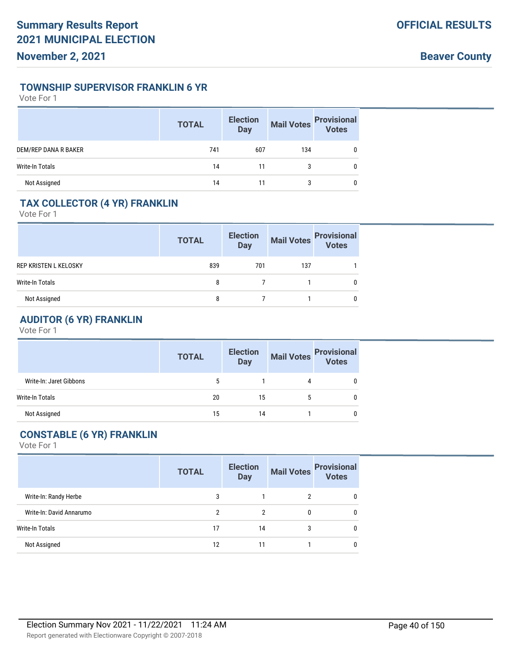#### **TOWNSHIP SUPERVISOR FRANKLIN 6 YR**

Vote For 1

|                        | <b>TOTAL</b> | <b>Election</b><br><b>Day</b> | <b>Mail Votes</b> | <b>Provisional</b><br>Votes |
|------------------------|--------------|-------------------------------|-------------------|-----------------------------|
| DEM/REP DANA R BAKER   | 741          | 607                           | 134               |                             |
| <b>Write-In Totals</b> | 14           | 11                            | 3                 |                             |
| Not Assigned           | 14           |                               | 3                 |                             |

# **TAX COLLECTOR (4 YR) FRANKLIN**

Vote For 1

|                       | <b>TOTAL</b> | <b>Election</b><br><b>Day</b> | <b>Mail Votes</b> | <b>Provisional</b><br>Votes |
|-----------------------|--------------|-------------------------------|-------------------|-----------------------------|
| REP KRISTEN L KELOSKY | 839          | 701                           | 137               |                             |
| Write-In Totals       | 8            |                               |                   |                             |
| Not Assigned          | 8            |                               |                   |                             |

# **AUDITOR (6 YR) FRANKLIN**

Vote For 1

|                         | <b>TOTAL</b> | <b>Election</b><br><b>Day</b> | <b>Mail Votes</b> | <b>Provisional</b><br>Votes |
|-------------------------|--------------|-------------------------------|-------------------|-----------------------------|
| Write-In: Jaret Gibbons | 5            |                               | 4                 |                             |
| Write-In Totals         | 20           | 15                            | 5                 |                             |
| Not Assigned            | 15           | 14                            |                   |                             |

# **CONSTABLE (6 YR) FRANKLIN**

|                          | <b>TOTAL</b> | <b>Election</b><br><b>Day</b> | <b>Mail Votes</b> | <b>Provisional</b><br><b>Votes</b> |
|--------------------------|--------------|-------------------------------|-------------------|------------------------------------|
| Write-In: Randy Herbe    | 3            |                               | 2                 | 0                                  |
| Write-In: David Annarumo | 2            | 2                             | 0                 | 0                                  |
| <b>Write-In Totals</b>   | 17           | 14                            | 3                 | 0                                  |
| Not Assigned             | 12           | 11                            |                   | 0                                  |
|                          |              |                               |                   |                                    |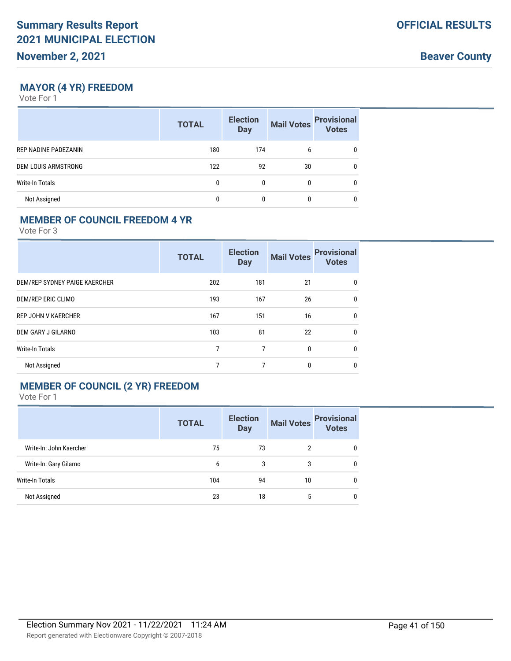**Beaver County**

### **MAYOR (4 YR) FREEDOM**

Vote For 1

|                      | <b>TOTAL</b> | <b>Election</b><br><b>Day</b> | <b>Mail Votes</b> | <b>Provisional</b><br>Votes |
|----------------------|--------------|-------------------------------|-------------------|-----------------------------|
| REP NADINE PADEZANIN | 180          | 174                           | 6                 | 0                           |
| DEM LOUIS ARMSTRONG  | 122          | 92                            | 30                | 0                           |
| Write-In Totals      |              | 0                             |                   | <sup>0</sup>                |
| Not Assigned         |              |                               |                   | 0                           |

### **MEMBER OF COUNCIL FREEDOM 4 YR**

Vote For 3

|                               | <b>TOTAL</b> | <b>Election</b><br><b>Day</b> | <b>Mail Votes</b> | <b>Provisional</b><br><b>Votes</b> |
|-------------------------------|--------------|-------------------------------|-------------------|------------------------------------|
| DEM/REP SYDNEY PAIGE KAERCHER | 202          | 181                           | 21                | 0                                  |
| DEM/REP ERIC CLIMO            | 193          | 167                           | 26                | $\mathbf{0}$                       |
| <b>REP JOHN V KAERCHER</b>    | 167          | 151                           | 16                | $\mathbf{0}$                       |
| DEM GARY J GILARNO            | 103          | 81                            | 22                | $\mathbf{0}$                       |
| <b>Write-In Totals</b>        | 7            | 7                             | $\mathbf{0}$      | $\mathbf{0}$                       |
| Not Assigned                  | 7            | 7                             | $\mathbf{0}$      | $\mathbf{0}$                       |

## **MEMBER OF COUNCIL (2 YR) FREEDOM**

|                         | <b>TOTAL</b> | <b>Election</b><br><b>Day</b> | <b>Mail Votes</b> | <b>Provisional</b><br><b>Votes</b> |
|-------------------------|--------------|-------------------------------|-------------------|------------------------------------|
| Write-In: John Kaercher | 75           | 73                            | 2                 | 0                                  |
| Write-In: Gary Gilarno  | 6            | 3                             | 3                 | 0                                  |
| Write-In Totals         | 104          | 94                            | 10                | 0                                  |
| Not Assigned            | 23           | 18                            | 5                 | $\mathbf{0}$                       |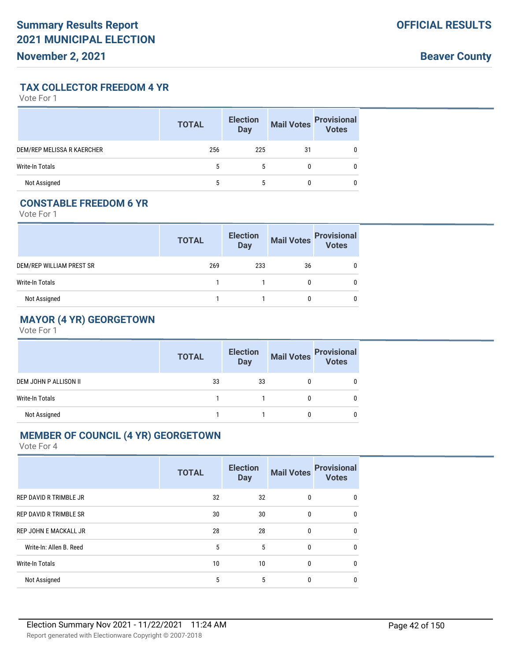**Beaver County**

**TAX COLLECTOR FREEDOM 4 YR**

Vote For 1

|                            | <b>TOTAL</b> | <b>Election</b><br><b>Day</b> | <b>Mail Votes</b> | <b>Provisional</b><br>Votes |
|----------------------------|--------------|-------------------------------|-------------------|-----------------------------|
| DEM/REP MELISSA R KAERCHER | 256          | 225                           | 31                |                             |
| Write-In Totals            | 5            | 5                             |                   |                             |
| Not Assigned               | 5            | 5                             |                   |                             |

### **CONSTABLE FREEDOM 6 YR**

Vote For 1

|                          | <b>TOTAL</b> | <b>Election</b><br>Day | <b>Mail Votes</b> | <b>Provisional</b><br>Votes |
|--------------------------|--------------|------------------------|-------------------|-----------------------------|
| DEM/REP WILLIAM PREST SR | 269          | 233                    | 36                |                             |
| Write-In Totals          |              |                        |                   |                             |
| Not Assigned             |              |                        |                   |                             |

# **MAYOR (4 YR) GEORGETOWN**

Vote For 1

|                        | <b>TOTAL</b> | <b>Election</b><br><b>Day</b> | <b>Mail Votes</b> | <b>Provisional</b><br>Votes |
|------------------------|--------------|-------------------------------|-------------------|-----------------------------|
| DEM JOHN P ALLISON II  | 33           | 33                            | 0                 |                             |
| <b>Write-In Totals</b> |              |                               |                   |                             |
| Not Assigned           |              |                               |                   |                             |

#### **MEMBER OF COUNCIL (4 YR) GEORGETOWN**

|                               | <b>TOTAL</b> | <b>Election</b><br><b>Day</b> | <b>Mail Votes</b> | <b>Provisional</b><br><b>Votes</b> |
|-------------------------------|--------------|-------------------------------|-------------------|------------------------------------|
| <b>REP DAVID R TRIMBLE JR</b> | 32           | 32                            | $\mathbf{0}$      | 0                                  |
| <b>REP DAVID R TRIMBLE SR</b> | 30           | 30                            | $\boldsymbol{0}$  | 0                                  |
| <b>REP JOHN E MACKALL JR</b>  | 28           | 28                            | $\boldsymbol{0}$  | 0                                  |
| Write-In: Allen B. Reed       | 5            | 5                             | $\Omega$          | 0                                  |
| <b>Write-In Totals</b>        | 10           | 10                            | $\Omega$          | 0                                  |
| Not Assigned                  | 5            | 5                             | 0                 |                                    |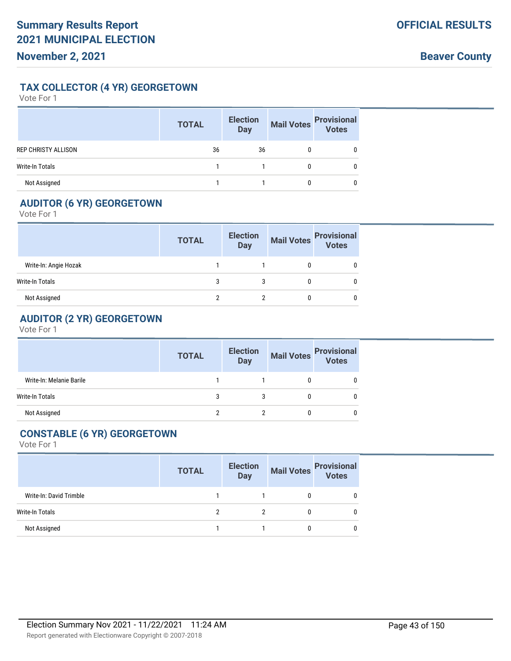### **TAX COLLECTOR (4 YR) GEORGETOWN**

Vote For 1

|                            | <b>TOTAL</b> | <b>Election</b><br><b>Day</b> | <b>Mail Votes</b> | <b>Provisional</b><br>Votes |
|----------------------------|--------------|-------------------------------|-------------------|-----------------------------|
| <b>REP CHRISTY ALLISON</b> | 36           | 36                            |                   |                             |
| <b>Write-In Totals</b>     |              |                               |                   |                             |
| Not Assigned               |              |                               |                   |                             |

# **AUDITOR (6 YR) GEORGETOWN**

Vote For 1

|                       | <b>TOTAL</b> | <b>Election</b><br><b>Day</b> | <b>Mail Votes</b> | <b>Provisional</b><br>Votes |
|-----------------------|--------------|-------------------------------|-------------------|-----------------------------|
| Write-In: Angie Hozak |              |                               |                   |                             |
| Write-In Totals       |              |                               |                   |                             |
| Not Assigned          |              |                               |                   |                             |

# **AUDITOR (2 YR) GEORGETOWN**

Vote For 1

|                          | <b>TOTAL</b> | <b>Election</b><br><b>Day</b> |   | Mail Votes<br>Votes<br>Votes |
|--------------------------|--------------|-------------------------------|---|------------------------------|
| Write-In: Melanie Barile |              |                               |   | 0                            |
| <b>Write-In Totals</b>   | 3            |                               |   | 0                            |
| Not Assigned             |              |                               | 0 | 0                            |

## **CONSTABLE (6 YR) GEORGETOWN**

|                         | <b>TOTAL</b> | <b>Election</b><br><b>Day</b> |   | Mail Votes<br>Votes |
|-------------------------|--------------|-------------------------------|---|---------------------|
| Write-In: David Trimble |              |                               | 0 | 0                   |
| <b>Write-In Totals</b>  | ∩            | 2                             | 0 | 0                   |
| Not Assigned            |              |                               | 0 | 0                   |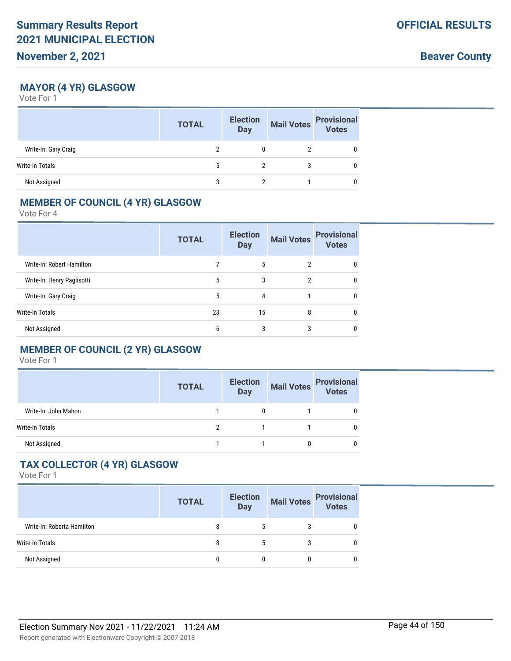**Beaver County**

### **MAYOR (4 YR) GLASGOW**

Vote For 1

|                        | <b>TOTAL</b> | <b>Election</b><br><b>Day</b> | <b>Mail Votes</b> | <b>Provisional</b><br><b>Votes</b> |
|------------------------|--------------|-------------------------------|-------------------|------------------------------------|
| Write-In: Gary Craig   |              |                               |                   |                                    |
| <b>Write-In Totals</b> | 5            |                               |                   |                                    |
| Not Assigned           |              |                               |                   |                                    |

#### **MEMBER OF COUNCIL (4 YR) GLASGOW**

Vote For 4

|                            | <b>TOTAL</b> | <b>Election</b><br><b>Day</b> | <b>Mail Votes</b> | <b>Provisional</b><br><b>Votes</b> |
|----------------------------|--------------|-------------------------------|-------------------|------------------------------------|
| Write-In: Robert Hamilton  |              | 5                             | 2                 | 0                                  |
| Write-In: Henry Paglisotti | 5            | 3                             | 2                 | 0                                  |
| Write-In: Gary Craig       | 5            | 4                             |                   | 0                                  |
| Write-In Totals            | 23           | 15                            | 8                 | 0                                  |
| Not Assigned               | 6            | 3                             | 3                 |                                    |

## **MEMBER OF COUNCIL (2 YR) GLASGOW**

Vote For 1

|                      | <b>TOTAL</b> | <b>Election</b><br><b>Day</b> | <b>Mail Votes</b> | <b>Provisional</b><br><b>Votes</b> |
|----------------------|--------------|-------------------------------|-------------------|------------------------------------|
| Write-In: John Mahon |              |                               |                   |                                    |
| Write-In Totals      |              |                               |                   |                                    |
| Not Assigned         |              |                               |                   |                                    |

### **TAX COLLECTOR (4 YR) GLASGOW**

|                            | <b>TOTAL</b> | <b>Election</b><br><b>Day</b> | <b>Mail Votes</b> | <b>Provisional</b><br><b>Votes</b> |
|----------------------------|--------------|-------------------------------|-------------------|------------------------------------|
| Write-In: Roberta Hamilton | 8            |                               |                   | 0                                  |
| Write-In Totals            | 8            |                               | 3                 | 0                                  |
| Not Assigned               | 0            |                               |                   | 0                                  |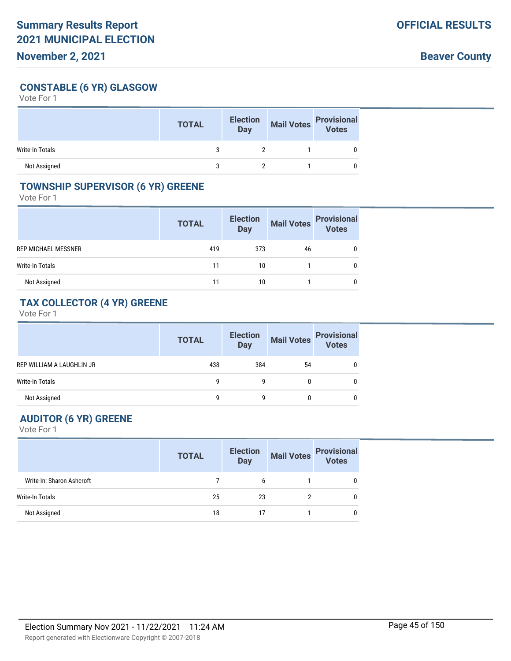## **CONSTABLE (6 YR) GLASGOW**

Vote For 1

|                 | <b>TOTAL</b> | <b>Election</b><br><b>Day</b> | <b>Mail Votes</b> | <b>Provisional</b><br>Votes |
|-----------------|--------------|-------------------------------|-------------------|-----------------------------|
| Write-In Totals |              |                               |                   |                             |
| Not Assigned    |              |                               |                   |                             |

#### **TOWNSHIP SUPERVISOR (6 YR) GREENE**

Vote For 1

|                     | <b>TOTAL</b> | <b>Election</b><br><b>Day</b> | <b>Mail Votes</b> | <b>Provisional</b><br><b>Votes</b> |
|---------------------|--------------|-------------------------------|-------------------|------------------------------------|
| REP MICHAEL MESSNER | 419          | 373                           | 46                |                                    |
| Write-In Totals     | 11           | 10                            |                   |                                    |
| Not Assigned        | 11           | 10                            |                   |                                    |

## **TAX COLLECTOR (4 YR) GREENE**

Vote For 1

|                           | <b>TOTAL</b> | <b>Election</b><br><b>Day</b> | <b>Mail Votes</b> | <b>Provisional</b><br><b>Votes</b> |
|---------------------------|--------------|-------------------------------|-------------------|------------------------------------|
| REP WILLIAM A LAUGHLIN JR | 438          | 384                           | 54                |                                    |
| Write-In Totals           | q            | g                             |                   |                                    |
| Not Assigned              | q            | q                             |                   |                                    |

# **AUDITOR (6 YR) GREENE**

|                           | <b>TOTAL</b> | <b>Election</b><br>Day | <b>Mail Votes</b> | <b>Provisional</b><br><b>Votes</b> |
|---------------------------|--------------|------------------------|-------------------|------------------------------------|
| Write-In: Sharon Ashcroft |              | h                      |                   |                                    |
| Write-In Totals           | 25           | 23                     |                   |                                    |
| Not Assigned              | 18           |                        |                   |                                    |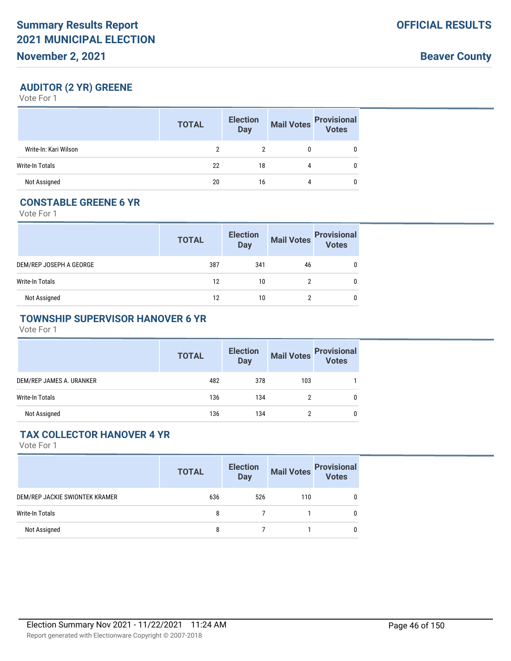### **AUDITOR (2 YR) GREENE**

Vote For 1

|                       | <b>TOTAL</b> | <b>Election</b><br><b>Day</b> | <b>Mail Votes</b> | <b>Provisional</b><br>Votes |
|-----------------------|--------------|-------------------------------|-------------------|-----------------------------|
| Write-In: Kari Wilson |              |                               |                   |                             |
| Write-In Totals       | 22           | 18                            | 4                 | 0                           |
| Not Assigned          | 20           | 16                            | 4                 |                             |

### **CONSTABLE GREENE 6 YR**

Vote For 1

|                         | <b>TOTAL</b> | <b>Election</b><br><b>Day</b> | <b>Mail Votes</b> | <b>Provisional</b><br>Votes |
|-------------------------|--------------|-------------------------------|-------------------|-----------------------------|
| DEM/REP JOSEPH A GEORGE | 387          | 341                           | 46                |                             |
| Write-In Totals         | 12           | 10                            |                   |                             |
| Not Assigned            | 12           | 10                            |                   |                             |

### **TOWNSHIP SUPERVISOR HANOVER 6 YR**

Vote For 1

|                          | <b>TOTAL</b> | <b>Election</b><br><b>Day</b> | <b>Mail Votes</b> | <b>Provisional</b><br><b>Votes</b> |
|--------------------------|--------------|-------------------------------|-------------------|------------------------------------|
| DEM/REP JAMES A. URANKER | 482          | 378                           | 103               |                                    |
| <b>Write-In Totals</b>   | 136          | 134                           |                   |                                    |
| Not Assigned             | 136          | 134                           |                   |                                    |

### **TAX COLLECTOR HANOVER 4 YR**

|                                | <b>TOTAL</b> | <b>Election</b><br><b>Day</b> |     | Mail Votes<br>Votes |
|--------------------------------|--------------|-------------------------------|-----|---------------------|
| DEM/REP JACKIE SWIONTEK KRAMER | 636          | 526                           | 110 | 0                   |
| Write-In Totals                | 8            |                               |     | 0                   |
| Not Assigned                   | 8            |                               |     | 0                   |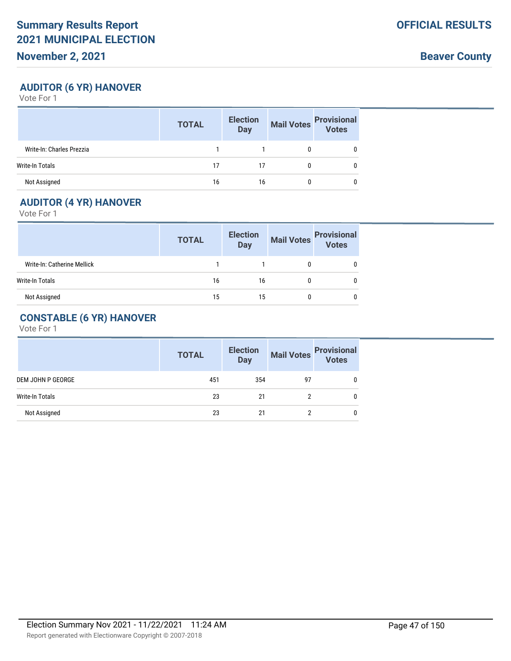**Beaver County**

### **AUDITOR (6 YR) HANOVER**

Vote For 1

|                           | <b>TOTAL</b> | <b>Election</b><br><b>Day</b> | <b>Mail Votes</b> | <b>Provisional</b><br>Votes |
|---------------------------|--------------|-------------------------------|-------------------|-----------------------------|
| Write-In: Charles Prezzia |              |                               |                   |                             |
| Write-In Totals           | 17           | 17                            |                   |                             |
| Not Assigned              | 16           | 16                            |                   |                             |

## **AUDITOR (4 YR) HANOVER**

Vote For 1

|                             | <b>TOTAL</b> | <b>Election</b><br>Day | <b>Mail Votes</b> | <b>Provisional</b><br>Votes |
|-----------------------------|--------------|------------------------|-------------------|-----------------------------|
| Write-In: Catherine Mellick |              |                        |                   |                             |
| Write-In Totals             | 16           | 16                     |                   |                             |
| Not Assigned                | 15           | 15                     |                   |                             |

# **CONSTABLE (6 YR) HANOVER**

|                   | <b>TOTAL</b> | <b>Election</b><br><b>Day</b> | <b>Mail Votes</b> | <b>Provisional</b> |
|-------------------|--------------|-------------------------------|-------------------|--------------------|
| DEM JOHN P GEORGE | 451          | 354                           | 97                |                    |
| Write-In Totals   | 23           | 21                            |                   |                    |
| Not Assigned      | 23           | 21                            |                   |                    |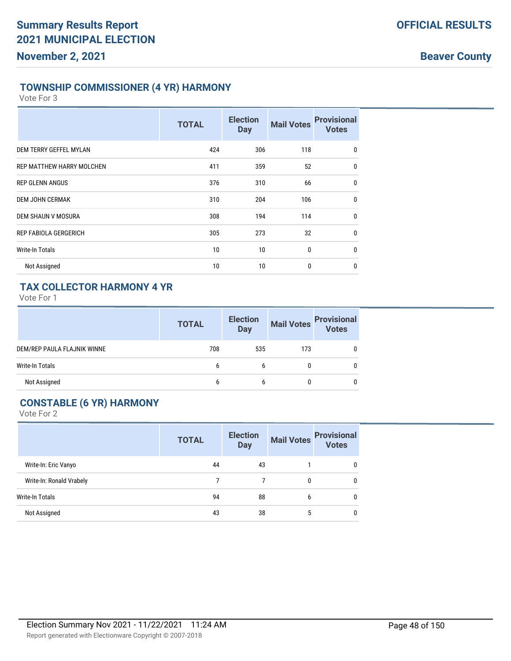### **TOWNSHIP COMMISSIONER (4 YR) HARMONY**

Vote For 3

|                                  | <b>TOTAL</b> | <b>Election</b><br><b>Day</b> | <b>Mail Votes</b> | <b>Provisional</b><br><b>Votes</b> |
|----------------------------------|--------------|-------------------------------|-------------------|------------------------------------|
| DEM TERRY GEFFEL MYLAN           | 424          | 306                           | 118               | 0                                  |
| <b>REP MATTHEW HARRY MOLCHEN</b> | 411          | 359                           | 52                | $\mathbf 0$                        |
| <b>REP GLENN ANGUS</b>           | 376          | 310                           | 66                | 0                                  |
| <b>DEM JOHN CERMAK</b>           | 310          | 204                           | 106               | $\mathbf 0$                        |
| DEM SHAUN V MOSURA               | 308          | 194                           | 114               | $\mathbf 0$                        |
| <b>REP FABIOLA GERGERICH</b>     | 305          | 273                           | 32                | $\mathbf 0$                        |
| <b>Write-In Totals</b>           | 10           | 10                            | 0                 | $\mathbf 0$                        |
| Not Assigned                     | 10           | 10                            | 0                 | 0                                  |

### **TAX COLLECTOR HARMONY 4 YR**

Vote For 1

|                             | <b>TOTAL</b> | <b>Election</b><br><b>Day</b> | <b>Mail Votes</b> | <b>Provisional</b><br><b>Votes</b> |
|-----------------------------|--------------|-------------------------------|-------------------|------------------------------------|
| DEM/REP PAULA FLAJNIK WINNE | 708          | 535                           | 173               |                                    |
| <b>Write-In Totals</b>      | h            | b                             |                   |                                    |
| Not Assigned                | h            | h                             |                   |                                    |

# **CONSTABLE (6 YR) HARMONY**

|                          | <b>TOTAL</b> | <b>Election</b><br><b>Day</b> | <b>Mail Votes</b> | <b>Provisional</b><br><b>Votes</b> |
|--------------------------|--------------|-------------------------------|-------------------|------------------------------------|
| Write-In: Eric Vanyo     | 44           | 43                            |                   | 0                                  |
| Write-In: Ronald Vrabely |              |                               | 0                 | 0                                  |
| Write-In Totals          | 94           | 88                            | 6                 | 0                                  |
| Not Assigned             | 43           | 38                            | 5                 | 0                                  |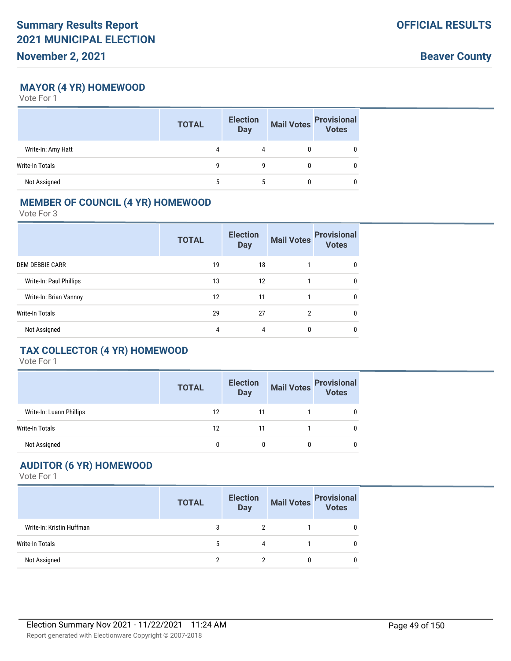**Beaver County**

### **MAYOR (4 YR) HOMEWOOD**

Vote For 1

|                    | <b>TOTAL</b> | <b>Election</b><br><b>Day</b> | <b>Mail Votes</b> | <b>Provisional</b><br>Votes |
|--------------------|--------------|-------------------------------|-------------------|-----------------------------|
| Write-In: Amy Hatt | 4            | 4                             |                   |                             |
| Write-In Totals    | q            | g                             |                   |                             |
| Not Assigned       |              |                               |                   |                             |

#### **MEMBER OF COUNCIL (4 YR) HOMEWOOD**

Vote For 3

|                         | <b>TOTAL</b> | <b>Election</b><br><b>Day</b> | <b>Mail Votes</b> | <b>Provisional</b><br><b>Votes</b> |
|-------------------------|--------------|-------------------------------|-------------------|------------------------------------|
| <b>DEM DEBBIE CARR</b>  | 19           | 18                            |                   | $\mathbf{0}$                       |
| Write-In: Paul Phillips | 13           | 12                            |                   | 0                                  |
| Write-In: Brian Vannoy  | 12           | 11                            |                   | $\mathbf{0}$                       |
| <b>Write-In Totals</b>  | 29           | 27                            | 2                 | $\mathbf{0}$                       |
| Not Assigned            | 4            | 4                             | 0                 | 0                                  |

# **TAX COLLECTOR (4 YR) HOMEWOOD**

Vote For 1

|                          | <b>TOTAL</b> | <b>Election</b><br><b>Day</b> | <b>Mail Votes</b> | <b>Provisional</b><br><b>Votes</b> |
|--------------------------|--------------|-------------------------------|-------------------|------------------------------------|
| Write-In: Luann Phillips | 12           | 11                            |                   |                                    |
| <b>Write-In Totals</b>   | 12           |                               |                   |                                    |
| Not Assigned             |              |                               |                   |                                    |

# **AUDITOR (6 YR) HOMEWOOD**

|                           | <b>TOTAL</b> | <b>Election</b><br><b>Day</b> | <b>Mail Votes</b> | <b>Provisional</b><br>Votes |
|---------------------------|--------------|-------------------------------|-------------------|-----------------------------|
| Write-In: Kristin Huffman |              |                               |                   | 0                           |
| Write-In Totals           |              | 4                             |                   | 0                           |
| Not Assigned              |              |                               | 0                 | 0                           |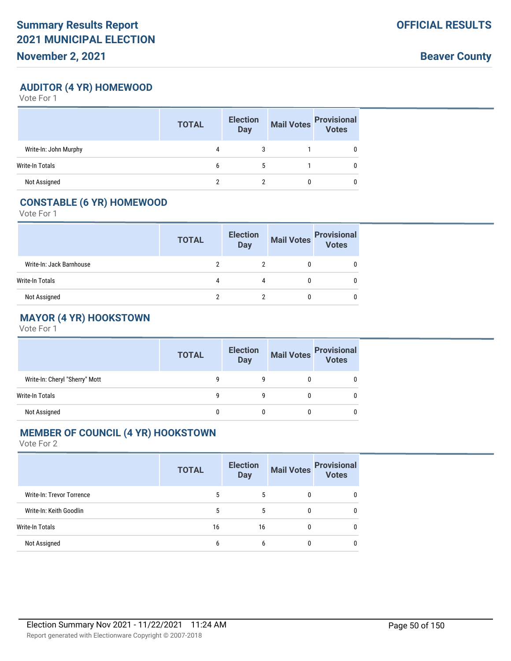**Beaver County**

### **AUDITOR (4 YR) HOMEWOOD**

Vote For 1

|                       | <b>TOTAL</b> | <b>Election</b><br><b>Day</b> | <b>Mail Votes</b> | <b>Provisional</b><br>Votes |
|-----------------------|--------------|-------------------------------|-------------------|-----------------------------|
| Write-In: John Murphy | 4            |                               |                   |                             |
| Write-In Totals       | 6            | 5                             |                   |                             |
| Not Assigned          |              |                               |                   |                             |

### **CONSTABLE (6 YR) HOMEWOOD**

Vote For 1

|                          | <b>TOTAL</b> | <b>Election</b><br><b>Day</b> | <b>Mail Votes</b> | <b>Provisional</b><br>Votes |
|--------------------------|--------------|-------------------------------|-------------------|-----------------------------|
| Write-In: Jack Barnhouse |              |                               |                   |                             |
| Write-In Totals          | 4            | 4                             |                   |                             |
| Not Assigned             | າ            |                               |                   |                             |

# **MAYOR (4 YR) HOOKSTOWN**

Vote For 1

|                                | <b>TOTAL</b> | <b>Election</b><br><b>Day</b> |   | Mail Votes Provisional |
|--------------------------------|--------------|-------------------------------|---|------------------------|
| Write-In: Cheryl "Sherry" Mott |              |                               |   |                        |
| Write-In Totals                | g            |                               |   |                        |
| Not Assigned                   |              | 0                             | 0 |                        |

### **MEMBER OF COUNCIL (4 YR) HOOKSTOWN**

|                           | <b>TOTAL</b> | <b>Election</b><br><b>Day</b> | <b>Mail Votes</b> | <b>Provisional</b><br>Votes |
|---------------------------|--------------|-------------------------------|-------------------|-----------------------------|
| Write-In: Trevor Torrence | 5            | 5                             | 0                 | $\mathbf{0}$                |
| Write-In: Keith Goodlin   | 5            | 5                             | 0                 | $\mathbf{0}$                |
| Write-In Totals           | 16           | 16                            | 0                 | $\mathbf{0}$                |
| Not Assigned              | 6            | 6                             | 0                 | 0                           |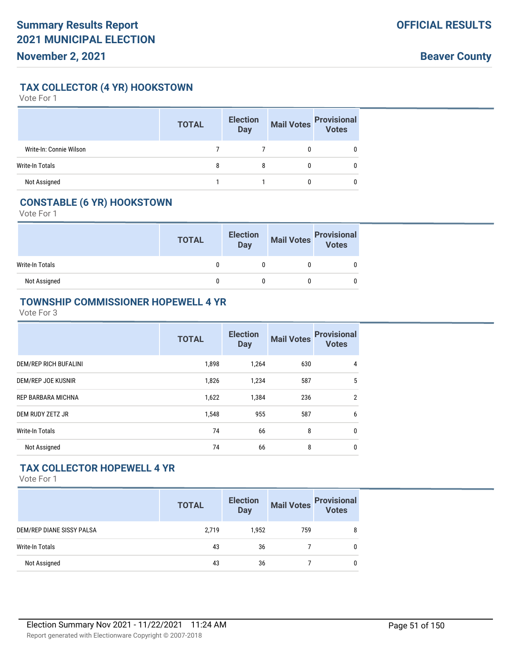### **TAX COLLECTOR (4 YR) HOOKSTOWN**

Vote For 1

|                         | <b>TOTAL</b> | <b>Election</b><br><b>Day</b> | Mail Votes | <b>Provisional</b><br>Votes |
|-------------------------|--------------|-------------------------------|------------|-----------------------------|
| Write-In: Connie Wilson |              |                               |            |                             |
| Write-In Totals         | 8            |                               |            |                             |
| Not Assigned            |              |                               |            |                             |

## **CONSTABLE (6 YR) HOOKSTOWN**

Vote For 1

|                 | <b>TOTAL</b> | <b>Election</b><br>Day | Mail Votes<br>Votes<br>Votes |
|-----------------|--------------|------------------------|------------------------------|
| Write-In Totals |              |                        |                              |
| Not Assigned    |              |                        |                              |

#### **TOWNSHIP COMMISSIONER HOPEWELL 4 YR**

Vote For 3

|                              | <b>TOTAL</b> | <b>Election</b><br><b>Day</b> | <b>Mail Votes</b> | <b>Provisional</b><br><b>Votes</b> |
|------------------------------|--------------|-------------------------------|-------------------|------------------------------------|
| <b>DEM/REP RICH BUFALINI</b> | 1,898        | 1,264                         | 630               | 4                                  |
| DEM/REP JOE KUSNIR           | 1,826        | 1,234                         | 587               | 5                                  |
| <b>REP BARBARA MICHNA</b>    | 1,622        | 1,384                         | 236               | $\overline{2}$                     |
| DEM RUDY ZETZ JR             | 1,548        | 955                           | 587               | 6                                  |
| <b>Write-In Totals</b>       | 74           | 66                            | 8                 | $\mathbf{0}$                       |
| Not Assigned                 | 74           | 66                            | 8                 | 0                                  |

### **TAX COLLECTOR HOPEWELL 4 YR**

|                           | <b>TOTAL</b> | <b>Election</b><br><b>Day</b> | <b>Mail Votes</b> | <b>Provisional</b><br>Votes |
|---------------------------|--------------|-------------------------------|-------------------|-----------------------------|
| DEM/REP DIANE SISSY PALSA | 2,719        | 1,952                         | 759               | 8                           |
| Write-In Totals           | 43           | 36                            |                   | 0                           |
| Not Assigned              | 43           | 36                            |                   | 0                           |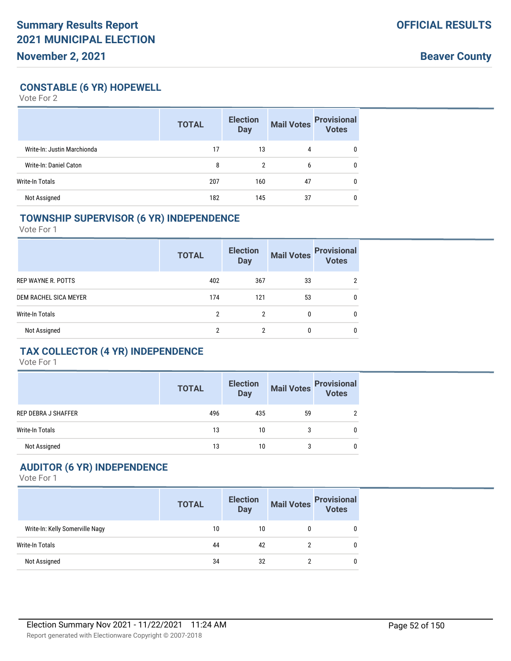**Beaver County**

### **CONSTABLE (6 YR) HOPEWELL**

Vote For 2

|                             | <b>TOTAL</b> | <b>Election</b><br><b>Day</b> | <b>Mail Votes</b> | <b>Provisional</b><br>Votes |
|-----------------------------|--------------|-------------------------------|-------------------|-----------------------------|
| Write-In: Justin Marchionda | 17           | 13                            | 4                 | $\mathbf{0}$                |
| Write-In: Daniel Caton      | 8            | 2                             | 6                 | 0                           |
| Write-In Totals             | 207          | 160                           | 47                | $\mathbf{0}$                |
| Not Assigned                | 182          | 145                           | 37                | 0                           |

#### **TOWNSHIP SUPERVISOR (6 YR) INDEPENDENCE**

Vote For 1

|                       | <b>TOTAL</b> | <b>Election</b><br><b>Day</b> | <b>Mail Votes</b> | <b>Provisional</b><br><b>Votes</b> |
|-----------------------|--------------|-------------------------------|-------------------|------------------------------------|
| REP WAYNE R. POTTS    | 402          | 367                           | 33                | ≘                                  |
| DEM RACHEL SICA MEYER | 174          | 121                           | 53                | 0                                  |
| Write-In Totals       | 2            | 2                             | 0                 | 0                                  |
| Not Assigned          | າ            | 2                             | 0                 | 0                                  |

### **TAX COLLECTOR (4 YR) INDEPENDENCE**

Vote For 1

|                            | <b>TOTAL</b> | <b>Election</b><br>Day |    | Mail Votes Provisional<br>Votes |
|----------------------------|--------------|------------------------|----|---------------------------------|
| <b>REP DEBRA J SHAFFER</b> | 496          | 435                    | 59 | 2                               |
| <b>Write-In Totals</b>     | 13           | 10                     | 3  | 0                               |
| Not Assigned               | 13           | 10                     |    | 0                               |

# **AUDITOR (6 YR) INDEPENDENCE**

|                                 | <b>TOTAL</b> | <b>Election</b><br><b>Day</b> | <b>Mail Votes</b> | <b>Provisional</b><br>Votes |
|---------------------------------|--------------|-------------------------------|-------------------|-----------------------------|
| Write-In: Kelly Somerville Nagy | 10           | 10                            | 0                 | 0                           |
| Write-In Totals                 | 44           | 42                            | っ                 | 0                           |
| Not Assigned                    | 34           | 32                            |                   | 0                           |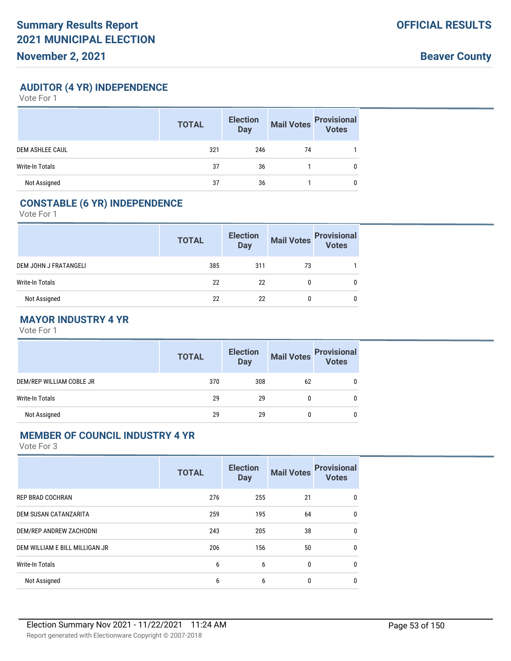**Beaver County**

**AUDITOR (4 YR) INDEPENDENCE**

Vote For 1

|                        | <b>TOTAL</b> | <b>Election</b><br><b>Day</b> | <b>Mail Votes</b> | <b>Provisional</b><br>Votes |
|------------------------|--------------|-------------------------------|-------------------|-----------------------------|
| <b>DEM ASHLEE CAUL</b> | 321          | 246                           | 74                |                             |
| <b>Write-In Totals</b> | 37           | 36                            |                   | 0                           |
| Not Assigned           | 37           | 36                            |                   | 0                           |

## **CONSTABLE (6 YR) INDEPENDENCE**

Vote For 1

|                       | <b>TOTAL</b> | <b>Election</b><br>Day | <b>Mail Votes</b> | <b>Provisional</b><br>Votes |
|-----------------------|--------------|------------------------|-------------------|-----------------------------|
| DEM JOHN J FRATANGELI | 385          | 311                    | 73                |                             |
| Write-In Totals       | 22           | 22                     |                   |                             |
| Not Assigned          | 22           | 22                     | 0                 |                             |

### **MAYOR INDUSTRY 4 YR**

Vote For 1

|                          | <b>TOTAL</b> | <b>Election</b><br><b>Day</b> | Mail Votes | <b>Provisional</b><br>Votes |
|--------------------------|--------------|-------------------------------|------------|-----------------------------|
| DEM/REP WILLIAM COBLE JR | 370          | 308                           | 62         |                             |
| Write-In Totals          | 29           | 29                            | 0          |                             |
| Not Assigned             | 29           | 29                            |            |                             |

#### **MEMBER OF COUNCIL INDUSTRY 4 YR**

|                                | <b>TOTAL</b> | <b>Election</b><br><b>Day</b> | <b>Mail Votes</b> | <b>Provisional</b><br><b>Votes</b> |
|--------------------------------|--------------|-------------------------------|-------------------|------------------------------------|
| <b>REP BRAD COCHRAN</b>        | 276          | 255                           | 21                | 0                                  |
| DEM SUSAN CATANZARITA          | 259          | 195                           | 64                | 0                                  |
| DEM/REP ANDREW ZACHODNI        | 243          | 205                           | 38                | 0                                  |
| DEM WILLIAM E BILL MILLIGAN JR | 206          | 156                           | 50                | 0                                  |
| <b>Write-In Totals</b>         | 6            | 6                             | 0                 | 0                                  |
| Not Assigned                   | 6            | 6                             | 0                 | 0                                  |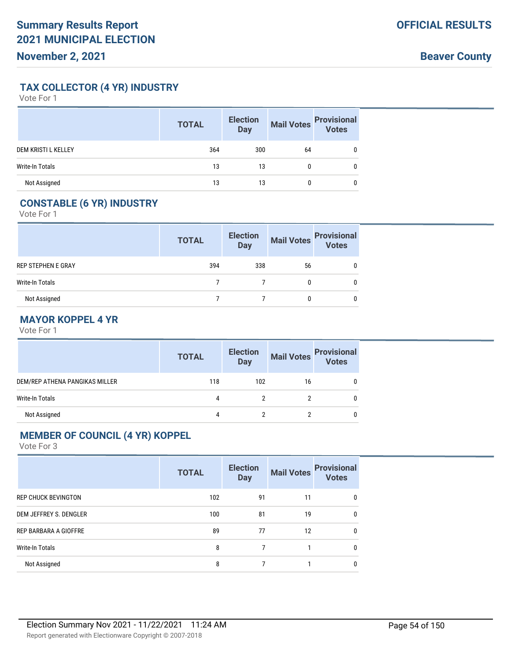**TAX COLLECTOR (4 YR) INDUSTRY**

Vote For 1

|                            | <b>TOTAL</b> | <b>Election</b><br><b>Day</b> | <b>Mail Votes</b> | <b>Provisional</b><br>Votes |
|----------------------------|--------------|-------------------------------|-------------------|-----------------------------|
| <b>DEM KRISTI L KELLEY</b> | 364          | 300                           | 64                |                             |
| <b>Write-In Totals</b>     | 13           | 13                            | 0                 | 0                           |
| Not Assigned               | 13           | 13                            | 0                 |                             |

# **CONSTABLE (6 YR) INDUSTRY**

Vote For 1

|                    | <b>TOTAL</b> | <b>Election</b><br><b>Day</b> | <b>Mail Votes</b> | <b>Provisional</b><br>Votes |
|--------------------|--------------|-------------------------------|-------------------|-----------------------------|
| REP STEPHEN E GRAY | 394          | 338                           | 56                |                             |
| Write-In Totals    |              |                               |                   |                             |
| Not Assigned       |              |                               |                   |                             |

### **MAYOR KOPPEL 4 YR**

Vote For 1

|                                | <b>TOTAL</b> | <b>Election</b><br><b>Day</b> | Mail Votes | <b>Provisional</b><br>Votes |
|--------------------------------|--------------|-------------------------------|------------|-----------------------------|
| DEM/REP ATHENA PANGIKAS MILLER | 118          | 102                           | 16         |                             |
| Write-In Totals                | 4            |                               |            |                             |
| Not Assigned                   | 4            |                               |            |                             |

### **MEMBER OF COUNCIL (4 YR) KOPPEL**

|                              | <b>TOTAL</b> | <b>Election</b><br><b>Day</b> | <b>Mail Votes</b> | <b>Provisional</b><br><b>Votes</b> |
|------------------------------|--------------|-------------------------------|-------------------|------------------------------------|
| <b>REP CHUCK BEVINGTON</b>   | 102          | 91                            | 11                | 0                                  |
| DEM JEFFREY S. DENGLER       | 100          | 81                            | 19                | 0                                  |
| <b>REP BARBARA A GIOFFRE</b> | 89           | 77                            | 12                | 0                                  |
| <b>Write-In Totals</b>       | 8            |                               |                   | 0                                  |
| Not Assigned                 | 8            |                               |                   | O                                  |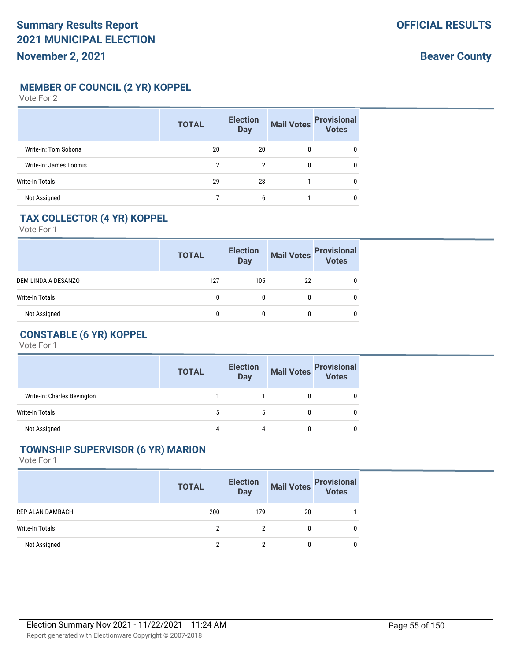**MEMBER OF COUNCIL (2 YR) KOPPEL**

Vote For 2

|                        | <b>TOTAL</b> | <b>Election</b><br><b>Day</b> | <b>Mail Votes</b> | <b>Provisional</b><br>Votes |
|------------------------|--------------|-------------------------------|-------------------|-----------------------------|
| Write-In: Tom Sobona   | 20           | 20                            | 0                 | 0                           |
| Write-In: James Loomis | 2            | 2                             | 0                 | 0                           |
| Write-In Totals        | 29           | 28                            |                   | $\mathbf{0}$                |
| Not Assigned           |              | 6                             |                   | 0                           |

## **TAX COLLECTOR (4 YR) KOPPEL**

Vote For 1

|                     | <b>TOTAL</b> | <b>Election</b><br><b>Day</b> | <b>Mail Votes</b> | <b>Provisional</b><br>Votes |
|---------------------|--------------|-------------------------------|-------------------|-----------------------------|
| DEM LINDA A DESANZO | 127          | 105                           | 22                |                             |
| Write-In Totals     |              |                               |                   |                             |
| Not Assigned        |              |                               |                   |                             |

# **CONSTABLE (6 YR) KOPPEL**

Vote For 1

|                             | <b>TOTAL</b> | <b>Election</b><br><b>Day</b> | <b>Mail Votes</b> | <b>Provisional</b><br><b>Votes</b> |
|-----------------------------|--------------|-------------------------------|-------------------|------------------------------------|
| Write-In: Charles Bevington |              |                               |                   |                                    |
| Write-In Totals             |              |                               |                   |                                    |
| Not Assigned                |              | 4                             |                   |                                    |

#### **TOWNSHIP SUPERVISOR (6 YR) MARION**

|                  | <b>TOTAL</b> | <b>Election</b><br><b>Day</b> | <b>Mail Votes</b> | <b>Provisional</b><br><b>Votes</b> |
|------------------|--------------|-------------------------------|-------------------|------------------------------------|
| REP ALAN DAMBACH | 200          | 179                           | 20                |                                    |
| Write-In Totals  | 2            | 2                             | 0                 |                                    |
| Not Assigned     |              |                               |                   |                                    |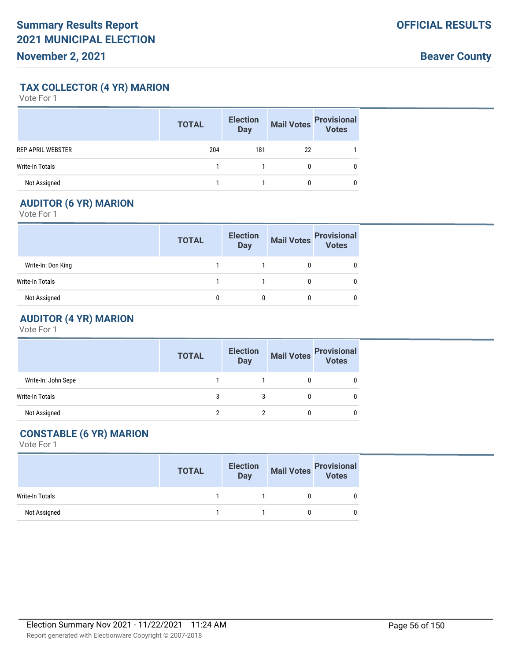**Beaver County**

**TAX COLLECTOR (4 YR) MARION**

Vote For 1

|                          | <b>TOTAL</b> | <b>Election</b><br><b>Day</b> | <b>Mail Votes</b> | <b>Provisional</b><br>Votes |
|--------------------------|--------------|-------------------------------|-------------------|-----------------------------|
| <b>REP APRIL WEBSTER</b> | 204          | 181                           | 22                |                             |
| Write-In Totals          |              |                               |                   |                             |
| Not Assigned             |              |                               |                   |                             |

# **AUDITOR (6 YR) MARION**

Vote For 1

|                    | <b>TOTAL</b> | <b>Election</b><br>Day | Mail Votes | <b>Provisional</b><br>Votes |
|--------------------|--------------|------------------------|------------|-----------------------------|
| Write-In: Don King |              |                        |            |                             |
| Write-In Totals    |              |                        |            |                             |
| Not Assigned       |              |                        |            |                             |

# **AUDITOR (4 YR) MARION**

Vote For 1

|                     | <b>TOTAL</b> | <b>Election</b><br><b>Day</b> | Mail Votes Provisional<br>Votes |
|---------------------|--------------|-------------------------------|---------------------------------|
| Write-In: John Sepe |              |                               | 0                               |
| Write-In Totals     | 3            |                               | 0                               |
| Not Assigned        |              |                               | 0                               |

# **CONSTABLE (6 YR) MARION**

|                 | <b>TOTAL</b> |                     |              | Election Mail Votes Provisional<br>Day Mail Votes Votes |
|-----------------|--------------|---------------------|--------------|---------------------------------------------------------|
| Write-In Totals |              | $1 \quad 1 \quad 1$ | $\mathbf{0}$ |                                                         |
| Not Assigned    |              | $1 \quad 1 \quad 1$ |              |                                                         |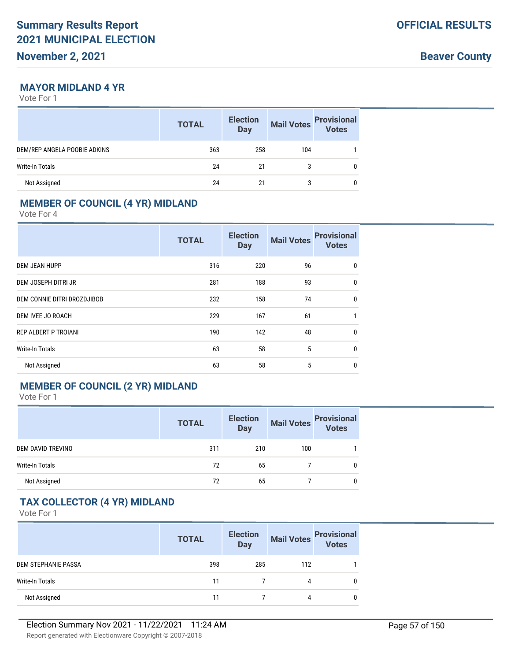**Beaver County**

#### **MAYOR MIDLAND 4 YR**

Vote For 1

|                              | <b>TOTAL</b> | <b>Election</b><br><b>Day</b> | <b>Mail Votes</b> | <b>Provisional</b><br><b>Votes</b> |
|------------------------------|--------------|-------------------------------|-------------------|------------------------------------|
| DEM/REP ANGELA POOBIE ADKINS | 363          | 258                           | 104               |                                    |
| Write-In Totals              | 24           | 21                            | 3                 |                                    |
| Not Assigned                 | 24           | 21                            |                   |                                    |

## **MEMBER OF COUNCIL (4 YR) MIDLAND**

Vote For 4

|                             | <b>TOTAL</b> | <b>Election</b><br><b>Day</b> | <b>Mail Votes</b> | <b>Provisional</b><br><b>Votes</b> |
|-----------------------------|--------------|-------------------------------|-------------------|------------------------------------|
| <b>DEM JEAN HUPP</b>        | 316          | 220                           | 96                | $\mathbf{0}$                       |
| DEM JOSEPH DITRI JR         | 281          | 188                           | 93                | $\mathbf{0}$                       |
| DEM CONNIE DITRI DROZDJIBOB | 232          | 158                           | 74                | $\mathbf{0}$                       |
| DEM IVEE JO ROACH           | 229          | 167                           | 61                | 1                                  |
| <b>REP ALBERT P TROIANI</b> | 190          | 142                           | 48                | 0                                  |
| <b>Write-In Totals</b>      | 63           | 58                            | 5                 | $\mathbf{0}$                       |
| Not Assigned                | 63           | 58                            | 5                 | 0                                  |

### **MEMBER OF COUNCIL (2 YR) MIDLAND**

Vote For 1

|                   | <b>TOTAL</b> | <b>Election</b><br>Day | <b>Mail Votes</b> | Provisional  |
|-------------------|--------------|------------------------|-------------------|--------------|
| DEM DAVID TREVINO | 311          | 210                    | 100               |              |
| Write-In Totals   | 72           | 65                     |                   | $\mathbf{0}$ |
| Not Assigned      | 72           | 65                     |                   | $\mathbf{0}$ |

# **TAX COLLECTOR (4 YR) MIDLAND**

|                            | <b>TOTAL</b> | <b>Election</b><br>Day | <b>Mail Votes</b> | <b>Provisional</b><br>Votes |
|----------------------------|--------------|------------------------|-------------------|-----------------------------|
| <b>DEM STEPHANIE PASSA</b> | 398          | 285                    | 112               |                             |
| Write-In Totals            | 11           |                        | 4                 |                             |
| Not Assigned               |              |                        |                   |                             |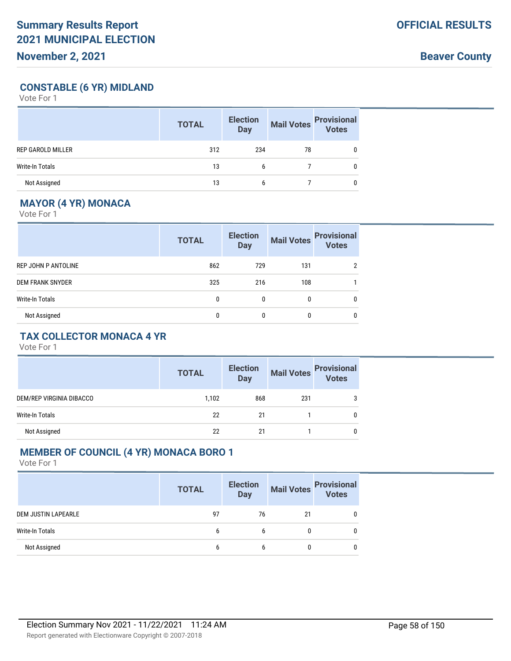**Beaver County**

## **CONSTABLE (6 YR) MIDLAND**

Vote For 1

|                          | <b>TOTAL</b> | <b>Election</b><br><b>Day</b> | <b>Mail Votes</b> | <b>Provisional</b><br><b>Votes</b> |
|--------------------------|--------------|-------------------------------|-------------------|------------------------------------|
| <b>REP GAROLD MILLER</b> | 312          | 234                           | 78                |                                    |
| <b>Write-In Totals</b>   | 13           | 6                             |                   |                                    |
| Not Assigned             | 13           | 6                             |                   |                                    |

# **MAYOR (4 YR) MONACA**

Vote For 1

|                         | <b>TOTAL</b> | <b>Election</b><br><b>Day</b> | <b>Mail Votes</b> | <b>Provisional</b><br><b>Votes</b> |
|-------------------------|--------------|-------------------------------|-------------------|------------------------------------|
| REP JOHN P ANTOLINE     | 862          | 729                           | 131               | 2                                  |
| <b>DEM FRANK SNYDER</b> | 325          | 216                           | 108               |                                    |
| <b>Write-In Totals</b>  | 0            | $\mathbf{0}$                  | $\mathbf{0}$      | 0                                  |
| Not Assigned            | 0            | 0                             | 0                 | 0                                  |

# **TAX COLLECTOR MONACA 4 YR**

Vote For 1

|                          | <b>TOTAL</b> | <b>Election</b><br><b>Day</b> | Mail Votes | <b>Provisional</b><br>Votes |
|--------------------------|--------------|-------------------------------|------------|-----------------------------|
| DEM/REP VIRGINIA DIBACCO | 1,102        | 868                           | 231        | 3                           |
| Write-In Totals          | 22           | 21                            |            |                             |
| Not Assigned             | 22           | 21                            |            |                             |

## **MEMBER OF COUNCIL (4 YR) MONACA BORO 1**

|                            | <b>TOTAL</b> | <b>Election</b><br><b>Day</b> | <b>Mail Votes</b> | <b>Provisional</b><br>Votes |
|----------------------------|--------------|-------------------------------|-------------------|-----------------------------|
| <b>DEM JUSTIN LAPEARLE</b> | 97           | 76                            | 21                | 0                           |
| Write-In Totals            | 6            | 6                             | 0                 | $\mathbf{0}$                |
| Not Assigned               | 6            | b                             | 0                 | 0                           |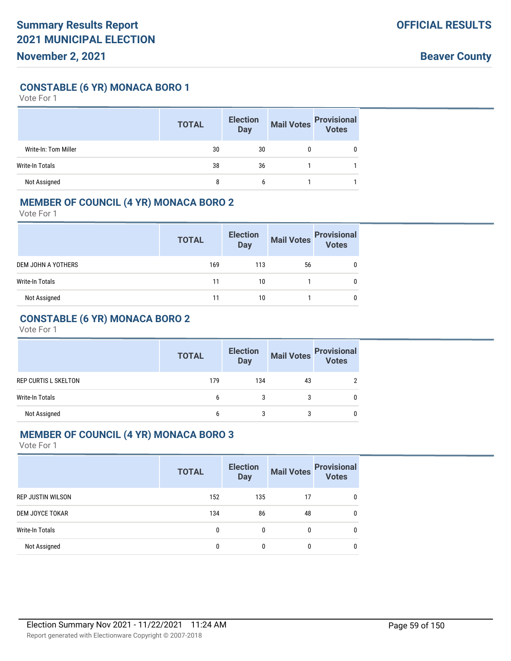### **CONSTABLE (6 YR) MONACA BORO 1**

Vote For 1

|                      | <b>TOTAL</b> | <b>Election</b><br><b>Day</b> | <b>Mail Votes</b> | <b>Provisional</b><br>Votes |
|----------------------|--------------|-------------------------------|-------------------|-----------------------------|
| Write-In: Tom Miller | 30           | 30                            | 0                 |                             |
| Write-In Totals      | 38           | 36                            |                   |                             |
| Not Assigned         | 8            | b                             |                   |                             |

### **MEMBER OF COUNCIL (4 YR) MONACA BORO 2**

Vote For 1

|                           | <b>TOTAL</b> | <b>Election</b><br><b>Day</b> | <b>Mail Votes</b> | <b>Provisional</b><br>Votes |
|---------------------------|--------------|-------------------------------|-------------------|-----------------------------|
| <b>DEM JOHN A YOTHERS</b> | 169          | 113                           | 56                |                             |
| Write-In Totals           | 11           | 10                            |                   |                             |
| Not Assigned              | 11           | 10                            |                   | 0                           |

## **CONSTABLE (6 YR) MONACA BORO 2**

Vote For 1

|                             | <b>TOTAL</b> | <b>Election</b><br><b>Day</b> |    | Mail Votes Provisional<br>Votes |
|-----------------------------|--------------|-------------------------------|----|---------------------------------|
| <b>REP CURTIS L SKELTON</b> | 179          | 134                           | 43 |                                 |
| Write-In Totals             | h            |                               |    |                                 |
| Not Assigned                | h            |                               |    | 0                               |

#### **MEMBER OF COUNCIL (4 YR) MONACA BORO 3**

|                          | <b>TOTAL</b> | <b>Election</b><br><b>Day</b> | <b>Mail Votes</b> | <b>Provisional</b><br><b>Votes</b> |
|--------------------------|--------------|-------------------------------|-------------------|------------------------------------|
| <b>REP JUSTIN WILSON</b> | 152          | 135                           | 17                | 0                                  |
| DEM JOYCE TOKAR          | 134          | 86                            | 48                | 0                                  |
| <b>Write-In Totals</b>   | 0            | 0                             | 0                 | 0                                  |
| Not Assigned             | 0            | 0                             | 0                 | 0                                  |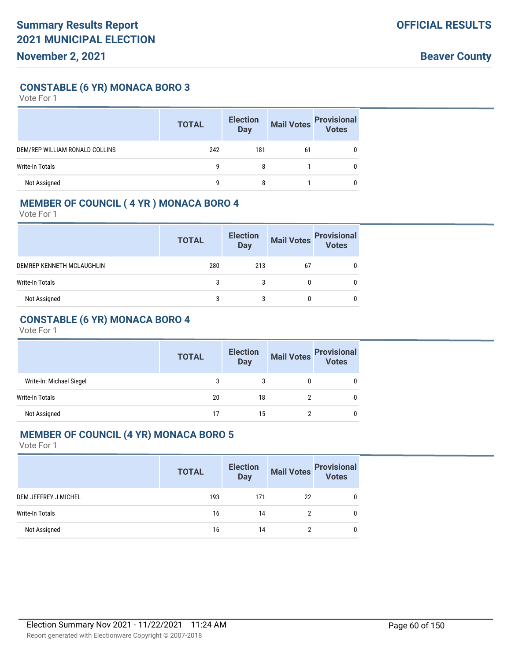### **CONSTABLE (6 YR) MONACA BORO 3**

Vote For 1

|                                | <b>TOTAL</b> | <b>Election</b><br><b>Day</b> | <b>Mail Votes</b> | <b>Provisional</b><br>Votes |
|--------------------------------|--------------|-------------------------------|-------------------|-----------------------------|
| DEM/REP WILLIAM RONALD COLLINS | 242          | 181                           | 61                |                             |
| Write-In Totals                | g            | 8                             |                   |                             |
| Not Assigned                   | q            |                               |                   |                             |

## **MEMBER OF COUNCIL ( 4 YR ) MONACA BORO 4**

Vote For 1

|                           | <b>TOTAL</b> | <b>Election</b><br><b>Day</b> | <b>Mail Votes</b> | <b>Provisional</b><br>Votes |
|---------------------------|--------------|-------------------------------|-------------------|-----------------------------|
| DEMREP KENNETH MCLAUGHLIN | 280          | 213                           | 67                |                             |
| Write-In Totals           | 3            | 3                             |                   | 0                           |
| Not Assigned              |              |                               |                   | 0                           |

### **CONSTABLE (6 YR) MONACA BORO 4**

Vote For 1

|                          | <b>TOTAL</b> | <b>Election</b><br><b>Day</b> | <b>Mail Votes</b> | <b>Provisional</b><br>Votes |
|--------------------------|--------------|-------------------------------|-------------------|-----------------------------|
| Write-In: Michael Siegel | 3            |                               |                   |                             |
| Write-In Totals          | 20           | 18                            |                   |                             |
| Not Assigned             | 17           | 15                            |                   |                             |

#### **MEMBER OF COUNCIL (4 YR) MONACA BORO 5**

|                      | <b>TOTAL</b> | <b>Election</b><br><b>Day</b> |    | Mail Votes Provisional |
|----------------------|--------------|-------------------------------|----|------------------------|
| DEM JEFFREY J MICHEL | 193          | 171                           | 22 | 0                      |
| Write-In Totals      | 16           | 14                            |    | 0                      |
| Not Assigned         | 16           | 14                            |    | 0                      |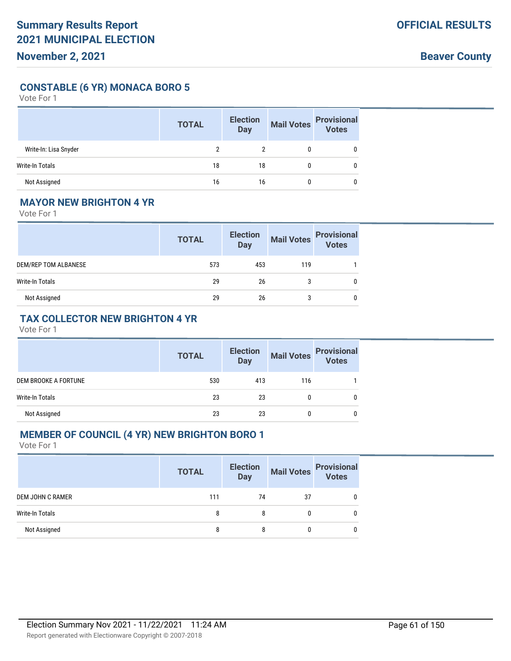**CONSTABLE (6 YR) MONACA BORO 5**

Vote For 1

|                       | <b>TOTAL</b> | <b>Election</b><br><b>Day</b> | <b>Mail Votes</b> | <b>Provisional</b><br><b>Votes</b> |
|-----------------------|--------------|-------------------------------|-------------------|------------------------------------|
| Write-In: Lisa Snyder |              |                               |                   |                                    |
| Write-In Totals       | 18           | 18                            |                   | 0                                  |
| Not Assigned          | 16           | 16                            |                   |                                    |

### **MAYOR NEW BRIGHTON 4 YR**

Vote For 1

|                      | <b>TOTAL</b> | <b>Election</b><br><b>Day</b> | <b>Mail Votes</b> | <b>Provisional</b><br><b>Votes</b> |
|----------------------|--------------|-------------------------------|-------------------|------------------------------------|
| DEM/REP TOM ALBANESE | 573          | 453                           | 119               |                                    |
| Write-In Totals      | 29           | 26                            |                   | 0                                  |
| Not Assigned         | 29           | 26                            |                   | 0                                  |

### **TAX COLLECTOR NEW BRIGHTON 4 YR**

Vote For 1

|                      | <b>TOTAL</b> | <b>Election</b><br><b>Day</b> | <b>Mail Votes</b> | <b>Provisional</b><br><b>Votes</b> |
|----------------------|--------------|-------------------------------|-------------------|------------------------------------|
| DEM BROOKE A FORTUNE | 530          | 413                           | 116               |                                    |
| Write-In Totals      | 23           | 23                            |                   | 0                                  |
| Not Assigned         | 23           | 23                            |                   | 0                                  |

#### **MEMBER OF COUNCIL (4 YR) NEW BRIGHTON BORO 1**

|                  | <b>TOTAL</b> | <b>Election</b><br>Day | <b>Mail Votes</b> | <b>Provisional</b><br><b>Votes</b> |
|------------------|--------------|------------------------|-------------------|------------------------------------|
| DEM JOHN C RAMER | 111          | 74                     | 37                |                                    |
| Write-In Totals  | 8            |                        |                   |                                    |
| Not Assigned     | 8            | 8                      |                   |                                    |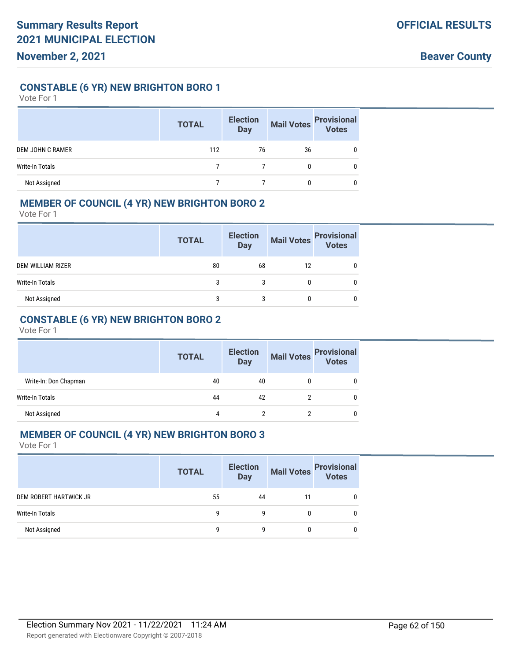### **CONSTABLE (6 YR) NEW BRIGHTON BORO 1**

Vote For 1

|                         | <b>TOTAL</b> | <b>Election</b><br><b>Day</b> | <b>Mail Votes</b> | <b>Provisional</b><br>Votes |
|-------------------------|--------------|-------------------------------|-------------------|-----------------------------|
| <b>DEM JOHN C RAMER</b> | 112          | 76                            | 36                |                             |
| Write-In Totals         |              |                               |                   |                             |
| Not Assigned            |              |                               |                   |                             |

## **MEMBER OF COUNCIL (4 YR) NEW BRIGHTON BORO 2**

Vote For 1

|                          | <b>TOTAL</b> | <b>Election</b><br><b>Day</b> | <b>Mail Votes</b> | <b>Provisional</b><br>Votes |
|--------------------------|--------------|-------------------------------|-------------------|-----------------------------|
| <b>DEM WILLIAM RIZER</b> | 80           | 68                            | 12                |                             |
| Write-In Totals          | 3            | 3                             |                   |                             |
| Not Assigned             |              |                               |                   |                             |

## **CONSTABLE (6 YR) NEW BRIGHTON BORO 2**

Vote For 1

|                       | <b>TOTAL</b> | <b>Election</b><br><b>Day</b> | <b>Mail Votes</b> | <b>Provisional</b><br><b>Votes</b> |
|-----------------------|--------------|-------------------------------|-------------------|------------------------------------|
| Write-In: Don Chapman | 40           | 40                            |                   | 0                                  |
| Write-In Totals       | 44           | 42                            |                   | 0                                  |
| Not Assigned          | 4            |                               |                   |                                    |

### **MEMBER OF COUNCIL (4 YR) NEW BRIGHTON BORO 3**

|                        | <b>TOTAL</b> | <b>Election</b><br><b>Day</b> |    | Mail Votes Provisional |
|------------------------|--------------|-------------------------------|----|------------------------|
| DEM ROBERT HARTWICK JR | 55           | 44                            | 11 |                        |
| Write-In Totals        | q            | q                             | 0  |                        |
| Not Assigned           | g            | q                             | 0  |                        |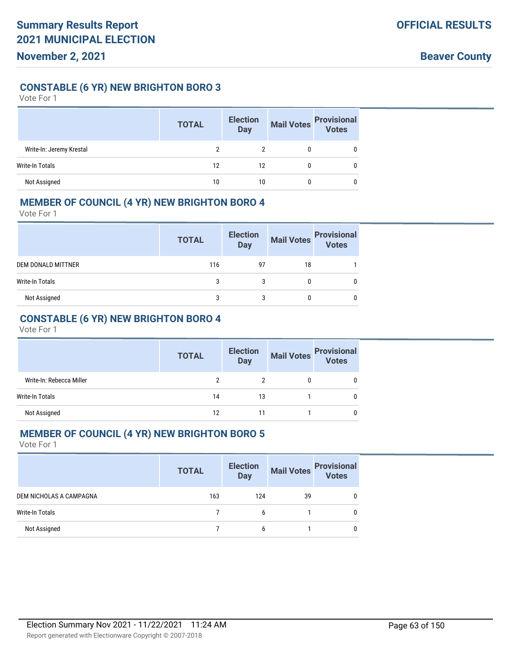### **CONSTABLE (6 YR) NEW BRIGHTON BORO 3**

Vote For 1

|                          | <b>TOTAL</b> | <b>Election</b><br><b>Day</b> | <b>Mail Votes</b> | <b>Provisional</b><br>Votes |
|--------------------------|--------------|-------------------------------|-------------------|-----------------------------|
| Write-In: Jeremy Krestal | っ            |                               |                   |                             |
| <b>Write-In Totals</b>   | 12           | 12                            |                   |                             |
| Not Assigned             | 10           | 10                            |                   |                             |

### **MEMBER OF COUNCIL (4 YR) NEW BRIGHTON BORO 4**

Vote For 1

|                           | <b>TOTAL</b> | <b>Election</b><br><b>Day</b> | <b>Mail Votes</b> | <b>Provisional</b><br>Votes |
|---------------------------|--------------|-------------------------------|-------------------|-----------------------------|
| <b>DEM DONALD MITTNER</b> | 116          | 97                            | 18                |                             |
| Write-In Totals           | 3            | 3                             | 0                 |                             |
| Not Assigned              | 3            | 3                             |                   | 0                           |

## **CONSTABLE (6 YR) NEW BRIGHTON BORO 4**

Vote For 1

|                          | <b>TOTAL</b> | <b>Election</b><br><b>Day</b> |   | Mail Votes<br>Votes<br>Votes |
|--------------------------|--------------|-------------------------------|---|------------------------------|
| Write-In: Rebecca Miller |              |                               | 0 | 0                            |
| <b>Write-In Totals</b>   | 14           | 13                            |   | 0                            |
| Not Assigned             | 12           | 11                            |   | 0                            |

## **MEMBER OF COUNCIL (4 YR) NEW BRIGHTON BORO 5**

|                         | <b>TOTAL</b> | <b>Election</b><br>Day | Mail Votes<br>Votes |  |
|-------------------------|--------------|------------------------|---------------------|--|
| DEM NICHOLAS A CAMPAGNA | 163          | 124                    | 39                  |  |
| Write-In Totals         |              | h                      |                     |  |
| Not Assigned            |              | h                      |                     |  |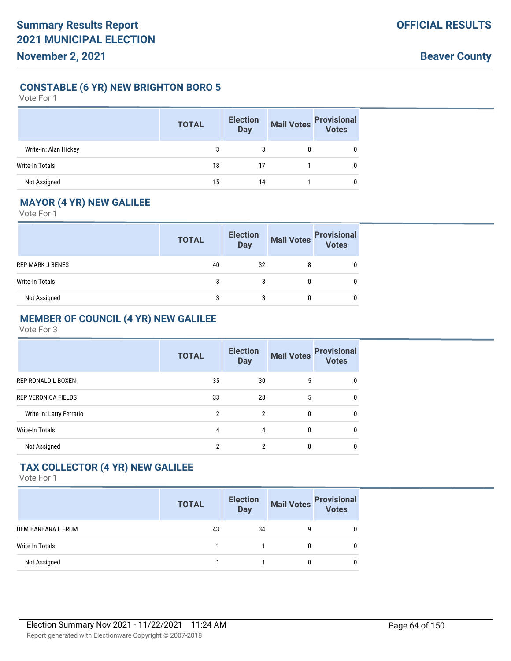### **CONSTABLE (6 YR) NEW BRIGHTON BORO 5**

#### Vote For 1

|                       | <b>TOTAL</b> | <b>Election</b><br><b>Day</b> | <b>Mail Votes</b> | <b>Provisional</b><br>Votes |
|-----------------------|--------------|-------------------------------|-------------------|-----------------------------|
| Write-In: Alan Hickey |              |                               |                   |                             |
| Write-In Totals       | 18           | 17                            |                   |                             |
| Not Assigned          | 15           | 14                            |                   |                             |

### **MAYOR (4 YR) NEW GALILEE**

Vote For 1

|                  | <b>TOTAL</b> | <b>Election</b><br><b>Day</b> | <b>Mail Votes</b> | <b>Provisional</b><br>Votes |
|------------------|--------------|-------------------------------|-------------------|-----------------------------|
| REP MARK J BENES | 40           | 32                            |                   |                             |
| Write-In Totals  |              |                               |                   |                             |
| Not Assigned     |              |                               |                   |                             |

## **MEMBER OF COUNCIL (4 YR) NEW GALILEE**

Vote For 3

|                            | <b>TOTAL</b> | <b>Election</b><br><b>Day</b> | <b>Mail Votes</b> | <b>Provisional</b><br><b>Votes</b> |
|----------------------------|--------------|-------------------------------|-------------------|------------------------------------|
| REP RONALD L BOXEN         | 35           | 30                            | 5                 | 0                                  |
| <b>REP VERONICA FIELDS</b> | 33           | 28                            | 5                 | 0                                  |
| Write-In: Larry Ferrario   | 2            | $\mathfrak{p}$                | 0                 | 0                                  |
| <b>Write-In Totals</b>     | 4            | 4                             | 0                 | 0                                  |
| Not Assigned               | 2            | 2                             | 0                 | 0                                  |
|                            |              |                               |                   |                                    |

# **TAX COLLECTOR (4 YR) NEW GALILEE**

|                    | <b>TOTAL</b> | <b>Election</b><br>Day | Mail Votes | <b>Provisional</b><br>Votes |
|--------------------|--------------|------------------------|------------|-----------------------------|
| DEM BARBARA L FRUM | 43           | 34                     | g          | 0                           |
| Write-In Totals    |              |                        | 0          | 0                           |
| Not Assigned       |              |                        | 0          | 0                           |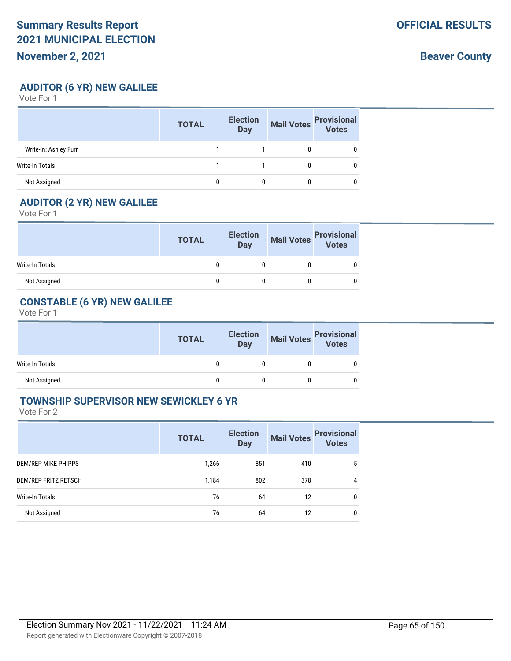**Beaver County**

**AUDITOR (6 YR) NEW GALILEE**

Vote For 1

|                       | <b>TOTAL</b> | <b>Election</b><br><b>Day</b> | <b>Mail Votes</b> | <b>Provisional</b><br>Votes |
|-----------------------|--------------|-------------------------------|-------------------|-----------------------------|
| Write-In: Ashley Furr |              |                               |                   |                             |
| Write-In Totals       |              |                               |                   |                             |
| Not Assigned          |              |                               |                   |                             |

### **AUDITOR (2 YR) NEW GALILEE**

Vote For 1

|                 | <b>TOTAL</b> | <b>Election</b><br>Day | Mail Votes Provisional |
|-----------------|--------------|------------------------|------------------------|
| Write-In Totals |              |                        |                        |
| Not Assigned    |              |                        |                        |

# **CONSTABLE (6 YR) NEW GALILEE**

Vote For 1

|                 | <b>TOTAL</b> | <b>Election</b><br>Day | Mail Votes Provisional<br>Votes |
|-----------------|--------------|------------------------|---------------------------------|
| Write-In Totals |              |                        |                                 |
| Not Assigned    |              |                        |                                 |

### **TOWNSHIP SUPERVISOR NEW SEWICKLEY 6 YR**

|                      | <b>TOTAL</b> | <b>Election</b><br><b>Day</b> | <b>Mail Votes</b> | <b>Provisional</b><br><b>Votes</b> |
|----------------------|--------------|-------------------------------|-------------------|------------------------------------|
| DEM/REP MIKE PHIPPS  | 1,266        | 851                           | 410               | 5                                  |
| DEM/REP FRITZ RETSCH | 1,184        | 802                           | 378               | 4                                  |
| Write-In Totals      | 76           | 64                            | 12                | 0                                  |
| Not Assigned         | 76           | 64                            | 12                | 0                                  |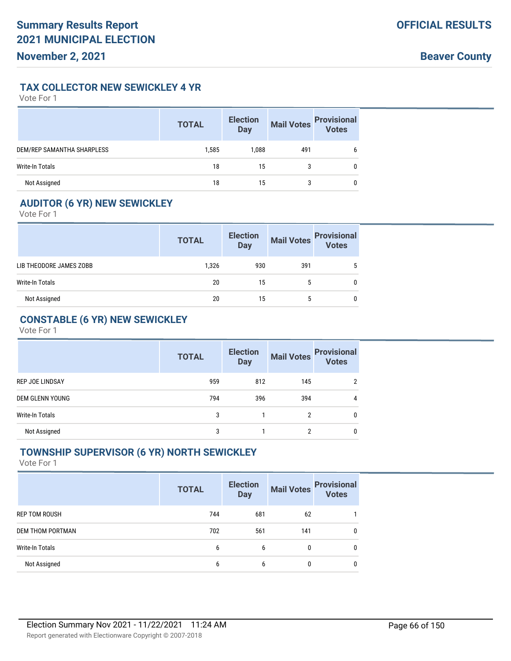### **TAX COLLECTOR NEW SEWICKLEY 4 YR**

Vote For 1

|                            | <b>TOTAL</b> | <b>Election</b><br><b>Day</b> | <b>Mail Votes</b> | <b>Provisional</b><br>Votes |
|----------------------------|--------------|-------------------------------|-------------------|-----------------------------|
| DEM/REP SAMANTHA SHARPLESS | 1,585        | 1,088                         | 491               | 6                           |
| Write-In Totals            | 18           | 15                            | 3                 |                             |
| Not Assigned               | 18           | 15                            | 3                 |                             |

# **AUDITOR (6 YR) NEW SEWICKLEY**

Vote For 1

|                         | <b>TOTAL</b> | <b>Election</b><br><b>Day</b> | <b>Mail Votes</b> | <b>Provisional</b><br><b>Votes</b> |
|-------------------------|--------------|-------------------------------|-------------------|------------------------------------|
| LIB THEODORE JAMES ZOBB | 1,326        | 930                           | 391               | 5                                  |
| Write-In Totals         | 20           | 15                            | 5                 |                                    |
| Not Assigned            | 20           | 15                            | 5                 |                                    |

## **CONSTABLE (6 YR) NEW SEWICKLEY**

Vote For 1

|                        | <b>TOTAL</b> | <b>Election</b><br><b>Day</b> | <b>Mail Votes</b> | <b>Provisional</b><br><b>Votes</b> |
|------------------------|--------------|-------------------------------|-------------------|------------------------------------|
| REP JOE LINDSAY        | 959          | 812                           | 145               |                                    |
| <b>DEM GLENN YOUNG</b> | 794          | 396                           | 394               | 4                                  |
| Write-In Totals        | 3            |                               | 2                 | 0                                  |
| Not Assigned           | 3            |                               | 2                 | 0                                  |

### **TOWNSHIP SUPERVISOR (6 YR) NORTH SEWICKLEY**

|                         | <b>TOTAL</b> | <b>Election</b><br><b>Day</b> | <b>Mail Votes</b> | <b>Provisional</b><br><b>Votes</b> |
|-------------------------|--------------|-------------------------------|-------------------|------------------------------------|
| <b>REP TOM ROUSH</b>    | 744          | 681                           | 62                |                                    |
| <b>DEM THOM PORTMAN</b> | 702          | 561                           | 141               | 0                                  |
| Write-In Totals         | 6            | 6                             | 0                 | $\mathbf{0}$                       |
| Not Assigned            | 6            | 6                             | 0                 | $\mathbf{0}$                       |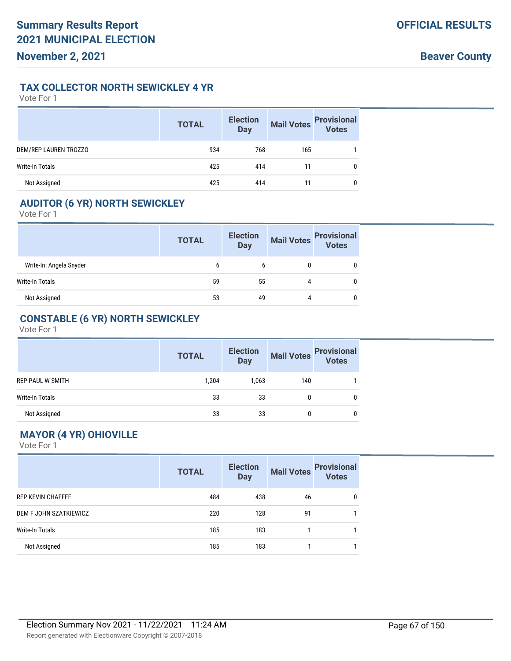#### **TAX COLLECTOR NORTH SEWICKLEY 4 YR**

Vote For 1

|                        | <b>TOTAL</b> | <b>Election</b><br><b>Day</b> | <b>Mail Votes</b> | <b>Provisional</b><br><b>Votes</b> |
|------------------------|--------------|-------------------------------|-------------------|------------------------------------|
| DEM/REP LAUREN TROZZO  | 934          | 768                           | 165               |                                    |
| <b>Write-In Totals</b> | 425          | 414                           | 11                | 0                                  |
| Not Assigned           | 425          | 414                           | 11                | 0                                  |

## **AUDITOR (6 YR) NORTH SEWICKLEY**

Vote For 1

|                         | <b>TOTAL</b> | <b>Election</b><br><b>Day</b> | <b>Mail Votes</b> | <b>Provisional</b><br>Votes |
|-------------------------|--------------|-------------------------------|-------------------|-----------------------------|
| Write-In: Angela Snyder | b            | b                             |                   |                             |
| Write-In Totals         | 59           | 55                            | 4                 |                             |
| Not Assigned            | 53           | 49                            | 4                 |                             |

## **CONSTABLE (6 YR) NORTH SEWICKLEY**

Vote For 1

|                         | <b>TOTAL</b> | <b>Election</b><br><b>Day</b> |     | Mail Votes Provisional<br>Votes |
|-------------------------|--------------|-------------------------------|-----|---------------------------------|
| <b>REP PAUL W SMITH</b> | 1,204        | 1,063                         | 140 |                                 |
| Write-In Totals         | 33           | 33                            |     |                                 |
| Not Assigned            | 33           | 33                            |     | 0                               |

## **MAYOR (4 YR) OHIOVILLE**

|                          | <b>TOTAL</b> | <b>Election</b><br><b>Day</b> | <b>Mail Votes</b> | <b>Provisional</b><br><b>Votes</b> |
|--------------------------|--------------|-------------------------------|-------------------|------------------------------------|
| <b>REP KEVIN CHAFFEE</b> | 484          | 438                           | 46                | 0                                  |
| DEM F JOHN SZATKIEWICZ   | 220          | 128                           | 91                |                                    |
| Write-In Totals          | 185          | 183                           |                   |                                    |
| Not Assigned             | 185          | 183                           |                   |                                    |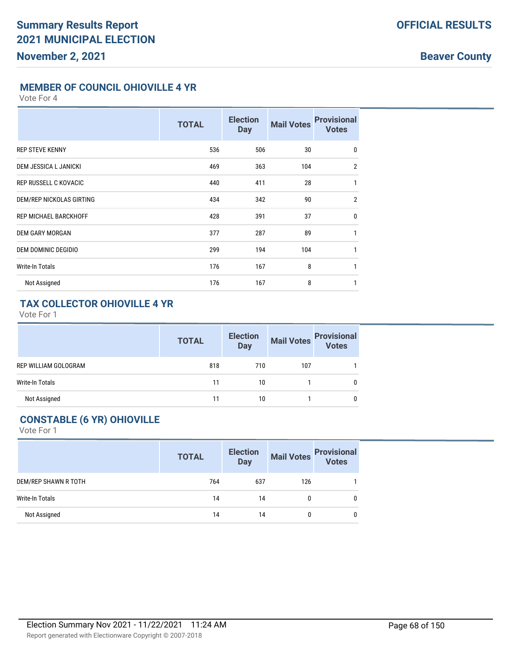**Beaver County**

### **MEMBER OF COUNCIL OHIOVILLE 4 YR**

Vote For 4

|                                 | <b>TOTAL</b> | <b>Election</b><br><b>Day</b> | <b>Mail Votes</b> | <b>Provisional</b><br><b>Votes</b> |
|---------------------------------|--------------|-------------------------------|-------------------|------------------------------------|
| <b>REP STEVE KENNY</b>          | 536          | 506                           | 30                | $\mathbf 0$                        |
| <b>DEM JESSICA L JANICKI</b>    | 469          | 363                           | 104               | $\overline{2}$                     |
| <b>REP RUSSELL C KOVACIC</b>    | 440          | 411                           | 28                | $\mathbf{1}$                       |
| <b>DEM/REP NICKOLAS GIRTING</b> | 434          | 342                           | 90                | $\overline{2}$                     |
| <b>REP MICHAEL BARCKHOFF</b>    | 428          | 391                           | 37                | $\mathbf{0}$                       |
| <b>DEM GARY MORGAN</b>          | 377          | 287                           | 89                | 1                                  |
| <b>DEM DOMINIC DEGIDIO</b>      | 299          | 194                           | 104               | 1                                  |
| <b>Write-In Totals</b>          | 176          | 167                           | 8                 | $\mathbf{1}$                       |
| Not Assigned                    | 176          | 167                           | 8                 | 1                                  |

# **TAX COLLECTOR OHIOVILLE 4 YR**

Vote For 1

|                      | <b>TOTAL</b> | <b>Election</b><br><b>Day</b> | <b>Mail Votes</b> | <b>Provisional</b><br>Votes |
|----------------------|--------------|-------------------------------|-------------------|-----------------------------|
| REP WILLIAM GOLOGRAM | 818          | 710                           | 107               |                             |
| Write-In Totals      | 11           | 10                            |                   |                             |
| Not Assigned         | 11           | 10                            |                   |                             |

# **CONSTABLE (6 YR) OHIOVILLE**

|                      | <b>TOTAL</b> | <b>Election</b><br><b>Day</b> | <b>Mail Votes</b> | <b>Provisional</b><br><b>Votes</b> |
|----------------------|--------------|-------------------------------|-------------------|------------------------------------|
| DEM/REP SHAWN R TOTH | 764          | 637                           | 126               |                                    |
| Write-In Totals      | 14           | 14                            | 0                 | 0                                  |
| Not Assigned         | 14           | 14                            | 0                 | 0                                  |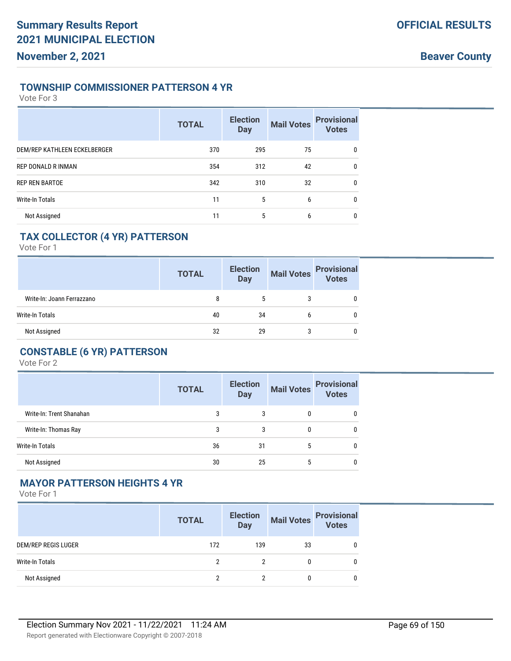#### **TOWNSHIP COMMISSIONER PATTERSON 4 YR**

Vote For 3

|                              | <b>TOTAL</b> | <b>Election</b><br><b>Day</b> | <b>Mail Votes</b> | <b>Provisional</b><br><b>Votes</b> |
|------------------------------|--------------|-------------------------------|-------------------|------------------------------------|
| DEM/REP KATHLEEN ECKELBERGER | 370          | 295                           | 75                | 0                                  |
| REP DONALD R INMAN           | 354          | 312                           | 42                | $\mathbf{0}$                       |
| <b>REP REN BARTOE</b>        | 342          | 310                           | 32                | $\mathbf{0}$                       |
| <b>Write-In Totals</b>       | 11           | 5                             | 6                 | $\mathbf{0}$                       |
| Not Assigned                 | 11           | 5                             | 6                 | 0                                  |

### **TAX COLLECTOR (4 YR) PATTERSON**

Vote For 1

|                            | <b>TOTAL</b> | <b>Election</b><br><b>Day</b> | <b>Mail Votes</b> | <b>Provisional</b><br><b>Votes</b> |
|----------------------------|--------------|-------------------------------|-------------------|------------------------------------|
| Write-In: Joann Ferrazzano | 8            |                               |                   |                                    |
| Write-In Totals            | 40           | 34                            | b                 |                                    |
| Not Assigned               | 32           | 29                            | 3                 |                                    |

## **CONSTABLE (6 YR) PATTERSON**

Vote For 2

|                          | <b>TOTAL</b> | <b>Election</b><br><b>Day</b> |   | Mail Votes Provisional<br>Votes |
|--------------------------|--------------|-------------------------------|---|---------------------------------|
| Write-In: Trent Shanahan | 3            | 3                             | 0 | 0                               |
| Write-In: Thomas Ray     | 3            | 3                             | 0 | 0                               |
| Write-In Totals          | 36           | 31                            | 5 | 0                               |
| Not Assigned             | 30           | 25                            | 5 | 0                               |

#### **MAYOR PATTERSON HEIGHTS 4 YR**

|                     | <b>TOTAL</b> | <b>Election</b><br><b>Day</b> | <b>Mail Votes</b> | <b>Provisional</b><br>Votes |
|---------------------|--------------|-------------------------------|-------------------|-----------------------------|
| DEM/REP REGIS LUGER | 172          | 139                           | 33                | 0                           |
| Write-In Totals     |              |                               |                   | 0                           |
| Not Assigned        |              |                               |                   | 0                           |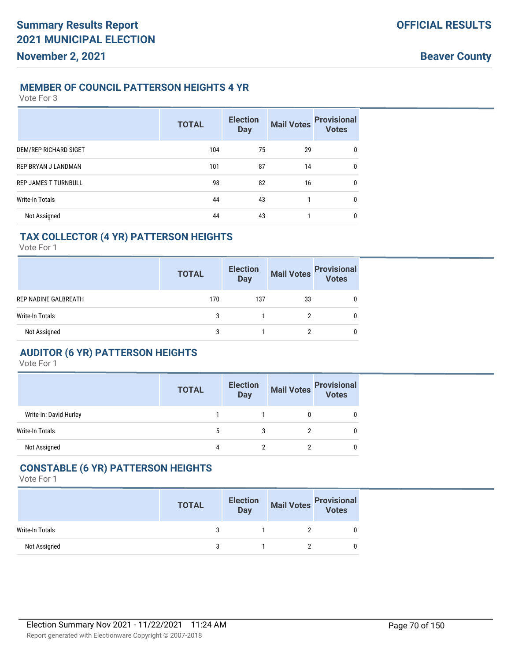#### **MEMBER OF COUNCIL PATTERSON HEIGHTS 4 YR**

Vote For 3

|                             | <b>TOTAL</b> | <b>Election</b><br><b>Day</b> | <b>Mail Votes</b> | <b>Provisional</b><br><b>Votes</b> |
|-----------------------------|--------------|-------------------------------|-------------------|------------------------------------|
| DEM/REP RICHARD SIGET       | 104          | 75                            | 29                | 0                                  |
| REP BRYAN J LANDMAN         | 101          | 87                            | 14                | $\mathbf{0}$                       |
| <b>REP JAMES T TURNBULL</b> | 98           | 82                            | 16                | $\mathbf{0}$                       |
| <b>Write-In Totals</b>      | 44           | 43                            | 1                 | 0                                  |
| Not Assigned                | 44           | 43                            |                   | 0                                  |

### **TAX COLLECTOR (4 YR) PATTERSON HEIGHTS**

Vote For 1

|                      | <b>TOTAL</b> | <b>Election</b><br><b>Day</b> | <b>Mail Votes</b> | <b>Provisional</b><br><b>Votes</b> |
|----------------------|--------------|-------------------------------|-------------------|------------------------------------|
| REP NADINE GALBREATH | 170          | 137                           | 33                |                                    |
| Write-In Totals      | 3            |                               | っ                 |                                    |
| Not Assigned         | 3            |                               |                   |                                    |

### **AUDITOR (6 YR) PATTERSON HEIGHTS**

Vote For 1

|                        | <b>TOTAL</b> | <b>Election</b><br><b>Day</b> |   | Mail Votes<br>Votes |
|------------------------|--------------|-------------------------------|---|---------------------|
| Write-In: David Hurley |              |                               | 0 |                     |
| Write-In Totals        | 5            | 3                             |   | U                   |
| Not Assigned           | 4            | ∩                             |   | 0                   |

### **CONSTABLE (6 YR) PATTERSON HEIGHTS**

|                 | <b>TOTAL</b> | <b>Election</b><br>Day | Mail Votes<br>Votes |
|-----------------|--------------|------------------------|---------------------|
| Write-In Totals | ર            |                        |                     |
| Not Assigned    |              |                        |                     |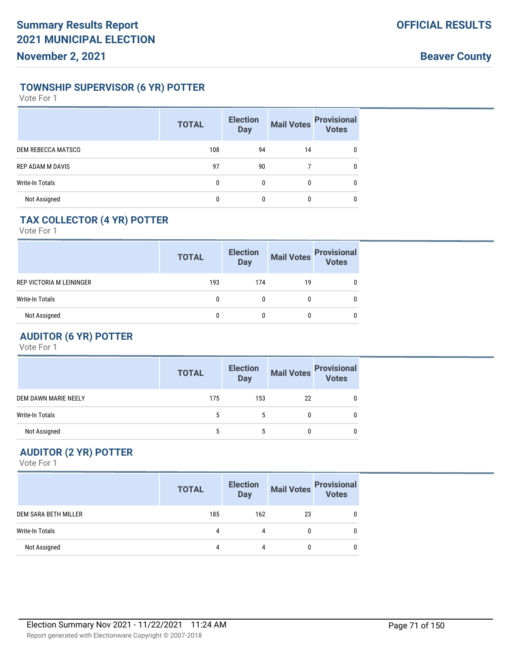### **TOWNSHIP SUPERVISOR (6 YR) POTTER**

Vote For 1

|                           | <b>TOTAL</b> | <b>Election</b><br><b>Day</b> | <b>Mail Votes</b> | <b>Provisional</b><br>Votes |
|---------------------------|--------------|-------------------------------|-------------------|-----------------------------|
| <b>DEM REBECCA MATSCO</b> | 108          | 94                            | 14                | 0                           |
| <b>REP ADAM M DAVIS</b>   | 97           | 90                            |                   | 0                           |
| Write-In Totals           | 0            | $\mathbf{0}$                  | 0                 | 0                           |
| Not Assigned              | 0            | 0                             | 0                 | 0                           |

# **TAX COLLECTOR (4 YR) POTTER**

Vote For 1

|                          | <b>TOTAL</b> | <b>Election</b><br><b>Day</b> | <b>Mail Votes</b> | <b>Provisional</b><br>Votes |
|--------------------------|--------------|-------------------------------|-------------------|-----------------------------|
| REP VICTORIA M LEININGER | 193          | 174                           | 19                |                             |
| Write-In Totals          |              |                               |                   |                             |
| Not Assigned             |              |                               |                   |                             |

# **AUDITOR (6 YR) POTTER**

Vote For 1

|                      | <b>TOTAL</b> | <b>Election</b><br><b>Day</b> | <b>Mail Votes</b> | <b>Provisional</b><br>Votes |
|----------------------|--------------|-------------------------------|-------------------|-----------------------------|
| DEM DAWN MARIE NEELY | 175          | 153                           | 22                | 0                           |
| Write-In Totals      |              |                               | 0                 |                             |
| Not Assigned         |              |                               | 0                 | 0                           |

# **AUDITOR (2 YR) POTTER**

|                      | <b>TOTAL</b> | <b>Election</b><br><b>Day</b> | <b>Mail Votes</b> | <b>Provisional</b><br><b>Votes</b> |
|----------------------|--------------|-------------------------------|-------------------|------------------------------------|
| DEM SARA BETH MILLER | 185          | 162                           | 23                |                                    |
| Write-In Totals      | 4            | 4                             |                   |                                    |
| Not Assigned         | 4            | 4                             |                   |                                    |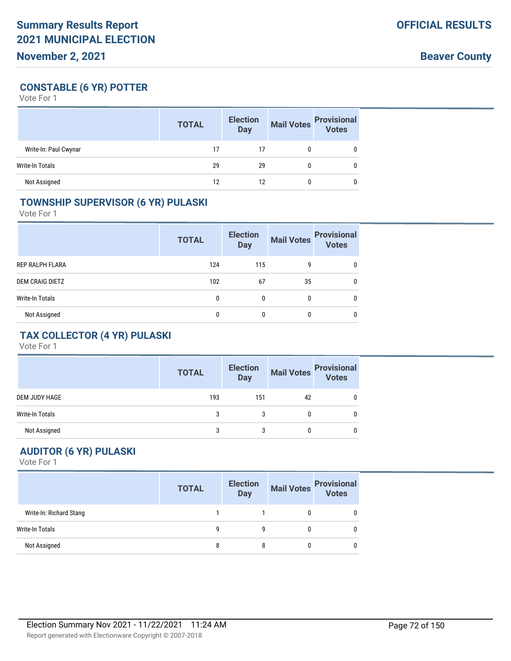# **CONSTABLE (6 YR) POTTER**

Vote For 1

|                        | <b>TOTAL</b> | <b>Election</b><br><b>Day</b> | <b>Mail Votes</b> | <b>Provisional</b><br>Votes |
|------------------------|--------------|-------------------------------|-------------------|-----------------------------|
| Write-In: Paul Cwynar  | 17           | 17                            |                   |                             |
| <b>Write-In Totals</b> | 29           | 29                            |                   |                             |
| Not Assigned           | 12           | 12                            |                   |                             |

### **TOWNSHIP SUPERVISOR (6 YR) PULASKI**

Vote For 1

|                        | <b>TOTAL</b> | <b>Election</b><br><b>Day</b> | <b>Mail Votes</b> | <b>Provisional</b><br><b>Votes</b> |
|------------------------|--------------|-------------------------------|-------------------|------------------------------------|
| REP RALPH FLARA        | 124          | 115                           | 9                 | 0                                  |
| <b>DEM CRAIG DIETZ</b> | 102          | 67                            | 35                | 0                                  |
| Write-In Totals        | 0            | $\mathbf{0}$                  | 0                 | 0                                  |
| Not Assigned           | 0            | 0                             | $\mathbf{0}$      | $\mathbf{0}$                       |

# **TAX COLLECTOR (4 YR) PULASKI**

Vote For 1

|                 | <b>TOTAL</b> | <b>Election</b><br><b>Day</b> |    | Mail Votes<br>Votes |
|-----------------|--------------|-------------------------------|----|---------------------|
| DEM JUDY HAGE   | 193          | 151                           | 42 |                     |
| Write-In Totals | 3            | 3                             |    |                     |
| Not Assigned    | 3            | 3                             |    |                     |

# **AUDITOR (6 YR) PULASKI**

|                         | <b>TOTAL</b> | <b>Election</b><br><b>Day</b> | <b>Mail Votes</b> | <b>Provisional</b><br>Votes |
|-------------------------|--------------|-------------------------------|-------------------|-----------------------------|
| Write-In: Richard Stang |              |                               |                   |                             |
| Write-In Totals         | a            | a                             |                   |                             |
| Not Assigned            |              |                               |                   |                             |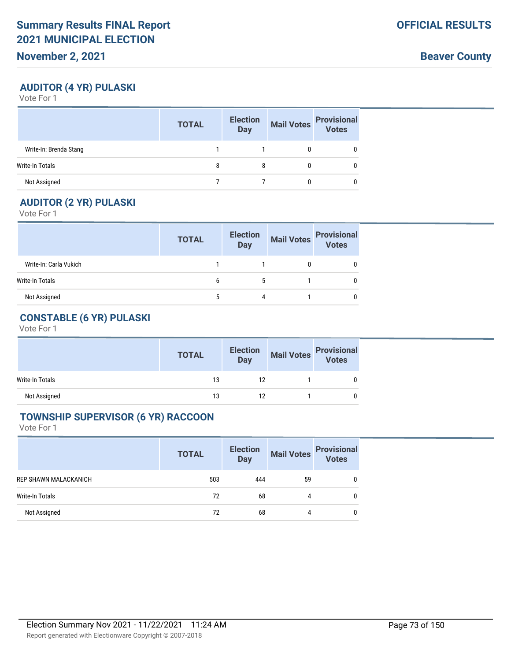**Beaver County**

# **AUDITOR (4 YR) PULASKI**

Vote For 1

|                        | <b>TOTAL</b> | <b>Election</b><br>Day | <b>Mail Votes</b> | <b>Provisional</b><br>Votes |
|------------------------|--------------|------------------------|-------------------|-----------------------------|
| Write-In: Brenda Stang |              |                        |                   |                             |
| Write-In Totals        |              |                        |                   |                             |
| Not Assigned           |              |                        |                   |                             |

## **AUDITOR (2 YR) PULASKI**

Vote For 1

|                        | <b>TOTAL</b> | <b>Election</b><br><b>Day</b> | <b>Mail Votes</b> | <b>Provisional</b><br><b>Votes</b> |
|------------------------|--------------|-------------------------------|-------------------|------------------------------------|
| Write-In: Carla Vukich |              |                               |                   |                                    |
| Write-In Totals        | b            | 5                             |                   |                                    |
| Not Assigned           |              | 4                             |                   |                                    |

# **CONSTABLE (6 YR) PULASKI**

Vote For 1

|                 | <b>TOTAL</b> | <b>Election</b><br>Day | Mail Votes<br>Votes |
|-----------------|--------------|------------------------|---------------------|
| Write-In Totals | 13           | 12                     |                     |
| Not Assigned    | 13           | 12                     |                     |

#### **TOWNSHIP SUPERVISOR (6 YR) RACCOON**

|                       | <b>TOTAL</b> | <b>Election</b><br><b>Day</b> | <b>Mail Votes</b> | <b>Provisional</b><br><b>Votes</b> |
|-----------------------|--------------|-------------------------------|-------------------|------------------------------------|
| REP SHAWN MALACKANICH | 503          | 444                           | 59                | 0                                  |
| Write-In Totals       | 72           | 68                            | 4                 | 0                                  |
| Not Assigned          | 72           | 68                            | 4                 | 0                                  |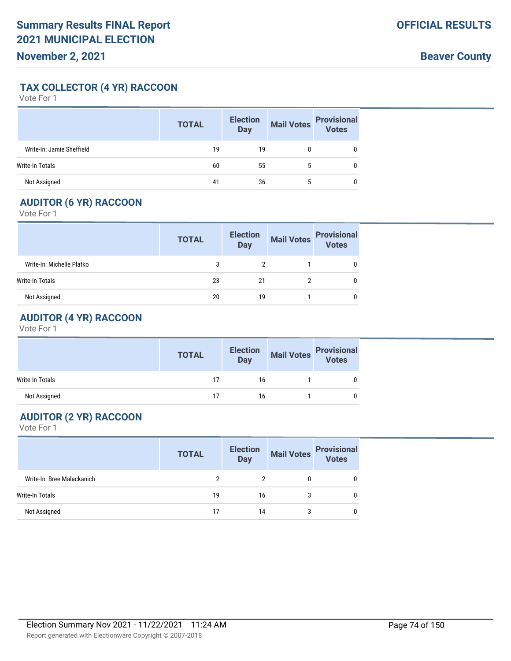## **TAX COLLECTOR (4 YR) RACCOON**

Vote For 1

|                           | <b>TOTAL</b> | <b>Election</b><br><b>Day</b> | <b>Mail Votes</b> | <b>Provisional</b><br><b>Votes</b> |
|---------------------------|--------------|-------------------------------|-------------------|------------------------------------|
| Write-In: Jamie Sheffield | 19           | 19                            |                   |                                    |
| Write-In Totals           | 60           | 55                            |                   |                                    |
| Not Assigned              | 41           | 36                            | 5                 |                                    |

## **AUDITOR (6 YR) RACCOON**

Vote For 1

|                           | <b>TOTAL</b> | <b>Election</b><br><b>Day</b> | <b>Mail Votes</b> | <b>Provisional</b><br><b>Votes</b> |
|---------------------------|--------------|-------------------------------|-------------------|------------------------------------|
| Write-In: Michelle Platko |              |                               |                   |                                    |
| Write-In Totals           | 23           | 21                            |                   |                                    |
| Not Assigned              | 20           | 19                            |                   |                                    |

# **AUDITOR (4 YR) RACCOON**

Vote For 1

|                 | <b>TOTAL</b> | <b>Election</b><br>Day | Mail Votes<br>Votes |
|-----------------|--------------|------------------------|---------------------|
| Write-In Totals | 17           | 16                     |                     |
| Not Assigned    | 17           | 16                     |                     |

# **AUDITOR (2 YR) RACCOON**

|                            | <b>TOTAL</b> | <b>Election</b><br>Day | <b>Mail Votes</b> | <b>Provisional</b><br><b>Votes</b> |
|----------------------------|--------------|------------------------|-------------------|------------------------------------|
| Write-In: Bree Malackanich |              |                        |                   |                                    |
| Write-In Totals            | 19           | 16                     |                   |                                    |
| Not Assigned               | 17           | 14                     | 3                 |                                    |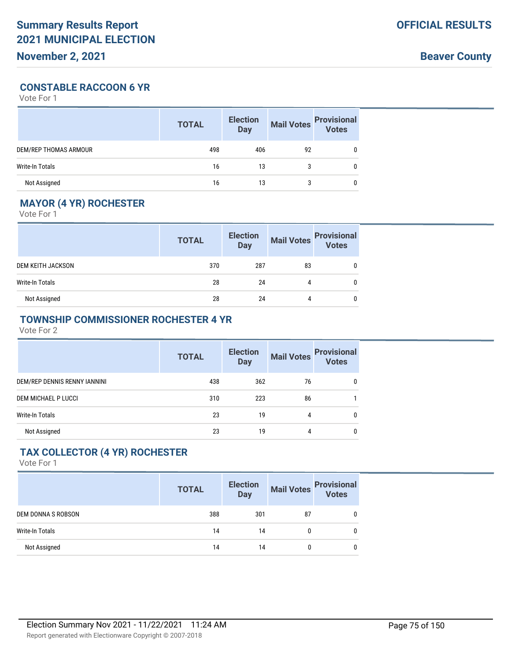**Beaver County**

### **CONSTABLE RACCOON 6 YR**

Vote For 1

|                        | <b>TOTAL</b> | <b>Election</b><br><b>Day</b> | <b>Mail Votes</b> | <b>Provisional</b><br><b>Votes</b> |
|------------------------|--------------|-------------------------------|-------------------|------------------------------------|
| DEM/REP THOMAS ARMOUR  | 498          | 406                           | 92                |                                    |
| <b>Write-In Totals</b> | 16           | 13                            |                   |                                    |
| Not Assigned           | 16           | 13                            | 3                 |                                    |

# **MAYOR (4 YR) ROCHESTER**

Vote For 1

|                          | <b>TOTAL</b> | <b>Election</b><br><b>Day</b> | <b>Mail Votes</b> | <b>Provisional</b><br>Votes |
|--------------------------|--------------|-------------------------------|-------------------|-----------------------------|
| <b>DEM KEITH JACKSON</b> | 370          | 287                           | 83                | 0                           |
| Write-In Totals          | 28           | 24                            | 4                 |                             |
| Not Assigned             | 28           | 24                            | 4                 | 0                           |

## **TOWNSHIP COMMISSIONER ROCHESTER 4 YR**

Vote For 2

|                              | <b>TOTAL</b> | <b>Election</b><br><b>Day</b> | <b>Mail Votes</b> | <b>Provisional</b><br><b>Votes</b> |
|------------------------------|--------------|-------------------------------|-------------------|------------------------------------|
| DEM/REP DENNIS RENNY IANNINI | 438          | 362                           | 76                | 0                                  |
| DEM MICHAEL P LUCCI          | 310          | 223                           | 86                |                                    |
| Write-In Totals              | 23           | 19                            | 4                 | 0                                  |
| Not Assigned                 | 23           | 19                            | 4                 | 0                                  |

# **TAX COLLECTOR (4 YR) ROCHESTER**

|                    | <b>TOTAL</b> | <b>Election</b><br><b>Day</b> | <b>Mail Votes</b> | <b>Provisional</b><br><b>Votes</b> |
|--------------------|--------------|-------------------------------|-------------------|------------------------------------|
| DEM DONNA S ROBSON | 388          | 301                           | 87                | 0                                  |
| Write-In Totals    | 14           | 14                            | 0                 | 0                                  |
| Not Assigned       | 14           | 14                            | 0                 | 0                                  |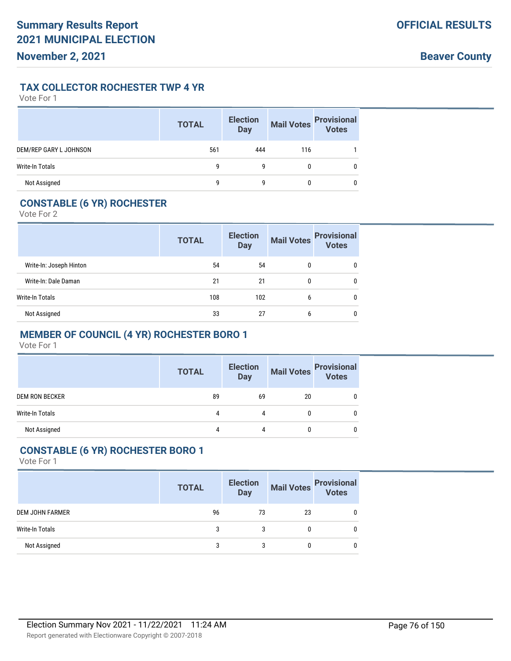## **TAX COLLECTOR ROCHESTER TWP 4 YR**

Vote For 1

|                        | <b>TOTAL</b> | <b>Election</b><br><b>Day</b> | <b>Mail Votes</b> | <b>Provisional</b><br>Votes |
|------------------------|--------------|-------------------------------|-------------------|-----------------------------|
| DEM/REP GARY L JOHNSON | 561          | 444                           | 116               |                             |
| <b>Write-In Totals</b> | g            | g                             | 0                 | 0                           |
| Not Assigned           | q            | q                             | 0                 | 0                           |

# **CONSTABLE (6 YR) ROCHESTER**

Vote For 2

|                         | <b>TOTAL</b> | <b>Election</b><br><b>Day</b> | <b>Mail Votes</b> | <b>Provisional</b><br><b>Votes</b> |
|-------------------------|--------------|-------------------------------|-------------------|------------------------------------|
| Write-In: Joseph Hinton | 54           | 54                            | 0                 | 0                                  |
| Write-In: Dale Daman    | 21           | 21                            | $\mathbf{0}$      | 0                                  |
| Write-In Totals         | 108          | 102                           | 6                 | 0                                  |
| Not Assigned            | 33           | 27                            | 6                 | $\mathbf{0}$                       |

# **MEMBER OF COUNCIL (4 YR) ROCHESTER BORO 1**

Vote For 1

|                       | <b>TOTAL</b> | <b>Election</b><br><b>Day</b> | <b>Mail Votes</b> | <b>Provisional</b><br><b>Votes</b> |
|-----------------------|--------------|-------------------------------|-------------------|------------------------------------|
| <b>DEM RON BECKER</b> | 89           | 69                            | 20                |                                    |
| Write-In Totals       | 4            | 4                             |                   |                                    |
| Not Assigned          | 4            | 4                             |                   |                                    |

## **CONSTABLE (6 YR) ROCHESTER BORO 1**

|                        | <b>TOTAL</b> | <b>Election</b><br>Day | <b>Mail Votes</b> | <b>Provisional</b><br>Votes |
|------------------------|--------------|------------------------|-------------------|-----------------------------|
| <b>DEM JOHN FARMER</b> | 96           | 73                     | 23                |                             |
| Write-In Totals        | 3            | 3                      |                   |                             |
| Not Assigned           | 3            | 3                      |                   |                             |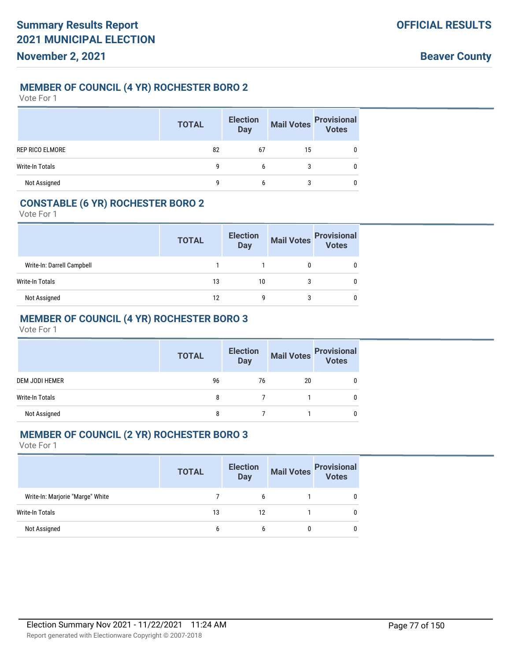## **MEMBER OF COUNCIL (4 YR) ROCHESTER BORO 2**

Vote For 1

|                        | <b>TOTAL</b> | <b>Election</b><br><b>Day</b> | <b>Mail Votes</b> | <b>Provisional</b><br>Votes |
|------------------------|--------------|-------------------------------|-------------------|-----------------------------|
| REP RICO ELMORE        | 82           | 67                            | 15                |                             |
| <b>Write-In Totals</b> | 9            | 6                             |                   |                             |
| Not Assigned           | q            | b                             |                   |                             |

## **CONSTABLE (6 YR) ROCHESTER BORO 2**

Vote For 1

|                            | <b>TOTAL</b> | <b>Election</b><br><b>Day</b> | <b>Mail Votes</b> | <b>Provisional</b><br>Votes |
|----------------------------|--------------|-------------------------------|-------------------|-----------------------------|
| Write-In: Darrell Campbell |              |                               |                   |                             |
| Write-In Totals            | 13           | 10                            | 3                 |                             |
| Not Assigned               | 12           | q                             | 3                 |                             |

# **MEMBER OF COUNCIL (4 YR) ROCHESTER BORO 3**

Vote For 1

|                        | <b>TOTAL</b> | <b>Election</b><br><b>Day</b> |    | Mail Votes Provisional |
|------------------------|--------------|-------------------------------|----|------------------------|
| <b>DEM JODI HEMER</b>  | 96           | 76                            | 20 | 0                      |
| <b>Write-In Totals</b> | 8            |                               |    | 0                      |
| Not Assigned           |              |                               |    |                        |

### **MEMBER OF COUNCIL (2 YR) ROCHESTER BORO 3**

|                                  | <b>TOTAL</b> | <b>Election</b><br><b>Day</b> | Mail Votes<br>Votes |
|----------------------------------|--------------|-------------------------------|---------------------|
| Write-In: Marjorie "Marge" White |              | b                             | 0                   |
| Write-In Totals                  | 13           | 12                            | 0                   |
| Not Assigned                     | b            |                               | 0                   |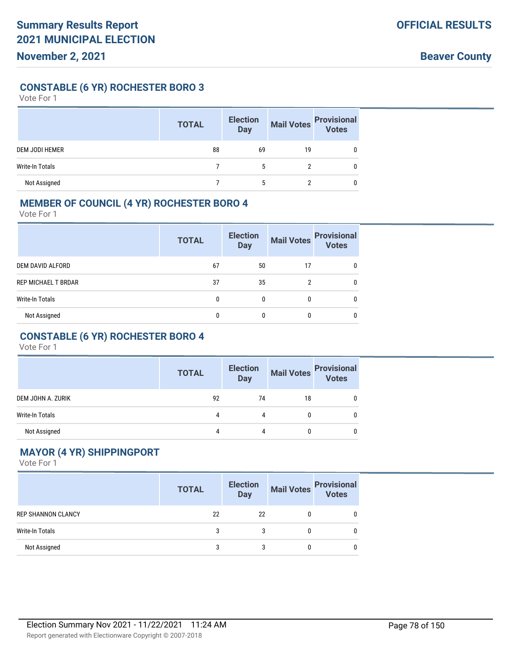## **CONSTABLE (6 YR) ROCHESTER BORO 3**

Vote For 1

|                       | <b>TOTAL</b> | <b>Election</b><br><b>Day</b> | <b>Mail Votes</b> | <b>Provisional</b><br>Votes |
|-----------------------|--------------|-------------------------------|-------------------|-----------------------------|
| <b>DEM JODI HEMER</b> | 88           | 69                            | 19                |                             |
| Write-In Totals       |              | 5                             |                   |                             |
| Not Assigned          |              |                               |                   |                             |

## **MEMBER OF COUNCIL (4 YR) ROCHESTER BORO 4**

Vote For 1

|                            | <b>TOTAL</b> | <b>Election</b><br><b>Day</b> | <b>Mail Votes</b> | <b>Provisional</b><br>Votes |
|----------------------------|--------------|-------------------------------|-------------------|-----------------------------|
| <b>DEM DAVID ALFORD</b>    | 67           | 50                            | 17                | 0                           |
| <b>REP MICHAEL T BRDAR</b> | 37           | 35                            | 2                 | 0                           |
| Write-In Totals            | 0            | 0                             | 0                 | $\mathbf{0}$                |
| Not Assigned               |              | 0                             | 0                 | 0                           |

# **CONSTABLE (6 YR) ROCHESTER BORO 4**

Vote For 1

|                   | <b>TOTAL</b> | <b>Election</b><br><b>Day</b> |    | Mail Votes Provisional<br>Votes |
|-------------------|--------------|-------------------------------|----|---------------------------------|
| DEM JOHN A. ZURIK | 92           | 74                            | 18 |                                 |
| Write-In Totals   | 4            | Λ                             |    |                                 |
| Not Assigned      | 4            | Δ                             |    |                                 |

# **MAYOR (4 YR) SHIPPINGPORT**

|                           | <b>TOTAL</b> | <b>Election</b><br><b>Day</b> | <b>Mail Votes</b> | <b>Provisional</b><br>Votes |
|---------------------------|--------------|-------------------------------|-------------------|-----------------------------|
| <b>REP SHANNON CLANCY</b> | 22           | 22                            |                   |                             |
| Write-In Totals           | 3            | 3                             |                   |                             |
| Not Assigned              | 3            |                               |                   |                             |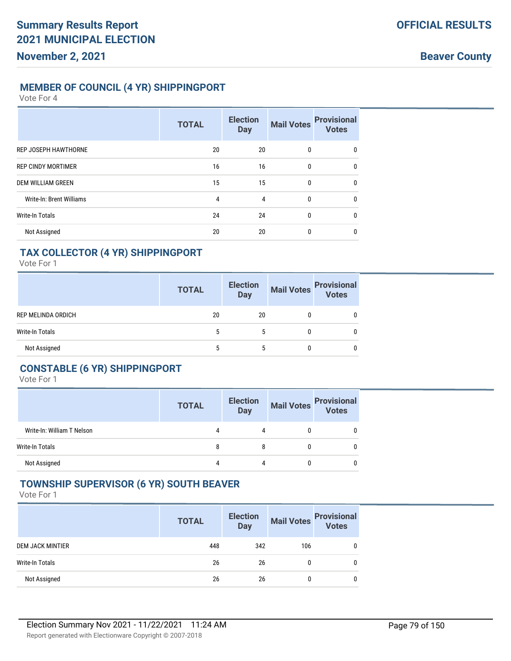## **MEMBER OF COUNCIL (4 YR) SHIPPINGPORT**

Vote For 4

|                             | <b>TOTAL</b> | <b>Election</b><br><b>Day</b> | <b>Mail Votes</b> | <b>Provisional</b><br><b>Votes</b> |
|-----------------------------|--------------|-------------------------------|-------------------|------------------------------------|
| <b>REP JOSEPH HAWTHORNE</b> | 20           | 20                            | 0                 | $\mathbf{0}$                       |
| <b>REP CINDY MORTIMER</b>   | 16           | 16                            | 0                 | 0                                  |
| <b>DEM WILLIAM GREEN</b>    | 15           | 15                            | $\mathbf{0}$      | $\mathbf{0}$                       |
| Write-In: Brent Williams    | 4            | 4                             | $\mathbf{0}$      | $\mathbf{0}$                       |
| <b>Write-In Totals</b>      | 24           | 24                            | $\mathbf{0}$      | $\mathbf{0}$                       |
| Not Assigned                | 20           | 20                            | $\mathbf{0}$      | $\mathbf{0}$                       |

## **TAX COLLECTOR (4 YR) SHIPPINGPORT**

Vote For 1

|                    | <b>TOTAL</b> | <b>Election</b><br><b>Day</b> | <b>Mail Votes</b> | <b>Provisional</b><br>Votes |
|--------------------|--------------|-------------------------------|-------------------|-----------------------------|
| REP MELINDA ORDICH | 20           | 20                            |                   |                             |
| Write-In Totals    | 5            | 5                             |                   |                             |
| Not Assigned       | 5            |                               |                   |                             |

#### **CONSTABLE (6 YR) SHIPPINGPORT**

Vote For 1

|                            | <b>TOTAL</b> | <b>Election</b><br><b>Day</b> | Mail Votes Provisional<br>Votes |
|----------------------------|--------------|-------------------------------|---------------------------------|
| Write-In: William T Nelson | 4            | 4                             | 0                               |
| <b>Write-In Totals</b>     | 8            | 8                             | 0                               |
| Not Assigned               | 4            |                               | 0                               |

# **TOWNSHIP SUPERVISOR (6 YR) SOUTH BEAVER**

|                         | <b>TOTAL</b> | <b>Election</b><br><b>Day</b> | <b>Mail Votes</b> | <b>Provisional</b><br>Votes |
|-------------------------|--------------|-------------------------------|-------------------|-----------------------------|
| <b>DEM JACK MINTIER</b> | 448          | 342                           | 106               | 0                           |
| Write-In Totals         | 26           | 26                            | 0                 | $\mathbf{0}$                |
| Not Assigned            | 26           | 26                            | 0                 | 0                           |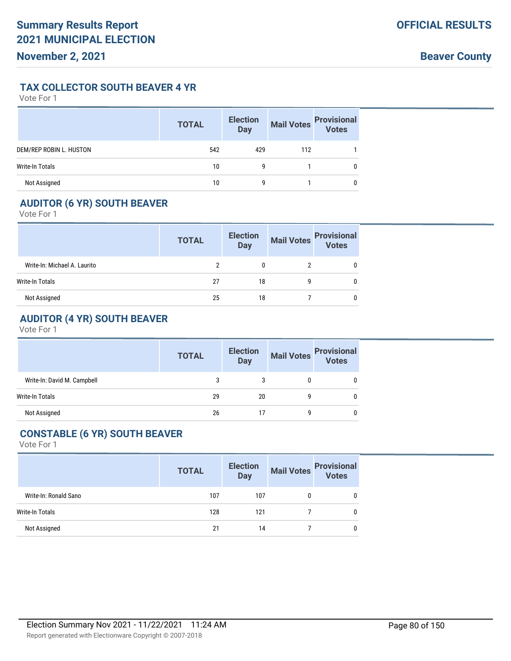#### **TAX COLLECTOR SOUTH BEAVER 4 YR**

Vote For 1

|                         | <b>TOTAL</b> | <b>Election</b><br><b>Day</b> | <b>Mail Votes</b> | <b>Provisional</b><br>Votes |
|-------------------------|--------------|-------------------------------|-------------------|-----------------------------|
| DEM/REP ROBIN L. HUSTON | 542          | 429                           | 112               |                             |
| <b>Write-In Totals</b>  | 10           | 9                             |                   |                             |
| Not Assigned            | 10           | g                             |                   |                             |

# **AUDITOR (6 YR) SOUTH BEAVER**

Vote For 1

|                              | <b>TOTAL</b> | <b>Election</b><br>Day | <b>Mail Votes</b> | <b>Provisional</b><br>Votes |
|------------------------------|--------------|------------------------|-------------------|-----------------------------|
| Write-In: Michael A. Laurito |              |                        |                   |                             |
| Write-In Totals              | 27           | 18                     |                   |                             |
| Not Assigned                 | 25           | 18                     |                   |                             |

# **AUDITOR (4 YR) SOUTH BEAVER**

Vote For 1

|                             | <b>TOTAL</b> | <b>Election</b><br><b>Day</b> |   | Mail Votes<br>Votes |
|-----------------------------|--------------|-------------------------------|---|---------------------|
| Write-In: David M. Campbell |              |                               | U | 0                   |
| Write-In Totals             | 29           | 20                            |   | 0                   |
| Not Assigned                | 26           | 17                            | q | 0                   |

# **CONSTABLE (6 YR) SOUTH BEAVER**

|                       | <b>TOTAL</b> | <b>Election</b><br><b>Day</b> |   | Mail Votes Provisional<br>Votes |
|-----------------------|--------------|-------------------------------|---|---------------------------------|
| Write-In: Ronald Sano | 107          | 107                           | 0 |                                 |
| Write-In Totals       | 128          | 121                           |   |                                 |
| Not Assigned          | 21           | 14                            |   |                                 |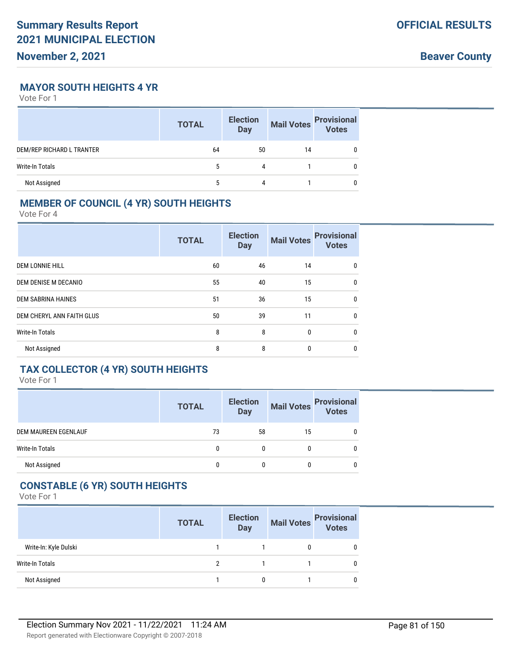**Beaver County**

## **MAYOR SOUTH HEIGHTS 4 YR**

Vote For 1

|                           | <b>TOTAL</b> | <b>Election</b><br><b>Day</b> | <b>Mail Votes</b> | <b>Provisional</b><br>Votes |
|---------------------------|--------------|-------------------------------|-------------------|-----------------------------|
| DEM/REP RICHARD L TRANTER | 64           | 50                            | 14                |                             |
| Write-In Totals           | 5            | 4                             |                   |                             |
| Not Assigned              |              | 4                             |                   |                             |

# **MEMBER OF COUNCIL (4 YR) SOUTH HEIGHTS**

Vote For 4

|                           | <b>TOTAL</b> | <b>Election</b><br><b>Day</b> | <b>Mail Votes</b> | <b>Provisional</b><br><b>Votes</b> |
|---------------------------|--------------|-------------------------------|-------------------|------------------------------------|
| <b>DEM LONNIE HILL</b>    | 60           | 46                            | 14                | 0                                  |
| DEM DENISE M DECANIO      | 55           | 40                            | 15                | $\mathbf{0}$                       |
| <b>DEM SABRINA HAINES</b> | 51           | 36                            | 15                | $\mathbf{0}$                       |
| DEM CHERYL ANN FAITH GLUS | 50           | 39                            | 11                | 0                                  |
| <b>Write-In Totals</b>    | 8            | 8                             | $\mathbf{0}$      | $\mathbf{0}$                       |
| Not Assigned              | 8            | 8                             | 0                 | 0                                  |

# **TAX COLLECTOR (4 YR) SOUTH HEIGHTS**

Vote For 1

|                             | <b>TOTAL</b> | <b>Election</b><br><b>Day</b> | <b>Mail Votes</b> | <b>Provisional</b><br>Votes |
|-----------------------------|--------------|-------------------------------|-------------------|-----------------------------|
| <b>DEM MAUREEN EGENLAUF</b> | 73           | 58                            | 15                | 0                           |
| <b>Write-In Totals</b>      |              | 0                             | 0                 | 0                           |
| Not Assigned                | 0            |                               | 0                 | 0                           |

#### **CONSTABLE (6 YR) SOUTH HEIGHTS**

|                        | <b>TOTAL</b> | <b>Election</b><br><b>Day</b> | <b>Mail Votes</b> | <b>Provisional</b><br>Votes |
|------------------------|--------------|-------------------------------|-------------------|-----------------------------|
| Write-In: Kyle Dulski  |              |                               |                   |                             |
| <b>Write-In Totals</b> |              |                               |                   | 0                           |
| Not Assigned           |              |                               |                   |                             |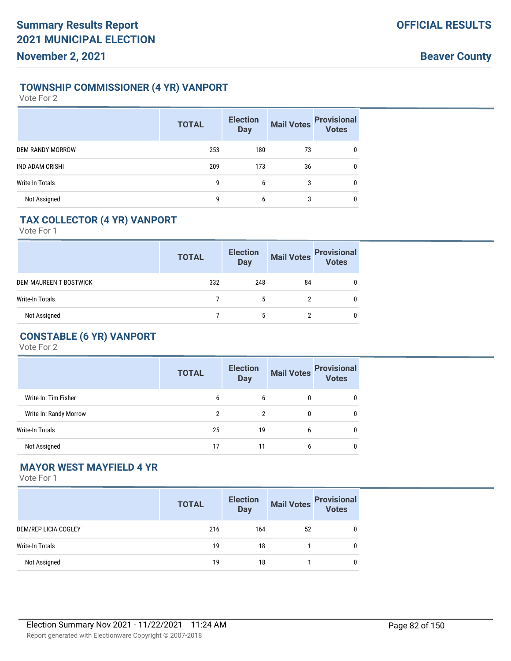## **TOWNSHIP COMMISSIONER (4 YR) VANPORT**

Vote For 2

|                         | <b>TOTAL</b> | <b>Election</b><br><b>Day</b> | <b>Mail Votes</b> | <b>Provisional</b><br>Votes |
|-------------------------|--------------|-------------------------------|-------------------|-----------------------------|
| <b>DEM RANDY MORROW</b> | 253          | 180                           | 73                | $\mathbf{0}$                |
| <b>IND ADAM CRISHI</b>  | 209          | 173                           | 36                | $\mathbf{0}$                |
| <b>Write-In Totals</b>  | 9            | 6                             | 3                 | $\mathbf{0}$                |
| Not Assigned            | 9            | 6                             | 3                 | 0                           |

# **TAX COLLECTOR (4 YR) VANPORT**

Vote For 1

|                        | <b>TOTAL</b> | <b>Election</b><br><b>Day</b> | <b>Mail Votes</b> | <b>Provisional</b><br>Votes |
|------------------------|--------------|-------------------------------|-------------------|-----------------------------|
| DEM MAUREEN T BOSTWICK | 332          | 248                           | 84                |                             |
| Write-In Totals        |              |                               |                   |                             |
| Not Assigned           |              |                               |                   |                             |

# **CONSTABLE (6 YR) VANPORT**

Vote For 2

|                        | <b>TOTAL</b> | <b>Election</b><br><b>Day</b> | <b>Mail Votes</b> | <b>Provisional</b><br>Votes |
|------------------------|--------------|-------------------------------|-------------------|-----------------------------|
| Write-In: Tim Fisher   | 6            | 6                             | 0                 |                             |
| Write-In: Randy Morrow | 2            | 2                             | 0                 |                             |
| <b>Write-In Totals</b> | 25           | 19                            | 6                 |                             |
| Not Assigned           | 17           | 11                            | 6                 |                             |

# **MAYOR WEST MAYFIELD 4 YR**

|                      | <b>TOTAL</b> | <b>Election</b><br><b>Day</b> | <b>Mail Votes</b> | <b>Provisional</b><br>Votes |
|----------------------|--------------|-------------------------------|-------------------|-----------------------------|
| DEM/REP LICIA COGLEY | 216          | 164                           | 52                | 0                           |
| Write-In Totals      | 19           | 18                            |                   | 0                           |
| Not Assigned         | 19           | 18                            |                   | 0                           |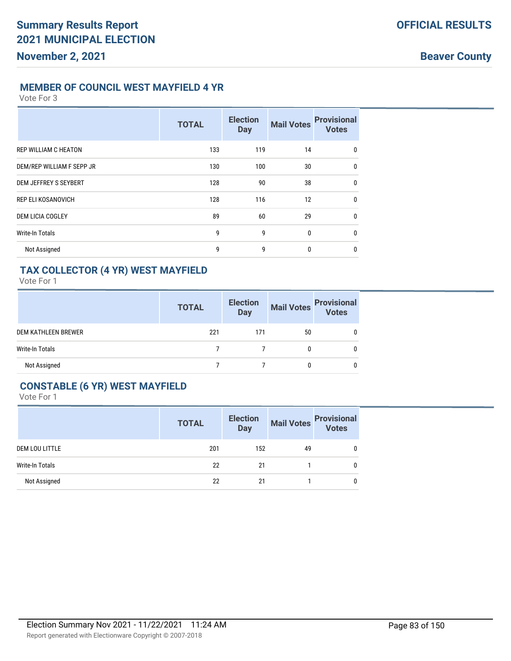#### **MEMBER OF COUNCIL WEST MAYFIELD 4 YR**

Vote For 3

|                             | <b>TOTAL</b> | <b>Election</b><br><b>Day</b> | <b>Mail Votes</b> | <b>Provisional</b><br><b>Votes</b> |
|-----------------------------|--------------|-------------------------------|-------------------|------------------------------------|
| <b>REP WILLIAM C HEATON</b> | 133          | 119                           | 14                | 0                                  |
| DEM/REP WILLIAM F SEPP JR   | 130          | 100                           | 30                | $\mathbf 0$                        |
| DEM JEFFREY S SEYBERT       | 128          | 90                            | 38                | $\mathbf 0$                        |
| <b>REP ELI KOSANOVICH</b>   | 128          | 116                           | 12                | $\mathbf 0$                        |
| <b>DEM LICIA COGLEY</b>     | 89           | 60                            | 29                | $\mathbf 0$                        |
| <b>Write-In Totals</b>      | 9            | 9                             | 0                 | $\mathbf 0$                        |
| Not Assigned                | 9            | 9                             | 0                 | 0                                  |

## **TAX COLLECTOR (4 YR) WEST MAYFIELD**

Vote For 1

|                            | <b>TOTAL</b> | <b>Election</b><br><b>Day</b> | <b>Mail Votes</b> | <b>Provisional</b><br>Votes |
|----------------------------|--------------|-------------------------------|-------------------|-----------------------------|
| <b>DEM KATHLEEN BREWER</b> | 221          | 171                           | 50                |                             |
| <b>Write-In Totals</b>     |              |                               |                   |                             |
| Not Assigned               |              |                               |                   |                             |

## **CONSTABLE (6 YR) WEST MAYFIELD**

|                       | <b>TOTAL</b> | <b>Election</b><br><b>Day</b> | <b>Mail Votes</b> | <b>Provisional</b><br>Votes |
|-----------------------|--------------|-------------------------------|-------------------|-----------------------------|
| <b>DEM LOU LITTLE</b> | 201          | 152                           | 49                | 0                           |
| Write-In Totals       | 22           | 21                            |                   | 0                           |
| Not Assigned          | 22           | 21                            |                   | 0                           |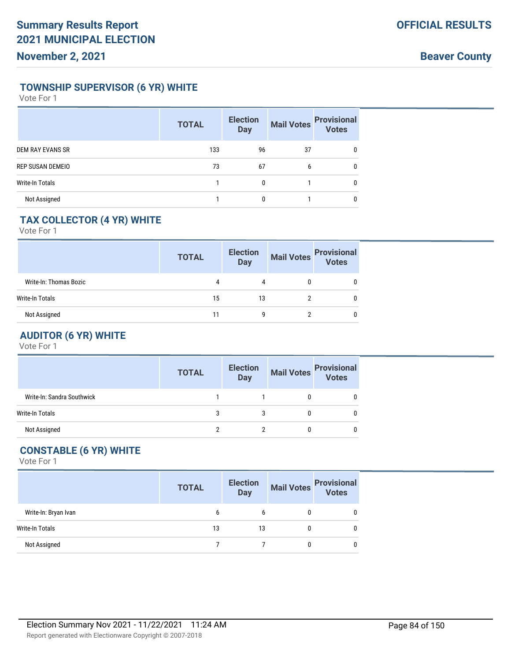## **TOWNSHIP SUPERVISOR (6 YR) WHITE**

Vote For 1

|                         | <b>TOTAL</b> | <b>Election</b><br><b>Day</b> | <b>Mail Votes</b> | <b>Provisional</b><br>Votes |
|-------------------------|--------------|-------------------------------|-------------------|-----------------------------|
| <b>DEM RAY EVANS SR</b> | 133          | 96                            | 37                | 0                           |
| REP SUSAN DEMEIO        | 73           | 67                            | 6                 | 0                           |
| <b>Write-In Totals</b>  |              | 0                             |                   | 0                           |
| Not Assigned            |              |                               |                   | 0                           |

# **TAX COLLECTOR (4 YR) WHITE**

Vote For 1

|                        | <b>TOTAL</b> | <b>Election</b><br><b>Day</b> | <b>Mail Votes</b> | <b>Provisional</b><br>Votes |
|------------------------|--------------|-------------------------------|-------------------|-----------------------------|
| Write-In: Thomas Bozic | 4            | 4                             |                   |                             |
| <b>Write-In Totals</b> | 15           | 13                            |                   |                             |
| Not Assigned           | 11           | q                             |                   |                             |

# **AUDITOR (6 YR) WHITE**

Vote For 1

|                            | <b>TOTAL</b> | <b>Election</b><br><b>Day</b> | <b>Mail Votes</b> | <b>Provisional</b><br>Votes |
|----------------------------|--------------|-------------------------------|-------------------|-----------------------------|
| Write-In: Sandra Southwick |              |                               |                   |                             |
| Write-In Totals            |              |                               |                   |                             |
| Not Assigned               |              |                               |                   |                             |

# **CONSTABLE (6 YR) WHITE**

|                      | <b>TOTAL</b> | <b>Election</b><br><b>Day</b> |   | Mail Votes Provisional |
|----------------------|--------------|-------------------------------|---|------------------------|
| Write-In: Bryan Ivan | 6            | b                             |   |                        |
| Write-In Totals      | 13           | 13                            | 0 |                        |
| Not Assigned         |              |                               | 0 |                        |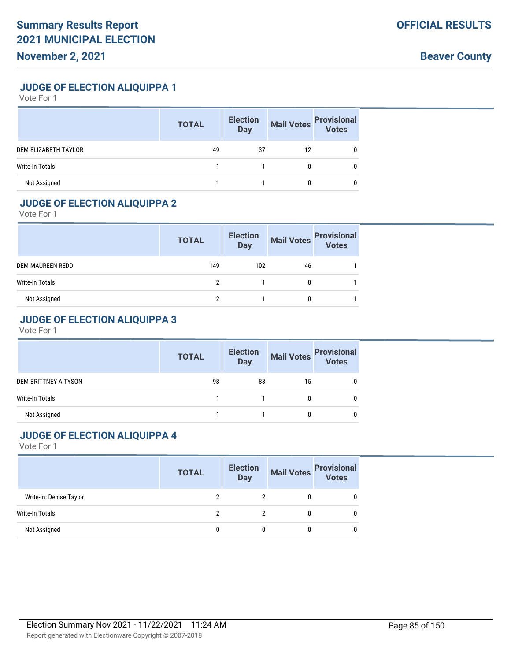**Beaver County**

**JUDGE OF ELECTION ALIQUIPPA 1**

Vote For 1

|                        | <b>TOTAL</b> | <b>Election</b><br><b>Day</b> | <b>Mail Votes</b> | <b>Provisional</b><br>Votes |
|------------------------|--------------|-------------------------------|-------------------|-----------------------------|
| DEM ELIZABETH TAYLOR   | 49           | 37                            | 12                |                             |
| <b>Write-In Totals</b> |              |                               |                   |                             |
| Not Assigned           |              |                               |                   |                             |

# **JUDGE OF ELECTION ALIQUIPPA 2**

Vote For 1

|                  | <b>TOTAL</b> | <b>Election</b><br><b>Mail Votes</b><br><b>Day</b> |    | <b>Provisional</b><br>Votes |
|------------------|--------------|----------------------------------------------------|----|-----------------------------|
| DEM MAUREEN REDD | 149          | 102                                                | 46 |                             |
| Write-In Totals  | າ            |                                                    |    |                             |
| Not Assigned     |              |                                                    |    |                             |

# **JUDGE OF ELECTION ALIQUIPPA 3**

Vote For 1

|                        | <b>TOTAL</b> | <b>Election</b><br><b>Day</b> |    | Mail Votes<br>Votes |
|------------------------|--------------|-------------------------------|----|---------------------|
| DEM BRITTNEY A TYSON   | 98           | 83                            | 15 |                     |
| <b>Write-In Totals</b> |              |                               |    |                     |
| Not Assigned           |              |                               | 0  |                     |

#### **JUDGE OF ELECTION ALIQUIPPA 4**

|                         | <b>TOTAL</b> | <b>Election</b><br><b>Day</b> |   | Mail Votes<br>Votes |
|-------------------------|--------------|-------------------------------|---|---------------------|
| Write-In: Denise Taylor |              |                               | 0 |                     |
| Write-In Totals         | ∩            | 2                             | 0 |                     |
| Not Assigned            |              | 0                             | 0 |                     |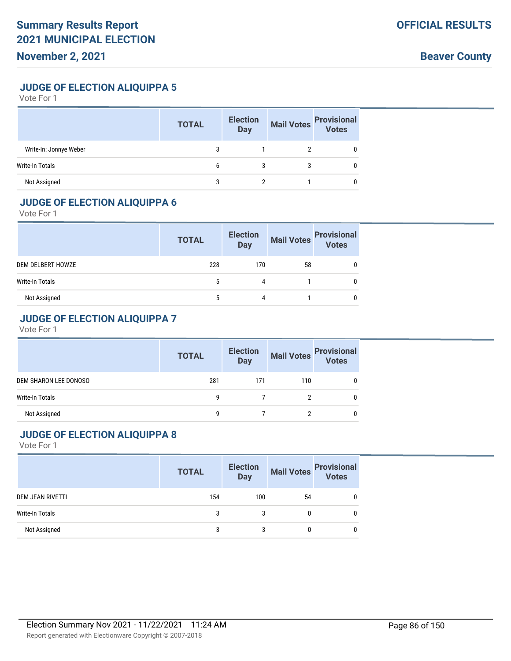**Beaver County**

**JUDGE OF ELECTION ALIQUIPPA 5**

Vote For 1

|                        | <b>TOTAL</b> | <b>Election</b><br><b>Day</b> | <b>Mail Votes</b> | <b>Provisional</b><br>Votes |
|------------------------|--------------|-------------------------------|-------------------|-----------------------------|
| Write-In: Jonnye Weber |              |                               |                   |                             |
| <b>Write-In Totals</b> | b            |                               |                   |                             |
| Not Assigned           |              |                               |                   |                             |

## **JUDGE OF ELECTION ALIQUIPPA 6**

Vote For 1

|                   | <b>TOTAL</b> | <b>Election</b><br>Day | <b>Mail Votes</b> | <b>Provisional</b><br>Votes |
|-------------------|--------------|------------------------|-------------------|-----------------------------|
| DEM DELBERT HOWZE | 228          | 170                    | 58                |                             |
| Write-In Totals   |              |                        |                   |                             |
| Not Assigned      |              | Δ                      |                   |                             |

# **JUDGE OF ELECTION ALIQUIPPA 7**

Vote For 1

|                       | <b>Election</b><br><b>TOTAL</b><br>Day |     |     | Mail Votes Provisional<br>Votes |
|-----------------------|----------------------------------------|-----|-----|---------------------------------|
| DEM SHARON LEE DONOSO | 281                                    | 171 | 110 |                                 |
| Write-In Totals       | q                                      |     |     |                                 |
| Not Assigned          | q                                      |     |     |                                 |

#### **JUDGE OF ELECTION ALIQUIPPA 8**

|                  | <b>TOTAL</b> | <b>Election</b><br>Day |    | Mail Votes<br>Votes |
|------------------|--------------|------------------------|----|---------------------|
| DEM JEAN RIVETTI | 154          | 100                    | 54 | 0                   |
| Write-In Totals  | 3            | 3                      |    | 0                   |
| Not Assigned     | 3            | 3                      |    | 0                   |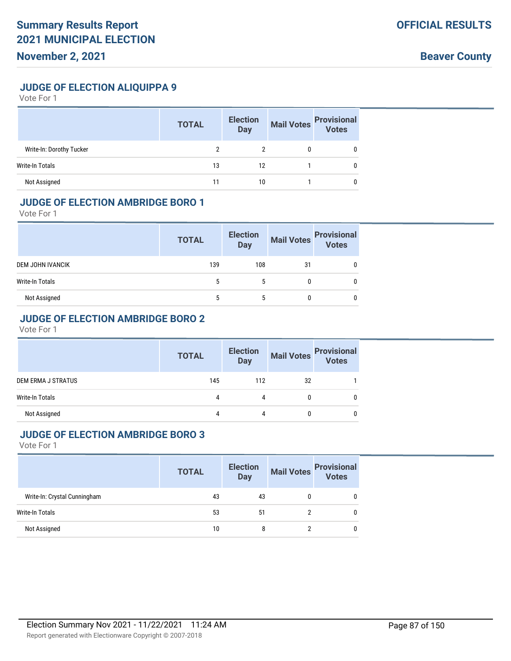**Beaver County**

**JUDGE OF ELECTION ALIQUIPPA 9**

Vote For 1

|                          | <b>TOTAL</b> | <b>Election</b><br><b>Day</b> | <b>Mail Votes</b> | <b>Provisional</b><br>Votes |
|--------------------------|--------------|-------------------------------|-------------------|-----------------------------|
| Write-In: Dorothy Tucker |              |                               |                   |                             |
| <b>Write-In Totals</b>   | 13           | 12                            |                   |                             |
| Not Assigned             |              | 10                            |                   |                             |

#### **JUDGE OF ELECTION AMBRIDGE BORO 1**

Vote For 1

|                  | <b>TOTAL</b> | <b>Election</b><br><b>Day</b> | <b>Mail Votes</b> | <b>Provisional</b><br>Votes |
|------------------|--------------|-------------------------------|-------------------|-----------------------------|
| DEM JOHN IVANCIK | 139          | 108                           | 31                |                             |
| Write-In Totals  |              | 5                             |                   |                             |
| Not Assigned     | 5            | 5                             |                   | 0                           |

#### **JUDGE OF ELECTION AMBRIDGE BORO 2**

Vote For 1

|                        | <b>TOTAL</b> | <b>Election</b><br><b>Day</b> |    | Mail Votes Provisional<br>Votes |
|------------------------|--------------|-------------------------------|----|---------------------------------|
| DEM ERMA J STRATUS     | 145          | 112                           | 32 |                                 |
| <b>Write-In Totals</b> | 4            | 4                             | 0  | 0                               |
| Not Assigned           | 4            | 4                             |    |                                 |

#### **JUDGE OF ELECTION AMBRIDGE BORO 3**

|                              | <b>TOTAL</b> | <b>Election</b><br><b>Day</b> | Mail Votes | <b>Provisional</b><br>Votes |
|------------------------------|--------------|-------------------------------|------------|-----------------------------|
| Write-In: Crystal Cunningham | 43           | 43                            |            | 0                           |
| Write-In Totals              | 53           | 51                            |            | 0                           |
| Not Assigned                 | 10           | 8                             |            | 0                           |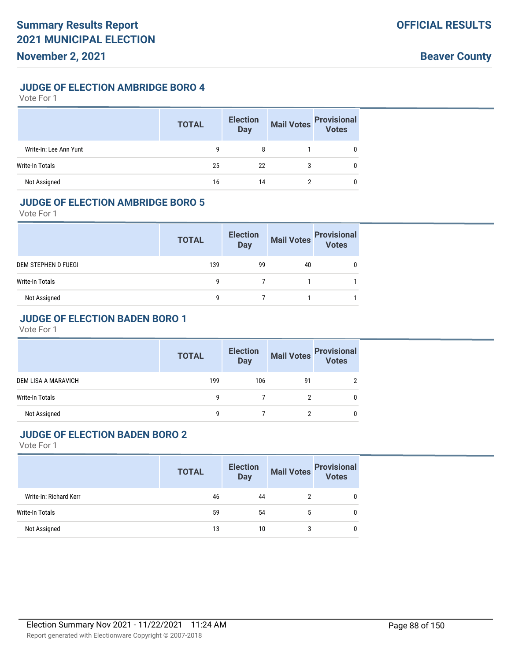#### **JUDGE OF ELECTION AMBRIDGE BORO 4**

Vote For 1

|                        | <b>TOTAL</b> | <b>Election</b><br><b>Day</b> | <b>Mail Votes</b> | <b>Provisional</b><br>Votes |
|------------------------|--------------|-------------------------------|-------------------|-----------------------------|
| Write-In: Lee Ann Yunt | 9            | 8                             |                   |                             |
| <b>Write-In Totals</b> | 25           | 22                            | 3                 |                             |
| Not Assigned           | 16           | 14                            |                   |                             |

#### **JUDGE OF ELECTION AMBRIDGE BORO 5**

Vote For 1

|                     | <b>TOTAL</b> | <b>Election</b><br><b>Day</b> | <b>Mail Votes</b> | <b>Provisional</b><br>Votes |
|---------------------|--------------|-------------------------------|-------------------|-----------------------------|
| DEM STEPHEN D FUEGI | 139          | 99                            | 40                |                             |
| Write-In Totals     | q            |                               |                   |                             |
| Not Assigned        | q            |                               |                   |                             |

## **JUDGE OF ELECTION BADEN BORO 1**

Vote For 1

|                        | <b>TOTAL</b> | <b>Election</b><br><b>Day</b> |    | Mail Votes Provisional<br>Votes |
|------------------------|--------------|-------------------------------|----|---------------------------------|
| DEM LISA A MARAVICH    | 199          | 106                           | 91 |                                 |
| <b>Write-In Totals</b> | q            |                               |    | 0                               |
| Not Assigned           | q            |                               |    |                                 |

#### **JUDGE OF ELECTION BADEN BORO 2**

|                        | <b>TOTAL</b> | <b>Election</b><br><b>Day</b> |   | Mail Votes<br>Votes |
|------------------------|--------------|-------------------------------|---|---------------------|
| Write-In: Richard Kerr | 46           | 44                            |   | 0                   |
| Write-In Totals        | 59           | 54                            | 5 | 0                   |
| Not Assigned           | 13           | 10                            |   | 0                   |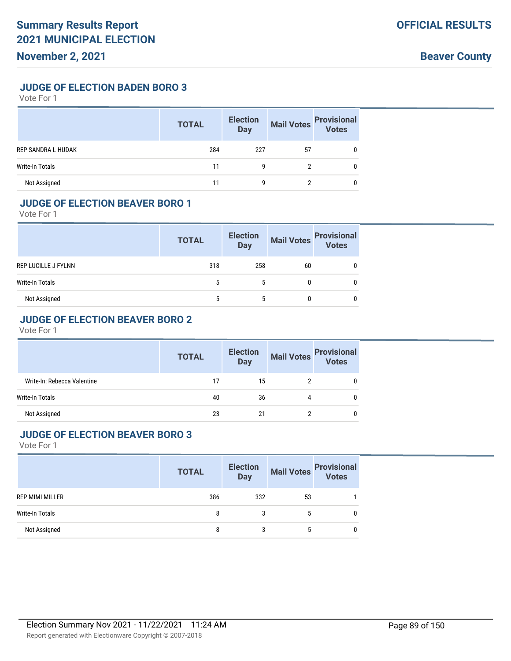**JUDGE OF ELECTION BADEN BORO 3**

Vote For 1

|                           | <b>TOTAL</b> | <b>Election</b><br><b>Day</b> | <b>Mail Votes</b> | <b>Provisional</b><br>Votes |
|---------------------------|--------------|-------------------------------|-------------------|-----------------------------|
| <b>REP SANDRA L HUDAK</b> | 284          | 227                           | 57                |                             |
| Write-In Totals           | 11           | g                             |                   |                             |
| Not Assigned              |              | g                             |                   |                             |

#### **JUDGE OF ELECTION BEAVER BORO 1**

Vote For 1

|                     | <b>TOTAL</b> | <b>Election</b><br>Day | Mail Votes | <b>Provisional</b><br>Votes |
|---------------------|--------------|------------------------|------------|-----------------------------|
| REP LUCILLE J FYLNN | 318          | 258                    | 60         |                             |
| Write-In Totals     | 5            | 5                      |            |                             |
| Not Assigned        | 5            | 5                      |            |                             |

## **JUDGE OF ELECTION BEAVER BORO 2**

Vote For 1

|                             | <b>TOTAL</b> | <b>Election</b><br><b>Day</b> | <b>Mail Votes</b> | <b>Provisional</b><br><b>Votes</b> |
|-----------------------------|--------------|-------------------------------|-------------------|------------------------------------|
| Write-In: Rebecca Valentine | 17           | 15                            |                   |                                    |
| <b>Write-In Totals</b>      | 40           | 36                            | 4                 |                                    |
| Not Assigned                | 23           | 21                            |                   |                                    |

#### **JUDGE OF ELECTION BEAVER BORO 3**

|                        | <b>TOTAL</b> | <b>Election</b><br>Day | Mail Votes<br>Votes |  |
|------------------------|--------------|------------------------|---------------------|--|
| <b>REP MIMI MILLER</b> | 386          | 332                    | 53                  |  |
| <b>Write-In Totals</b> | 8            |                        |                     |  |
| Not Assigned           | 8            | 3                      | 5                   |  |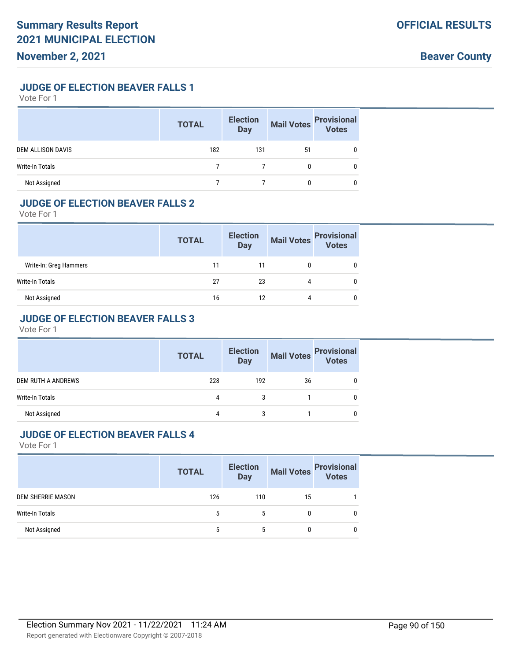## **JUDGE OF ELECTION BEAVER FALLS 1**

Vote For 1

|                          | <b>TOTAL</b> | <b>Election</b><br><b>Day</b> | <b>Mail Votes</b> | <b>Provisional</b><br>Votes |
|--------------------------|--------------|-------------------------------|-------------------|-----------------------------|
| <b>DEM ALLISON DAVIS</b> | 182          | 131                           | 51                |                             |
| <b>Write-In Totals</b>   |              |                               |                   |                             |
| Not Assigned             |              |                               | 0                 |                             |

### **JUDGE OF ELECTION BEAVER FALLS 2**

Vote For 1

|                        | <b>TOTAL</b> | <b>Election</b><br><b>Day</b> | <b>Mail Votes</b> | <b>Provisional</b><br>Votes |
|------------------------|--------------|-------------------------------|-------------------|-----------------------------|
| Write-In: Greg Hammers | 11           | 11                            |                   |                             |
| Write-In Totals        | 27           | 23                            | 4                 |                             |
| Not Assigned           | 16           | 12                            | 4                 | 0                           |

## **JUDGE OF ELECTION BEAVER FALLS 3**

Vote For 1

|                        | <b>TOTAL</b> | <b>Election</b><br><b>Day</b> | <b>Mail Votes</b> | <b>Provisional</b><br>Votes |
|------------------------|--------------|-------------------------------|-------------------|-----------------------------|
| DEM RUTH A ANDREWS     | 228          | 192                           | 36                | 0                           |
| <b>Write-In Totals</b> | 4            |                               |                   | 0                           |
| Not Assigned           | 4            |                               |                   |                             |

#### **JUDGE OF ELECTION BEAVER FALLS 4**

|                          | <b>TOTAL</b> | <b>Election</b><br><b>Day</b> |              | Mail Votes<br>Votes |
|--------------------------|--------------|-------------------------------|--------------|---------------------|
| <b>DEM SHERRIE MASON</b> | 126          | 110                           | 15           |                     |
| Write-In Totals          |              | 5                             | 0            |                     |
| Not Assigned             |              | ა                             | $\mathbf{0}$ |                     |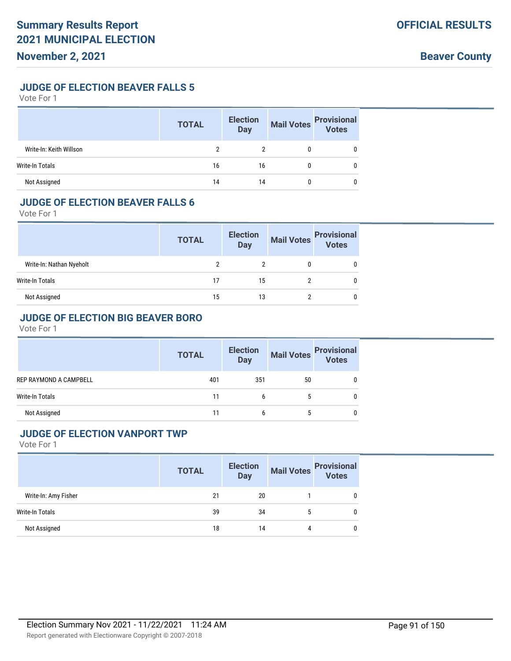## **JUDGE OF ELECTION BEAVER FALLS 5**

Vote For 1

|                         | <b>TOTAL</b> | <b>Election</b><br><b>Day</b> | Mail Votes | <b>Provisional</b><br>Votes |
|-------------------------|--------------|-------------------------------|------------|-----------------------------|
| Write-In: Keith Willson |              |                               |            |                             |
| Write-In Totals         | 16           | 16                            |            |                             |
| Not Assigned            | 14           | 14                            |            |                             |

#### **JUDGE OF ELECTION BEAVER FALLS 6**

Vote For 1

|                          | <b>TOTAL</b> | <b>Election</b><br><b>Day</b> | Mail Votes | <b>Provisional</b><br>Votes |
|--------------------------|--------------|-------------------------------|------------|-----------------------------|
| Write-In: Nathan Nyeholt |              |                               |            |                             |
| Write-In Totals          |              | 15                            |            |                             |
| Not Assigned             | 15           | 13                            |            |                             |

## **JUDGE OF ELECTION BIG BEAVER BORO**

Vote For 1

|                               | <b>TOTAL</b> | <b>Election</b><br>Day | <b>Mail Votes</b> | <b>Provisional</b><br>Votes |
|-------------------------------|--------------|------------------------|-------------------|-----------------------------|
| <b>REP RAYMOND A CAMPBELL</b> | 401          | 351                    | 50                |                             |
| Write-In Totals               | 11           | h                      |                   |                             |
| Not Assigned                  | 11           | 6                      | 5                 |                             |

## **JUDGE OF ELECTION VANPORT TWP**

|                      | <b>TOTAL</b> | <b>Election</b><br><b>Day</b> | Mail Votes Provisional<br>Votes |
|----------------------|--------------|-------------------------------|---------------------------------|
| Write-In: Amy Fisher | 21           | 20                            | 0                               |
| Write-In Totals      | 39           | 34                            | 0                               |
| Not Assigned         | 18           | 14                            | 0                               |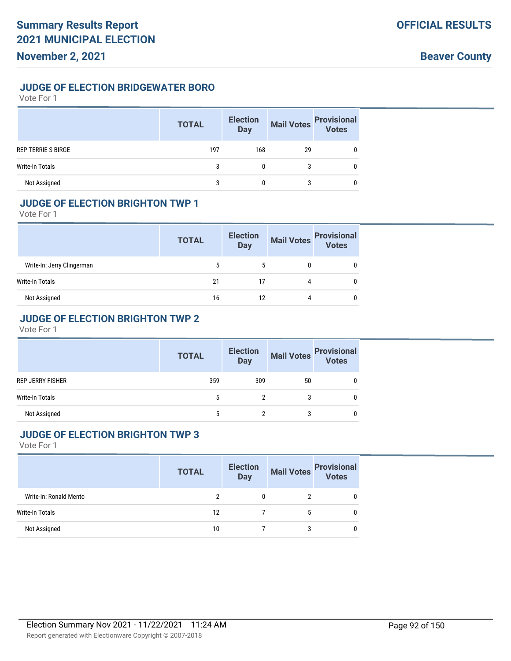## **JUDGE OF ELECTION BRIDGEWATER BORO**

Vote For 1

|                           | <b>TOTAL</b> | <b>Election</b><br><b>Day</b> | <b>Mail Votes</b> | <b>Provisional</b><br>Votes |
|---------------------------|--------------|-------------------------------|-------------------|-----------------------------|
| <b>REP TERRIE S BIRGE</b> | 197          | 168                           | 29                |                             |
| <b>Write-In Totals</b>    | 3            | 0                             | 3                 |                             |
| Not Assigned              | 3            |                               | 3                 |                             |

## **JUDGE OF ELECTION BRIGHTON TWP 1**

Vote For 1

|                            | <b>TOTAL</b> | <b>Election</b><br><b>Day</b> | <b>Mail Votes</b> | <b>Provisional</b><br>Votes |
|----------------------------|--------------|-------------------------------|-------------------|-----------------------------|
| Write-In: Jerry Clingerman |              |                               |                   |                             |
| Write-In Totals            | 21           | 17                            | 4                 |                             |
| Not Assigned               | 16           | 12                            | 4                 | 0                           |

## **JUDGE OF ELECTION BRIGHTON TWP 2**

Vote For 1

|                         | <b>TOTAL</b> | <b>Election</b><br><b>Day</b> |    | Mail Votes Provisional<br>Votes |
|-------------------------|--------------|-------------------------------|----|---------------------------------|
| <b>REP JERRY FISHER</b> | 359          | 309                           | 50 |                                 |
| Write-In Totals         | 5            |                               |    |                                 |
| Not Assigned            | 5            |                               |    |                                 |

#### **JUDGE OF ELECTION BRIGHTON TWP 3**

|                        | <b>TOTAL</b> | <b>Election</b><br>Day |   | Mail Votes<br>Votes |
|------------------------|--------------|------------------------|---|---------------------|
| Write-In: Ronald Mento |              | 0                      |   |                     |
| Write-In Totals        | 12           |                        |   |                     |
| Not Assigned           | 10           |                        | 3 |                     |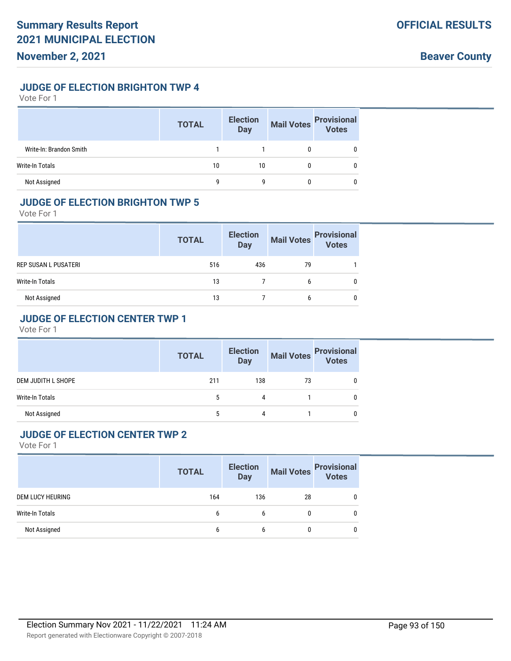#### **JUDGE OF ELECTION BRIGHTON TWP 4**

Vote For 1

|                         | <b>TOTAL</b> | <b>Election</b><br><b>Day</b> | <b>Mail Votes</b> | <b>Provisional</b><br>Votes |
|-------------------------|--------------|-------------------------------|-------------------|-----------------------------|
| Write-In: Brandon Smith |              |                               |                   |                             |
| Write-In Totals         | 10           | 10                            |                   |                             |
| Not Assigned            | q            | g                             |                   |                             |

#### **JUDGE OF ELECTION BRIGHTON TWP 5**

Vote For 1

|                      | <b>TOTAL</b> | <b>Election</b><br><b>Day</b> | <b>Mail Votes</b> | <b>Provisional</b><br>Votes |
|----------------------|--------------|-------------------------------|-------------------|-----------------------------|
| REP SUSAN L PUSATERI | 516          | 436                           | 79                |                             |
| Write-In Totals      | 13           |                               | 6                 |                             |
| Not Assigned         | 13           |                               | 6                 | 0                           |

## **JUDGE OF ELECTION CENTER TWP 1**

Vote For 1

|                        | <b>TOTAL</b> | <b>Election</b><br><b>Day</b> | <b>Mail Votes</b> | <b>Provisional</b><br>Votes |
|------------------------|--------------|-------------------------------|-------------------|-----------------------------|
| DEM JUDITH L SHOPE     | 211          | 138                           | 73                |                             |
| <b>Write-In Totals</b> |              | 4                             |                   |                             |
| Not Assigned           |              | 4                             |                   |                             |

#### **JUDGE OF ELECTION CENTER TWP 2**

|                  | <b>TOTAL</b> | <b>Election</b><br><b>Day</b> |              | Mail Votes Provisional |
|------------------|--------------|-------------------------------|--------------|------------------------|
| DEM LUCY HEURING | 164          | 136                           | 28           | 0                      |
| Write-In Totals  | b            | b                             | 0            | 0                      |
| Not Assigned     | b            | b                             | $\mathbf{0}$ | 0                      |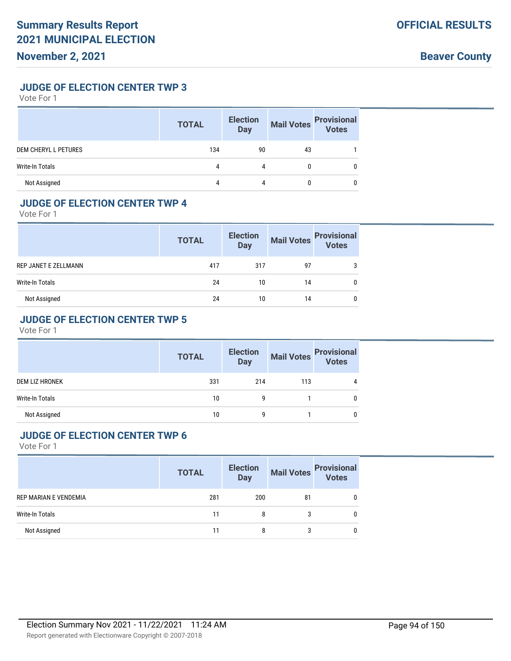**JUDGE OF ELECTION CENTER TWP 3**

Vote For 1

|                             | <b>TOTAL</b> | <b>Election</b><br><b>Day</b> | <b>Mail Votes</b> | <b>Provisional</b><br>Votes |
|-----------------------------|--------------|-------------------------------|-------------------|-----------------------------|
| <b>DEM CHERYL L PETURES</b> | 134          | 90                            | 43                |                             |
| Write-In Totals             | 4            | 4                             | $\mathbf{0}$      | 0                           |
| Not Assigned                | 4            | 4                             |                   |                             |

#### **JUDGE OF ELECTION CENTER TWP 4**

Vote For 1

|                      | <b>TOTAL</b> | <b>Election</b><br>Day | <b>Mail Votes</b> | <b>Provisional</b><br>Votes |
|----------------------|--------------|------------------------|-------------------|-----------------------------|
| REP JANET E ZELLMANN | 417          | 317                    | 97                |                             |
| Write-In Totals      | 24           | 10                     | 14                |                             |
| Not Assigned         | 24           | 10                     | 14                | 0                           |

#### **JUDGE OF ELECTION CENTER TWP 5**

Vote For 1

|                       | <b>TOTAL</b> | <b>Election</b><br><b>Day</b> | <b>Mail Votes</b> | <b>Provisional</b><br>Votes |
|-----------------------|--------------|-------------------------------|-------------------|-----------------------------|
| <b>DEM LIZ HRONEK</b> | 331          | 214                           | 113               | 4                           |
| Write-In Totals       | 10           | g                             |                   |                             |
| Not Assigned          | 10           | q                             |                   |                             |

### **JUDGE OF ELECTION CENTER TWP 6**

|                       | <b>TOTAL</b> | <b>Election</b><br><b>Day</b> |    | Mail Votes<br>Votes<br>Votes |
|-----------------------|--------------|-------------------------------|----|------------------------------|
| REP MARIAN E VENDEMIA | 281          | 200                           | 81 | 0                            |
| Write-In Totals       | 11           | 8                             |    | 0                            |
| Not Assigned          |              | 8                             |    | 0                            |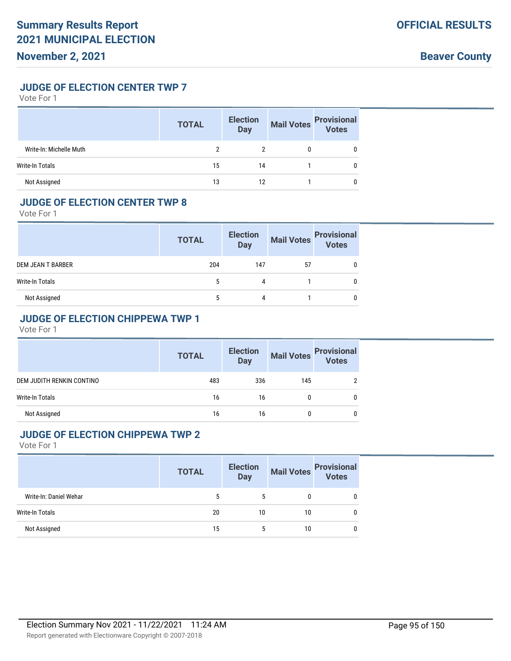**JUDGE OF ELECTION CENTER TWP 7**

Vote For 1

|                         | <b>TOTAL</b> | <b>Election</b><br><b>Day</b> | <b>Mail Votes</b> | <b>Provisional</b><br>Votes |
|-------------------------|--------------|-------------------------------|-------------------|-----------------------------|
| Write-In: Michelle Muth |              |                               |                   |                             |
| Write-In Totals         | 15           | 14                            |                   |                             |
| Not Assigned            | 13           | 12                            |                   |                             |

#### **JUDGE OF ELECTION CENTER TWP 8**

Vote For 1

|                          | <b>TOTAL</b> | <b>Election</b><br>Day | <b>Mail Votes</b> | <b>Provisional</b><br>Votes |
|--------------------------|--------------|------------------------|-------------------|-----------------------------|
| <b>DEM JEAN T BARBER</b> | 204          | 147                    | 57                |                             |
| Write-In Totals          | 5            | 4                      |                   |                             |
| Not Assigned             |              | 4                      |                   | 0                           |

## **JUDGE OF ELECTION CHIPPEWA TWP 1**

Vote For 1

|                           | <b>TOTAL</b> | <b>Election</b><br><b>Day</b> |     | Mail Votes Provisional<br>Votes |
|---------------------------|--------------|-------------------------------|-----|---------------------------------|
| DEM JUDITH RENKIN CONTINO | 483          | 336                           | 145 | 2                               |
| <b>Write-In Totals</b>    | 16           | 16                            |     | 0                               |
| Not Assigned              | 16           | 16                            |     | 0                               |

#### **JUDGE OF ELECTION CHIPPEWA TWP 2**

|                        | <b>TOTAL</b> | <b>Election</b><br><b>Day</b> |    | Mail Votes<br>Votes |
|------------------------|--------------|-------------------------------|----|---------------------|
| Write-In: Daniel Wehar |              | 5                             | 0  | 0                   |
| Write-In Totals        | 20           | 10                            | 10 | 0                   |
| Not Assigned           | 15           | 5                             | 10 | 0                   |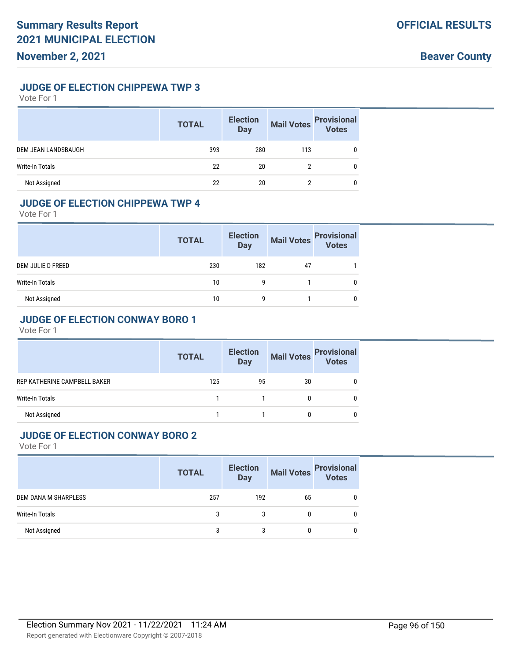#### **JUDGE OF ELECTION CHIPPEWA TWP 3**

Vote For 1

|                        | <b>TOTAL</b> | <b>Election</b><br>Day | <b>Mail Votes</b> | <b>Provisional</b><br>Votes |
|------------------------|--------------|------------------------|-------------------|-----------------------------|
| DEM JEAN LANDSBAUGH    | 393          | 280                    | 113               |                             |
| <b>Write-In Totals</b> | 22           | 20                     |                   | 0                           |
| Not Assigned           | 22           | 20                     | ∩                 |                             |

## **JUDGE OF ELECTION CHIPPEWA TWP 4**

Vote For 1

|                   | <b>TOTAL</b> | <b>Election</b><br><b>Day</b> | <b>Mail Votes</b> | <b>Provisional</b><br>Votes |
|-------------------|--------------|-------------------------------|-------------------|-----------------------------|
| DEM JULIE D FREED | 230          | 182                           | 47                |                             |
| Write-In Totals   | 10           | g                             |                   |                             |
| Not Assigned      | 10           | q                             |                   |                             |

#### **JUDGE OF ELECTION CONWAY BORO 1**

Vote For 1

|                              | <b>TOTAL</b> | <b>Election</b><br><b>Day</b> | <b>Mail Votes</b> | <b>Provisional</b><br>Votes |
|------------------------------|--------------|-------------------------------|-------------------|-----------------------------|
| REP KATHERINE CAMPBELL BAKER | 125          | 95                            | 30                |                             |
| <b>Write-In Totals</b>       |              |                               |                   |                             |
| Not Assigned                 |              |                               |                   |                             |

#### **JUDGE OF ELECTION CONWAY BORO 2**

|                      | <b>TOTAL</b> | <b>Election</b><br><b>Day</b> |    | Mail Votes<br>Votes |
|----------------------|--------------|-------------------------------|----|---------------------|
| DEM DANA M SHARPLESS | 257          | 192                           | 65 | 0                   |
| Write-In Totals      | 3            | 3                             | 0  | 0                   |
| Not Assigned         | 3            | 3                             | 0  | 0                   |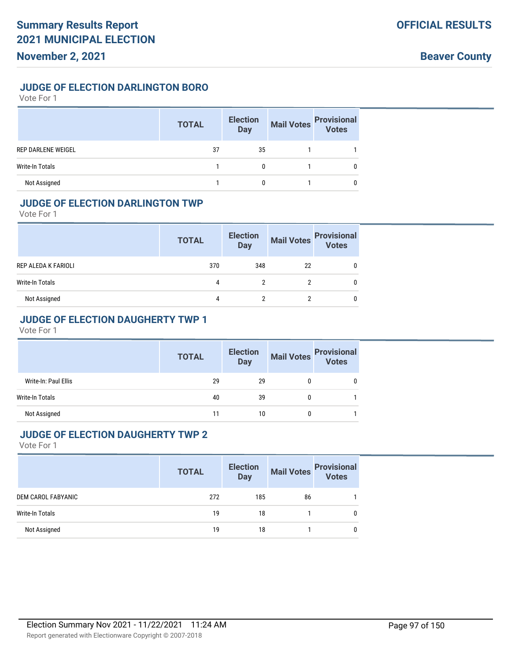**Beaver County**

#### **JUDGE OF ELECTION DARLINGTON BORO**

Vote For 1

|                        | <b>TOTAL</b> | <b>Election</b><br>Day | <b>Mail Votes</b> | <b>Provisional</b><br>Votes |
|------------------------|--------------|------------------------|-------------------|-----------------------------|
| REP DARLENE WEIGEL     | 37           | 35                     |                   |                             |
| <b>Write-In Totals</b> |              |                        |                   |                             |
| Not Assigned           |              |                        |                   |                             |

## **JUDGE OF ELECTION DARLINGTON TWP**

Vote For 1

|                     | <b>TOTAL</b> | <b>Election</b><br><b>Day</b> | <b>Mail Votes</b> | <b>Provisional</b><br>Votes |
|---------------------|--------------|-------------------------------|-------------------|-----------------------------|
| REP ALEDA K FARIOLI | 370          | 348                           | 22                |                             |
| Write-In Totals     | 4            | ↑                             |                   |                             |
| Not Assigned        | 4            | າ                             |                   |                             |

## **JUDGE OF ELECTION DAUGHERTY TWP 1**

Vote For 1

|                      | <b>TOTAL</b> | <b>Election</b><br><b>Day</b> | Mail Votes | <b>Provisional</b><br>Votes |
|----------------------|--------------|-------------------------------|------------|-----------------------------|
| Write-In: Paul Ellis | 29           | 29                            |            |                             |
| Write-In Totals      | 40           | 39                            |            |                             |
| Not Assigned         | 11           | 10                            |            |                             |

#### **JUDGE OF ELECTION DAUGHERTY TWP 2**

|                    | <b>TOTAL</b> | <b>Election</b><br><b>Day</b> | <b>Mail Votes</b> | <b>Provisional</b><br>Votes |
|--------------------|--------------|-------------------------------|-------------------|-----------------------------|
| DEM CAROL FABYANIC | 272          | 185                           | 86                |                             |
| Write-In Totals    | 19           | 18                            |                   |                             |
| Not Assigned       | 19           | 18                            |                   |                             |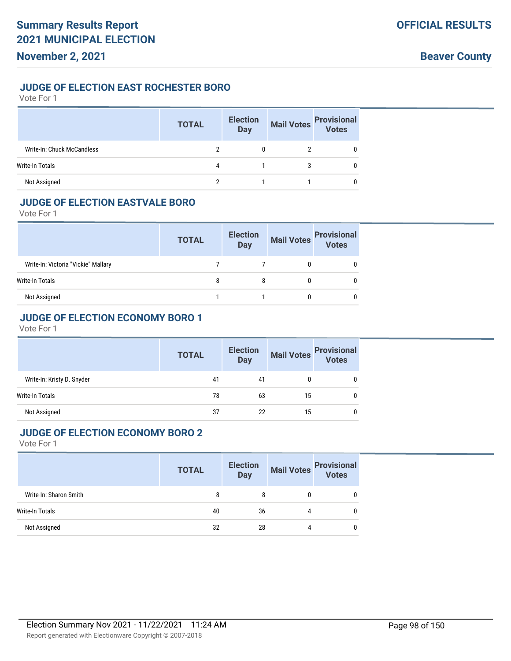#### **JUDGE OF ELECTION EAST ROCHESTER BORO**

Vote For 1

|                            | <b>TOTAL</b> | <b>Election</b><br><b>Day</b> | <b>Mail Votes</b> | <b>Provisional</b><br>Votes |
|----------------------------|--------------|-------------------------------|-------------------|-----------------------------|
| Write-In: Chuck McCandless |              |                               |                   |                             |
| Write-In Totals            | 4            |                               | 3                 |                             |
| Not Assigned               |              |                               |                   |                             |

#### **JUDGE OF ELECTION EASTVALE BORO**

Vote For 1

|                                     | <b>TOTAL</b> | <b>Election</b><br>Day | <b>Mail Votes</b> | <b>Provisional</b><br>Votes |
|-------------------------------------|--------------|------------------------|-------------------|-----------------------------|
| Write-In: Victoria "Vickie" Mallary |              |                        |                   |                             |
| Write-In Totals                     | 8            | 8                      |                   |                             |
| Not Assigned                        |              |                        |                   |                             |

## **JUDGE OF ELECTION ECONOMY BORO 1**

Vote For 1

|                            | <b>TOTAL</b> | <b>Election</b><br><b>Day</b> | <b>Mail Votes</b> | <b>Provisional</b><br><b>Votes</b> |
|----------------------------|--------------|-------------------------------|-------------------|------------------------------------|
| Write-In: Kristy D. Snyder | 41           | 41                            | 0                 |                                    |
| Write-In Totals            | 78           | 63                            | 15                |                                    |
| Not Assigned               | 37           | 22                            | 15                |                                    |

#### **JUDGE OF ELECTION ECONOMY BORO 2**

|                        | <b>TOTAL</b> | <b>Election</b><br><b>Day</b> | <b>Mail Votes</b> | <b>Provisional</b><br>Votes |
|------------------------|--------------|-------------------------------|-------------------|-----------------------------|
| Write-In: Sharon Smith | 8            | 8                             |                   |                             |
| Write-In Totals        | 40           | 36                            | 4                 |                             |
| Not Assigned           | 32           | 28                            | 4                 |                             |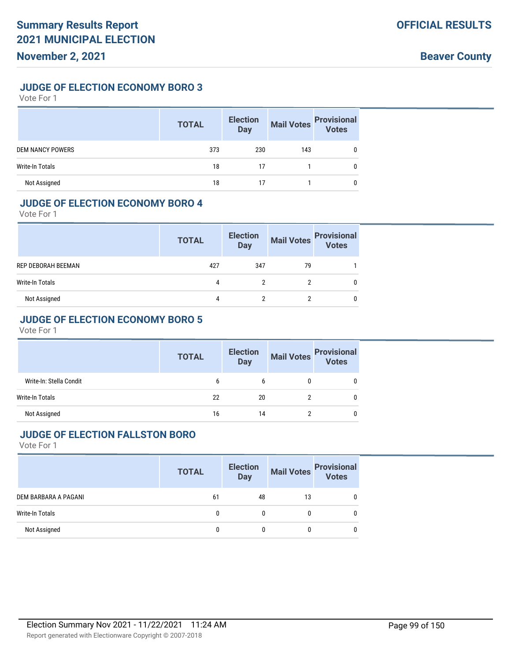#### **JUDGE OF ELECTION ECONOMY BORO 3**

Vote For 1

|                         | <b>TOTAL</b> | <b>Election</b><br><b>Day</b> | <b>Mail Votes</b> | <b>Provisional</b><br>Votes |
|-------------------------|--------------|-------------------------------|-------------------|-----------------------------|
| <b>DEM NANCY POWERS</b> | 373          | 230                           | 143               |                             |
| Write-In Totals         | 18           | 17                            |                   |                             |
| Not Assigned            | 18           |                               |                   |                             |

#### **JUDGE OF ELECTION ECONOMY BORO 4**

Vote For 1

|                    | <b>TOTAL</b> | <b>Election</b><br><b>Day</b> | <b>Mail Votes</b> | <b>Provisional</b><br>Votes |
|--------------------|--------------|-------------------------------|-------------------|-----------------------------|
| REP DEBORAH BEEMAN | 427          | 347                           | 79                |                             |
| Write-In Totals    | 4            | ŋ                             |                   | 0                           |
| Not Assigned       | 4            | າ                             |                   | 0                           |

#### **JUDGE OF ELECTION ECONOMY BORO 5**

Vote For 1

|                         | <b>TOTAL</b> | <b>Election</b><br><b>Day</b> | <b>Mail Votes</b> | <b>Provisional</b><br>Votes |
|-------------------------|--------------|-------------------------------|-------------------|-----------------------------|
| Write-In: Stella Condit | b            | b                             |                   |                             |
| Write-In Totals         | 22           | 20                            |                   |                             |
| Not Assigned            | 16           | 14                            |                   |                             |

#### **JUDGE OF ELECTION FALLSTON BORO**

|                      | <b>TOTAL</b> | <b>Election</b><br>Day |    | Mail Votes<br>Votes |
|----------------------|--------------|------------------------|----|---------------------|
| DEM BARBARA A PAGANI | 61           | 48                     | 13 | 0                   |
| Write-In Totals      | 0            |                        | 0  | 0                   |
| Not Assigned         | 0            |                        | 0  | 0                   |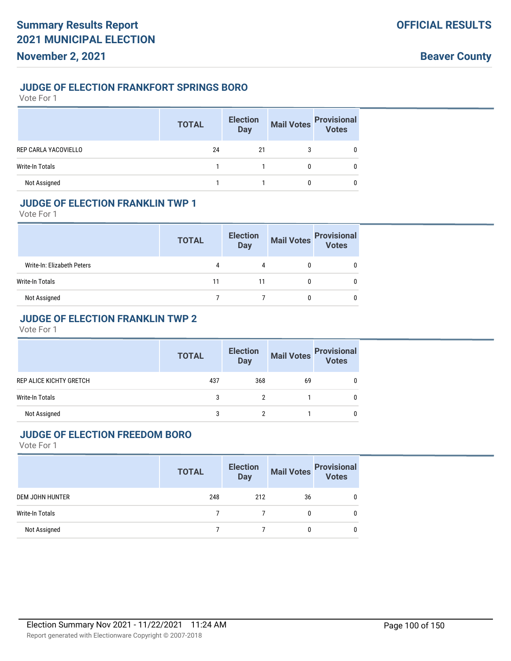## **JUDGE OF ELECTION FRANKFORT SPRINGS BORO**

Vote For 1

|                        | <b>TOTAL</b> | <b>Election</b><br><b>Day</b> | <b>Mail Votes</b> | <b>Provisional</b><br>Votes |
|------------------------|--------------|-------------------------------|-------------------|-----------------------------|
| REP CARLA YACOVIELLO   | 24           | 21                            |                   |                             |
| <b>Write-In Totals</b> |              |                               | 0                 |                             |
| Not Assigned           |              |                               |                   |                             |

## **JUDGE OF ELECTION FRANKLIN TWP 1**

Vote For 1

|                            | <b>TOTAL</b> | <b>Election</b><br><b>Day</b> | <b>Mail Votes</b> | <b>Provisional</b><br>Votes |
|----------------------------|--------------|-------------------------------|-------------------|-----------------------------|
| Write-In: Elizabeth Peters | 4            | 4                             |                   |                             |
| Write-In Totals            | 11           | 11                            |                   |                             |
| Not Assigned               |              |                               |                   |                             |

#### **JUDGE OF ELECTION FRANKLIN TWP 2**

Vote For 1

|                                | <b>TOTAL</b> | <b>Election</b><br><b>Day</b> | <b>Mail Votes</b> | <b>Provisional</b><br>Votes |
|--------------------------------|--------------|-------------------------------|-------------------|-----------------------------|
| <b>REP ALICE KICHTY GRETCH</b> | 437          | 368                           | 69                |                             |
| <b>Write-In Totals</b>         | 3            |                               |                   |                             |
| Not Assigned                   |              |                               |                   |                             |

#### **JUDGE OF ELECTION FREEDOM BORO**

|                 | <b>TOTAL</b> | <b>Election</b><br><b>Day</b> |              | Mail Votes Provisional |
|-----------------|--------------|-------------------------------|--------------|------------------------|
| DEM JOHN HUNTER | 248          | 212                           | 36           | 0                      |
| Write-In Totals |              |                               | $\mathbf{0}$ | 0                      |
| Not Assigned    |              |                               | 0            | 0                      |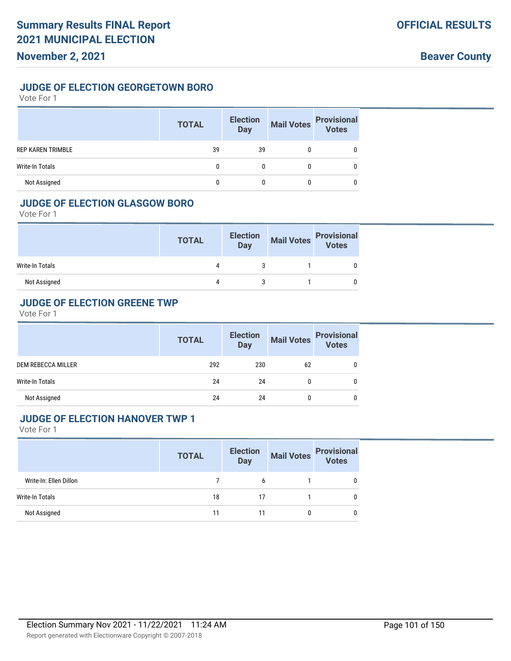#### **JUDGE OF ELECTION GEORGETOWN BORO**

Vote For 1

|                          | <b>TOTAL</b> | <b>Election</b><br><b>Day</b> | <b>Mail Votes</b> | <b>Provisional</b><br><b>Votes</b> |
|--------------------------|--------------|-------------------------------|-------------------|------------------------------------|
| <b>REP KAREN TRIMBLE</b> | 39           | 39                            |                   |                                    |
| Write-In Totals          |              |                               |                   |                                    |
| Not Assigned             |              |                               |                   |                                    |

### **JUDGE OF ELECTION GLASGOW BORO**

Vote For 1

|                 | <b>TOTAL</b> | <b>Election</b><br>Day | Mail Votes Provisional |  |
|-----------------|--------------|------------------------|------------------------|--|
| Write-In Totals | 4            |                        |                        |  |
| Not Assigned    | 4            |                        |                        |  |

#### **JUDGE OF ELECTION GREENE TWP**

Vote For 1

|                    | <b>TOTAL</b> | <b>Election</b><br><b>Day</b> | <b>Mail Votes</b> | <b>Provisional</b><br><b>Votes</b> |
|--------------------|--------------|-------------------------------|-------------------|------------------------------------|
| DEM REBECCA MILLER | 292          | 230                           | 62                |                                    |
| Write-In Totals    | 24           | 24                            |                   | 0                                  |
| Not Assigned       | 24           | 24                            |                   |                                    |

#### **JUDGE OF ELECTION HANOVER TWP 1**

|                        | <b>TOTAL</b> | <b>Election</b><br><b>Day</b> | <b>Mail Votes</b> | <b>Provisional</b><br><b>Votes</b> |
|------------------------|--------------|-------------------------------|-------------------|------------------------------------|
| Write-In: Ellen Dillon |              | 6                             |                   |                                    |
| Write-In Totals        | 18           | 17                            |                   |                                    |
| Not Assigned           | 11           | 11                            |                   |                                    |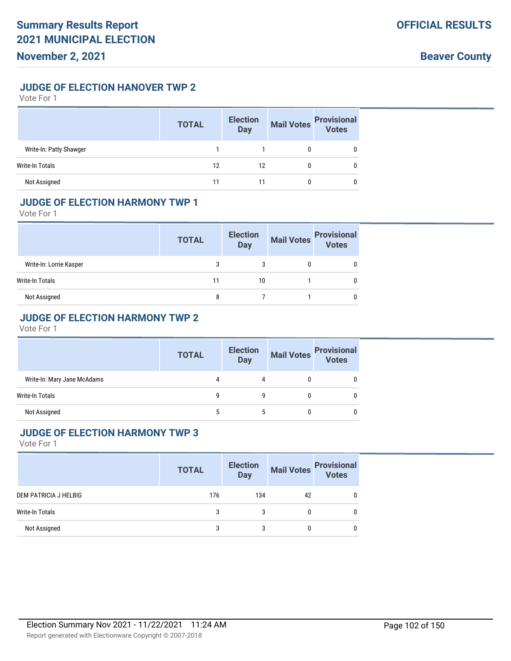## **JUDGE OF ELECTION HANOVER TWP 2**

Vote For 1

|                         | <b>TOTAL</b> | <b>Election</b><br><b>Day</b> | <b>Mail Votes</b> | <b>Provisional</b><br>Votes |
|-------------------------|--------------|-------------------------------|-------------------|-----------------------------|
| Write-In: Patty Shawger |              |                               |                   |                             |
| Write-In Totals         | 12           | 12                            |                   |                             |
| Not Assigned            | 11           |                               |                   |                             |

#### **JUDGE OF ELECTION HARMONY TWP 1**

Vote For 1

|                         | <b>TOTAL</b> | <b>Election</b><br><b>Day</b> | <b>Mail Votes</b> | <b>Provisional</b><br>Votes |
|-------------------------|--------------|-------------------------------|-------------------|-----------------------------|
| Write-In: Lorrie Kasper | 3            | 3                             |                   |                             |
| Write-In Totals         | 11           | 10                            |                   |                             |
| Not Assigned            | 8            |                               |                   |                             |

## **JUDGE OF ELECTION HARMONY TWP 2**

Vote For 1

|                             | <b>TOTAL</b> | <b>Election</b><br><b>Day</b> | <b>Mail Votes</b> | <b>Provisional</b><br>Votes |
|-----------------------------|--------------|-------------------------------|-------------------|-----------------------------|
| Write-In: Mary Jane McAdams |              | 4                             |                   |                             |
| Write-In Totals             | g            | g                             |                   |                             |
| Not Assigned                |              | 5                             |                   |                             |

## **JUDGE OF ELECTION HARMONY TWP 3**

|                       | <b>TOTAL</b> | <b>Election</b><br><b>Day</b> | <b>Mail Votes</b> | <b>Provisional</b><br>Votes |
|-----------------------|--------------|-------------------------------|-------------------|-----------------------------|
| DEM PATRICIA J HELBIG | 176          | 134                           | 42                | 0                           |
| Write-In Totals       |              |                               |                   | 0                           |
| Not Assigned          |              | 3                             |                   | 0                           |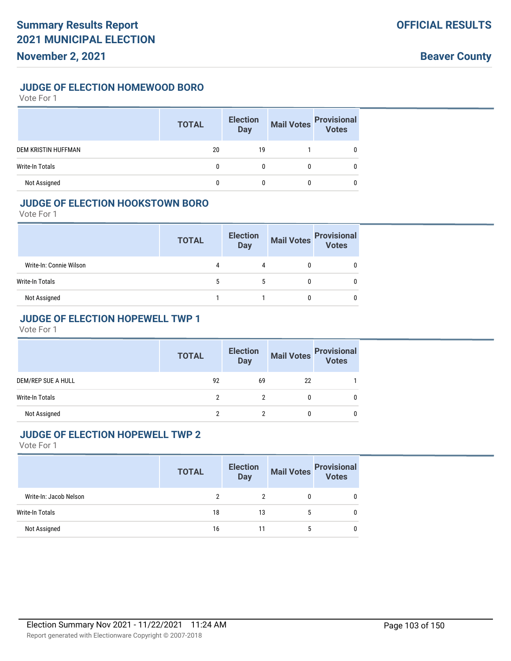#### **JUDGE OF ELECTION HOMEWOOD BORO**

Vote For 1

|                            | <b>TOTAL</b> | <b>Election</b><br><b>Day</b> | <b>Mail Votes</b> | <b>Provisional</b><br>Votes |
|----------------------------|--------------|-------------------------------|-------------------|-----------------------------|
| <b>DEM KRISTIN HUFFMAN</b> | 20           | 19                            |                   |                             |
| <b>Write-In Totals</b>     | 0            |                               |                   |                             |
| Not Assigned               |              |                               |                   |                             |

#### **JUDGE OF ELECTION HOOKSTOWN BORO**

Vote For 1

|                         | <b>TOTAL</b> | <b>Election</b><br><b>Day</b> | <b>Mail Votes</b> | <b>Provisional</b><br>Votes |
|-------------------------|--------------|-------------------------------|-------------------|-----------------------------|
| Write-In: Connie Wilson |              | 4                             |                   |                             |
| Write-In Totals         | 5            | 5                             |                   |                             |
| Not Assigned            |              |                               |                   |                             |

## **JUDGE OF ELECTION HOPEWELL TWP 1**

Vote For 1

|                        | <b>TOTAL</b> | <b>Election</b><br><b>Day</b> | <b>Mail Votes</b> | <b>Provisional</b><br><b>Votes</b> |
|------------------------|--------------|-------------------------------|-------------------|------------------------------------|
| DEM/REP SUE A HULL     | 92           | 69                            | 22                |                                    |
| <b>Write-In Totals</b> |              |                               |                   |                                    |
| Not Assigned           |              |                               |                   |                                    |

#### **JUDGE OF ELECTION HOPEWELL TWP 2**

|                        | <b>TOTAL</b> | <b>Election</b><br>Day |   | Mail Votes Provisional<br>Votes |
|------------------------|--------------|------------------------|---|---------------------------------|
| Write-In: Jacob Nelson |              | 2                      | 0 | 0                               |
| <b>Write-In Totals</b> | 18           | 13                     | 5 | 0                               |
| Not Assigned           | 16           | 11                     | 5 | 0                               |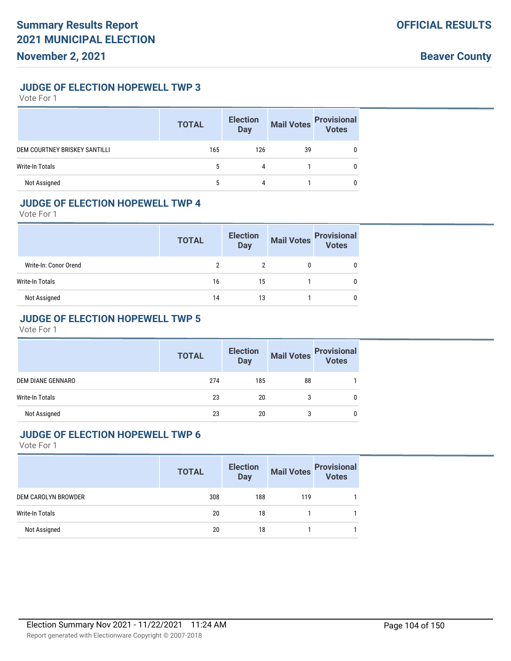#### **JUDGE OF ELECTION HOPEWELL TWP 3**

Vote For 1

|                                      | <b>TOTAL</b> | <b>Election</b><br><b>Day</b> | <b>Mail Votes</b> | <b>Provisional</b><br>Votes |
|--------------------------------------|--------------|-------------------------------|-------------------|-----------------------------|
| <b>DEM COURTNEY BRISKEY SANTILLI</b> | 165          | 126                           | 39                |                             |
| Write-In Totals                      | 5            | 4                             |                   |                             |
| Not Assigned                         | 5            | 4                             |                   |                             |

#### **JUDGE OF ELECTION HOPEWELL TWP 4**

Vote For 1

|                       | <b>TOTAL</b> | <b>Election</b><br><b>Day</b> | <b>Mail Votes</b> | <b>Provisional</b><br>Votes |
|-----------------------|--------------|-------------------------------|-------------------|-----------------------------|
| Write-In: Conor Orend |              |                               |                   |                             |
| Write-In Totals       | 16           | 15                            |                   |                             |
| Not Assigned          | 14           | 13                            |                   |                             |

## **JUDGE OF ELECTION HOPEWELL TWP 5**

Vote For 1

|                          | <b>TOTAL</b> | <b>Election</b><br><b>Day</b> |    | Mail Votes Provisional<br>Votes |
|--------------------------|--------------|-------------------------------|----|---------------------------------|
| <b>DEM DIANE GENNARO</b> | 274          | 185                           | 88 |                                 |
| <b>Write-In Totals</b>   | 23           | 20                            |    | 0                               |
| Not Assigned             | 23           | 20                            |    | 0                               |

#### **JUDGE OF ELECTION HOPEWELL TWP 6**

|                        | <b>TOTAL</b> | <b>Election</b><br><b>Day</b> | <b>Mail Votes</b> | <b>Provisional</b><br>Votes |
|------------------------|--------------|-------------------------------|-------------------|-----------------------------|
| DEM CAROLYN BROWDER    | 308          | 188                           | 119               |                             |
| <b>Write-In Totals</b> | 20           | 18                            |                   |                             |
| Not Assigned           | 20           | 18                            |                   |                             |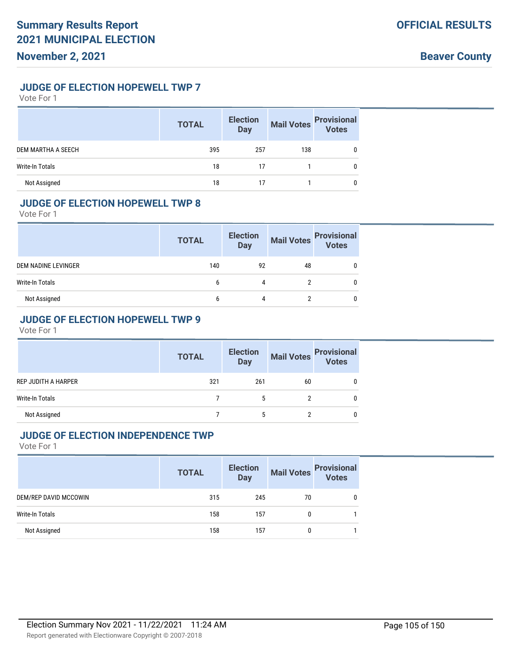#### **JUDGE OF ELECTION HOPEWELL TWP 7**

Vote For 1

|                        | <b>TOTAL</b> | <b>Election</b><br><b>Day</b> | <b>Mail Votes</b> | <b>Provisional</b><br>Votes |
|------------------------|--------------|-------------------------------|-------------------|-----------------------------|
| DEM MARTHA A SEECH     | 395          | 257                           | 138               |                             |
| <b>Write-In Totals</b> | 18           | 17                            |                   | 0                           |
| Not Assigned           | 18           |                               |                   |                             |

## **JUDGE OF ELECTION HOPEWELL TWP 8**

Vote For 1

|                     | <b>TOTAL</b> | <b>Election</b><br><b>Day</b> | <b>Mail Votes</b> | <b>Provisional</b><br>Votes |
|---------------------|--------------|-------------------------------|-------------------|-----------------------------|
| DEM NADINE LEVINGER | 140          | 92                            | 48                |                             |
| Write-In Totals     | 6            | 4                             |                   |                             |
| Not Assigned        | 6            | 4                             |                   |                             |

## **JUDGE OF ELECTION HOPEWELL TWP 9**

Vote For 1

|                            | <b>TOTAL</b> | <b>Election</b><br><b>Day</b> | <b>Mail Votes</b> | <b>Provisional</b><br>Votes |
|----------------------------|--------------|-------------------------------|-------------------|-----------------------------|
| <b>REP JUDITH A HARPER</b> | 321          | 261                           | 60                | 0                           |
| <b>Write-In Totals</b>     |              | 5                             |                   | 0                           |
| Not Assigned               |              |                               |                   |                             |

#### **JUDGE OF ELECTION INDEPENDENCE TWP**

| <b>TOTAL</b> | <b>Election</b><br><b>Day</b> | <b>Mail Votes</b> | <b>Provisional</b><br>Votes |
|--------------|-------------------------------|-------------------|-----------------------------|
| 315          | 245                           | 70                |                             |
| 158          | 157                           |                   |                             |
| 158          | 157                           |                   |                             |
|              |                               |                   |                             |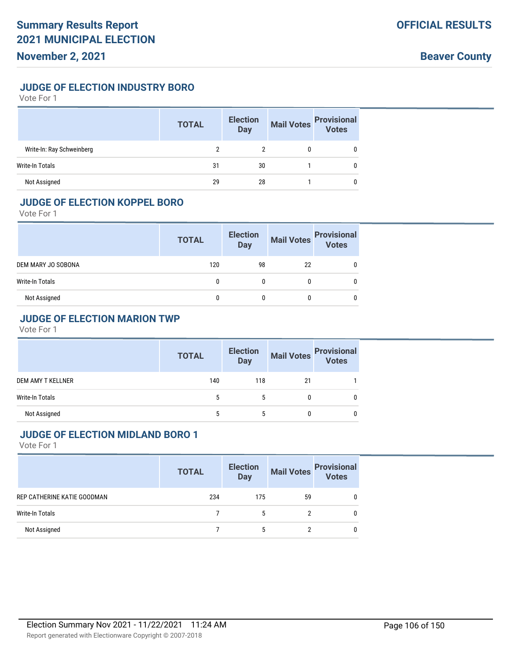## **JUDGE OF ELECTION INDUSTRY BORO**

Vote For 1

|                           | <b>TOTAL</b> | <b>Election</b><br><b>Day</b> | <b>Mail Votes</b> | <b>Provisional</b><br>Votes |
|---------------------------|--------------|-------------------------------|-------------------|-----------------------------|
| Write-In: Ray Schweinberg |              |                               |                   |                             |
| Write-In Totals           | 31           | 30                            |                   |                             |
| Not Assigned              | 29           | 28                            |                   |                             |

#### **JUDGE OF ELECTION KOPPEL BORO**

Vote For 1

|                    | <b>TOTAL</b> | <b>Election</b><br><b>Day</b> | <b>Mail Votes</b> | <b>Provisional</b><br>Votes |
|--------------------|--------------|-------------------------------|-------------------|-----------------------------|
| DEM MARY JO SOBONA | 120          | 98                            | 22                |                             |
| Write-In Totals    |              | 0                             |                   |                             |
| Not Assigned       | 0            | 0                             |                   |                             |

## **JUDGE OF ELECTION MARION TWP**

Vote For 1

|                        | <b>TOTAL</b> | <b>Election</b><br><b>Day</b> |    | Mail Votes Provisional<br>Votes |
|------------------------|--------------|-------------------------------|----|---------------------------------|
| DEM AMY T KELLNER      | 140          | 118                           | 21 |                                 |
| <b>Write-In Totals</b> | 5            | 5                             |    | 0                               |
| Not Assigned           | 5            | 5                             |    |                                 |

#### **JUDGE OF ELECTION MIDLAND BORO 1**

|                             | <b>TOTAL</b> | <b>Election</b><br><b>Day</b> |    | Mail Votes<br>Votes |
|-----------------------------|--------------|-------------------------------|----|---------------------|
| REP CATHERINE KATIE GOODMAN | 234          | 175                           | 59 | 0                   |
| Write-In Totals             |              | $\mathbf{b}$                  |    | 0                   |
| Not Assigned                |              | 5                             |    | 0                   |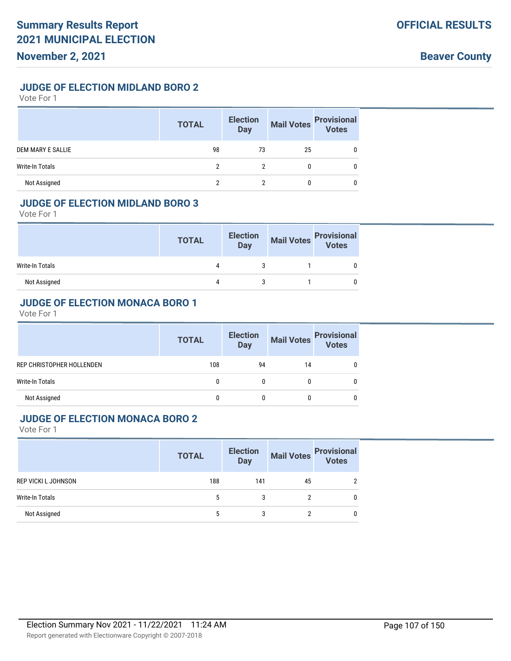#### **JUDGE OF ELECTION MIDLAND BORO 2**

Vote For 1

|                          | <b>TOTAL</b> | <b>Election</b><br><b>Day</b> | <b>Mail Votes</b> | <b>Provisional</b><br>Votes |
|--------------------------|--------------|-------------------------------|-------------------|-----------------------------|
| <b>DEM MARY E SALLIE</b> | 98           | 73                            | 25                |                             |
| Write-In Totals          | າ            | 2                             |                   |                             |
| Not Assigned             |              |                               |                   |                             |

#### **JUDGE OF ELECTION MIDLAND BORO 3**

Vote For 1

|                 | <b>TOTAL</b> | <b>Election</b><br>Day | Mail Votes Provisional<br>Votes |
|-----------------|--------------|------------------------|---------------------------------|
| Write-In Totals | 4            |                        |                                 |
| Not Assigned    | 4            |                        |                                 |

#### **JUDGE OF ELECTION MONACA BORO 1**

Vote For 1

|                           | <b>TOTAL</b> | <b>Election</b><br><b>Day</b> | <b>Mail Votes</b> | <b>Provisional</b><br>Votes |
|---------------------------|--------------|-------------------------------|-------------------|-----------------------------|
| REP CHRISTOPHER HOLLENDEN | 108          | 94                            | 14                |                             |
| Write-In Totals           | 0            | 0                             |                   |                             |
| Not Assigned              |              |                               |                   |                             |

#### **JUDGE OF ELECTION MONACA BORO 2**

|                            | <b>TOTAL</b> | <b>Election</b><br><b>Day</b> | <b>Mail Votes</b> | <b>Provisional</b><br><b>Votes</b> |
|----------------------------|--------------|-------------------------------|-------------------|------------------------------------|
| <b>REP VICKI L JOHNSON</b> | 188          | 141                           | 45                |                                    |
| <b>Write-In Totals</b>     | 5            | 3                             |                   |                                    |
| Not Assigned               |              |                               |                   |                                    |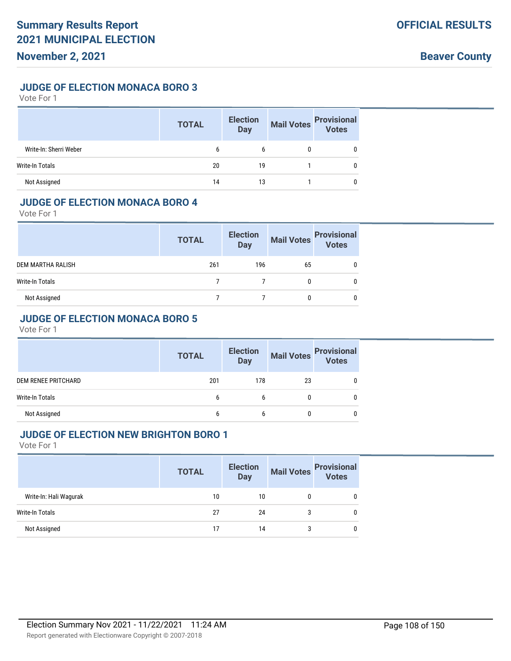#### **JUDGE OF ELECTION MONACA BORO 3**

Vote For 1

|                        | <b>TOTAL</b> | <b>Election</b><br><b>Day</b> | <b>Mail Votes</b> | <b>Provisional</b><br>Votes |
|------------------------|--------------|-------------------------------|-------------------|-----------------------------|
| Write-In: Sherri Weber | 6            | b                             |                   | 0                           |
| Write-In Totals        | 20           | 19                            |                   |                             |
| Not Assigned           | 14           | 13                            |                   |                             |

#### **JUDGE OF ELECTION MONACA BORO 4**

Vote For 1

|                   | <b>TOTAL</b> | <b>Election</b><br><b>Day</b> | <b>Mail Votes</b> | <b>Provisional</b><br>Votes |
|-------------------|--------------|-------------------------------|-------------------|-----------------------------|
| DEM MARTHA RALISH | 261          | 196                           | 65                |                             |
| Write-In Totals   |              |                               |                   |                             |
| Not Assigned      |              |                               |                   |                             |

## **JUDGE OF ELECTION MONACA BORO 5**

Vote For 1

|                        | <b>TOTAL</b> | <b>Election</b><br><b>Day</b> | <b>Mail Votes</b> | <b>Provisional</b><br>Votes |
|------------------------|--------------|-------------------------------|-------------------|-----------------------------|
| DEM RENEE PRITCHARD    | 201          | 178                           | 23                |                             |
| <b>Write-In Totals</b> | b            | b                             | 0                 | 0                           |
| Not Assigned           | b            |                               |                   |                             |

#### **JUDGE OF ELECTION NEW BRIGHTON BORO 1**

|                        | <b>TOTAL</b> | <b>Election</b><br>Day | Mail Votes<br>Votes |   |
|------------------------|--------------|------------------------|---------------------|---|
| Write-In: Hali Wagurak | 10           | 10                     |                     | C |
| Write-In Totals        | 27           | 24                     |                     |   |
| Not Assigned           |              | 14                     |                     |   |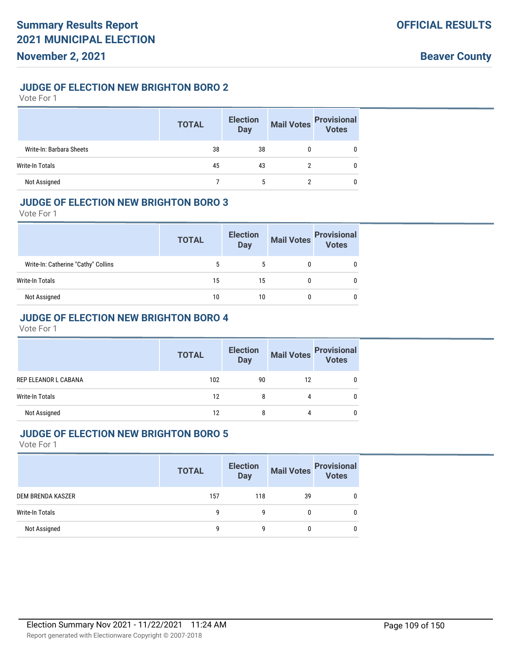### **JUDGE OF ELECTION NEW BRIGHTON BORO 2**

Vote For 1

|                          | <b>TOTAL</b> | <b>Election</b><br><b>Day</b> | <b>Mail Votes</b> | <b>Provisional</b><br>Votes |
|--------------------------|--------------|-------------------------------|-------------------|-----------------------------|
| Write-In: Barbara Sheets | 38           | 38                            |                   |                             |
| Write-In Totals          | 45           | 43                            |                   |                             |
| Not Assigned             |              | 5                             |                   |                             |

# **JUDGE OF ELECTION NEW BRIGHTON BORO 3**

Vote For 1

|                                     | <b>TOTAL</b> | <b>Election</b><br><b>Day</b> | <b>Mail Votes</b> | <b>Provisional</b><br>Votes |
|-------------------------------------|--------------|-------------------------------|-------------------|-----------------------------|
| Write-In: Catherine "Cathy" Collins | 5            | 5                             |                   |                             |
| Write-In Totals                     | 15           | 15                            |                   |                             |
| Not Assigned                        | 10           | 10                            |                   |                             |

# **JUDGE OF ELECTION NEW BRIGHTON BORO 4**

Vote For 1

|                        | <b>TOTAL</b> | <b>Election</b><br><b>Day</b> | Mail Votes | <b>Provisional</b><br><b>Votes</b> |
|------------------------|--------------|-------------------------------|------------|------------------------------------|
| REP ELEANOR L CABANA   | 102          | 90                            | 12         |                                    |
| <b>Write-In Totals</b> | 12           | 8                             | 4          |                                    |
| Not Assigned           | 12           | 8                             | 4          |                                    |

# **JUDGE OF ELECTION NEW BRIGHTON BORO 5**

|                   | <b>TOTAL</b> | <b>Election</b><br><b>Day</b> |    | Mail Votes<br>Votes<br>Votes |
|-------------------|--------------|-------------------------------|----|------------------------------|
| DEM BRENDA KASZER | 157          | 118                           | 39 |                              |
| Write-In Totals   |              | q                             |    |                              |
| Not Assigned      |              | g                             |    |                              |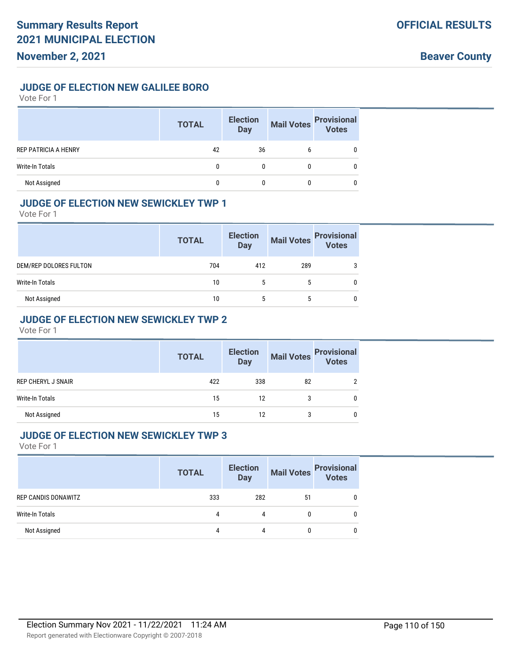### **JUDGE OF ELECTION NEW GALILEE BORO**

Vote For 1

|                             | <b>TOTAL</b> | <b>Election</b><br><b>Day</b> | <b>Mail Votes</b> | <b>Provisional</b><br>Votes |
|-----------------------------|--------------|-------------------------------|-------------------|-----------------------------|
| <b>REP PATRICIA A HENRY</b> | 42           | 36                            |                   |                             |
| <b>Write-In Totals</b>      | 0            |                               |                   |                             |
| Not Assigned                |              |                               |                   |                             |

### **JUDGE OF ELECTION NEW SEWICKLEY TWP 1**

Vote For 1

|                        | <b>TOTAL</b> | <b>Election</b><br><b>Day</b> | <b>Mail Votes</b> | <b>Provisional</b><br><b>Votes</b> |
|------------------------|--------------|-------------------------------|-------------------|------------------------------------|
| DEM/REP DOLORES FULTON | 704          | 412                           | 289               | 3                                  |
| Write-In Totals        | 10           | 5                             | 5                 |                                    |
| Not Assigned           | 10           | 5                             | 5                 |                                    |

# **JUDGE OF ELECTION NEW SEWICKLEY TWP 2**

Vote For 1

|                           | <b>TOTAL</b> | <b>Election</b><br><b>Day</b> | <b>Mail Votes</b> | <b>Provisional</b><br><b>Votes</b> |
|---------------------------|--------------|-------------------------------|-------------------|------------------------------------|
| <b>REP CHERYL J SNAIR</b> | 422          | 338                           | 82                |                                    |
| <b>Write-In Totals</b>    | 15           | 12                            |                   |                                    |
| Not Assigned              | 15           | 12                            |                   |                                    |

#### **JUDGE OF ELECTION NEW SEWICKLEY TWP 3**

|                     | <b>TOTAL</b> | <b>Election</b><br><b>Day</b> | Mail Votes | <b>Provisional</b><br>Votes |
|---------------------|--------------|-------------------------------|------------|-----------------------------|
| REP CANDIS DONAWITZ | 333          | 282                           | 51         |                             |
| Write-In Totals     |              | 4                             | 0          |                             |
| Not Assigned        |              | 4                             | 0          |                             |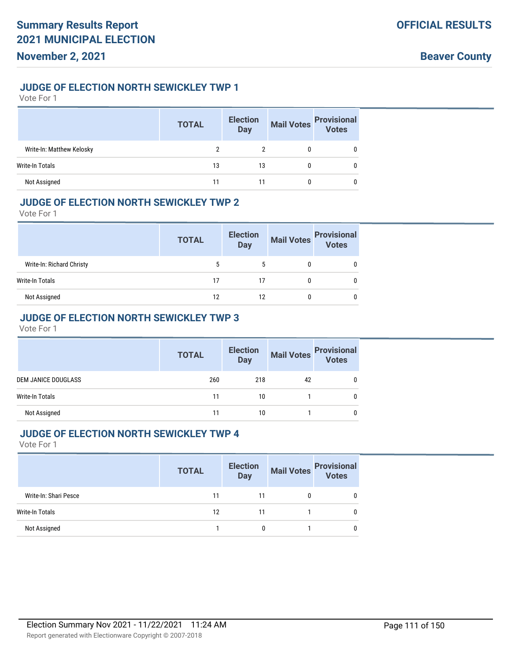## **JUDGE OF ELECTION NORTH SEWICKLEY TWP 1**

Vote For 1

|                           | <b>TOTAL</b> | <b>Election</b><br><b>Day</b> | <b>Mail Votes</b> | <b>Provisional</b><br>Votes |
|---------------------------|--------------|-------------------------------|-------------------|-----------------------------|
| Write-In: Matthew Kelosky |              |                               |                   |                             |
| Write-In Totals           | 13           | 13                            |                   |                             |
| Not Assigned              |              |                               |                   |                             |

### **JUDGE OF ELECTION NORTH SEWICKLEY TWP 2**

Vote For 1

|                           | <b>TOTAL</b> | <b>Election</b><br><b>Day</b> | <b>Mail Votes</b> | <b>Provisional</b><br><b>Votes</b> |
|---------------------------|--------------|-------------------------------|-------------------|------------------------------------|
| Write-In: Richard Christy | 5            | 5                             |                   | 0                                  |
| Write-In Totals           | 17           | 17                            |                   |                                    |
| Not Assigned              | 12           | 12                            |                   | 0                                  |

# **JUDGE OF ELECTION NORTH SEWICKLEY TWP 3**

Vote For 1

|                            | <b>TOTAL</b> | <b>Election</b><br><b>Day</b> | <b>Mail Votes</b> | <b>Provisional</b><br><b>Votes</b> |
|----------------------------|--------------|-------------------------------|-------------------|------------------------------------|
| <b>DEM JANICE DOUGLASS</b> | 260          | 218                           | 42                |                                    |
| <b>Write-In Totals</b>     | 11           | 10                            |                   |                                    |
| Not Assigned               | 11           | 10                            |                   |                                    |

# **JUDGE OF ELECTION NORTH SEWICKLEY TWP 4**

|                       | <b>TOTAL</b> | <b>Election</b><br><b>Day</b> |   | Mail Votes Provisional<br>Votes |
|-----------------------|--------------|-------------------------------|---|---------------------------------|
| Write-In: Shari Pesce | 11           | 11                            | 0 |                                 |
| Write-In Totals       | 12           | 11                            |   |                                 |
| Not Assigned          |              |                               |   |                                 |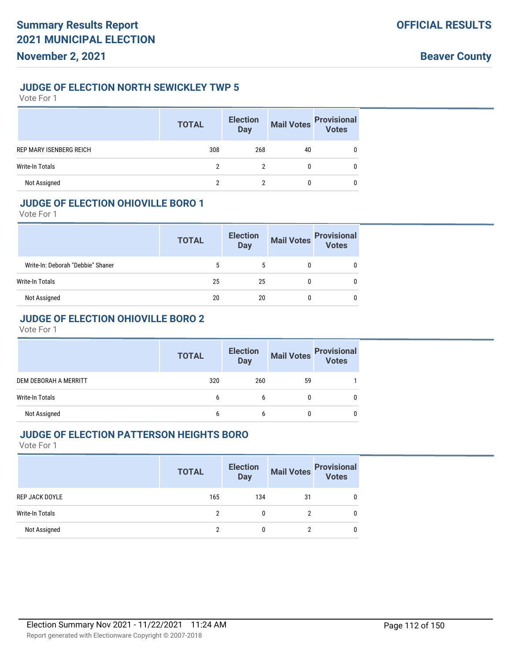### **JUDGE OF ELECTION NORTH SEWICKLEY TWP 5**

Vote For 1

|                                | <b>TOTAL</b> | <b>Election</b><br><b>Day</b> | <b>Mail Votes</b> | <b>Provisional</b><br>Votes |
|--------------------------------|--------------|-------------------------------|-------------------|-----------------------------|
| <b>REP MARY ISENBERG REICH</b> | 308          | 268                           | 40                | 0                           |
| Write-In Totals                |              |                               | $\mathbf{0}$      | 0                           |
| Not Assigned                   |              |                               | 0                 | 0                           |

# **JUDGE OF ELECTION OHIOVILLE BORO 1**

Vote For 1

|                                   | <b>TOTAL</b> | <b>Election</b><br><b>Day</b> | <b>Mail Votes</b> | <b>Provisional</b><br>Votes |
|-----------------------------------|--------------|-------------------------------|-------------------|-----------------------------|
| Write-In: Deborah "Debbie" Shaner | 5            | 5                             |                   | 0                           |
| Write-In Totals                   | 25           | 25                            |                   |                             |
| Not Assigned                      | 20           | 20                            |                   | 0                           |

# **JUDGE OF ELECTION OHIOVILLE BORO 2**

Vote For 1

|                       | <b>TOTAL</b> | <b>Election</b><br><b>Day</b> | <b>Mail Votes</b> | <b>Provisional</b> |
|-----------------------|--------------|-------------------------------|-------------------|--------------------|
| DEM DEBORAH A MERRITT | 320          | 260                           | 59                |                    |
| Write-In Totals       | b            |                               |                   |                    |
| Not Assigned          | b            |                               |                   |                    |

#### **JUDGE OF ELECTION PATTERSON HEIGHTS BORO**

|                        | <b>TOTAL</b> | <b>Election</b><br><b>Day</b> |    | Mail Votes<br>Votes |
|------------------------|--------------|-------------------------------|----|---------------------|
| <b>REP JACK DOYLE</b>  | 165          | 134                           | 31 |                     |
| <b>Write-In Totals</b> |              | 0                             |    |                     |
| Not Assigned           | ົ            | 0                             |    |                     |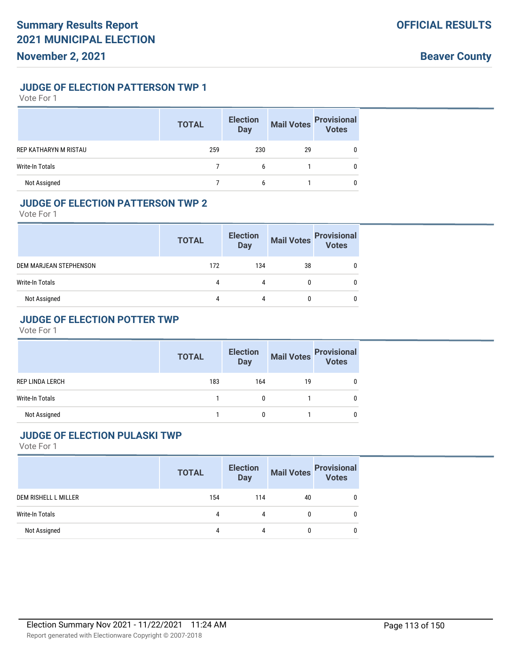### **JUDGE OF ELECTION PATTERSON TWP 1**

Vote For 1

|                        | <b>TOTAL</b> | <b>Election</b><br><b>Day</b> | <b>Mail Votes</b> | <b>Provisional</b><br>Votes |
|------------------------|--------------|-------------------------------|-------------------|-----------------------------|
| REP KATHARYN M RISTAU  | 259          | 230                           | 29                |                             |
| <b>Write-In Totals</b> |              | 6                             |                   |                             |
| Not Assigned           |              | 6                             |                   |                             |

# **JUDGE OF ELECTION PATTERSON TWP 2**

Vote For 1

|                        | <b>TOTAL</b> | <b>Election</b><br><b>Day</b> | <b>Mail Votes</b> | <b>Provisional</b><br>Votes |
|------------------------|--------------|-------------------------------|-------------------|-----------------------------|
| DEM MARJEAN STEPHENSON | 172          | 134                           | 38                |                             |
| Write-In Totals        | 4            | 4                             |                   |                             |
| Not Assigned           | 4            | 4                             |                   |                             |

# **JUDGE OF ELECTION POTTER TWP**

Vote For 1

|                        | <b>TOTAL</b> | <b>Election</b><br><b>Day</b> | <b>Mail Votes</b> | <b>Provisional</b><br>Votes |
|------------------------|--------------|-------------------------------|-------------------|-----------------------------|
| <b>REP LINDA LERCH</b> | 183          | 164                           | 19                |                             |
| <b>Write-In Totals</b> |              |                               |                   |                             |
| Not Assigned           |              |                               |                   | 0                           |

# **JUDGE OF ELECTION PULASKI TWP**

|                      | <b>TOTAL</b> | <b>Election</b><br><b>Day</b> | Mail Votes<br>Votes<br>Votes |              |
|----------------------|--------------|-------------------------------|------------------------------|--------------|
| DEM RISHELL L MILLER | 154          | 114                           | 40                           | 0            |
| Write-In Totals      | 4            |                               | 0                            | $\mathbf{0}$ |
| Not Assigned         | 4            |                               | 0                            | 0            |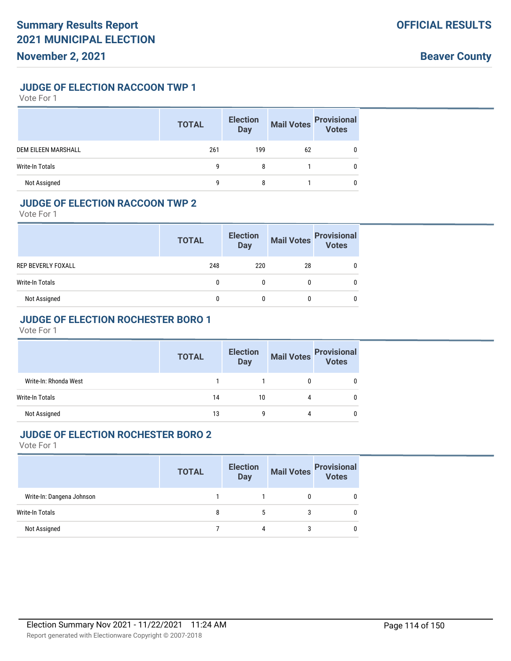#### **JUDGE OF ELECTION RACCOON TWP 1**

Vote For 1

|                            | <b>TOTAL</b> | <b>Election</b><br><b>Day</b> | <b>Mail Votes</b> | <b>Provisional</b><br>Votes |
|----------------------------|--------------|-------------------------------|-------------------|-----------------------------|
| <b>DEM EILEEN MARSHALL</b> | 261          | 199                           | 62                |                             |
| <b>Write-In Totals</b>     | q            | 8                             |                   |                             |
| Not Assigned               | g            |                               |                   |                             |

### **JUDGE OF ELECTION RACCOON TWP 2**

Vote For 1

|                    | <b>TOTAL</b> | <b>Election</b><br>Day | <b>Mail Votes</b> | <b>Provisional</b><br>Votes |
|--------------------|--------------|------------------------|-------------------|-----------------------------|
| REP BEVERLY FOXALL | 248          | 220                    | 28                |                             |
| Write-In Totals    |              | 0                      |                   |                             |
| Not Assigned       |              |                        |                   |                             |

# **JUDGE OF ELECTION ROCHESTER BORO 1**

Vote For 1

|                        | <b>TOTAL</b> | <b>Election</b><br><b>Day</b> | <b>Mail Votes</b> | <b>Provisional</b><br><b>Votes</b> |
|------------------------|--------------|-------------------------------|-------------------|------------------------------------|
| Write-In: Rhonda West  |              |                               |                   |                                    |
| <b>Write-In Totals</b> | 14           | 10                            | 4                 |                                    |
| Not Assigned           | 13           |                               | Δ                 |                                    |

#### **JUDGE OF ELECTION ROCHESTER BORO 2**

|                           | <b>TOTAL</b> | <b>Election</b><br><b>Day</b> | Mail Votes<br>Votes |
|---------------------------|--------------|-------------------------------|---------------------|
| Write-In: Dangena Johnson |              |                               |                     |
| Write-In Totals           | 8            |                               |                     |
| Not Assigned              |              | 4                             |                     |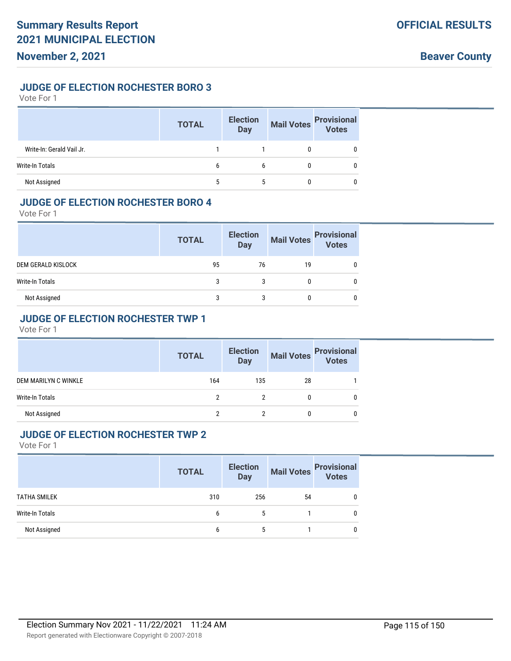### **JUDGE OF ELECTION ROCHESTER BORO 3**

#### Vote For 1

|                           | <b>TOTAL</b> | <b>Election</b><br><b>Day</b> | <b>Mail Votes</b> | <b>Provisional</b><br>Votes |
|---------------------------|--------------|-------------------------------|-------------------|-----------------------------|
| Write-In: Gerald Vail Jr. |              |                               |                   |                             |
| Write-In Totals           | b            | b                             |                   |                             |
| Not Assigned              |              |                               |                   |                             |

#### **JUDGE OF ELECTION ROCHESTER BORO 4**

Vote For 1

|                    | <b>TOTAL</b> | <b>Election</b><br><b>Day</b> | <b>Mail Votes</b> | <b>Provisional</b><br>Votes |
|--------------------|--------------|-------------------------------|-------------------|-----------------------------|
| DEM GERALD KISLOCK | 95           | 76                            | 19                |                             |
| Write-In Totals    |              |                               |                   |                             |
| Not Assigned       | 3            | 3                             |                   |                             |

# **JUDGE OF ELECTION ROCHESTER TWP 1**

Vote For 1

|                        | <b>TOTAL</b> | <b>Election</b><br><b>Day</b> |    | Mail Votes<br>Votes |
|------------------------|--------------|-------------------------------|----|---------------------|
| DEM MARILYN C WINKLE   | 164          | 135                           | 28 |                     |
| <b>Write-In Totals</b> |              |                               |    | 0                   |
| Not Assigned           |              |                               |    | 0                   |

#### **JUDGE OF ELECTION ROCHESTER TWP 2**

|                        | <b>TOTAL</b> | <b>Election</b><br><b>Day</b> |    | Mail Votes Provisional<br>Votes |
|------------------------|--------------|-------------------------------|----|---------------------------------|
| <b>TATHA SMILEK</b>    | 310          | 256                           | 54 | 0                               |
| <b>Write-In Totals</b> | b            |                               |    |                                 |
| Not Assigned           | b            |                               |    |                                 |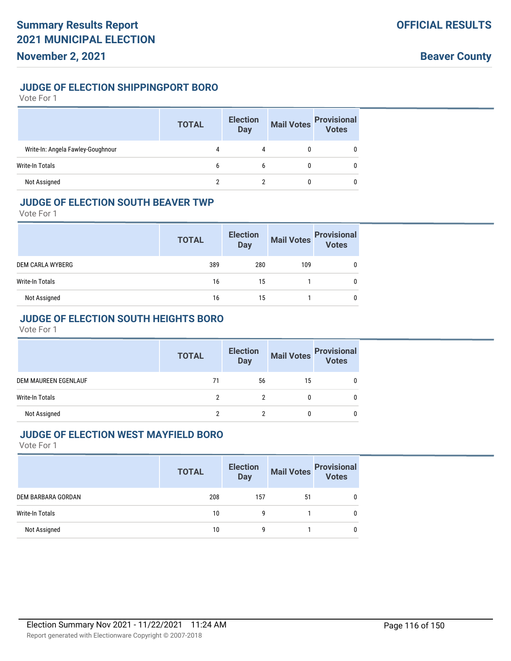## **JUDGE OF ELECTION SHIPPINGPORT BORO**

#### Vote For 1

|                                   | <b>TOTAL</b> | <b>Election</b><br><b>Day</b> | <b>Mail Votes</b> | <b>Provisional</b><br>Votes |
|-----------------------------------|--------------|-------------------------------|-------------------|-----------------------------|
| Write-In: Angela Fawley-Goughnour | 4            | 4                             |                   | 0                           |
| Write-In Totals                   | b            | b                             |                   | 0                           |
| Not Assigned                      |              |                               |                   | 0                           |

### **JUDGE OF ELECTION SOUTH BEAVER TWP**

Vote For 1

|                         | <b>TOTAL</b> | <b>Election</b><br><b>Day</b> | <b>Mail Votes</b> | <b>Provisional</b><br>Votes |
|-------------------------|--------------|-------------------------------|-------------------|-----------------------------|
| <b>DEM CARLA WYBERG</b> | 389          | 280                           | 109               | 0                           |
| Write-In Totals         | 16           | 15                            |                   | 0                           |
| Not Assigned            | 16           | 15                            |                   | 0                           |

# **JUDGE OF ELECTION SOUTH HEIGHTS BORO**

Vote For 1

|                        | <b>TOTAL</b> | <b>Election</b><br><b>Day</b> |    | Mail Votes Provisional<br>Votes |
|------------------------|--------------|-------------------------------|----|---------------------------------|
| DEM MAUREEN EGENLAUF   | 71           | 56                            | 15 |                                 |
| <b>Write-In Totals</b> | ົ            |                               |    |                                 |
| Not Assigned           |              |                               |    |                                 |

#### **JUDGE OF ELECTION WEST MAYFIELD BORO**

|                        | <b>TOTAL</b> | <b>Election</b><br><b>Day</b> |    | Mail Votes<br>Votes<br>Votes |
|------------------------|--------------|-------------------------------|----|------------------------------|
| DEM BARBARA GORDAN     | 208          | 157                           | 51 |                              |
| <b>Write-In Totals</b> | 10           | g                             |    |                              |
| Not Assigned           | 10           | g                             |    |                              |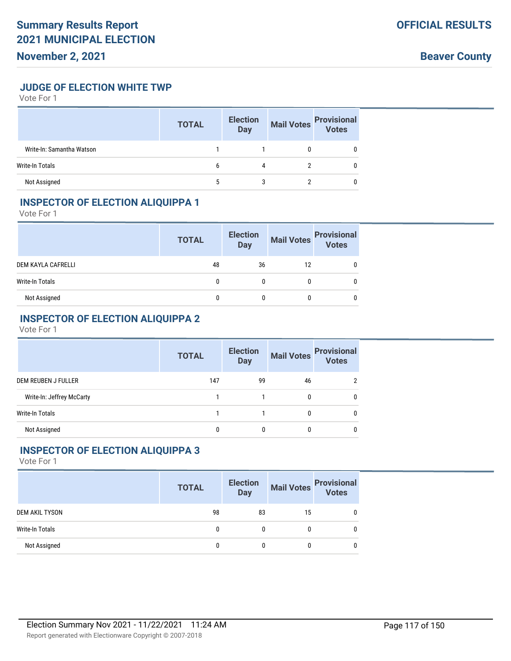# **November 2, 2021**

**Beaver County**

**JUDGE OF ELECTION WHITE TWP**

Vote For 1

|                           | <b>TOTAL</b> | <b>Election</b><br><b>Day</b> | <b>Mail Votes</b> | <b>Provisional</b><br>Votes |
|---------------------------|--------------|-------------------------------|-------------------|-----------------------------|
| Write-In: Samantha Watson |              |                               |                   |                             |
| Write-In Totals           | b            | 4                             |                   |                             |
| Not Assigned              |              |                               |                   |                             |

### **INSPECTOR OF ELECTION ALIQUIPPA 1**

Vote For 1

|                    | <b>TOTAL</b> | <b>Election</b><br><b>Day</b> | <b>Mail Votes</b> | <b>Provisional</b><br>Votes |
|--------------------|--------------|-------------------------------|-------------------|-----------------------------|
| DEM KAYLA CAFRELLI | 48           | 36                            | 12                |                             |
| Write-In Totals    |              |                               |                   |                             |
| Not Assigned       |              |                               |                   | 0                           |

# **INSPECTOR OF ELECTION ALIQUIPPA 2**

Vote For 1

|                           | <b>TOTAL</b> | <b>Election</b><br><b>Day</b> | <b>Mail Votes</b> | <b>Provisional</b><br><b>Votes</b> |
|---------------------------|--------------|-------------------------------|-------------------|------------------------------------|
| DEM REUBEN J FULLER       | 147          | 99                            | 46                |                                    |
| Write-In: Jeffrey McCarty |              |                               | 0                 | 0                                  |
| Write-In Totals           |              |                               |                   |                                    |
| Not Assigned              | 0            | 0                             | 0                 |                                    |

#### **INSPECTOR OF ELECTION ALIQUIPPA 3**

|                        | <b>TOTAL</b> | <b>Election</b><br><b>Day</b> | <b>Mail Votes</b> | <b>Provisional</b><br>Votes |
|------------------------|--------------|-------------------------------|-------------------|-----------------------------|
| <b>DEM AKIL TYSON</b>  | 98           | 83                            | 15                |                             |
| <b>Write-In Totals</b> |              | 0                             |                   |                             |
| Not Assigned           |              |                               |                   |                             |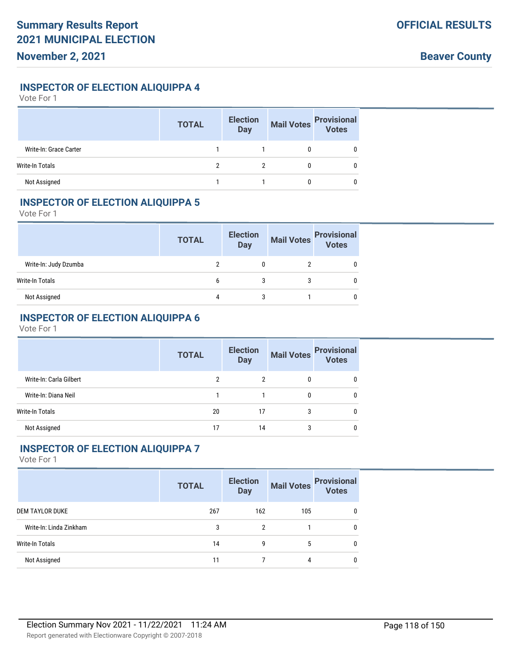#### **INSPECTOR OF ELECTION ALIQUIPPA 4**

Vote For 1

|                        | <b>TOTAL</b> | <b>Election</b><br><b>Day</b> | <b>Mail Votes</b> | <b>Provisional</b><br>Votes |
|------------------------|--------------|-------------------------------|-------------------|-----------------------------|
| Write-In: Grace Carter |              |                               |                   |                             |
| Write-In Totals        | ∩            |                               |                   |                             |
| Not Assigned           |              |                               |                   |                             |

# **INSPECTOR OF ELECTION ALIQUIPPA 5**

Vote For 1

|                       | <b>TOTAL</b> | <b>Election</b><br><b>Day</b> | <b>Mail Votes</b> | <b>Provisional</b><br><b>Votes</b> |
|-----------------------|--------------|-------------------------------|-------------------|------------------------------------|
| Write-In: Judy Dzumba |              |                               |                   |                                    |
| Write-In Totals       | h            |                               |                   |                                    |
| Not Assigned          |              |                               |                   |                                    |

### **INSPECTOR OF ELECTION ALIQUIPPA 6**

Vote For 1

|                         | <b>TOTAL</b> | <b>Election</b><br><b>Day</b> | <b>Mail Votes</b> | <b>Provisional</b><br>Votes |
|-------------------------|--------------|-------------------------------|-------------------|-----------------------------|
| Write-In: Carla Gilbert | 2            |                               | 0                 | 0                           |
| Write-In: Diana Neil    |              |                               | 0                 | 0                           |
| <b>Write-In Totals</b>  | 20           | 17                            | 3                 | 0                           |
| Not Assigned            | 17           | 14                            | 3                 |                             |

#### **INSPECTOR OF ELECTION ALIQUIPPA 7**

|                         | <b>TOTAL</b> | <b>Election</b><br><b>Day</b> | <b>Mail Votes</b> | <b>Provisional</b><br>Votes |
|-------------------------|--------------|-------------------------------|-------------------|-----------------------------|
| DEM TAYLOR DUKE         | 267          | 162                           | 105               | 0                           |
| Write-In: Linda Zinkham | 3            | 2                             |                   | 0                           |
| Write-In Totals         | 14           | 9                             | 5                 | 0                           |
| Not Assigned            | 11           |                               | 4                 | 0                           |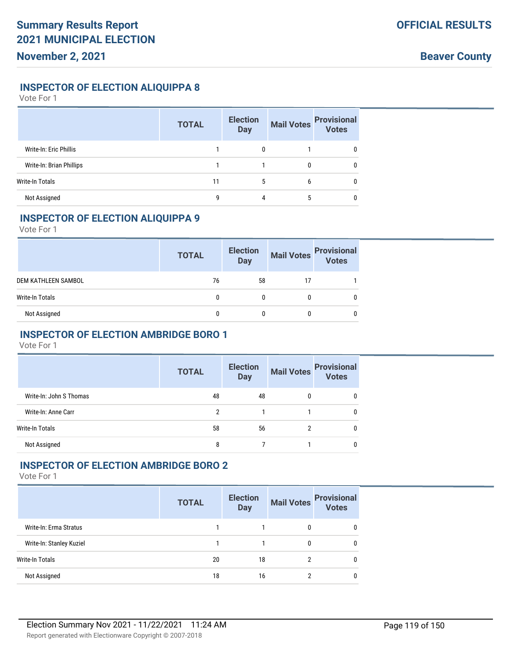### **INSPECTOR OF ELECTION ALIQUIPPA 8**

Vote For 1

|                          | <b>TOTAL</b> | <b>Election</b><br><b>Day</b> | <b>Mail Votes</b> | <b>Provisional</b><br>Votes |
|--------------------------|--------------|-------------------------------|-------------------|-----------------------------|
| Write-In: Eric Phillis   |              |                               |                   | 0                           |
| Write-In: Brian Phillips |              |                               |                   | 0                           |
| Write-In Totals          | 11           | 5                             | 6                 | $\mathbf{0}$                |
| Not Assigned             | q            | 4                             | 5                 | 0                           |

#### **INSPECTOR OF ELECTION ALIQUIPPA 9**

Vote For 1

|                     | <b>TOTAL</b> | <b>Election</b><br><b>Day</b> | <b>Mail Votes</b> | <b>Provisional</b><br>Votes |
|---------------------|--------------|-------------------------------|-------------------|-----------------------------|
| DEM KATHLEEN SAMBOL | 76           | 58                            |                   |                             |
| Write-In Totals     | 0            |                               |                   |                             |
| Not Assigned        |              |                               |                   |                             |

# **INSPECTOR OF ELECTION AMBRIDGE BORO 1**

Vote For 1

|                         | <b>TOTAL</b> | <b>Election</b><br><b>Day</b> | <b>Mail Votes</b> | <b>Provisional</b><br><b>Votes</b> |
|-------------------------|--------------|-------------------------------|-------------------|------------------------------------|
| Write-In: John S Thomas | 48           | 48                            | 0                 | 0                                  |
| Write-In: Anne Carr     | 2            |                               |                   | 0                                  |
| Write-In Totals         | 58           | 56                            | 2                 | 0                                  |
| Not Assigned            | 8            |                               |                   | 0                                  |

# **INSPECTOR OF ELECTION AMBRIDGE BORO 2**

|                          | <b>TOTAL</b> | <b>Election</b><br><b>Day</b> | <b>Mail Votes</b> | <b>Provisional</b><br>Votes |
|--------------------------|--------------|-------------------------------|-------------------|-----------------------------|
| Write-In: Erma Stratus   |              |                               | 0                 | $\mathbf{0}$                |
| Write-In: Stanley Kuziel |              |                               | 0                 | $\mathbf{0}$                |
| <b>Write-In Totals</b>   | 20           | 18                            | 2                 | 0                           |
| Not Assigned             | 18           | 16                            | າ                 | 0                           |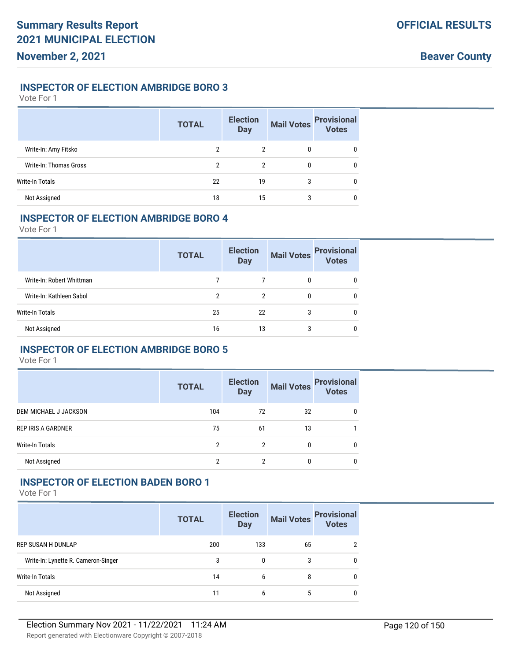### **INSPECTOR OF ELECTION AMBRIDGE BORO 3**

Vote For 1

|                        | <b>TOTAL</b> | <b>Election</b><br><b>Day</b> | <b>Mail Votes</b> | <b>Provisional</b><br>Votes |
|------------------------|--------------|-------------------------------|-------------------|-----------------------------|
| Write-In: Amy Fitsko   | 2            | 2                             | 0                 | 0                           |
| Write-In: Thomas Gross | 2            | 2                             | 0                 | $\mathbf{0}$                |
| <b>Write-In Totals</b> | 22           | 19                            | 3                 | 0                           |
| Not Assigned           | 18           | 15                            | 3                 | 0                           |

#### **INSPECTOR OF ELECTION AMBRIDGE BORO 4**

Vote For 1

|                           | <b>TOTAL</b> | <b>Election</b><br><b>Day</b> | <b>Mail Votes</b> | <b>Provisional</b><br><b>Votes</b> |
|---------------------------|--------------|-------------------------------|-------------------|------------------------------------|
| Write-In: Robert Whittman |              |                               |                   | 0                                  |
| Write-In: Kathleen Sabol  | 2            | 2                             | $\mathbf{0}$      | 0                                  |
| <b>Write-In Totals</b>    | 25           | 22                            | 3                 | 0                                  |
| Not Assigned              | 16           | 13                            | 3                 |                                    |

# **INSPECTOR OF ELECTION AMBRIDGE BORO 5**

Vote For 1

|                           | <b>TOTAL</b> | <b>Election</b><br><b>Day</b> | <b>Mail Votes</b> | <b>Provisional</b><br><b>Votes</b> |
|---------------------------|--------------|-------------------------------|-------------------|------------------------------------|
| DEM MICHAEL J JACKSON     | 104          | 72                            | 32                | 0                                  |
| <b>REP IRIS A GARDNER</b> | 75           | 61                            | 13                |                                    |
| <b>Write-In Totals</b>    | 2            | 2                             | 0                 | 0                                  |
| Not Assigned              | 2            |                               | 0                 | 0                                  |

### **INSPECTOR OF ELECTION BADEN BORO 1**

|                                     | <b>TOTAL</b> | <b>Election</b><br><b>Day</b> | <b>Mail Votes</b> | <b>Provisional</b><br><b>Votes</b> |
|-------------------------------------|--------------|-------------------------------|-------------------|------------------------------------|
| <b>REP SUSAN H DUNLAP</b>           | 200          | 133                           | 65                |                                    |
| Write-In: Lynette R. Cameron-Singer | 3            | 0                             | 3                 | <sup>0</sup>                       |
| Write-In Totals                     | 14           | 6                             | 8                 | $\Omega$                           |
| Not Assigned                        | 11           | b                             | 5                 | $\bf{0}$                           |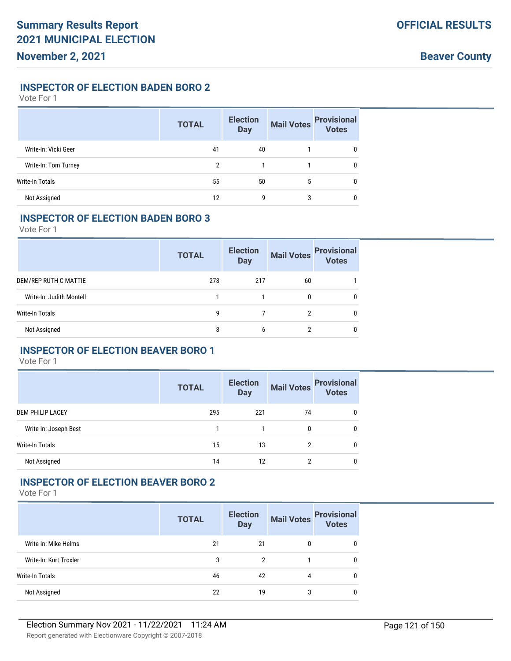### **INSPECTOR OF ELECTION BADEN BORO 2**

Vote For 1

|                      | <b>TOTAL</b> | <b>Election</b><br><b>Day</b> | <b>Mail Votes</b> | <b>Provisional</b><br>Votes |
|----------------------|--------------|-------------------------------|-------------------|-----------------------------|
| Write-In: Vicki Geer | 41           | 40                            |                   | 0                           |
| Write-In: Tom Turney | 2            |                               |                   | 0                           |
| Write-In Totals      | 55           | 50                            | 5                 | 0                           |
| Not Assigned         | 12           | 9                             | 3                 | 0                           |

#### **INSPECTOR OF ELECTION BADEN BORO 3**

Vote For 1

|                          | <b>TOTAL</b> | <b>Election</b><br><b>Day</b> | <b>Mail Votes</b> | <b>Provisional</b><br><b>Votes</b> |
|--------------------------|--------------|-------------------------------|-------------------|------------------------------------|
| DEM/REP RUTH C MATTIE    | 278          | 217                           | 60                |                                    |
| Write-In: Judith Montell |              |                               | 0                 | 0                                  |
| Write-In Totals          | g            |                               | 2                 | 0                                  |
| Not Assigned             | 8            | 6                             | າ                 |                                    |

# **INSPECTOR OF ELECTION BEAVER BORO 1**

Vote For 1

|                       | <b>TOTAL</b> | <b>Election</b><br><b>Day</b> | <b>Mail Votes</b> | <b>Provisional</b><br><b>Votes</b> |
|-----------------------|--------------|-------------------------------|-------------------|------------------------------------|
| DEM PHILIP LACEY      | 295          | 221                           | 74                | 0                                  |
| Write-In: Joseph Best |              |                               | 0                 | 0                                  |
| Write-In Totals       | 15           | 13                            |                   | 0                                  |
| Not Assigned          | 14           | 12                            |                   | 0                                  |

#### **INSPECTOR OF ELECTION BEAVER BORO 2**

|                        | <b>TOTAL</b> | <b>Election</b><br><b>Day</b> | <b>Mail Votes</b> | <b>Provisional</b><br><b>Votes</b> |
|------------------------|--------------|-------------------------------|-------------------|------------------------------------|
| Write-In: Mike Helms   | 21           | 21                            | 0                 | 0                                  |
| Write-In: Kurt Troxler | 3            | 2                             |                   | 0                                  |
| <b>Write-In Totals</b> | 46           | 42                            | 4                 | 0                                  |
| Not Assigned           | 22           | 19                            | 3                 | 0                                  |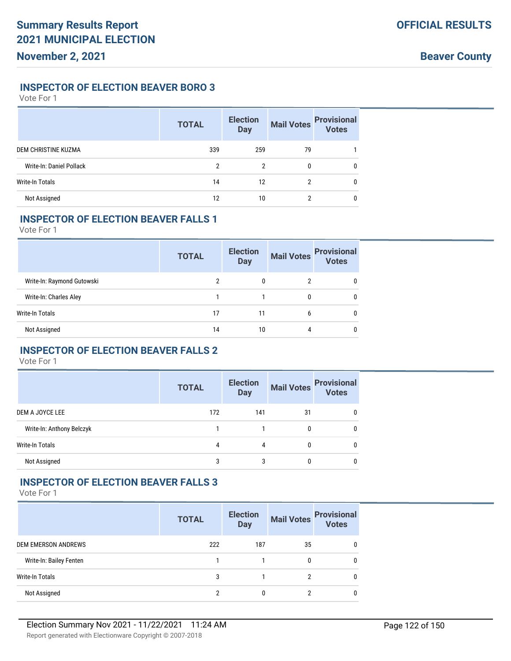### **INSPECTOR OF ELECTION BEAVER BORO 3**

Vote For 1

|                          | <b>TOTAL</b> | <b>Election</b><br><b>Day</b> | <b>Mail Votes</b> | <b>Provisional</b><br>Votes |
|--------------------------|--------------|-------------------------------|-------------------|-----------------------------|
| DEM CHRISTINE KUZMA      | 339          | 259                           | 79                |                             |
| Write-In: Daniel Pollack | 2            | 2                             | 0                 | $\mathbf{0}$                |
| Write-In Totals          | 14           | 12                            | 2                 | $\mathbf 0$                 |
| Not Assigned             | 12           | 10                            | 2                 | 0                           |

# **INSPECTOR OF ELECTION BEAVER FALLS 1**

Vote For 1

|                            | <b>TOTAL</b> | <b>Election</b><br><b>Day</b> | <b>Mail Votes</b> | <b>Provisional</b><br><b>Votes</b> |
|----------------------------|--------------|-------------------------------|-------------------|------------------------------------|
| Write-In: Raymond Gutowski | 2            | 0                             | 2                 | 0                                  |
| Write-In: Charles Aley     |              |                               | 0                 | 0                                  |
| Write-In Totals            | 17           | 11                            | 6                 | 0                                  |
| Not Assigned               | 14           | 10                            | 4                 | 0                                  |

# **INSPECTOR OF ELECTION BEAVER FALLS 2**

Vote For 1

|                           | <b>TOTAL</b> | <b>Election</b><br><b>Day</b> | <b>Mail Votes</b> | <b>Provisional</b><br>Votes |
|---------------------------|--------------|-------------------------------|-------------------|-----------------------------|
| DEM A JOYCE LEE           | 172          | 141                           | 31                | 0                           |
| Write-In: Anthony Belczyk |              |                               | 0                 | $\Omega$                    |
| <b>Write-In Totals</b>    | 4            | 4                             | 0                 | $\Omega$                    |
| Not Assigned              | 3            | 3                             |                   | 0                           |

#### **INSPECTOR OF ELECTION BEAVER FALLS 3**

|                            | <b>TOTAL</b> | <b>Election</b><br><b>Day</b> | <b>Mail Votes</b> | <b>Provisional</b><br><b>Votes</b> |
|----------------------------|--------------|-------------------------------|-------------------|------------------------------------|
| <b>DEM EMERSON ANDREWS</b> | 222          | 187                           | 35                |                                    |
| Write-In: Bailey Fenten    |              |                               |                   | $\Omega$                           |
| Write-In Totals            | 3            |                               |                   | $\Omega$                           |
| Not Assigned               | 2            |                               |                   |                                    |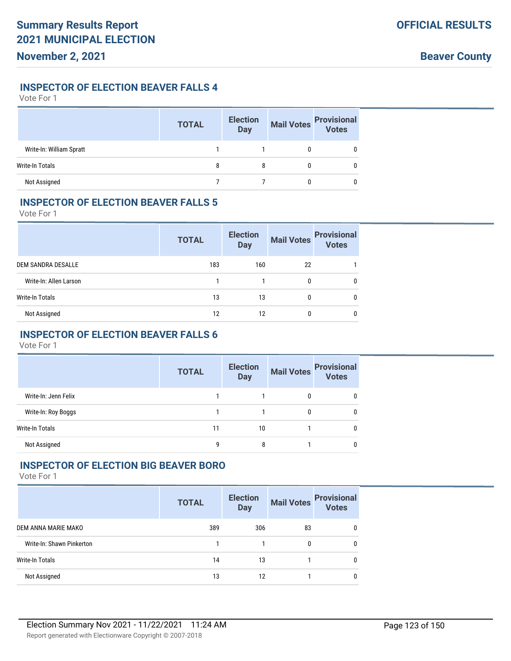# **INSPECTOR OF ELECTION BEAVER FALLS 4**

Vote For 1

|                          | <b>TOTAL</b> | <b>Election</b><br><b>Day</b> | <b>Mail Votes</b> | <b>Provisional</b><br>Votes |
|--------------------------|--------------|-------------------------------|-------------------|-----------------------------|
| Write-In: William Spratt |              |                               |                   | 0                           |
| <b>Write-In Totals</b>   | 8            | 8                             | 0                 | 0                           |
| Not Assigned             |              |                               |                   | 0                           |

# **INSPECTOR OF ELECTION BEAVER FALLS 5**

Vote For 1

|                        | <b>TOTAL</b> | <b>Election</b><br><b>Day</b> | <b>Mail Votes</b> | <b>Provisional</b><br>Votes |
|------------------------|--------------|-------------------------------|-------------------|-----------------------------|
| DEM SANDRA DESALLE     | 183          | 160                           | 22                |                             |
| Write-In: Allen Larson |              |                               | $\mathbf{0}$      | 0                           |
| Write-In Totals        | 13           | 13                            | 0                 | 0                           |
| Not Assigned           | 12           | 12                            | 0                 | $\mathbf{0}$                |

# **INSPECTOR OF ELECTION BEAVER FALLS 6**

Vote For 1

|                      | <b>TOTAL</b> | <b>Election</b><br><b>Day</b> | <b>Mail Votes</b> | <b>Provisional</b><br><b>Votes</b> |
|----------------------|--------------|-------------------------------|-------------------|------------------------------------|
| Write-In: Jenn Felix |              |                               | 0                 |                                    |
| Write-In: Roy Boggs  |              |                               | 0                 | 0                                  |
| Write-In Totals      | 11           | 10                            |                   |                                    |
| Not Assigned         | g            | 8                             |                   |                                    |

# **INSPECTOR OF ELECTION BIG BEAVER BORO**

|                           | <b>TOTAL</b> | <b>Election</b><br><b>Day</b> | <b>Mail Votes</b> | <b>Provisional</b><br><b>Votes</b> |
|---------------------------|--------------|-------------------------------|-------------------|------------------------------------|
| DEM ANNA MARIE MAKO       | 389          | 306                           | 83                | $\mathbf{0}$                       |
| Write-In: Shawn Pinkerton |              |                               | 0                 | 0                                  |
| Write-In Totals           | 14           | 13                            |                   | $\mathbf{0}$                       |
| Not Assigned              | 13           | 12                            |                   | 0                                  |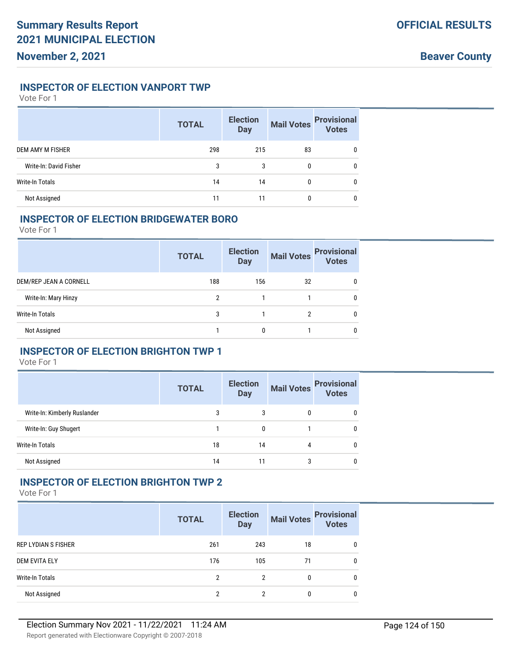# **INSPECTOR OF ELECTION VANPORT TWP**

Vote For 1

|                        | <b>TOTAL</b> | <b>Election</b><br><b>Mail Votes</b><br><b>Day</b> |    | <b>Provisional</b><br>Votes |
|------------------------|--------------|----------------------------------------------------|----|-----------------------------|
| DEM AMY M FISHER       | 298          | 215                                                | 83 | 0                           |
| Write-In: David Fisher | 3            | 3                                                  | 0  | 0                           |
| <b>Write-In Totals</b> | 14           | 14                                                 | 0  | 0                           |
| Not Assigned           | 11           | 11                                                 |    | 0                           |

### **INSPECTOR OF ELECTION BRIDGEWATER BORO**

Vote For 1

|                        | <b>TOTAL</b> | <b>Election</b><br><b>Day</b> | <b>Mail Votes</b> | <b>Provisional</b><br><b>Votes</b> |
|------------------------|--------------|-------------------------------|-------------------|------------------------------------|
| DEM/REP JEAN A CORNELL | 188          | 156                           | 32                | 0                                  |
| Write-In: Mary Hinzy   | 2            |                               |                   | 0                                  |
| Write-In Totals        | 3            |                               | 2                 | 0                                  |
| Not Assigned           |              |                               |                   |                                    |

# **INSPECTOR OF ELECTION BRIGHTON TWP 1**

Vote For 1

|                              | <b>TOTAL</b> | <b>Election</b><br><b>Day</b> |   | Mail Votes Provisional<br><b>Votes</b> |
|------------------------------|--------------|-------------------------------|---|----------------------------------------|
| Write-In: Kimberly Ruslander | 3            | 3                             | 0 | 0                                      |
| Write-In: Guy Shugert        |              | 0                             |   | 0                                      |
| <b>Write-In Totals</b>       | 18           | 14                            | 4 | 0                                      |
| Not Assigned                 | 14           | 11                            |   | ſ                                      |

#### **INSPECTOR OF ELECTION BRIGHTON TWP 2**

|                      | <b>TOTAL</b> | <b>Election</b><br><b>Day</b> | <b>Mail Votes</b> | <b>Provisional</b><br><b>Votes</b> |
|----------------------|--------------|-------------------------------|-------------------|------------------------------------|
| REP LYDIAN S FISHER  | 261          | 243                           | 18                | 0                                  |
| <b>DEM EVITA ELY</b> | 176          | 105                           | 71                | 0                                  |
| Write-In Totals      | 2            | 2                             | 0                 | 0                                  |
| Not Assigned         | 2            | 2                             |                   | 0                                  |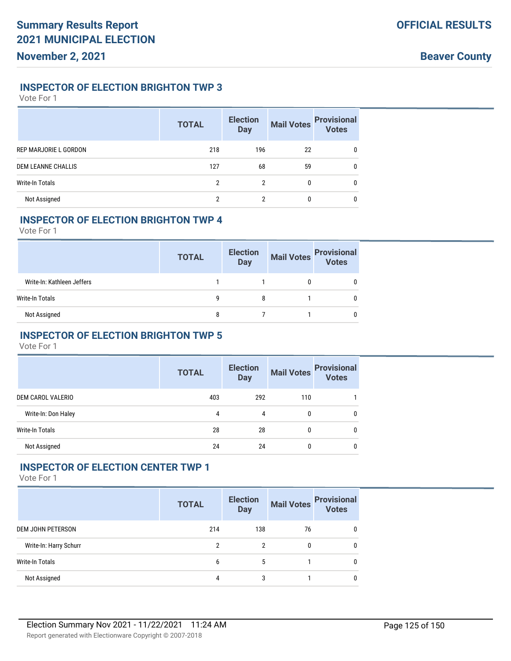#### **INSPECTOR OF ELECTION BRIGHTON TWP 3**

Vote For 1

|                           | <b>TOTAL</b> | <b>Election</b><br><b>Day</b> | <b>Mail Votes</b> | <b>Provisional</b><br><b>Votes</b> |
|---------------------------|--------------|-------------------------------|-------------------|------------------------------------|
| REP MARJORIE L GORDON     | 218          | 196                           | 22                | $\mathbf{0}$                       |
| <b>DEM LEANNE CHALLIS</b> | 127          | 68                            | 59                | 0                                  |
| Write-In Totals           | 2            | 2                             | 0                 | $\mathbf{0}$                       |
| Not Assigned              |              |                               | 0                 | 0                                  |

### **INSPECTOR OF ELECTION BRIGHTON TWP 4**

Vote For 1

|                            | <b>TOTAL</b> | <b>Election</b><br><b>Day</b> | Mail Votes | <b>Provisional</b><br>Votes |
|----------------------------|--------------|-------------------------------|------------|-----------------------------|
| Write-In: Kathleen Jeffers |              |                               |            |                             |
| Write-In Totals            | g            | 8                             |            |                             |
| Not Assigned               | 8            |                               |            |                             |

# **INSPECTOR OF ELECTION BRIGHTON TWP 5**

Vote For 1

|                        | <b>TOTAL</b> | <b>Election</b><br><b>Mail Votes</b><br><b>Day</b> |     | <b>Provisional</b><br>Votes |
|------------------------|--------------|----------------------------------------------------|-----|-----------------------------|
| DEM CAROL VALERIO      | 403          | 292                                                | 110 |                             |
| Write-In: Don Haley    | 4            | 4                                                  | 0   | 0                           |
| <b>Write-In Totals</b> | 28           | 28                                                 | 0   | 0                           |
| Not Assigned           | 24           | 24                                                 | 0   | 0                           |

# **INSPECTOR OF ELECTION CENTER TWP 1**

|                        | <b>TOTAL</b> | <b>Election</b><br><b>Day</b> | <b>Mail Votes</b> | <b>Provisional</b><br>Votes |
|------------------------|--------------|-------------------------------|-------------------|-----------------------------|
| DEM JOHN PETERSON      | 214          | 138                           | 76                | $\mathbf{0}$                |
| Write-In: Harry Schurr | 2            | 2                             | 0                 | 0                           |
| Write-In Totals        | 6            | 5                             |                   | 0                           |
| Not Assigned           | 4            | 3                             |                   | 0                           |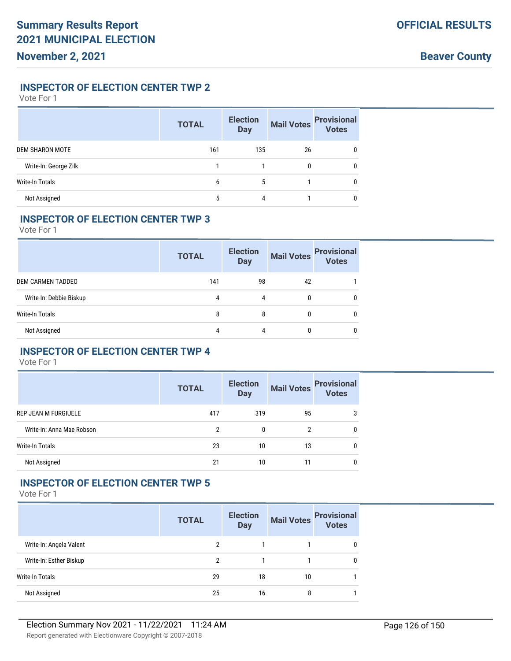### **INSPECTOR OF ELECTION CENTER TWP 2**

Vote For 1

|                        | <b>TOTAL</b> | <b>Election</b><br><b>Mail Votes</b><br><b>Day</b> |    | <b>Provisional</b><br><b>Votes</b> |
|------------------------|--------------|----------------------------------------------------|----|------------------------------------|
| <b>DEM SHARON MOTE</b> | 161          | 135                                                | 26 | 0                                  |
| Write-In: George Zilk  |              |                                                    |    | 0                                  |
| <b>Write-In Totals</b> | b            | 5                                                  |    | 0                                  |
| Not Assigned           | 5            | 4                                                  |    |                                    |

### **INSPECTOR OF ELECTION CENTER TWP 3**

Vote For 1

|                         | <b>TOTAL</b> | <b>Election</b><br><b>Mail Votes</b><br><b>Day</b> |    | <b>Provisional</b><br><b>Votes</b> |
|-------------------------|--------------|----------------------------------------------------|----|------------------------------------|
| DEM CARMEN TADDEO       | 141          | 98                                                 | 42 |                                    |
| Write-In: Debbie Biskup | 4            | 4                                                  |    | 0                                  |
| Write-In Totals         | 8            | 8                                                  | 0  | 0                                  |
| Not Assigned            | 4            | 4                                                  |    |                                    |

# **INSPECTOR OF ELECTION CENTER TWP 4**

Vote For 1

|                             | <b>TOTAL</b> | <b>Election</b><br><b>Day</b> | <b>Mail Votes</b> | <b>Provisional</b><br><b>Votes</b> |
|-----------------------------|--------------|-------------------------------|-------------------|------------------------------------|
| <b>REP JEAN M FURGIUELE</b> | 417          | 319                           | 95                | 3                                  |
| Write-In: Anna Mae Robson   | ≘            | 0                             | າ                 | 0                                  |
| Write-In Totals             | 23           | 10                            | 13                | 0                                  |
| Not Assigned                | 21           | 10                            | 11                | 0                                  |

# **INSPECTOR OF ELECTION CENTER TWP 5**

|                         | <b>TOTAL</b> | <b>Election</b><br><b>Day</b> | <b>Mail Votes</b> | <b>Provisional</b><br><b>Votes</b> |
|-------------------------|--------------|-------------------------------|-------------------|------------------------------------|
| Write-In: Angela Valent | 2            |                               |                   |                                    |
| Write-In: Esther Biskup | 2            |                               |                   | 0                                  |
| Write-In Totals         | 29           | 18                            | 10                |                                    |
| Not Assigned            | 25           | 16                            | 8                 |                                    |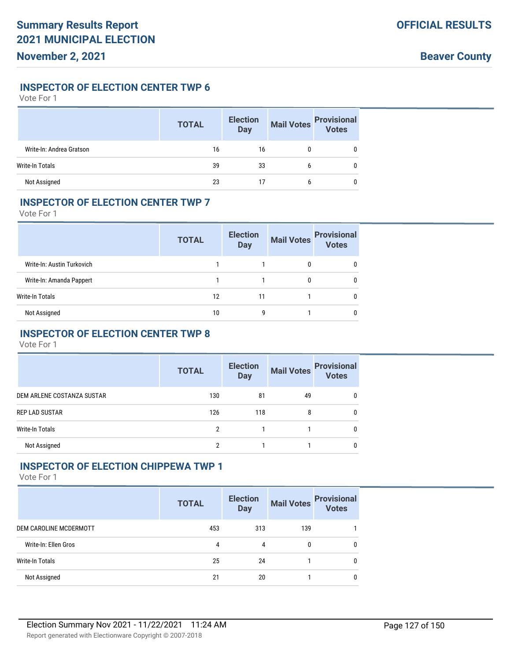#### **INSPECTOR OF ELECTION CENTER TWP 6**

Vote For 1

|                          | <b>TOTAL</b> | <b>Election</b><br><b>Day</b> | <b>Mail Votes</b> | <b>Provisional</b><br>Votes |
|--------------------------|--------------|-------------------------------|-------------------|-----------------------------|
| Write-In: Andrea Gratson | 16           | 16                            | 0                 |                             |
| Write-In Totals          | 39           | 33                            | b                 |                             |
| Not Assigned             | 23           |                               | b                 |                             |

#### **INSPECTOR OF ELECTION CENTER TWP 7**

Vote For 1

|                            | <b>TOTAL</b> | <b>Election</b><br><b>Day</b> | <b>Mail Votes</b> | <b>Provisional</b><br><b>Votes</b> |
|----------------------------|--------------|-------------------------------|-------------------|------------------------------------|
| Write-In: Austin Turkovich |              |                               | 0                 | 0                                  |
| Write-In: Amanda Pappert   |              |                               | 0                 | 0                                  |
| Write-In Totals            | 12           | 11                            |                   | 0                                  |
| Not Assigned               | 10           | g                             |                   | 0                                  |

# **INSPECTOR OF ELECTION CENTER TWP 8**

Vote For 1

|                            | <b>TOTAL</b> | <b>Election</b><br><b>Day</b> | <b>Mail Votes</b> | <b>Provisional</b><br>Votes |
|----------------------------|--------------|-------------------------------|-------------------|-----------------------------|
| DEM ARLENE COSTANZA SUSTAR | 130          | 81                            | 49                | 0                           |
| <b>REP LAD SUSTAR</b>      | 126          | 118                           | 8                 | <sup>0</sup>                |
| Write-In Totals            | 2            |                               |                   | <sup>0</sup>                |
| Not Assigned               | ≘            |                               |                   | <sup>0</sup>                |

# **INSPECTOR OF ELECTION CHIPPEWA TWP 1**

|                        | <b>TOTAL</b> | <b>Election</b><br><b>Day</b> | <b>Mail Votes</b> | <b>Provisional</b><br>Votes |
|------------------------|--------------|-------------------------------|-------------------|-----------------------------|
| DEM CAROLINE MCDERMOTT | 453          | 313                           | 139               |                             |
| Write-In: Ellen Gros   | 4            | 4                             | 0                 | $\mathbf{0}$                |
| Write-In Totals        | 25           | 24                            |                   | $\mathbf{0}$                |
| Not Assigned           | 21           | 20                            |                   | 0                           |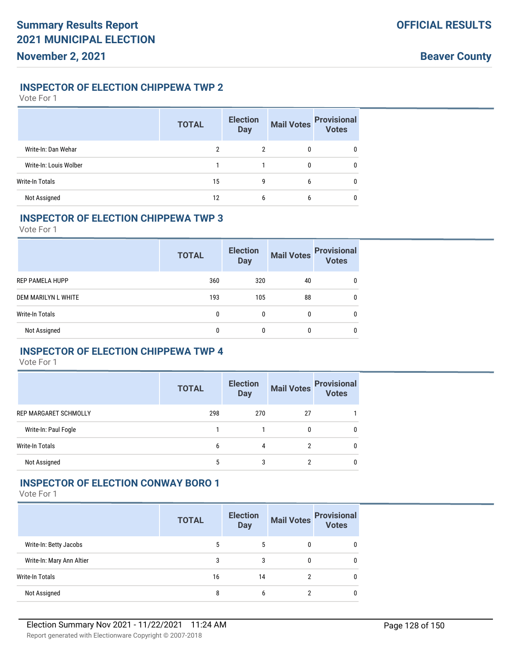### **INSPECTOR OF ELECTION CHIPPEWA TWP 2**

Vote For 1

|                        | <b>TOTAL</b> | <b>Election</b><br><b>Day</b> | <b>Mail Votes</b> | <b>Provisional</b><br>Votes |
|------------------------|--------------|-------------------------------|-------------------|-----------------------------|
| Write-In: Dan Wehar    | 2            | 2                             | 0                 | 0                           |
| Write-In: Louis Wolber |              |                               |                   | $\mathbf{0}$                |
| Write-In Totals        | 15           | 9                             | 6                 | $\mathbf{0}$                |
| Not Assigned           | 12           | 6                             | b                 | 0                           |

#### **INSPECTOR OF ELECTION CHIPPEWA TWP 3**

Vote For 1

|                        | <b>TOTAL</b> | <b>Election</b><br><b>Day</b> | <b>Mail Votes</b> | <b>Provisional</b><br>Votes |
|------------------------|--------------|-------------------------------|-------------------|-----------------------------|
| <b>REP PAMELA HUPP</b> | 360          | 320                           | 40                | 0                           |
| DEM MARILYN L WHITE    | 193          | 105                           | 88                | 0                           |
| Write-In Totals        | 0            | $\mathbf{0}$                  | $\mathbf{0}$      | 0                           |
| Not Assigned           |              |                               | $\mathbf{0}$      | 0                           |

# **INSPECTOR OF ELECTION CHIPPEWA TWP 4**

Vote For 1

|                              | <b>TOTAL</b> | <b>Election</b><br><b>Day</b> |              | Mail Votes Provisional<br>Votes |
|------------------------------|--------------|-------------------------------|--------------|---------------------------------|
| <b>REP MARGARET SCHMOLLY</b> | 298          | 270                           | 27           |                                 |
| Write-In: Paul Fogle         |              |                               | $\mathbf{0}$ | 0                               |
| Write-In Totals              | 6            | 4                             | 2            | 0                               |
| Not Assigned                 | ა            | 3                             | າ            | 0                               |

# **INSPECTOR OF ELECTION CONWAY BORO 1**

|                           | <b>TOTAL</b> | <b>Election</b><br><b>Day</b> | <b>Mail Votes</b> | <b>Provisional</b><br><b>Votes</b> |
|---------------------------|--------------|-------------------------------|-------------------|------------------------------------|
| Write-In: Betty Jacobs    | 5            | 5                             | 0                 |                                    |
| Write-In: Mary Ann Altier | 3            | 3                             | 0                 | <sup>0</sup>                       |
| <b>Write-In Totals</b>    | 16           | 14                            |                   | <sup>0</sup>                       |
| Not Assigned              | 8            | b                             |                   |                                    |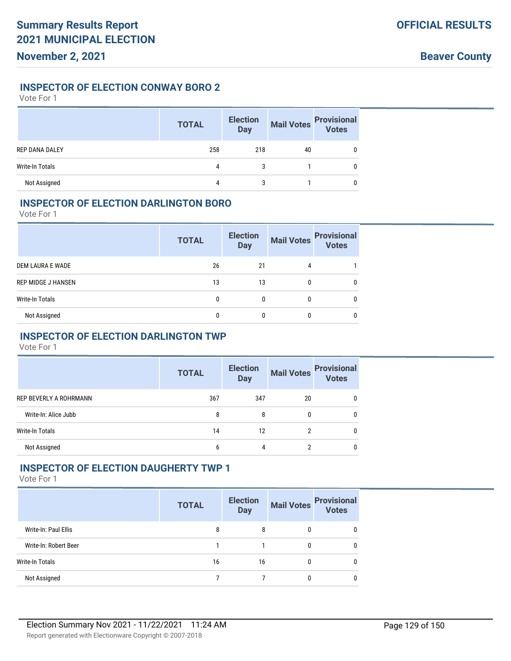### **INSPECTOR OF ELECTION CONWAY BORO 2**

Vote For 1

|                        | <b>TOTAL</b> | <b>Election</b><br><b>Day</b> | <b>Mail Votes</b> | <b>Provisional</b><br>Votes |
|------------------------|--------------|-------------------------------|-------------------|-----------------------------|
| <b>REP DANA DALEY</b>  | 258          | 218                           | 40                |                             |
| <b>Write-In Totals</b> | 4            | 3                             |                   |                             |
| Not Assigned           | 4            | 3                             |                   |                             |

### **INSPECTOR OF ELECTION DARLINGTON BORO**

Vote For 1

|                           | <b>TOTAL</b> | <b>Election</b><br><b>Day</b> | <b>Mail Votes</b> | <b>Provisional</b><br><b>Votes</b> |
|---------------------------|--------------|-------------------------------|-------------------|------------------------------------|
| DEM LAURA E WADE          | 26           | 21                            | 4                 |                                    |
| <b>REP MIDGE J HANSEN</b> | 13           | 13                            | 0                 | $\mathbf{0}$                       |
| Write-In Totals           | 0            | 0                             | 0                 | 0                                  |
| Not Assigned              |              |                               | 0                 | 0                                  |

# **INSPECTOR OF ELECTION DARLINGTON TWP**

Vote For 1

|                               | <b>TOTAL</b> | <b>Election</b><br><b>Day</b> | <b>Mail Votes</b> | <b>Provisional</b><br><b>Votes</b> |
|-------------------------------|--------------|-------------------------------|-------------------|------------------------------------|
| <b>REP BEVERLY A ROHRMANN</b> | 367          | 347                           | 20                |                                    |
| Write-In: Alice Jubb          | 8            | 8                             | 0                 |                                    |
| Write-In Totals               | 14           | 12                            | っ                 |                                    |
| Not Assigned                  | b            | 4                             | ŋ                 |                                    |

### **INSPECTOR OF ELECTION DAUGHERTY TWP 1**

|                       | <b>TOTAL</b> | <b>Election</b><br><b>Day</b> | <b>Mail Votes</b> | <b>Provisional</b><br><b>Votes</b> |
|-----------------------|--------------|-------------------------------|-------------------|------------------------------------|
| Write-In: Paul Ellis  | 8            | 8                             | 0                 | 0                                  |
| Write-In: Robert Beer |              |                               | 0                 | 0                                  |
| Write-In Totals       | 16           | 16                            | 0                 | 0                                  |
| Not Assigned          |              |                               |                   | $\mathbf{0}$                       |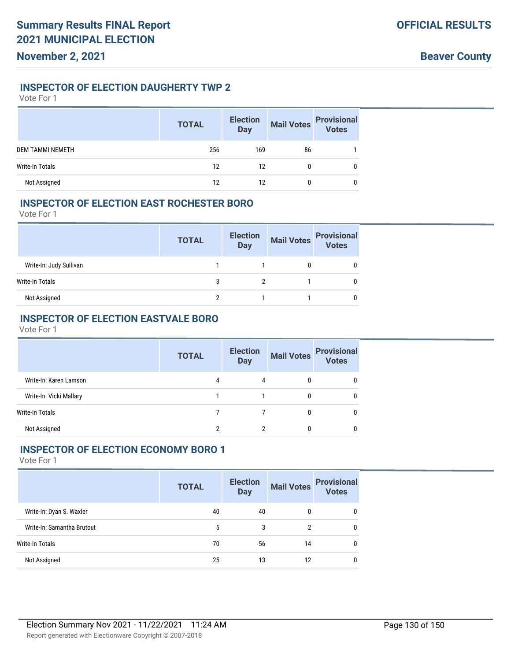# **INSPECTOR OF ELECTION DAUGHERTY TWP 2**

Vote For 1

|                         | <b>TOTAL</b> | <b>Election</b><br><b>Day</b> | <b>Mail Votes</b> | <b>Provisional</b><br><b>Votes</b> |
|-------------------------|--------------|-------------------------------|-------------------|------------------------------------|
| <b>DEM TAMMI NEMETH</b> | 256          | 169                           | 86                |                                    |
| Write-In Totals         | 12           | 12                            | 0                 |                                    |
| Not Assigned            | 12           | 12                            |                   |                                    |

# **INSPECTOR OF ELECTION EAST ROCHESTER BORO**

Vote For 1

|                         | <b>TOTAL</b> | <b>Election</b><br><b>Day</b> | <b>Mail Votes</b> | <b>Provisional</b><br><b>Votes</b> |
|-------------------------|--------------|-------------------------------|-------------------|------------------------------------|
| Write-In: Judy Sullivan |              |                               |                   |                                    |
| Write-In Totals         | 3            |                               |                   |                                    |
| Not Assigned            | າ            |                               |                   |                                    |

# **INSPECTOR OF ELECTION EASTVALE BORO**

Vote For 1

|                         | <b>TOTAL</b> | <b>Election</b><br><b>Day</b> | <b>Mail Votes</b> | <b>Provisional</b><br><b>Votes</b> |
|-------------------------|--------------|-------------------------------|-------------------|------------------------------------|
| Write-In: Karen Lamson  | 4            | 4                             |                   |                                    |
| Write-In: Vicki Mallary |              |                               | 0                 |                                    |
| Write-In Totals         |              |                               | 0                 |                                    |
| Not Assigned            |              |                               |                   |                                    |

# **INSPECTOR OF ELECTION ECONOMY BORO 1**

|                            | <b>TOTAL</b> | <b>Election</b><br><b>Day</b> | <b>Mail Votes</b> | <b>Provisional</b><br><b>Votes</b> |
|----------------------------|--------------|-------------------------------|-------------------|------------------------------------|
| Write-In: Dyan S. Waxler   | 40           | 40                            | 0                 | $\mathbf{0}$                       |
| Write-In: Samantha Brutout | 5            | 3                             | 2                 | 0                                  |
| Write-In Totals            | 70           | 56                            | 14                | 0                                  |
| Not Assigned               | 25           | 13                            | 12                | 0                                  |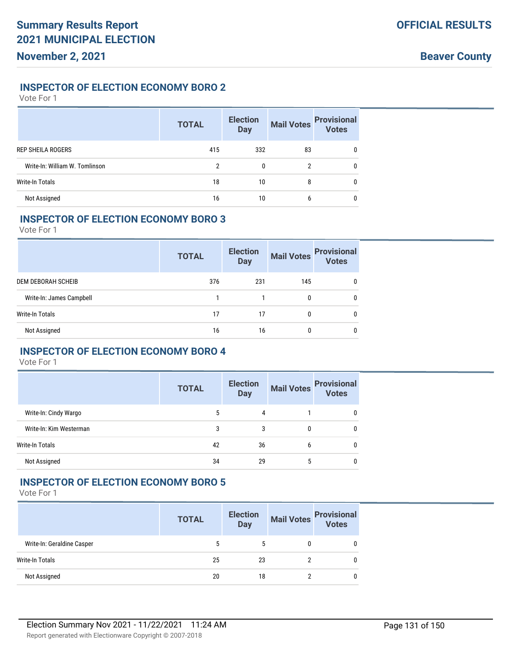### **INSPECTOR OF ELECTION ECONOMY BORO 2**

Vote For 1

|                                | <b>TOTAL</b> | <b>Election</b><br><b>Day</b> | <b>Mail Votes</b> | <b>Provisional</b><br>Votes |
|--------------------------------|--------------|-------------------------------|-------------------|-----------------------------|
| <b>REP SHEILA ROGERS</b>       | 415          | 332                           | 83                | $\mathbf{0}$                |
| Write-In: William W. Tomlinson | 2            | 0                             | 2                 | $\mathbf{0}$                |
| <b>Write-In Totals</b>         | 18           | 10                            | 8                 | 0                           |
| Not Assigned                   | 16           | 10                            | 6                 | 0                           |

# **INSPECTOR OF ELECTION ECONOMY BORO 3**

Vote For 1

|                          | <b>TOTAL</b> | <b>Election</b><br><b>Day</b> | <b>Mail Votes</b> | <b>Provisional</b><br><b>Votes</b> |
|--------------------------|--------------|-------------------------------|-------------------|------------------------------------|
| DEM DEBORAH SCHEIB       | 376          | 231                           | 145               | 0                                  |
| Write-In: James Campbell |              |                               | 0                 | 0                                  |
| Write-In Totals          | 17           | 17                            | 0                 | $\Omega$                           |
| Not Assigned             | 16           | 16                            |                   | 0                                  |

# **INSPECTOR OF ELECTION ECONOMY BORO 4**

Vote For 1

|                         | <b>TOTAL</b> | <b>Election</b><br><b>Day</b> |   | Mail Votes Provisional |
|-------------------------|--------------|-------------------------------|---|------------------------|
| Write-In: Cindy Wargo   | 5            | 4                             |   | 0                      |
| Write-In: Kim Westerman | 3            | 3                             | 0 | 0                      |
| <b>Write-In Totals</b>  | 42           | 36                            | b | 0                      |
| Not Assigned            | 34           | 29                            |   | 0                      |

### **INSPECTOR OF ELECTION ECONOMY BORO 5**

|                            | <b>TOTAL</b> | <b>Election</b><br><b>Day</b> | <b>Mail Votes</b> | <b>Provisional</b><br>Votes |
|----------------------------|--------------|-------------------------------|-------------------|-----------------------------|
| Write-In: Geraldine Casper |              | 5                             | 0                 | $\mathbf{0}$                |
| Write-In Totals            | 25           | 23                            |                   | $\mathbf{0}$                |
| Not Assigned               | 20           | 18                            |                   | $\mathbf{0}$                |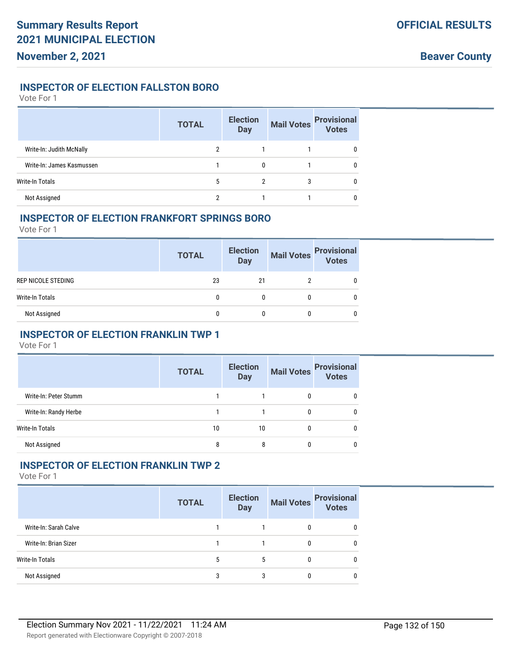## **INSPECTOR OF ELECTION FALLSTON BORO**

Vote For 1

|                           | <b>TOTAL</b> | <b>Election</b><br><b>Day</b> | <b>Mail Votes</b> | <b>Provisional</b><br>Votes |
|---------------------------|--------------|-------------------------------|-------------------|-----------------------------|
| Write-In: Judith McNally  |              |                               |                   | $\mathbf{0}$                |
| Write-In: James Kasmussen |              | 0                             |                   | $\mathbf{0}$                |
| Write-In Totals           | 5            | 2                             | 3                 | $\mathbf{0}$                |
| Not Assigned              |              |                               |                   | 0                           |

#### **INSPECTOR OF ELECTION FRANKFORT SPRINGS BORO**

Vote For 1

|                    | <b>TOTAL</b> | <b>Election</b><br><b>Day</b> | Mail Votes | <b>Provisional</b><br>Votes |
|--------------------|--------------|-------------------------------|------------|-----------------------------|
| REP NICOLE STEDING | 23           | 21                            |            |                             |
| Write-In Totals    |              | 0                             |            |                             |
| Not Assigned       |              | 0                             |            |                             |

# **INSPECTOR OF ELECTION FRANKLIN TWP 1**

Vote For 1

|                        | <b>TOTAL</b> | <b>Election</b><br><b>Day</b> | <b>Mail Votes</b> | <b>Provisional</b><br><b>Votes</b> |
|------------------------|--------------|-------------------------------|-------------------|------------------------------------|
| Write-In: Peter Stumm  |              |                               |                   | U                                  |
| Write-In: Randy Herbe  |              |                               | 0                 | 0                                  |
| <b>Write-In Totals</b> | 10           | 10                            | 0                 | 0                                  |
| Not Assigned           | 8            | 8                             | 0                 | 0                                  |

# **INSPECTOR OF ELECTION FRANKLIN TWP 2**

|                        | <b>TOTAL</b> | <b>Election</b><br><b>Day</b> | <b>Mail Votes</b> | <b>Provisional</b><br>Votes |
|------------------------|--------------|-------------------------------|-------------------|-----------------------------|
| Write-In: Sarah Calve  |              |                               |                   | 0                           |
| Write-In: Brian Sizer  |              |                               |                   | 0                           |
| <b>Write-In Totals</b> |              |                               |                   | 0                           |
| Not Assigned           | 3            | 3                             |                   | 0                           |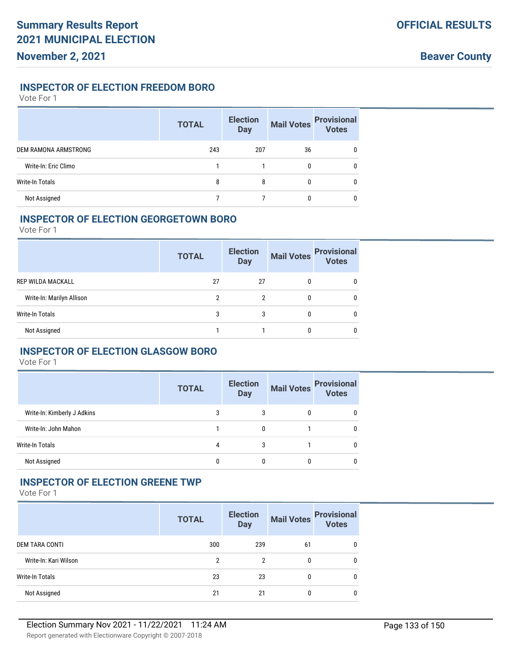## **INSPECTOR OF ELECTION FREEDOM BORO**

Vote For 1

|                        | <b>TOTAL</b> | <b>Election</b><br><b>Day</b> | <b>Mail Votes</b> | <b>Provisional</b><br>Votes |
|------------------------|--------------|-------------------------------|-------------------|-----------------------------|
| DEM RAMONA ARMSTRONG   | 243          | 207                           | 36                | 0                           |
| Write-In: Eric Climo   |              |                               | 0                 | 0                           |
| <b>Write-In Totals</b> | 8            | 8                             | 0                 | 0                           |
| Not Assigned           |              |                               | 0                 | 0                           |

#### **INSPECTOR OF ELECTION GEORGETOWN BORO**

Vote For 1

|                           | <b>TOTAL</b> | <b>Election</b><br><b>Day</b> | <b>Mail Votes</b> | <b>Provisional</b><br><b>Votes</b> |
|---------------------------|--------------|-------------------------------|-------------------|------------------------------------|
| <b>REP WILDA MACKALL</b>  | 27           | 27                            | 0                 | 0                                  |
| Write-In: Marilyn Allison | 2            | 2                             | $\mathbf{0}$      | 0                                  |
| Write-In Totals           | 3            | 3                             | 0                 | 0                                  |
| Not Assigned              |              |                               | $\mathbf{0}$      | 0                                  |

# **INSPECTOR OF ELECTION GLASGOW BORO**

Vote For 1

|                             | <b>TOTAL</b> | <b>Election</b><br><b>Day</b> | <b>Mail Votes</b> | <b>Provisional</b><br><b>Votes</b> |
|-----------------------------|--------------|-------------------------------|-------------------|------------------------------------|
| Write-In: Kimberly J Adkins | 3            | 3                             | 0                 |                                    |
| Write-In: John Mahon        |              | 0                             |                   |                                    |
| Write-In Totals             | 4            | 3                             |                   |                                    |
| Not Assigned                | 0            | 0                             | 0                 |                                    |

### **INSPECTOR OF ELECTION GREENE TWP**

|                       | <b>TOTAL</b> | <b>Election</b><br><b>Day</b> | <b>Mail Votes</b> | <b>Provisional</b><br><b>Votes</b> |
|-----------------------|--------------|-------------------------------|-------------------|------------------------------------|
| DEM TARA CONTI        | 300          | 239                           | 61                | $\Omega$                           |
| Write-In: Kari Wilson | 2            | 2                             | 0                 | 0                                  |
| Write-In Totals       | 23           | 23                            |                   | $\Omega$                           |
| Not Assigned          | 21           | 21                            |                   | 0                                  |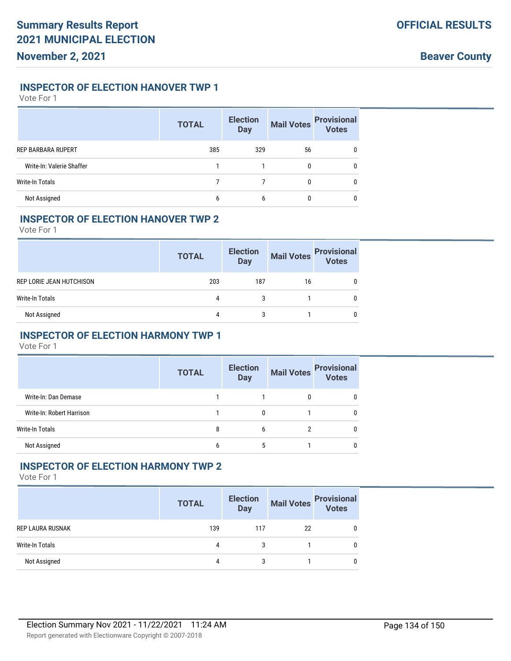# **INSPECTOR OF ELECTION HANOVER TWP 1**

Vote For 1

|                           | <b>TOTAL</b> | <b>Election</b><br><b>Day</b> | <b>Mail Votes</b> | <b>Provisional</b><br>Votes |
|---------------------------|--------------|-------------------------------|-------------------|-----------------------------|
| <b>REP BARBARA RUPERT</b> | 385          | 329                           | 56                | <sup>0</sup>                |
| Write-In: Valerie Shaffer |              |                               |                   | 0                           |
| <b>Write-In Totals</b>    |              |                               | 0                 | 0                           |
| Not Assigned              | b            | b                             |                   |                             |

### **INSPECTOR OF ELECTION HANOVER TWP 2**

Vote For 1

|                          | <b>TOTAL</b> | <b>Election</b><br><b>Day</b> | <b>Mail Votes</b> | <b>Provisional</b><br>Votes |
|--------------------------|--------------|-------------------------------|-------------------|-----------------------------|
| REP LORIE JEAN HUTCHISON | 203          | 187                           | 16                |                             |
| Write-In Totals          | 4            | 3                             |                   |                             |
| Not Assigned             | 4            |                               |                   |                             |

# **INSPECTOR OF ELECTION HARMONY TWP 1**

Vote For 1

|                           | <b>TOTAL</b> | <b>Election</b><br><b>Day</b> | <b>Mail Votes</b> | <b>Provisional</b><br><b>Votes</b> |
|---------------------------|--------------|-------------------------------|-------------------|------------------------------------|
| Write-In: Dan Demase      |              |                               | 0                 |                                    |
| Write-In: Robert Harrison |              | 0                             |                   |                                    |
| Write-In Totals           | 8            | 6                             | 2                 |                                    |
| Not Assigned              | 6            | 5                             |                   |                                    |

# **INSPECTOR OF ELECTION HARMONY TWP 2**

|                  | <b>TOTAL</b> | <b>Election</b><br><b>Day</b> |    | Mail Votes Provisional<br>Votes |
|------------------|--------------|-------------------------------|----|---------------------------------|
| REP LAURA RUSNAK | 139          | 117                           | 22 | 0                               |
| Write-In Totals  | 4            | 3                             |    | 0                               |
| Not Assigned     | 4            | 3                             |    | 0                               |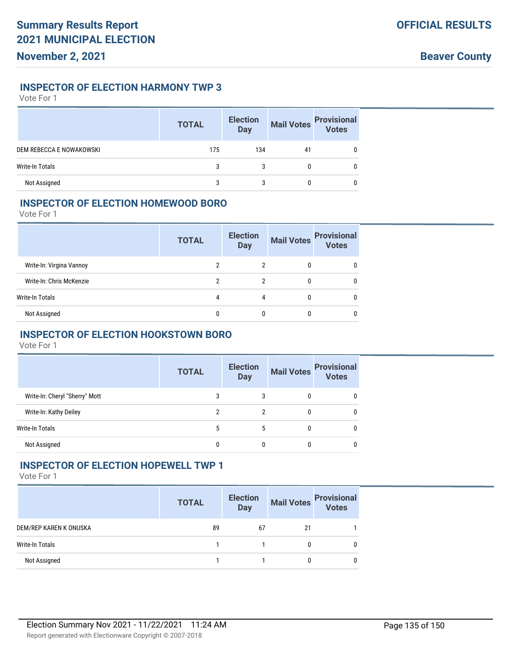### **INSPECTOR OF ELECTION HARMONY TWP 3**

Vote For 1

|                          | <b>TOTAL</b> | <b>Election</b><br><b>Day</b> | <b>Mail Votes</b> | <b>Provisional</b><br>Votes |
|--------------------------|--------------|-------------------------------|-------------------|-----------------------------|
| DEM REBECCA E NOWAKOWSKI | 175          | 134                           | 41                |                             |
| Write-In Totals          |              | 3                             | 0                 | 0                           |
| Not Assigned             |              |                               |                   |                             |

# **INSPECTOR OF ELECTION HOMEWOOD BORO**

Vote For 1

|                          | <b>TOTAL</b> | <b>Election</b><br><b>Day</b> | <b>Mail Votes</b> | <b>Provisional</b><br><b>Votes</b> |
|--------------------------|--------------|-------------------------------|-------------------|------------------------------------|
| Write-In: Virgina Vannoy |              |                               |                   | 0                                  |
| Write-In: Chris McKenzie |              | 2                             |                   | 0                                  |
| Write-In Totals          | 4            | 4                             |                   | 0                                  |
| Not Assigned             |              |                               |                   |                                    |

# **INSPECTOR OF ELECTION HOOKSTOWN BORO**

Vote For 1

|                                | <b>TOTAL</b> | <b>Election</b><br><b>Day</b> | <b>Mail Votes</b> | <b>Provisional</b><br><b>Votes</b> |
|--------------------------------|--------------|-------------------------------|-------------------|------------------------------------|
| Write-In: Cheryl "Sherry" Mott | 3            | 3                             | 0                 |                                    |
| Write-In: Kathy Deiley         | 2            | 2                             | 0                 |                                    |
| Write-In Totals                | 5            | 5                             | 0                 |                                    |
| Not Assigned                   |              |                               |                   |                                    |

# **INSPECTOR OF ELECTION HOPEWELL TWP 1**

|                        | <b>TOTAL</b> | <b>Election</b><br><b>Day</b> | <b>Mail Votes</b> | <b>Provisional</b><br>Votes |
|------------------------|--------------|-------------------------------|-------------------|-----------------------------|
| DEM/REP KAREN K ONUSKA | 89           | 67                            | 21                |                             |
| Write-In Totals        |              |                               |                   | 0                           |
| Not Assigned           |              |                               |                   | 0                           |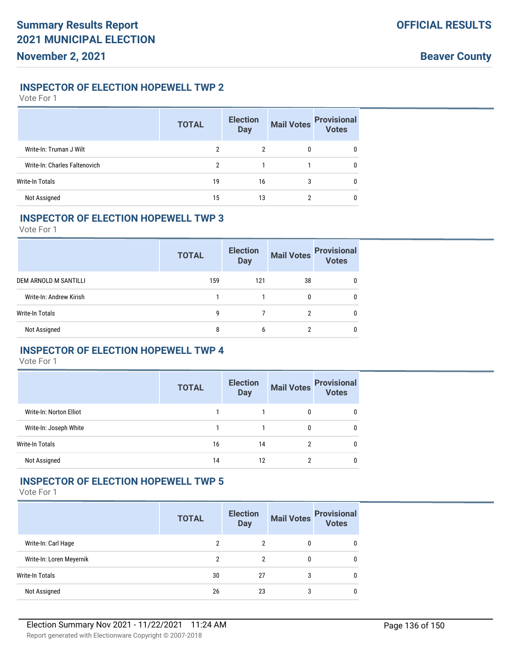# **INSPECTOR OF ELECTION HOPEWELL TWP 2**

Vote For 1

|                               | <b>TOTAL</b> | <b>Election</b><br><b>Day</b> | <b>Mail Votes</b> | <b>Provisional</b><br>Votes |
|-------------------------------|--------------|-------------------------------|-------------------|-----------------------------|
| Write-In: Truman J Wilt       | 2            | 2                             | 0                 | 0                           |
| Write-In: Charles Faltenovich | 2            |                               |                   | $\mathbf{0}$                |
| Write-In Totals               | 19           | 16                            | 3                 | $\mathbf{0}$                |
| Not Assigned                  | 15           | 13                            | າ                 | 0                           |

#### **INSPECTOR OF ELECTION HOPEWELL TWP 3**

Vote For 1

|                         | <b>TOTAL</b> | <b>Election</b><br><b>Day</b> | <b>Mail Votes</b> | <b>Provisional</b><br><b>Votes</b> |
|-------------------------|--------------|-------------------------------|-------------------|------------------------------------|
| DEM ARNOLD M SANTILLI   | 159          | 121                           | 38                | 0                                  |
| Write-In: Andrew Kirish |              |                               | 0                 | 0                                  |
| Write-In Totals         | g            |                               | 2                 | 0                                  |
| Not Assigned            | 8            | 6                             |                   | 0                                  |

# **INSPECTOR OF ELECTION HOPEWELL TWP 4**

Vote For 1

|                         | <b>TOTAL</b> | <b>Election</b><br><b>Day</b> | <b>Mail Votes</b> | <b>Provisional</b><br><b>Votes</b> |
|-------------------------|--------------|-------------------------------|-------------------|------------------------------------|
| Write-In: Norton Elliot |              |                               | 0                 | 0                                  |
| Write-In: Joseph White  |              |                               | 0                 | $\mathbf{0}$                       |
| Write-In Totals         | 16           | 14                            | 2                 | $\mathbf{0}$                       |
| Not Assigned            | 14           | 12                            | າ                 | 0                                  |

### **INSPECTOR OF ELECTION HOPEWELL TWP 5**

|                          | <b>TOTAL</b> | <b>Election</b><br><b>Day</b> | <b>Mail Votes</b> | <b>Provisional</b><br>Votes |
|--------------------------|--------------|-------------------------------|-------------------|-----------------------------|
| Write-In: Carl Hage      | っ            | 2                             | 0                 | 0                           |
| Write-In: Loren Meyernik | າ            | 2                             | 0                 | $\mathbf{0}$                |
| <b>Write-In Totals</b>   | 30           | 27                            | 3                 | $\mathbf{0}$                |
| Not Assigned             | 26           | 23                            | 3                 | 0                           |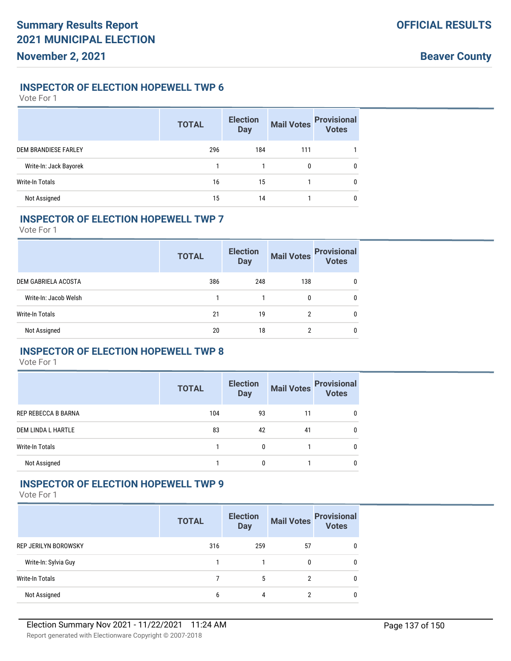### **INSPECTOR OF ELECTION HOPEWELL TWP 6**

Vote For 1

|                             | <b>TOTAL</b> | <b>Election</b><br><b>Day</b> | <b>Mail Votes</b> | <b>Provisional</b><br>Votes |
|-----------------------------|--------------|-------------------------------|-------------------|-----------------------------|
| <b>DEM BRANDIESE FARLEY</b> | 296          | 184                           | 111               |                             |
| Write-In: Jack Bayorek      |              |                               | 0                 | $\mathbf{0}$                |
| <b>Write-In Totals</b>      | 16           | 15                            |                   | 0                           |
| Not Assigned                | 15           | 14                            |                   | $\mathbf{0}$                |

#### **INSPECTOR OF ELECTION HOPEWELL TWP 7**

Vote For 1

|                       | <b>TOTAL</b> | <b>Election</b><br><b>Day</b> | <b>Mail Votes</b> | <b>Provisional</b><br><b>Votes</b> |
|-----------------------|--------------|-------------------------------|-------------------|------------------------------------|
| DEM GABRIELA ACOSTA   | 386          | 248                           | 138               |                                    |
| Write-In: Jacob Welsh |              |                               | 0                 | 0                                  |
| Write-In Totals       | 21           | 19                            | 2                 | O                                  |
| Not Assigned          | 20           | 18                            | ŋ,                | 0                                  |

# **INSPECTOR OF ELECTION HOPEWELL TWP 8**

Vote For 1

|                        | <b>TOTAL</b> | <b>Election</b><br><b>Day</b> |    | Mail Votes Provisional<br><b>Votes</b> |
|------------------------|--------------|-------------------------------|----|----------------------------------------|
| REP REBECCA B BARNA    | 104          | 93                            | 11 | 0                                      |
| DEM LINDA L HARTLE     | 83           | 42                            | 41 |                                        |
| <b>Write-In Totals</b> |              | $\mathbf{0}$                  |    |                                        |
| Not Assigned           |              | $\mathbf{0}$                  |    |                                        |

## **INSPECTOR OF ELECTION HOPEWELL TWP 9**

|                             | <b>TOTAL</b> | <b>Election</b><br><b>Day</b> | <b>Mail Votes</b> | <b>Provisional</b><br><b>Votes</b> |
|-----------------------------|--------------|-------------------------------|-------------------|------------------------------------|
| <b>REP JERILYN BOROWSKY</b> | 316          | 259                           | 57                |                                    |
| Write-In: Sylvia Guy        |              |                               |                   | $\Omega$                           |
| Write-In Totals             |              | 5                             |                   | 0                                  |
| Not Assigned                | b            | 4                             |                   |                                    |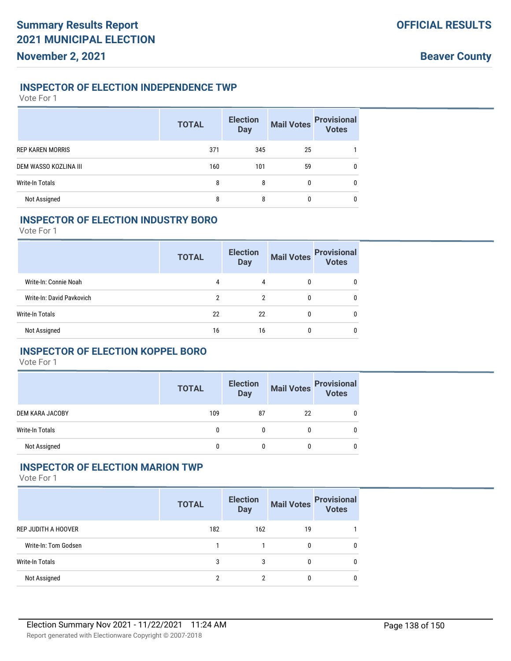#### **INSPECTOR OF ELECTION INDEPENDENCE TWP**

Vote For 1

|                         | <b>TOTAL</b> | <b>Election</b><br><b>Day</b> | <b>Mail Votes</b> | <b>Provisional</b><br>Votes |
|-------------------------|--------------|-------------------------------|-------------------|-----------------------------|
| <b>REP KAREN MORRIS</b> | 371          | 345                           | 25                |                             |
| DEM WASSO KOZLINA III   | 160          | 101                           | 59                | 0                           |
| Write-In Totals         | 8            | 8                             | 0                 | $\mathbf{0}$                |
| Not Assigned            | 8            | 8                             | 0                 | 0                           |

# **INSPECTOR OF ELECTION INDUSTRY BORO**

Vote For 1

|                           | <b>TOTAL</b> | <b>Election</b><br><b>Day</b> | <b>Mail Votes</b> | <b>Provisional</b><br><b>Votes</b> |
|---------------------------|--------------|-------------------------------|-------------------|------------------------------------|
| Write-In: Connie Noah     | 4            | 4                             | 0                 |                                    |
| Write-In: David Pavkovich | 2            | 2                             | 0                 |                                    |
| Write-In Totals           | 22           | 22                            | 0                 |                                    |
| Not Assigned              | 16           | 16                            | 0                 |                                    |

#### **INSPECTOR OF ELECTION KOPPEL BORO**

Vote For 1

|                        | <b>TOTAL</b> | <b>Election</b><br><b>Day</b> |    | Mail Votes<br>Votes |
|------------------------|--------------|-------------------------------|----|---------------------|
| DEM KARA JACOBY        | 109          | 87                            | 22 |                     |
| <b>Write-In Totals</b> |              | 0                             |    |                     |
| Not Assigned           | 0            | 0                             |    | 0                   |

# **INSPECTOR OF ELECTION MARION TWP**

|                      | <b>TOTAL</b> | <b>Election</b><br><b>Day</b> | <b>Mail Votes</b> | <b>Provisional</b><br>Votes |
|----------------------|--------------|-------------------------------|-------------------|-----------------------------|
| REP JUDITH A HOOVER  | 182          | 162                           | 19                |                             |
| Write-In: Tom Godsen |              |                               | 0                 | 0                           |
| Write-In Totals      | 3            | 3                             | 0                 | 0                           |
| Not Assigned         | ŋ            | c                             | 0                 | 0                           |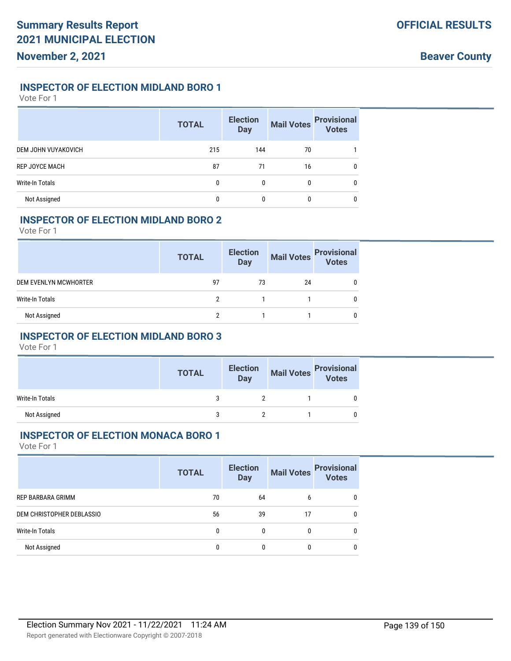# **INSPECTOR OF ELECTION MIDLAND BORO 1**

Vote For 1

|                       | <b>TOTAL</b> | <b>Election</b><br><b>Day</b> | <b>Mail Votes</b> | <b>Provisional</b><br>Votes |
|-----------------------|--------------|-------------------------------|-------------------|-----------------------------|
| DEM JOHN VUYAKOVICH   | 215          | 144                           | 70                |                             |
| <b>REP JOYCE MACH</b> | 87           | 71                            | 16                | 0                           |
| Write-In Totals       |              |                               |                   | 0                           |
| Not Assigned          |              |                               |                   | 0                           |

### **INSPECTOR OF ELECTION MIDLAND BORO 2**

Vote For 1

|                       | <b>TOTAL</b> | <b>Election</b><br><b>Day</b> | <b>Mail Votes</b> | <b>Provisional</b><br>Votes |
|-----------------------|--------------|-------------------------------|-------------------|-----------------------------|
| DEM EVENLYN MCWHORTER | 97           | 73                            | 24                |                             |
| Write-In Totals       |              |                               |                   |                             |
| Not Assigned          | c            |                               |                   |                             |

# **INSPECTOR OF ELECTION MIDLAND BORO 3**

Vote For 1

|                 | <b>TOTAL</b> | <b>Election</b><br><b>Day</b> | Mail Votes Provisional<br>Votes |  |
|-----------------|--------------|-------------------------------|---------------------------------|--|
| Write-In Totals |              |                               |                                 |  |
| Not Assigned    |              |                               |                                 |  |

### **INSPECTOR OF ELECTION MONACA BORO 1**

|                           | <b>TOTAL</b> | <b>Election</b><br><b>Day</b> | <b>Mail Votes</b> | <b>Provisional</b><br>Votes |
|---------------------------|--------------|-------------------------------|-------------------|-----------------------------|
| REP BARBARA GRIMM         | 70           | 64                            | b                 |                             |
| DEM CHRISTOPHER DEBLASSIO | 56           | 39                            | 17                |                             |
| <b>Write-In Totals</b>    |              | 0                             | 0                 |                             |
| Not Assigned              |              | 0                             | 0                 |                             |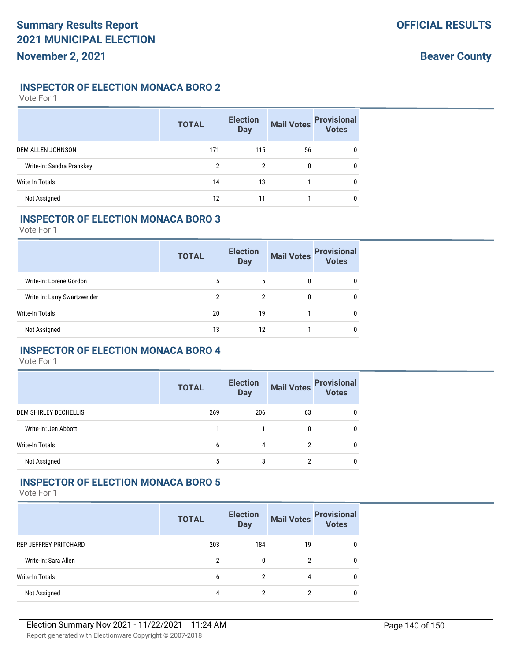### **INSPECTOR OF ELECTION MONACA BORO 2**

Vote For 1

|                           | <b>TOTAL</b> | <b>Election</b><br><b>Day</b> | <b>Mail Votes</b> | <b>Provisional</b><br>Votes |
|---------------------------|--------------|-------------------------------|-------------------|-----------------------------|
| DEM ALLEN JOHNSON         | 171          | 115                           | 56                | $\mathbf{0}$                |
| Write-In: Sandra Pranskey | 2            | 2                             |                   | $\mathbf{0}$                |
| Write-In Totals           | 14           | 13                            |                   | $\mathbf{0}$                |
| Not Assigned              | 12           | 11                            |                   | 0                           |

#### **INSPECTOR OF ELECTION MONACA BORO 3**

Vote For 1

|                              | <b>TOTAL</b> | <b>Election</b><br><b>Day</b> | <b>Mail Votes</b> | <b>Provisional</b><br><b>Votes</b> |
|------------------------------|--------------|-------------------------------|-------------------|------------------------------------|
| Write-In: Lorene Gordon      | 5            | 5                             | 0                 | 0                                  |
| Write-In: Larry Swartzwelder | 2            | 2                             | 0                 | $\mathbf{0}$                       |
| Write-In Totals              | 20           | 19                            |                   | 0                                  |
| Not Assigned                 | 13           | 12                            |                   | 0                                  |

# **INSPECTOR OF ELECTION MONACA BORO 4**

Vote For 1

|                       | <b>TOTAL</b> | <b>Election</b><br><b>Day</b> | <b>Mail Votes</b> | <b>Provisional</b><br><b>Votes</b> |
|-----------------------|--------------|-------------------------------|-------------------|------------------------------------|
| DEM SHIRLEY DECHELLIS | 269          | 206                           | 63                |                                    |
| Write-In: Jen Abbott  |              |                               |                   |                                    |
| Write-In Totals       | 6            | 4                             |                   | <sup>0</sup>                       |
| Not Assigned          | 5            | 3                             |                   | <sup>0</sup>                       |

#### **INSPECTOR OF ELECTION MONACA BORO 5**

|                        | <b>TOTAL</b> | <b>Election</b><br><b>Day</b> | <b>Mail Votes</b> | <b>Provisional</b><br><b>Votes</b> |
|------------------------|--------------|-------------------------------|-------------------|------------------------------------|
| REP JEFFREY PRITCHARD  | 203          | 184                           | 19                |                                    |
| Write-In: Sara Allen   | 2            | 0                             |                   | $\Omega$                           |
| <b>Write-In Totals</b> | b            | 2                             | 4                 | <sup>0</sup>                       |
| Not Assigned           | 4            | 2                             |                   |                                    |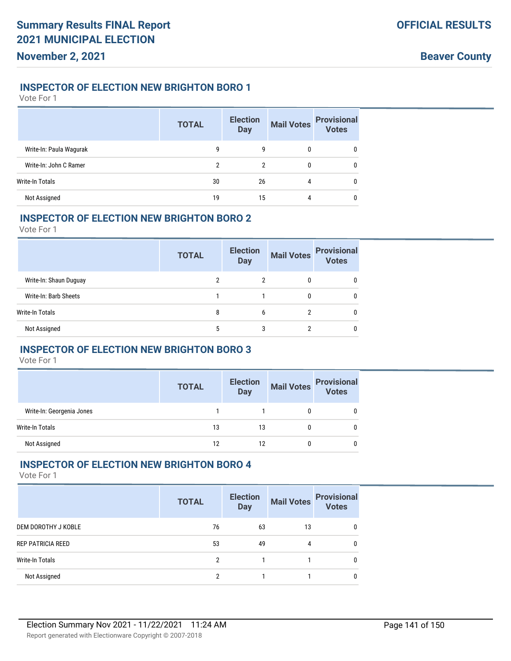# **INSPECTOR OF ELECTION NEW BRIGHTON BORO 1**

Vote For 1

|                         | <b>TOTAL</b> | <b>Election</b><br><b>Day</b> | <b>Mail Votes</b> | <b>Provisional</b><br><b>Votes</b> |
|-------------------------|--------------|-------------------------------|-------------------|------------------------------------|
| Write-In: Paula Wagurak | q            | g                             |                   | 0                                  |
| Write-In: John C Ramer  | 2            | 2                             |                   | 0                                  |
| Write-In Totals         | 30           | 26                            | 4                 | 0                                  |
| Not Assigned            | 19           | 15                            | 4                 | 0                                  |

#### **INSPECTOR OF ELECTION NEW BRIGHTON BORO 2**

Vote For 1

|                        | <b>TOTAL</b> | <b>Election</b><br><b>Day</b> | <b>Mail Votes</b> | <b>Provisional</b><br><b>Votes</b> |
|------------------------|--------------|-------------------------------|-------------------|------------------------------------|
| Write-In: Shaun Duguay | 2            |                               |                   |                                    |
| Write-In: Barb Sheets  |              |                               |                   | 0                                  |
| Write-In Totals        | 8            | 6                             |                   | 0                                  |
| Not Assigned           | 5            |                               |                   | 0                                  |

# **INSPECTOR OF ELECTION NEW BRIGHTON BORO 3**

Vote For 1

|                           | <b>TOTAL</b> | <b>Election</b><br><b>Day</b> | <b>Mail Votes</b> | <b>Provisional</b><br><b>Votes</b> |
|---------------------------|--------------|-------------------------------|-------------------|------------------------------------|
| Write-In: Georgenia Jones |              |                               |                   |                                    |
| <b>Write-In Totals</b>    | 13           | 13                            |                   |                                    |
| Not Assigned              | 12           | 12                            |                   |                                    |

# **INSPECTOR OF ELECTION NEW BRIGHTON BORO 4**

|                          | <b>TOTAL</b> | <b>Election</b><br><b>Day</b> | <b>Mail Votes</b> | <b>Provisional</b><br>Votes |
|--------------------------|--------------|-------------------------------|-------------------|-----------------------------|
| DEM DOROTHY J KOBLE      | 76           | 63                            | 13                | 0                           |
| <b>REP PATRICIA REED</b> | 53           | 49                            | 4                 | $\mathbf{0}$                |
| Write-In Totals          | 2            |                               |                   | $\Omega$                    |
| Not Assigned             | c            |                               |                   | 0                           |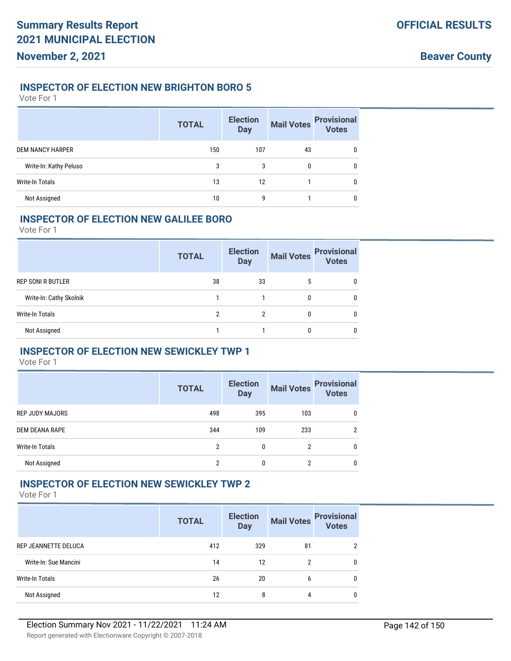### **INSPECTOR OF ELECTION NEW BRIGHTON BORO 5**

Vote For 1

|                         | <b>TOTAL</b> | <b>Election</b><br><b>Day</b> | <b>Mail Votes</b> | <b>Provisional</b><br>Votes |
|-------------------------|--------------|-------------------------------|-------------------|-----------------------------|
| <b>DEM NANCY HARPER</b> | 150          | 107                           | 43                | 0                           |
| Write-In: Kathy Peluso  | 3            | 3                             |                   | $\mathbf{0}$                |
| <b>Write-In Totals</b>  | 13           | 12                            |                   | 0                           |
| Not Assigned            | 10           | q                             |                   | 0                           |

#### **INSPECTOR OF ELECTION NEW GALILEE BORO**

Vote For 1

|                          | <b>TOTAL</b> | <b>Election</b><br><b>Day</b> | <b>Mail Votes</b> | <b>Provisional</b><br><b>Votes</b> |
|--------------------------|--------------|-------------------------------|-------------------|------------------------------------|
| <b>REP SONI R BUTLER</b> | 38           | 33                            | 5                 |                                    |
| Write-In: Cathy Skolnik  |              |                               | 0                 | 0                                  |
| Write-In Totals          |              |                               |                   | <sup>0</sup>                       |
| Not Assigned             |              |                               |                   | 0                                  |

# **INSPECTOR OF ELECTION NEW SEWICKLEY TWP 1**

Vote For 1

|                        | <b>TOTAL</b> | <b>Election</b><br><b>Day</b> | <b>Mail Votes</b> | <b>Provisional</b><br>Votes |
|------------------------|--------------|-------------------------------|-------------------|-----------------------------|
| <b>REP JUDY MAJORS</b> | 498          | 395                           | 103               | 0                           |
| DEM DEANA RAPE         | 344          | 109                           | 233               | c                           |
| Write-In Totals        | 2            | 0                             | 2                 | 0                           |
| Not Assigned           | 2            | 0                             | າ                 | 0                           |

## **INSPECTOR OF ELECTION NEW SEWICKLEY TWP 2**

|                       | <b>TOTAL</b> | <b>Election</b><br><b>Day</b> | <b>Mail Votes</b> | <b>Provisional</b><br><b>Votes</b> |
|-----------------------|--------------|-------------------------------|-------------------|------------------------------------|
| REP JEANNETTE DELUCA  | 412          | 329                           | 81                |                                    |
| Write-In: Sue Mancini | 14           | 12                            | 2                 | 0                                  |
| Write-In Totals       | 26           | 20                            | 6                 | 0                                  |
| Not Assigned          | 12           | 8                             | 4                 | 0                                  |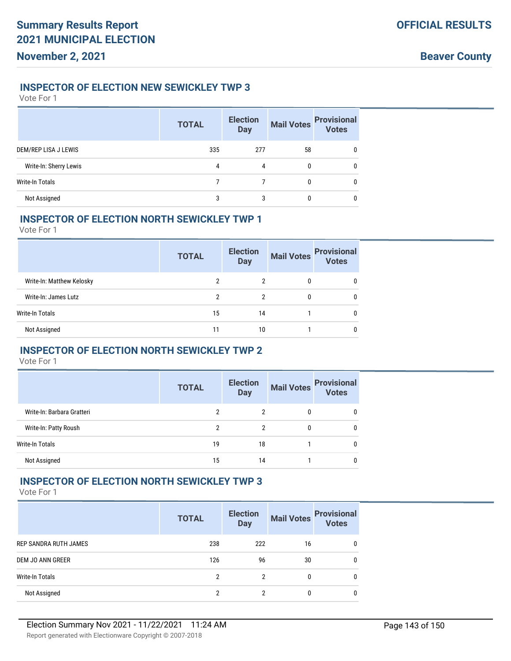**November 2, 2021**

# **Beaver County**

#### **INSPECTOR OF ELECTION NEW SEWICKLEY TWP 3**

Vote For 1

|                        | <b>TOTAL</b> | <b>Election</b><br><b>Day</b> | <b>Mail Votes</b> | <b>Provisional</b><br>Votes |
|------------------------|--------------|-------------------------------|-------------------|-----------------------------|
| DEM/REP LISA J LEWIS   | 335          | 277                           | 58                | 0                           |
| Write-In: Sherry Lewis | 4            | 4                             | 0                 | 0                           |
| <b>Write-In Totals</b> |              |                               | 0                 | 0                           |
| Not Assigned           |              |                               |                   | 0                           |

### **INSPECTOR OF ELECTION NORTH SEWICKLEY TWP 1**

Vote For 1

|                           | <b>TOTAL</b>   | <b>Election</b><br><b>Day</b> | <b>Mail Votes</b> | <b>Provisional</b><br><b>Votes</b> |
|---------------------------|----------------|-------------------------------|-------------------|------------------------------------|
| Write-In: Matthew Kelosky | 2              | 2                             | 0                 | 0                                  |
| Write-In: James Lutz      | $\mathfrak{p}$ | 2                             | 0                 | 0                                  |
| Write-In Totals           | 15             | 14                            |                   | 0                                  |
| Not Assigned              | 11             | 10                            |                   | 0                                  |

# **INSPECTOR OF ELECTION NORTH SEWICKLEY TWP 2**

Vote For 1

|                            | <b>TOTAL</b> | <b>Election</b><br><b>Day</b> | <b>Mail Votes</b> | <b>Provisional</b><br><b>Votes</b> |
|----------------------------|--------------|-------------------------------|-------------------|------------------------------------|
| Write-In: Barbara Gratteri | 2            | 2                             |                   | 0                                  |
| Write-In: Patty Roush      | 2            | 2                             |                   | 0                                  |
| Write-In Totals            | 19           | 18                            |                   | 0                                  |
| Not Assigned               | 15           | 14                            |                   | 0                                  |

# **INSPECTOR OF ELECTION NORTH SEWICKLEY TWP 3**

|                        | <b>TOTAL</b> | <b>Election</b><br><b>Day</b> | <b>Mail Votes</b> | <b>Provisional</b><br><b>Votes</b> |
|------------------------|--------------|-------------------------------|-------------------|------------------------------------|
| REP SANDRA RUTH JAMES  | 238          | 222                           | 16                | 0                                  |
| DEM JO ANN GREER       | 126          | 96                            | 30                | 0                                  |
| <b>Write-In Totals</b> | 2            | 2                             | 0                 | 0                                  |
| Not Assigned           | 2            | 2                             | 0                 | 0                                  |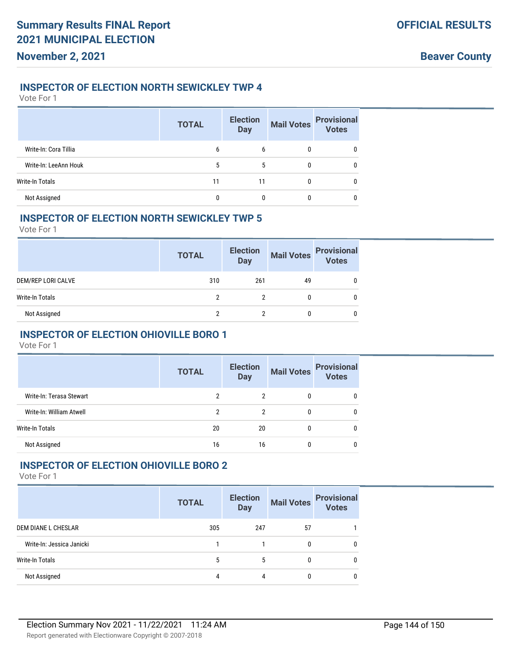#### **INSPECTOR OF ELECTION NORTH SEWICKLEY TWP 4**

| Vote For 1 |  |
|------------|--|
|------------|--|

|                       | <b>TOTAL</b> | <b>Election</b><br><b>Day</b> | <b>Mail Votes</b> | <b>Provisional</b><br><b>Votes</b> |
|-----------------------|--------------|-------------------------------|-------------------|------------------------------------|
| Write-In: Cora Tillia | 6            | 6                             | 0                 | 0                                  |
| Write-In: LeeAnn Houk | 5            | 5                             | 0                 | 0                                  |
| Write-In Totals       | 11           | 11                            | 0                 | 0                                  |
| Not Assigned          | 0            | 0                             | 0                 | 0                                  |

#### **INSPECTOR OF ELECTION NORTH SEWICKLEY TWP 5**

Vote For 1

|                    | <b>TOTAL</b> | <b>Election</b><br><b>Day</b> | <b>Mail Votes</b> | <b>Provisional</b><br><b>Votes</b> |
|--------------------|--------------|-------------------------------|-------------------|------------------------------------|
| DEM/REP LORI CALVE | 310          | 261                           | 49                | 0                                  |
| Write-In Totals    | 2            |                               | 0                 | 0                                  |
| Not Assigned       |              |                               | 0                 |                                    |

# **INSPECTOR OF ELECTION OHIOVILLE BORO 1**

Vote For 1

|                          | <b>TOTAL</b> | <b>Election</b><br><b>Day</b> | <b>Mail Votes</b> | <b>Provisional</b><br><b>Votes</b> |
|--------------------------|--------------|-------------------------------|-------------------|------------------------------------|
| Write-In: Terasa Stewart | 2            | 2                             | 0                 | 0                                  |
| Write-In: William Atwell | 2            | 2                             | 0                 | 0                                  |
| Write-In Totals          | 20           | 20                            | 0                 |                                    |
| Not Assigned             | 16           | 16                            |                   |                                    |

# **INSPECTOR OF ELECTION OHIOVILLE BORO 2**

|                           | <b>TOTAL</b> | <b>Election</b><br><b>Day</b> | <b>Mail Votes</b> | <b>Provisional</b><br><b>Votes</b> |
|---------------------------|--------------|-------------------------------|-------------------|------------------------------------|
| DEM DIANE L CHESLAR       | 305          | 247                           | 57                |                                    |
| Write-In: Jessica Janicki |              |                               | 0                 | 0                                  |
| Write-In Totals           | 5            | 5                             | 0                 | 0                                  |
| Not Assigned              | 4            | 4                             | 0                 | 0                                  |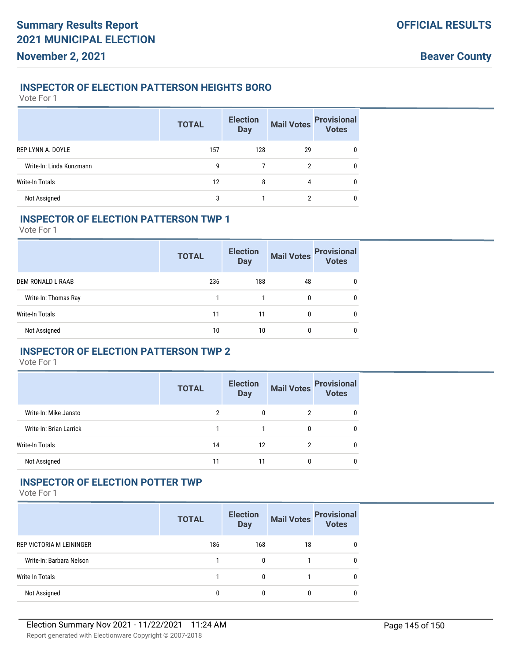## **INSPECTOR OF ELECTION PATTERSON HEIGHTS BORO**

Vote For 1

|                          | <b>TOTAL</b> | <b>Election</b><br><b>Day</b> | <b>Mail Votes</b> | <b>Provisional</b><br>Votes |
|--------------------------|--------------|-------------------------------|-------------------|-----------------------------|
| REP LYNN A. DOYLE        | 157          | 128                           | 29                | 0                           |
| Write-In: Linda Kunzmann | g            |                               | 2                 | 0                           |
| <b>Write-In Totals</b>   | 12           | 8                             | 4                 | 0                           |
| Not Assigned             | 3            |                               |                   | 0                           |

## **INSPECTOR OF ELECTION PATTERSON TWP 1**

Vote For 1

|                      | <b>TOTAL</b> | <b>Election</b><br><b>Day</b> | <b>Mail Votes</b> | <b>Provisional</b><br><b>Votes</b> |
|----------------------|--------------|-------------------------------|-------------------|------------------------------------|
| DEM RONALD L RAAB    | 236          | 188                           | 48                | 0                                  |
| Write-In: Thomas Ray |              |                               | $\mathbf{0}$      | 0                                  |
| Write-In Totals      | 11           | 11                            | 0                 | 0                                  |
| Not Assigned         | 10           | 10                            |                   | 0                                  |

## **INSPECTOR OF ELECTION PATTERSON TWP 2**

Vote For 1

|                         | <b>TOTAL</b> | <b>Election</b><br><b>Day</b> |              | Mail Votes Provisional<br>Votes |
|-------------------------|--------------|-------------------------------|--------------|---------------------------------|
| Write-In: Mike Jansto   | 2            | 0                             | າ            | 0                               |
| Write-In: Brian Larrick |              |                               | 0            | 0                               |
| <b>Write-In Totals</b>  | 14           | 12                            | າ            | 0                               |
| Not Assigned            | 11           | 11                            | $\mathbf{0}$ |                                 |

## **INSPECTOR OF ELECTION POTTER TWP**

|                          | <b>TOTAL</b> | <b>Election</b><br><b>Day</b> | <b>Mail Votes</b> | <b>Provisional</b><br><b>Votes</b> |
|--------------------------|--------------|-------------------------------|-------------------|------------------------------------|
| REP VICTORIA M LEININGER | 186          | 168                           | 18                |                                    |
| Write-In: Barbara Nelson |              | 0                             |                   | $\Omega$                           |
| Write-In Totals          |              | 0                             |                   | $\bf{0}$                           |
| Not Assigned             |              |                               |                   |                                    |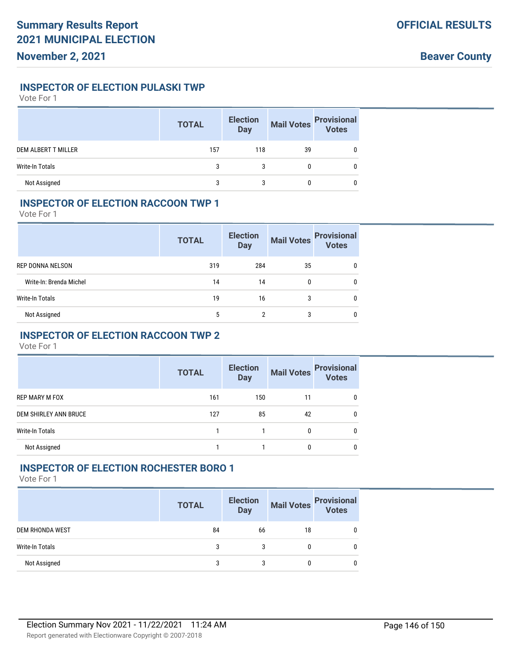## **INSPECTOR OF ELECTION PULASKI TWP**

Vote For 1

|                            | <b>TOTAL</b> | <b>Election</b><br><b>Day</b> | <b>Mail Votes</b> | <b>Provisional</b><br>Votes |
|----------------------------|--------------|-------------------------------|-------------------|-----------------------------|
| <b>DEM ALBERT T MILLER</b> | 157          | 118                           | 39                |                             |
| Write-In Totals            | 3            | 3                             |                   |                             |
| Not Assigned               |              |                               |                   |                             |

## **INSPECTOR OF ELECTION RACCOON TWP 1**

Vote For 1

|                         | <b>TOTAL</b> | <b>Election</b><br><b>Day</b> | <b>Mail Votes</b> | <b>Provisional</b><br><b>Votes</b> |
|-------------------------|--------------|-------------------------------|-------------------|------------------------------------|
| REP DONNA NELSON        | 319          | 284                           | 35                | 0                                  |
| Write-In: Brenda Michel | 14           | 14                            | $\mathbf{0}$      | 0                                  |
| Write-In Totals         | 19           | 16                            | 3                 | 0                                  |
| Not Assigned            | 5            | 2                             | 3                 | $\bf{0}$                           |

## **INSPECTOR OF ELECTION RACCOON TWP 2**

Vote For 1

|                       | <b>TOTAL</b> | <b>Election</b><br><b>Day</b> | <b>Mail Votes</b> | <b>Provisional</b><br><b>Votes</b> |
|-----------------------|--------------|-------------------------------|-------------------|------------------------------------|
| <b>REP MARY M FOX</b> | 161          | 150                           | 11                |                                    |
| DEM SHIRLEY ANN BRUCE | 127          | 85                            | 42                | 0                                  |
| Write-In Totals       |              |                               | 0                 | 0                                  |
| Not Assigned          |              |                               | 0                 | 0                                  |

## **INSPECTOR OF ELECTION ROCHESTER BORO 1**

|                        | <b>TOTAL</b> | <b>Election</b><br><b>Day</b> | <b>Mail Votes</b> | <b>Provisional</b><br>Votes |
|------------------------|--------------|-------------------------------|-------------------|-----------------------------|
| <b>DEM RHONDA WEST</b> | 84           | 66                            | 18                | 0                           |
| Write-In Totals        | 3            |                               |                   | 0                           |
| Not Assigned           | 3            | 3                             |                   | 0                           |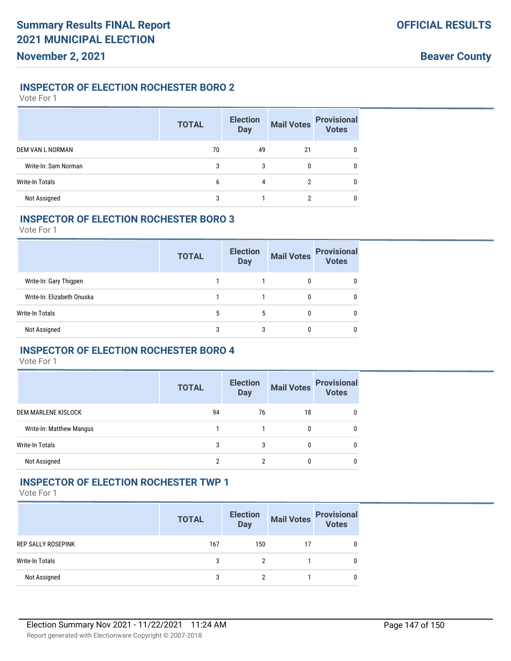## **INSPECTOR OF ELECTION ROCHESTER BORO 2**

Vote For 1

|                        | <b>TOTAL</b> | <b>Election</b><br><b>Day</b> | <b>Mail Votes</b> | <b>Provisional</b><br><b>Votes</b> |
|------------------------|--------------|-------------------------------|-------------------|------------------------------------|
| DEM VAN L NORMAN       | 70           | 49                            | 21                |                                    |
| Write-In: Sam Norman   | 3            | 3                             |                   | 0                                  |
| <b>Write-In Totals</b> | b            | 4                             |                   | 0                                  |
| Not Assigned           |              |                               |                   |                                    |

#### **INSPECTOR OF ELECTION ROCHESTER BORO 3**

Vote For 1

|                            | <b>TOTAL</b> | <b>Election</b><br><b>Day</b> | <b>Mail Votes</b> | <b>Provisional</b><br><b>Votes</b> |
|----------------------------|--------------|-------------------------------|-------------------|------------------------------------|
| Write-In: Gary Thigpen     |              |                               |                   |                                    |
| Write-In: Elizabeth Onuska |              |                               | 0                 | 0                                  |
| Write-In Totals            | 5            | 5                             | 0                 |                                    |
| Not Assigned               | 3            |                               |                   |                                    |

## **INSPECTOR OF ELECTION ROCHESTER BORO 4**

Vote For 1

|                          | <b>TOTAL</b> | <b>Election</b><br><b>Day</b> | <b>Mail Votes</b> | <b>Provisional</b><br><b>Votes</b> |
|--------------------------|--------------|-------------------------------|-------------------|------------------------------------|
| DEM MARLENE KISLOCK      | 94           | 76                            | 18                | 0                                  |
| Write-In: Matthew Mangus |              |                               | 0                 | 0                                  |
| <b>Write-In Totals</b>   | 3            | 3                             |                   | 0                                  |
| Not Assigned             | 2            | 2                             |                   | 0                                  |

#### **INSPECTOR OF ELECTION ROCHESTER TWP 1**

|                           | <b>TOTAL</b> | <b>Election</b><br><b>Day</b> | <b>Mail Votes</b> | <b>Provisional</b><br>Votes |
|---------------------------|--------------|-------------------------------|-------------------|-----------------------------|
| <b>REP SALLY ROSEPINK</b> | 167          | 150                           | 17                |                             |
| Write-In Totals           | 3            |                               |                   |                             |
| Not Assigned              | 3            |                               |                   |                             |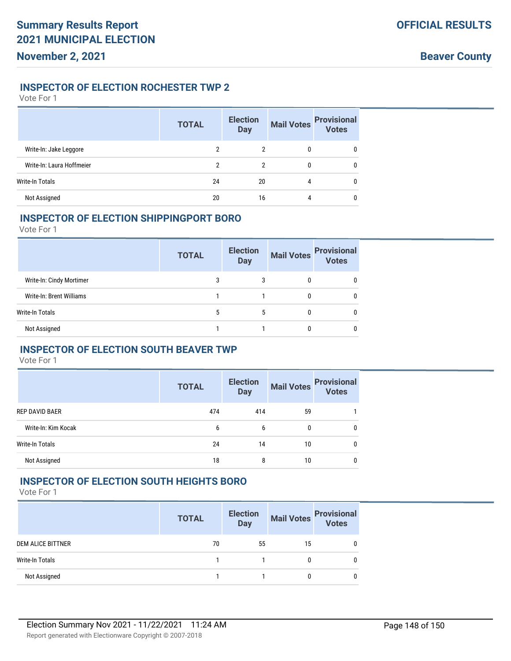## **INSPECTOR OF ELECTION ROCHESTER TWP 2**

Vote For 1

|                           | <b>TOTAL</b> | <b>Election</b><br><b>Day</b> | <b>Mail Votes</b> | <b>Provisional</b><br>Votes |
|---------------------------|--------------|-------------------------------|-------------------|-----------------------------|
| Write-In: Jake Leggore    | 2            | 2                             | 0                 | 0                           |
| Write-In: Laura Hoffmeier | 2            | 2                             | 0                 | $\mathbf{0}$                |
| Write-In Totals           | 24           | 20                            | 4                 | $\mathbf{0}$                |
| Not Assigned              | 20           | 16                            | 4                 | $\boldsymbol{0}$            |

#### **INSPECTOR OF ELECTION SHIPPINGPORT BORO**

Vote For 1

|                          | <b>TOTAL</b> | <b>Election</b><br><b>Day</b> | <b>Mail Votes</b> | <b>Provisional</b><br>Votes |
|--------------------------|--------------|-------------------------------|-------------------|-----------------------------|
| Write-In: Cindy Mortimer |              |                               |                   |                             |
| Write-In: Brent Williams |              |                               |                   | 0                           |
| Write-In Totals          | 5            | 5                             |                   | 0                           |
| Not Assigned             |              |                               |                   |                             |

## **INSPECTOR OF ELECTION SOUTH BEAVER TWP**

Vote For 1

|                       | <b>TOTAL</b> | <b>Election</b><br><b>Day</b> | <b>Mail Votes</b> | <b>Provisional</b><br><b>Votes</b> |
|-----------------------|--------------|-------------------------------|-------------------|------------------------------------|
| <b>REP DAVID BAER</b> | 474          | 414                           | 59                |                                    |
| Write-In: Kim Kocak   | 6            | 6                             | 0                 | 0                                  |
| Write-In Totals       | 24           | 14                            | 10                | 0                                  |
| Not Assigned          | 18           | 8                             | 10                |                                    |

## **INSPECTOR OF ELECTION SOUTH HEIGHTS BORO**

|                          | <b>TOTAL</b> | <b>Election</b><br>Day | <b>Mail Votes</b> | <b>Provisional</b><br>Votes |
|--------------------------|--------------|------------------------|-------------------|-----------------------------|
| <b>DEM ALICE BITTNER</b> | 70           | 55                     | 15                | 0                           |
| Write-In Totals          |              |                        | 0                 | 0                           |
| Not Assigned             |              |                        | 0                 | 0                           |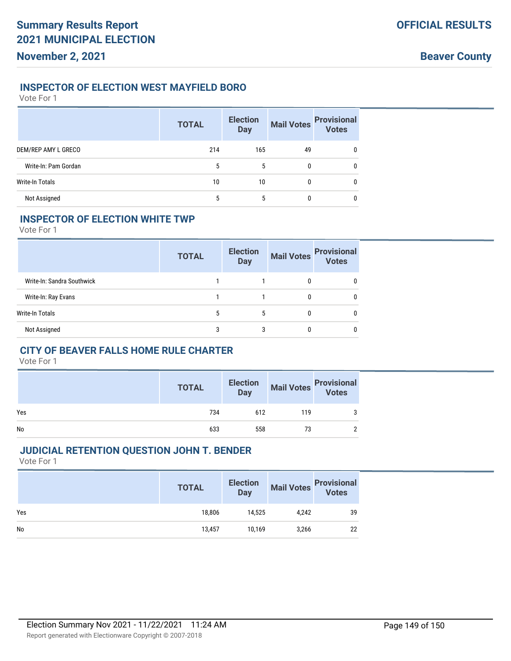## **INSPECTOR OF ELECTION WEST MAYFIELD BORO**

Vote For 1

|                        | <b>TOTAL</b> | <b>Election</b><br><b>Day</b> | <b>Mail Votes</b> | <b>Provisional</b><br>Votes |
|------------------------|--------------|-------------------------------|-------------------|-----------------------------|
| DEM/REP AMY L GRECO    | 214          | 165                           | 49                | $\mathbf{0}$                |
| Write-In: Pam Gordan   | 5            | 5                             | 0                 | $\mathbf{0}$                |
| <b>Write-In Totals</b> | 10           | 10                            | 0                 | $\mathbf{0}$                |
| Not Assigned           | 5            | 5                             | 0                 | 0                           |

## **INSPECTOR OF ELECTION WHITE TWP**

Vote For 1

|                            | <b>TOTAL</b> | <b>Election</b><br><b>Day</b> | <b>Mail Votes</b> | <b>Provisional</b><br><b>Votes</b> |
|----------------------------|--------------|-------------------------------|-------------------|------------------------------------|
| Write-In: Sandra Southwick |              |                               | 0                 | 0                                  |
| Write-In: Ray Evans        |              |                               | 0                 | 0                                  |
| Write-In Totals            | 5            | 5                             | 0                 | 0                                  |
| Not Assigned               | 3            | 3                             | 0                 | 0                                  |

## **CITY OF BEAVER FALLS HOME RULE CHARTER**

Vote For 1

|     | <b>TOTAL</b> | <b>Election</b><br><b>Day</b> |     | Mail Votes Provisional |
|-----|--------------|-------------------------------|-----|------------------------|
| Yes | 734          | 612                           | 119 | 3                      |
| No  | 633          | 558                           | 73  | C                      |

## **JUDICIAL RETENTION QUESTION JOHN T. BENDER**

|     | <b>TOTAL</b> | <b>Election</b><br><b>Day</b> | <b>Mail Votes</b> | <b>Provisional</b><br>Votes |
|-----|--------------|-------------------------------|-------------------|-----------------------------|
| Yes | 18,806       | 14,525                        | 4,242             | 39                          |
| No  | 13,457       | 10.169                        | 3,266             | 22                          |